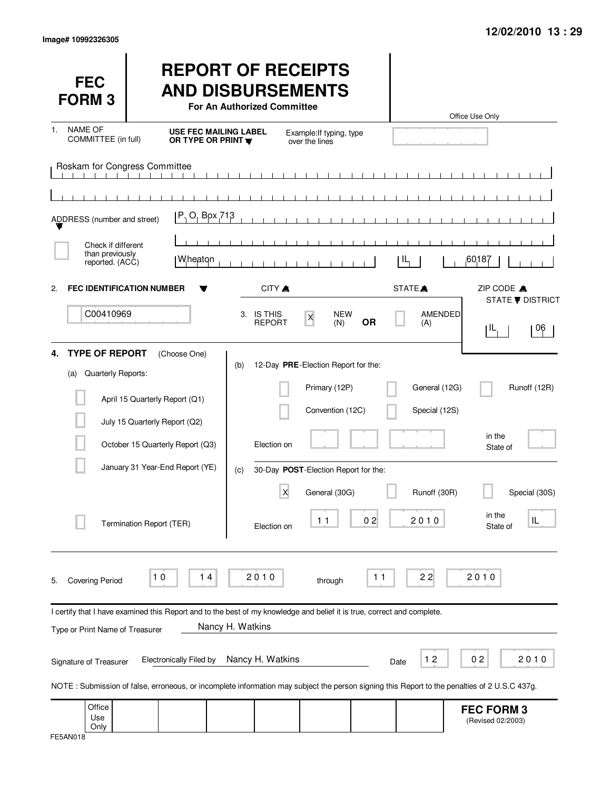| <b>FEC</b><br><b>FORM3</b>                               |                                                                                                                                                                                | <b>REPORT OF RECEIPTS</b><br><b>AND DISBURSEMENTS</b><br>For An Authorized Committee |                                                                          |           |                                | Office Use Only                           |
|----------------------------------------------------------|--------------------------------------------------------------------------------------------------------------------------------------------------------------------------------|--------------------------------------------------------------------------------------|--------------------------------------------------------------------------|-----------|--------------------------------|-------------------------------------------|
| <b>NAME OF</b><br>1.<br>COMMITTEE (in full)              | <b>USE FEC MAILING LABEL</b><br>OR TYPE OR PRINT <b>W</b>                                                                                                                      |                                                                                      | Example: If typing, type<br>over the lines                               |           |                                |                                           |
| Roskam for Congress Committee                            |                                                                                                                                                                                |                                                                                      | $\mathbf{1}$ $\mathbf{1}$ $\mathbf{1}$                                   |           |                                |                                           |
| ADDRESS (number and street)                              | P. O. Box 713                                                                                                                                                                  |                                                                                      |                                                                          |           |                                |                                           |
| Check if different<br>than previously<br>reported. (ACC) | Wheaton                                                                                                                                                                        |                                                                                      |                                                                          |           | IL                             | ,60187                                    |
| 2.                                                       | <b>FEC IDENTIFICATION NUMBER</b>                                                                                                                                               | CITY A                                                                               |                                                                          |           | STATE <sup></sup>              | ZIP CODE A<br><b>STATE ▼ DISTRICT</b>     |
| C00410969                                                |                                                                                                                                                                                | 3. IS THIS<br><b>REPORT</b>                                                          | <b>NEW</b><br>$\mathsf X$<br>(N)                                         | <b>OR</b> | AMENDED<br>(A)                 | ŢΙL<br>06                                 |
| <b>TYPE OF REPORT</b><br>4.<br>Quarterly Reports:<br>(a) | (Choose One)<br>April 15 Quarterly Report (Q1)                                                                                                                                 | (b)                                                                                  | 12-Day PRE-Election Report for the:<br>Primary (12P)<br>Convention (12C) |           | General (12G)<br>Special (12S) | Runoff (12R)                              |
|                                                          | July 15 Quarterly Report (Q2)<br>October 15 Quarterly Report (Q3)                                                                                                              | Election on                                                                          |                                                                          |           |                                | in the<br>State of                        |
|                                                          | January 31 Year-End Report (YE)                                                                                                                                                | (c)                                                                                  | 30-Day POST-Election Report for the:                                     |           |                                |                                           |
|                                                          | Termination Report (TER)                                                                                                                                                       | X<br>Election on                                                                     | General (30G)<br>11                                                      | 02        | Runoff (30R)<br>2,0,1,0        | Special (30S)<br>in the<br>IL<br>State of |
| <b>Covering Period</b><br>5.                             | 10<br>14                                                                                                                                                                       | 2010                                                                                 | through                                                                  | $11$      | 22                             | 2010                                      |
|                                                          | I certify that I have examined this Report and to the best of my knowledge and belief it is true, correct and complete.                                                        | Nancy H. Watkins                                                                     |                                                                          |           |                                |                                           |
| Type or Print Name of Treasurer                          |                                                                                                                                                                                |                                                                                      |                                                                          |           |                                |                                           |
| Signature of Treasurer                                   | <b>Electronically Filed by</b><br>NOTE: Submission of false, erroneous, or incomplete information may subject the person signing this Report to the penalties of 2 U.S.C 437g. | Nancy H. Watkins                                                                     |                                                                          |           | 12<br>Date                     | 02<br>2010                                |
| Office<br>Use<br>Only                                    |                                                                                                                                                                                |                                                                                      |                                                                          |           |                                | <b>FEC FORM 3</b><br>(Revised 02/2003)    |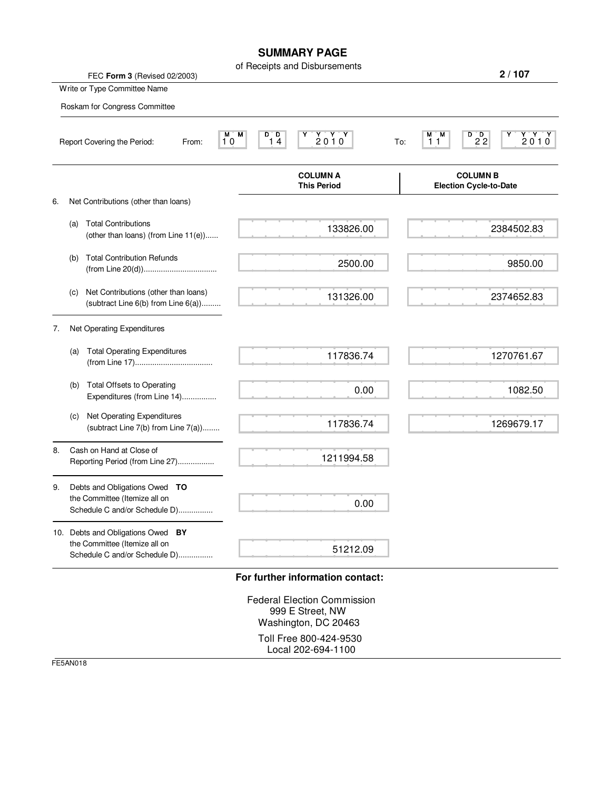## **SUMMARY PAGE**

|    | FEC Form 3 (Revised 02/2003)                                                                        | of Receipts and Disbursements                                                                            | 2/107                                                                     |
|----|-----------------------------------------------------------------------------------------------------|----------------------------------------------------------------------------------------------------------|---------------------------------------------------------------------------|
|    | Write or Type Committee Name                                                                        |                                                                                                          |                                                                           |
|    | Roskam for Congress Committee                                                                       |                                                                                                          |                                                                           |
|    | M M<br>10<br>Report Covering the Period:<br>From:                                                   | 2010<br>D D.<br>14<br>To:                                                                                | D D<br>$\begin{array}{c}\nY' \ Y' \\ 2010\n\end{array}$<br>мм<br>22<br>11 |
|    |                                                                                                     | <b>COLUMN A</b><br><b>This Period</b>                                                                    | <b>COLUMN B</b><br><b>Election Cycle-to-Date</b>                          |
| 6. | Net Contributions (other than loans)                                                                |                                                                                                          |                                                                           |
|    | <b>Total Contributions</b><br>(a)<br>(other than loans) (from Line 11(e))                           | 133826.00                                                                                                | 2384502.83                                                                |
|    | <b>Total Contribution Refunds</b><br>(b)                                                            | 2500.00                                                                                                  | 9850.00                                                                   |
|    | Net Contributions (other than loans)<br>(c)<br>(subtract Line 6(b) from Line 6(a))                  | 131326.00                                                                                                | 2374652.83                                                                |
| 7. | Net Operating Expenditures                                                                          |                                                                                                          |                                                                           |
|    | <b>Total Operating Expenditures</b><br>(a)                                                          | 117836.74                                                                                                | 1270761.67                                                                |
|    | <b>Total Offsets to Operating</b><br>(b)<br>Expenditures (from Line 14)                             | 0.00                                                                                                     | 1082.50                                                                   |
|    | Net Operating Expenditures<br>(c)<br>(subtract Line 7(b) from Line 7(a))                            | 117836.74                                                                                                | 1269679.17                                                                |
| 8. | Cash on Hand at Close of<br>Reporting Period (from Line 27)                                         | 1211994.58                                                                                               |                                                                           |
| 9. | Debts and Obligations Owed TO<br>the Committee (Itemize all on<br>Schedule C and/or Schedule D)     | 0.00                                                                                                     |                                                                           |
|    | 10. Debts and Obligations Owed BY<br>the Committee (Itemize all on<br>Schedule C and/or Schedule D) | 51212.09                                                                                                 |                                                                           |
|    |                                                                                                     | For further information contact:                                                                         |                                                                           |
|    |                                                                                                     | <b>Federal Election Commission</b><br>999 E Street, NW<br>Washington, DC 20463<br>Toll Free 800-424-9530 |                                                                           |

Local 202-694-1100

FE5AN018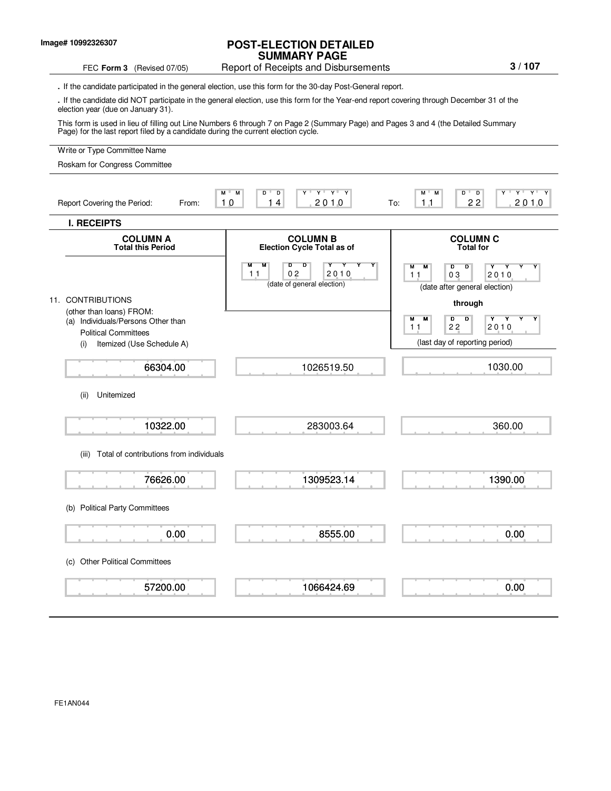## **POST-ELECTION DETAILED SUMMARY PAGE**

## FEC Form 3 (Revised 07/05) Report of Receipts and Disbursements

**.** If the candidate participated in the general election, use this form for the 30-day Post-General report.

**.** If the candidate did NOT participate in the general election, use this form for the Year-end report covering through December 31 of the election year (due on January 31).

This form is used in lieu of filling out Line Numbers 6 through 7 on Page 2 (Summary Page) and Pages 3 and 4 (the Detailed Summary Page) for the last report filed by a candidate during the current election cycle.

## Write or Type Committee Name M M D D Y Y Y Y M M D D Y Y Y Y Report Covering the Period: From: 10 14 2010 To: **I. RECEIPTS COLUMN A COLUMN B COLUMN C COLUMN C COLUMN C COLUMN C COLUMN C COLUMN C COLUMN C COLUMN C COLUMN C COLUMN C COLUMN C COLUMN C COLUMN C COLUMN C COLUMN C COLUMN C C Election Cycle Total as of** M M D D Y Y Y Y M M D D Y Y Y Y (date of general election) (date after general election) 11. CONTRIBUTIONS **through** (other than loans) FROM: (a) Individuals/Persons Other than M M D D Y Y Y Y Political Committees (i) Itemized (Use Schedule A) (i) Itemized (Use Schedule A) (ii) Unitemized (iii) Total of contributions from individuals (b) Political Party Committees (c) Other Political Committees 10 14 2010 To: 11 22 2010  $2010$ Roskam for Congress Committee 66304.00 10322.00 76626.00 0.00 57200.00 1026519.50 283003.64 1309523.14 8555.00 1066424.69 11 02 2010 11 03 2010 1030.00 360.00 1390.00 0.00 0.00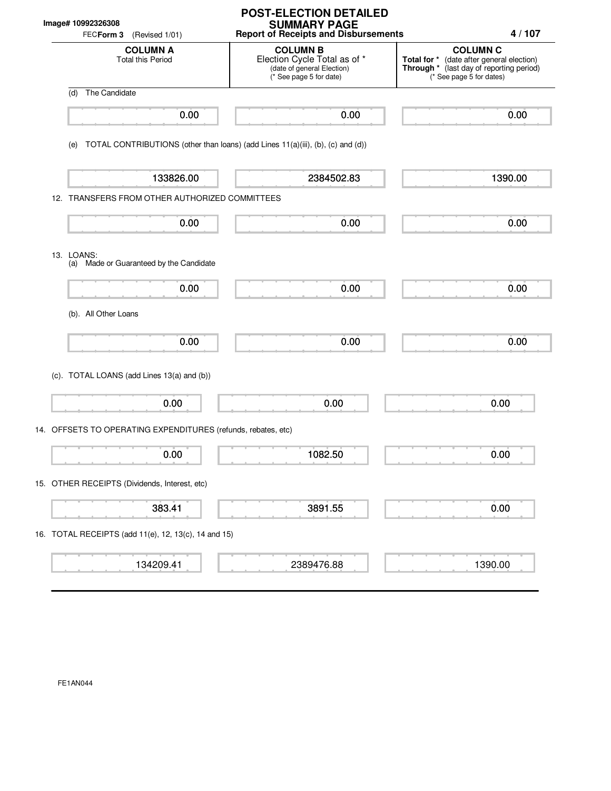| Image# 10992326308<br>FECForm 3<br>(Revised 1/01)             | <b>POST-ELECTION DETAILED</b><br><b>SUMMARY PAGE</b><br><b>Report of Receipts and Disbursements</b>      | 4/107                                                                                                                                |
|---------------------------------------------------------------|----------------------------------------------------------------------------------------------------------|--------------------------------------------------------------------------------------------------------------------------------------|
| <b>COLUMN A</b><br><b>Total this Period</b>                   | <b>COLUMN B</b><br>Election Cycle Total as of *<br>(date of general Election)<br>(* See page 5 for date) | <b>COLUMN C</b><br>Total for * (date after general election)<br>Through * (last day of reporting period)<br>(* See page 5 for dates) |
| The Candidate<br>(d)                                          |                                                                                                          |                                                                                                                                      |
| 0.00                                                          | 0.00                                                                                                     | 0.00                                                                                                                                 |
| (e)                                                           | TOTAL CONTRIBUTIONS (other than loans) (add Lines 11(a)(iii), (b), (c) and (d))                          |                                                                                                                                      |
| 133826.00                                                     | 2384502.83                                                                                               | 1390.00                                                                                                                              |
| 12. TRANSFERS FROM OTHER AUTHORIZED COMMITTEES                |                                                                                                          |                                                                                                                                      |
| 0.00                                                          | 0.00                                                                                                     | 0.00                                                                                                                                 |
| 13. LOANS:<br>(a) Made or Guaranteed by the Candidate         |                                                                                                          |                                                                                                                                      |
| 0.00                                                          | 0.00                                                                                                     | 0.00                                                                                                                                 |
| (b). All Other Loans                                          |                                                                                                          |                                                                                                                                      |
| 0.00                                                          | 0.00                                                                                                     | 0.00                                                                                                                                 |
| (c). TOTAL LOANS (add Lines 13(a) and (b))                    |                                                                                                          |                                                                                                                                      |
| 0.00                                                          | 0.00                                                                                                     | 0.00                                                                                                                                 |
| 14. OFFSETS TO OPERATING EXPENDITURES (refunds, rebates, etc) |                                                                                                          |                                                                                                                                      |
| ┳<br>0.00                                                     | 1082.50                                                                                                  | 0.00                                                                                                                                 |
| 15. OTHER RECEIPTS (Dividends, Interest, etc)                 |                                                                                                          |                                                                                                                                      |
| 383.41                                                        | 3891.55                                                                                                  | 0.00                                                                                                                                 |
| 16. TOTAL RECEIPTS (add 11(e), 12, 13(c), 14 and 15)          |                                                                                                          |                                                                                                                                      |
| 134209.41                                                     | 2389476.88                                                                                               | 1390.00                                                                                                                              |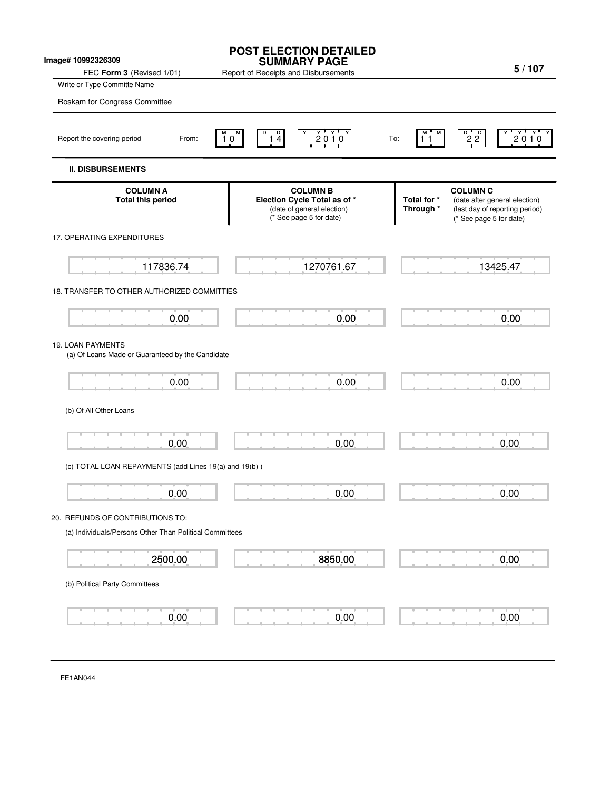| Image# 10992326309<br>FEC Form 3 (Revised 1/01)                                             | <b>POST ELECTION DETAILED</b><br><b>SUMMARY PAGE</b><br>Report of Receipts and Disbursements             | 5/107                                                                                                                                     |
|---------------------------------------------------------------------------------------------|----------------------------------------------------------------------------------------------------------|-------------------------------------------------------------------------------------------------------------------------------------------|
| Write or Type Committe Name                                                                 |                                                                                                          |                                                                                                                                           |
| Roskam for Congress Committee                                                               |                                                                                                          |                                                                                                                                           |
| Report the covering period<br>From:                                                         | $2010^y$<br>D<br>$\frac{1}{4}$<br>$10^{\circ}$                                                           | $P^{\circ}$ <sub>2</sub> $P^{\circ}$<br>2010<br>To:<br>11                                                                                 |
| <b>II. DISBURSEMENTS</b>                                                                    |                                                                                                          |                                                                                                                                           |
| <b>COLUMN A</b><br><b>Total this period</b>                                                 | <b>COLUMN B</b><br>Election Cycle Total as of *<br>(date of general election)<br>(* See page 5 for date) | <b>COLUMN C</b><br>Total for *<br>(date after general election)<br>Through *<br>(last day of reporting period)<br>(* See page 5 for date) |
| 17. OPERATING EXPENDITURES                                                                  |                                                                                                          |                                                                                                                                           |
| 117836.74                                                                                   | 1270761.67                                                                                               | 13425.47                                                                                                                                  |
| 18. TRANSFER TO OTHER AUTHORIZED COMMITTIES                                                 |                                                                                                          |                                                                                                                                           |
| 0.00                                                                                        | 0.00                                                                                                     | 0.00                                                                                                                                      |
| 19. LOAN PAYMENTS<br>(a) Of Loans Made or Guaranteed by the Candidate                       |                                                                                                          |                                                                                                                                           |
| 0.00                                                                                        | 0.00                                                                                                     | 0.00                                                                                                                                      |
| (b) Of All Other Loans                                                                      |                                                                                                          |                                                                                                                                           |
| 0.00                                                                                        | 0.00                                                                                                     | 0.00                                                                                                                                      |
| (c) TOTAL LOAN REPAYMENTS (add Lines 19(a) and 19(b))                                       |                                                                                                          |                                                                                                                                           |
| 0.00                                                                                        | 0.00                                                                                                     | 0,00                                                                                                                                      |
| 20. REFUNDS OF CONTRIBUTIONS TO:<br>(a) Individuals/Persons Other Than Political Committees |                                                                                                          |                                                                                                                                           |
| 2500.00                                                                                     | 8850.00                                                                                                  | 0.00                                                                                                                                      |
| (b) Political Party Committees                                                              |                                                                                                          |                                                                                                                                           |
| 0.00                                                                                        | 0.00                                                                                                     | 0.00                                                                                                                                      |

FE1AN044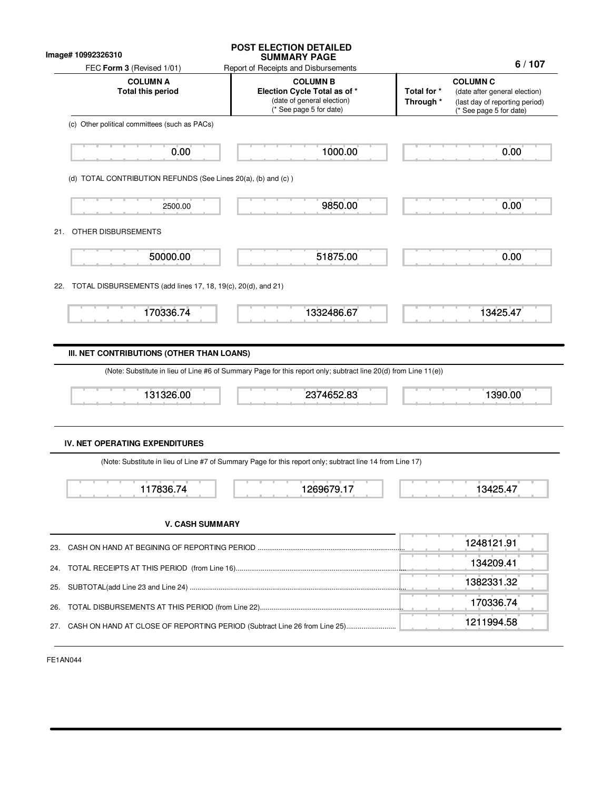| Image# 10992326310                                                       | <b>POST ELECTION DETAILED</b><br><b>SUMMARY PAGE</b>                                                                                             | 6/107                                                                                                                                     |
|--------------------------------------------------------------------------|--------------------------------------------------------------------------------------------------------------------------------------------------|-------------------------------------------------------------------------------------------------------------------------------------------|
| FEC Form 3 (Revised 1/01)<br><b>COLUMN A</b><br><b>Total this period</b> | Report of Receipts and Disbursements<br><b>COLUMN B</b><br>Election Cycle Total as of *<br>(date of general election)<br>(* See page 5 for date) | <b>COLUMN C</b><br>Total for *<br>(date after general election)<br>Through *<br>(last day of reporting period)<br>(* See page 5 for date) |
| (c) Other political committees (such as PACs)                            |                                                                                                                                                  |                                                                                                                                           |
| 0.00                                                                     | 1000.00                                                                                                                                          | 0.00                                                                                                                                      |
| (d) TOTAL CONTRIBUTION REFUNDS (See Lines 20(a), (b) and (c))            |                                                                                                                                                  |                                                                                                                                           |
| 2500.00                                                                  | 9850.00                                                                                                                                          | 0.00                                                                                                                                      |
| OTHER DISBURSEMENTS<br>21.                                               |                                                                                                                                                  |                                                                                                                                           |
| 50000.00                                                                 | 51875.00                                                                                                                                         | 0.00                                                                                                                                      |
| TOTAL DISBURSEMENTS (add lines 17, 18, 19(c), 20(d), and 21)<br>22.      |                                                                                                                                                  |                                                                                                                                           |
| 170336.74                                                                | 1332486.67                                                                                                                                       | 13425.47                                                                                                                                  |
| 131326.00                                                                | 2374652.83                                                                                                                                       | 1390.00                                                                                                                                   |
|                                                                          |                                                                                                                                                  |                                                                                                                                           |
|                                                                          |                                                                                                                                                  |                                                                                                                                           |
| <b>IV. NET OPERATING EXPENDITURES</b>                                    | (Note: Substitute in lieu of Line #7 of Summary Page for this report only; subtract line 14 from Line 17)                                        |                                                                                                                                           |
| 11783674                                                                 | 1269679.17                                                                                                                                       | 13425.47                                                                                                                                  |
| <b>V. CASH SUMMARY</b>                                                   |                                                                                                                                                  |                                                                                                                                           |
|                                                                          |                                                                                                                                                  | 1248121.91                                                                                                                                |
|                                                                          |                                                                                                                                                  | 134209.41                                                                                                                                 |
|                                                                          |                                                                                                                                                  | 1382331.32                                                                                                                                |
| 23.<br>24.<br>25.<br>26.                                                 |                                                                                                                                                  | 170336.74                                                                                                                                 |

FE1AN044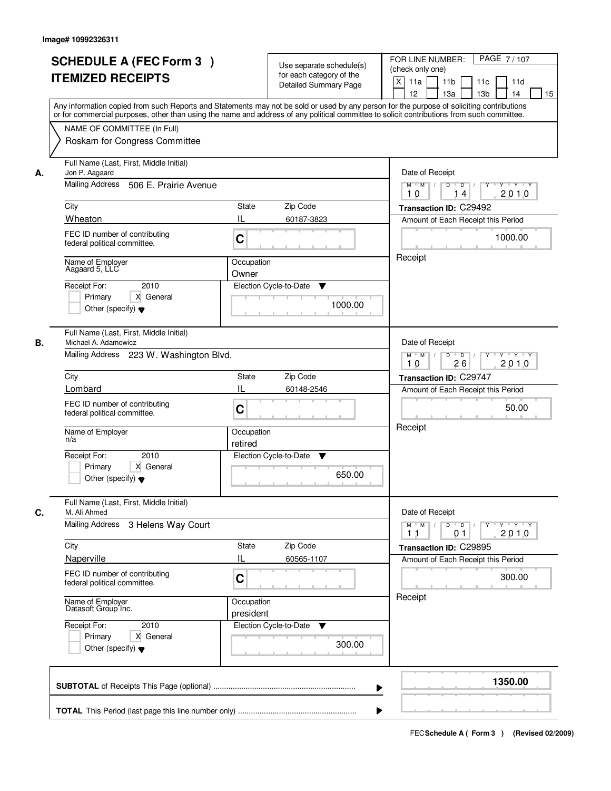|    | <b>SCHEDULE A (FEC Form 3)</b><br><b>ITEMIZED RECEIPTS</b><br>Any information copied from such Reports and Statements may not be sold or used by any person for the purpose of soliciting contributions                                                                                                                 | Use separate schedule(s)<br>for each category of the<br><b>Detailed Summary Page</b>                               | PAGE 7/107<br>FOR LINE NUMBER:<br>(check only one)<br>$\boldsymbol{\mathsf{X}}$<br>11 <sub>b</sub><br>11a<br>11c<br>11d<br>12<br>13 <sub>b</sub><br>14<br>13a<br>15                                                                                                                                                                                                                                                                                                                                                                                                                       |
|----|-------------------------------------------------------------------------------------------------------------------------------------------------------------------------------------------------------------------------------------------------------------------------------------------------------------------------|--------------------------------------------------------------------------------------------------------------------|-------------------------------------------------------------------------------------------------------------------------------------------------------------------------------------------------------------------------------------------------------------------------------------------------------------------------------------------------------------------------------------------------------------------------------------------------------------------------------------------------------------------------------------------------------------------------------------------|
|    | or for commercial purposes, other than using the name and address of any political committee to solicit contributions from such committee.<br>NAME OF COMMITTEE (In Full)<br>Roskam for Congress Committee                                                                                                              |                                                                                                                    |                                                                                                                                                                                                                                                                                                                                                                                                                                                                                                                                                                                           |
| А. | Full Name (Last, First, Middle Initial)<br>Jon P. Aagaard<br>Mailing Address 506 E. Prairie Avenue<br>City<br>Wheaton<br>FEC ID number of contributing<br>federal political committee.<br>Name of Employer<br>Aagaard 5, LLC<br>2010<br>Receipt For:<br>X General<br>Primary<br>Other (specify) $\blacktriangledown$    | <b>State</b><br>Zip Code<br>IL<br>60187-3823<br>C<br>Occupation<br>Owner<br>Election Cycle-to-Date<br>▼<br>1000.00 | Date of Receipt<br>$M$ $M$<br>$D$ $D$ $1$<br>Y TYTEY<br>Y<br>2010<br>10<br>14<br>Transaction ID: C29492<br>Amount of Each Receipt this Period<br>1000.00<br>Receipt                                                                                                                                                                                                                                                                                                                                                                                                                       |
| В. | Full Name (Last, First, Middle Initial)<br>Michael A. Adamowicz<br>Mailing Address 223 W. Washington Blvd.<br>City<br>Lombard<br>FEC ID number of contributing<br>federal political committee.<br>Name of Employer<br>n/a<br>Receipt For:<br>2010<br>Primary<br>X General<br>Other (specify) $\blacktriangledown$       | Zip Code<br>State<br>IL<br>60148-2546<br>C<br>Occupation<br>retired<br>Election Cycle-to-Date<br>v<br>650.00       | Date of Receipt<br>$M$ $M$ /<br>D<br>$\overline{D}$ /<br>$Y + Y + Y$<br>26<br>2010<br>10<br>Transaction ID: C29747<br>Amount of Each Receipt this Period<br>50.00<br>Receipt                                                                                                                                                                                                                                                                                                                                                                                                              |
| C. | Full Name (Last, First, Middle Initial)<br>M. Ali Ahmed<br>Mailing Address 3 Helens Way Court<br>City<br>Naperville<br>FEC ID number of contributing<br>federal political committee.<br>Name of Employer<br>Datasoft Group Inc.<br>Receipt For:<br>2010<br>Primary<br>X General<br>Other (specify) $\blacktriangledown$ | Zip Code<br>State<br>Ш<br>60565-1107<br>C<br>Occupation<br>president<br>Election Cycle-to-Date ▼<br>300.00         | Date of Receipt<br>$M$ $M$ $/$<br>$D$ $D$ $l$<br>$\begin{array}{c} \begin{array}{c} \mathsf{p} \mathsf{p} \mathsf{p} \mathsf{p} \mathsf{p} \mathsf{p} \mathsf{p} \mathsf{p} \mathsf{p} \mathsf{p} \mathsf{p} \mathsf{p} \mathsf{p} \mathsf{p} \mathsf{p} \mathsf{p} \mathsf{p} \mathsf{p} \mathsf{p} \mathsf{p} \mathsf{p} \mathsf{p} \mathsf{p} \mathsf{p} \mathsf{p} \mathsf{p} \mathsf{p} \mathsf{p} \mathsf{p} \mathsf{p} \mathsf{p} \mathsf{p} \mathsf{p} \mathsf{p} \math$<br>2010<br>11<br>01<br>Transaction ID: C29895<br>Amount of Each Receipt this Period<br>300.00<br>Receipt |
|    |                                                                                                                                                                                                                                                                                                                         |                                                                                                                    | 1350.00                                                                                                                                                                                                                                                                                                                                                                                                                                                                                                                                                                                   |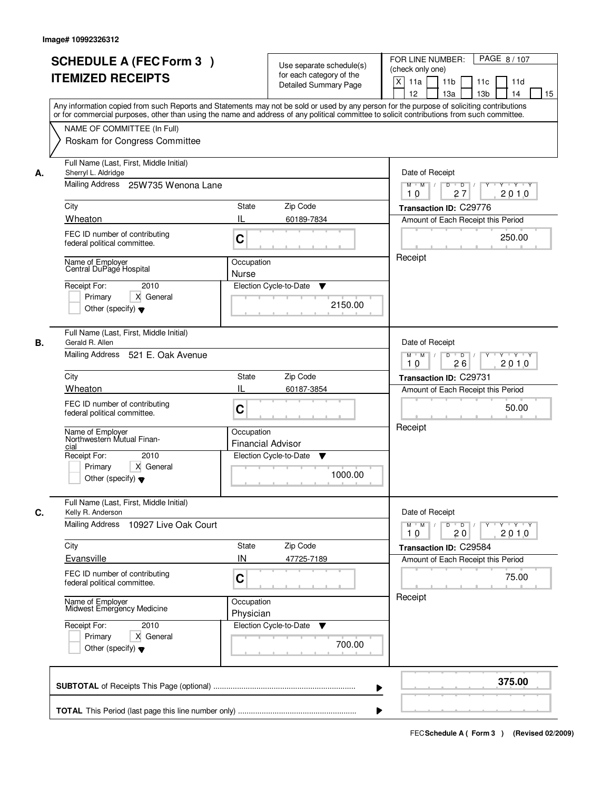|    | <b>SCHEDULE A (FEC Form 3)</b><br><b>ITEMIZED RECEIPTS</b>                                                                                                                                                                              | Use separate schedule(s)<br>for each category of the<br><b>Detailed Summary Page</b> | PAGE 8/107<br>FOR LINE NUMBER:<br>(check only one)<br>$\boldsymbol{\mathsf{X}}$<br>11 <sub>b</sub><br>11a<br>11 <sub>c</sub><br>11d<br>12<br>13 <sub>b</sub><br>14<br>13a<br>15<br>Any information copied from such Reports and Statements may not be sold or used by any person for the purpose of soliciting contributions |
|----|-----------------------------------------------------------------------------------------------------------------------------------------------------------------------------------------------------------------------------------------|--------------------------------------------------------------------------------------|------------------------------------------------------------------------------------------------------------------------------------------------------------------------------------------------------------------------------------------------------------------------------------------------------------------------------|
|    | NAME OF COMMITTEE (In Full)<br>Roskam for Congress Committee                                                                                                                                                                            |                                                                                      | or for commercial purposes, other than using the name and address of any political committee to solicit contributions from such committee.                                                                                                                                                                                   |
| А. | Full Name (Last, First, Middle Initial)<br>Sherryl L. Aldridge<br>Mailing Address 25W735 Wenona Lane<br>City<br>Wheaton<br>FEC ID number of contributing<br>federal political committee.<br>Name of Employer<br>Central DuPage Hospital | <b>State</b><br>Zip Code<br>IL<br>60189-7834<br>C<br>Occupation<br><b>Nurse</b>      | Date of Receipt<br>$D$ $D$<br>Y TY Y Y<br>$M$ $M$ /<br>27<br>2010<br>10<br>Transaction ID: C29776<br>Amount of Each Receipt this Period<br>250.00<br>Receipt                                                                                                                                                                 |
|    | 2010<br>Receipt For:<br>Primary<br>X General<br>Other (specify) $\blacktriangledown$                                                                                                                                                    | Election Cycle-to-Date<br>▼<br>2150.00                                               |                                                                                                                                                                                                                                                                                                                              |
| В. | Full Name (Last, First, Middle Initial)<br>Gerald R. Allen<br>Mailing Address 521 E. Oak Avenue<br>City<br>Wheaton<br>FEC ID number of contributing<br>federal political committee.                                                     | Zip Code<br>State<br>IL<br>60187-3854<br>C                                           | Date of Receipt<br>$M$ $M$ /<br>D<br>$\overline{D}$ /<br>$Y + Y + Y$<br>26<br>2010<br>10<br>Transaction ID: C29731<br>Amount of Each Receipt this Period<br>50.00<br>Receipt                                                                                                                                                 |
|    | Name of Employer<br>Northwestern Mutual Finan-<br>cial<br>Receipt For:<br>2010<br>Primary<br>X General<br>Other (specify) $\blacktriangledown$                                                                                          | Occupation<br><b>Financial Advisor</b><br>Election Cycle-to-Date<br>v<br>1000.00     |                                                                                                                                                                                                                                                                                                                              |
| C. | Full Name (Last, First, Middle Initial)<br>Kelly R. Anderson<br>Mailing Address<br>10927 Live Oak Court<br>City<br>Evansville                                                                                                           | Zip Code<br>State<br>IN<br>47725-7189                                                | Date of Receipt<br>$M$ $M$<br>$D$ $D$ $l$<br>$\mathsf{Y} \dashv \neg \mathsf{Y} \dashv \neg \mathsf{Y}$<br>$Y^+$<br>2010<br>10<br>20<br>Transaction ID: C29584<br>Amount of Each Receipt this Period                                                                                                                         |
|    | FEC ID number of contributing<br>federal political committee.<br>Name of Employer<br>Midwest Emergency Medicine<br>Receipt For:<br>2010<br>Primary<br>X General<br>Other (specify) $\blacktriangledown$                                 | C<br>Occupation<br>Physician<br>Election Cycle-to-Date ▼                             | 75.00<br>Receipt<br>700.00                                                                                                                                                                                                                                                                                                   |
|    |                                                                                                                                                                                                                                         |                                                                                      | 375.00                                                                                                                                                                                                                                                                                                                       |
|    |                                                                                                                                                                                                                                         |                                                                                      |                                                                                                                                                                                                                                                                                                                              |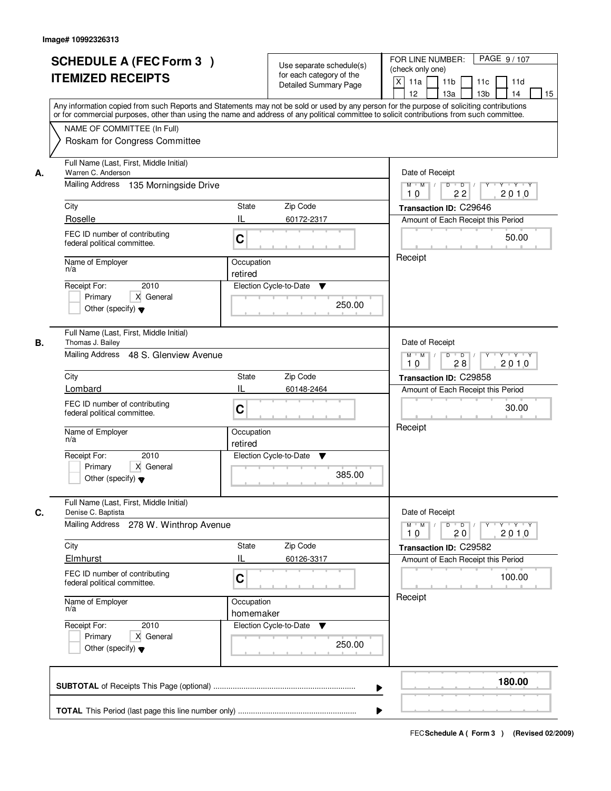| <b>SCHEDULE A (FEC Form 3)</b><br><b>ITEMIZED RECEIPTS</b>                                                   | Use separate schedule(s)<br>for each category of the<br><b>Detailed Summary Page</b><br>Any information copied from such Reports and Statements may not be sold or used by any person for the purpose of soliciting contributions<br>or for commercial purposes, other than using the name and address of any political committee to solicit contributions from such committee. | PAGE 9/107<br>FOR LINE NUMBER:<br>(check only one)<br>$\boldsymbol{\mathsf{X}}$<br>11 <sub>b</sub><br>11a<br>11c<br>11d<br>12<br>13 <sub>b</sub><br>14<br>13a<br>15 |
|--------------------------------------------------------------------------------------------------------------|---------------------------------------------------------------------------------------------------------------------------------------------------------------------------------------------------------------------------------------------------------------------------------------------------------------------------------------------------------------------------------|---------------------------------------------------------------------------------------------------------------------------------------------------------------------|
| NAME OF COMMITTEE (In Full)<br>Roskam for Congress Committee                                                 |                                                                                                                                                                                                                                                                                                                                                                                 |                                                                                                                                                                     |
| Full Name (Last, First, Middle Initial)<br>Warren C. Anderson<br>А.<br>Mailing Address 135 Morningside Drive |                                                                                                                                                                                                                                                                                                                                                                                 | Date of Receipt<br>$D$ $D$<br>$Y + Y + Y$<br>$M$ $M$ /<br>Y                                                                                                         |
| City                                                                                                         | <b>State</b><br>Zip Code                                                                                                                                                                                                                                                                                                                                                        | 2010<br>22<br>10<br>Transaction ID: C29646                                                                                                                          |
| Roselle                                                                                                      | IL<br>60172-2317                                                                                                                                                                                                                                                                                                                                                                | Amount of Each Receipt this Period                                                                                                                                  |
| FEC ID number of contributing<br>federal political committee.                                                | C                                                                                                                                                                                                                                                                                                                                                                               | 50.00                                                                                                                                                               |
| Name of Employer<br>n/a                                                                                      | Occupation<br>retired                                                                                                                                                                                                                                                                                                                                                           | Receipt                                                                                                                                                             |
| 2010<br>Receipt For:<br>X General<br>Primary<br>Other (specify) $\blacktriangledown$                         | Election Cycle-to-Date<br>▼<br>250.00                                                                                                                                                                                                                                                                                                                                           |                                                                                                                                                                     |
| Full Name (Last, First, Middle Initial)<br>Thomas J. Bailey<br>В.                                            |                                                                                                                                                                                                                                                                                                                                                                                 | Date of Receipt                                                                                                                                                     |
| Mailing Address 48 S. Glenview Avenue                                                                        |                                                                                                                                                                                                                                                                                                                                                                                 | $M$ $M$ /<br>D<br>$\overline{D}$ /<br>$Y + Y + Y$<br>28<br>2010<br>10                                                                                               |
| City                                                                                                         | Zip Code<br>State                                                                                                                                                                                                                                                                                                                                                               | Transaction ID: C29858                                                                                                                                              |
| Lombard                                                                                                      | IL<br>60148-2464                                                                                                                                                                                                                                                                                                                                                                | Amount of Each Receipt this Period                                                                                                                                  |
| FEC ID number of contributing<br>federal political committee.                                                | C                                                                                                                                                                                                                                                                                                                                                                               | 30.00                                                                                                                                                               |
| Name of Employer<br>n/a                                                                                      | Occupation<br>retired                                                                                                                                                                                                                                                                                                                                                           | Receipt                                                                                                                                                             |
| Receipt For:<br>2010<br>Primary<br>X General<br>Other (specify) $\blacktriangledown$                         | Election Cycle-to-Date<br>v<br>385.00                                                                                                                                                                                                                                                                                                                                           |                                                                                                                                                                     |
| Full Name (Last, First, Middle Initial)<br>C.<br>Denise C. Baptista                                          |                                                                                                                                                                                                                                                                                                                                                                                 | Date of Receipt                                                                                                                                                     |
| Mailing Address<br>278 W. Winthrop Avenue                                                                    |                                                                                                                                                                                                                                                                                                                                                                                 | $M$ $M$<br>$D$ $D$ $l$<br>$Y - Y - Y - Y$<br>$Y^+$<br>2010<br>10<br>20                                                                                              |
| City<br>Elmhurst                                                                                             | Zip Code<br>State<br>Ш<br>60126-3317                                                                                                                                                                                                                                                                                                                                            | Transaction ID: C29582<br>Amount of Each Receipt this Period                                                                                                        |
| FEC ID number of contributing<br>federal political committee.                                                | C                                                                                                                                                                                                                                                                                                                                                                               | 100.00                                                                                                                                                              |
| Name of Employer<br>n/a                                                                                      | Occupation<br>homemaker                                                                                                                                                                                                                                                                                                                                                         | Receipt                                                                                                                                                             |
| Receipt For:<br>2010<br>Primary<br>X General<br>Other (specify) $\blacktriangledown$                         | Election Cycle-to-Date ▼<br>250.00                                                                                                                                                                                                                                                                                                                                              |                                                                                                                                                                     |
|                                                                                                              |                                                                                                                                                                                                                                                                                                                                                                                 | 180.00                                                                                                                                                              |
|                                                                                                              |                                                                                                                                                                                                                                                                                                                                                                                 |                                                                                                                                                                     |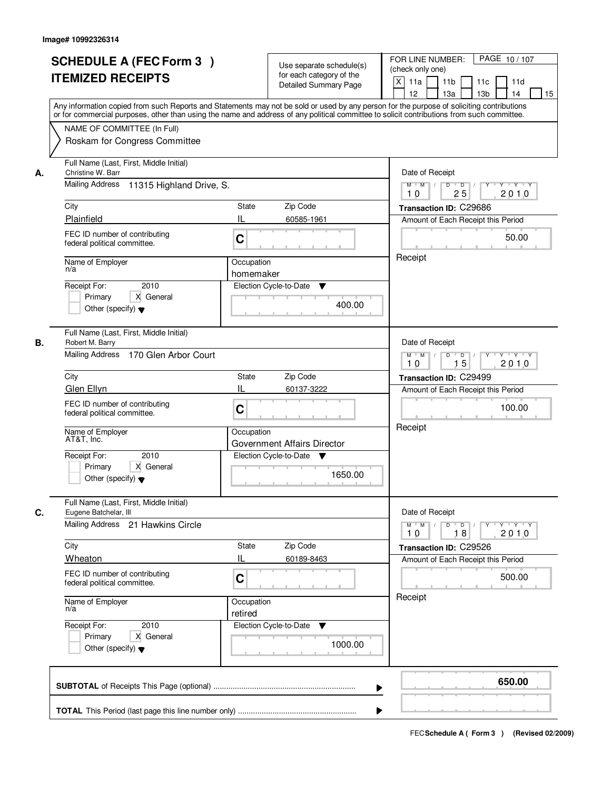|    | <b>SCHEDULE A (FEC Form 3)</b><br><b>ITEMIZED RECEIPTS</b><br>Any information copied from such Reports and Statements may not be sold or used by any person for the purpose of soliciting contributions<br>or for commercial purposes, other than using the name and address of any political committee to solicit contributions from such committee. | Use separate schedule(s)<br>for each category of the<br><b>Detailed Summary Page</b>                          | PAGE 10/107<br>FOR LINE NUMBER:<br>(check only one)<br>$\mathsf{X}$<br>11a<br>11 <sub>b</sub><br>11c<br>11d<br>13 <sub>b</sub><br>12<br>13a<br>14<br>15                    |
|----|-------------------------------------------------------------------------------------------------------------------------------------------------------------------------------------------------------------------------------------------------------------------------------------------------------------------------------------------------------|---------------------------------------------------------------------------------------------------------------|----------------------------------------------------------------------------------------------------------------------------------------------------------------------------|
|    | NAME OF COMMITTEE (In Full)<br>Roskam for Congress Committee                                                                                                                                                                                                                                                                                          |                                                                                                               |                                                                                                                                                                            |
| А. | Full Name (Last, First, Middle Initial)<br>Christine W. Barr<br><b>Mailing Address</b><br>11315 Highland Drive, S.<br>City<br>Plainfield<br>FEC ID number of contributing<br>federal political committee.                                                                                                                                             | Zip Code<br>State<br>IL<br>60585-1961<br>C                                                                    | Date of Receipt<br>$D$ $D$ $/$<br>$Y + Y + Y$<br>$M$ $M$ /<br>$\overline{Y}$<br>25<br>2010<br>10<br>Transaction ID: C29686<br>Amount of Each Receipt this Period<br>50.00  |
|    | Name of Employer<br>n/a<br>2010<br>Receipt For:<br>X General<br>Primary<br>Other (specify) $\blacktriangledown$                                                                                                                                                                                                                                       | Occupation<br>homemaker<br>Election Cycle-to-Date<br>▼<br>400.00                                              | Receipt                                                                                                                                                                    |
| В. | Full Name (Last, First, Middle Initial)<br>Robert M. Barry<br>Mailing Address 170 Glen Arbor Court<br>City<br>Glen Ellyn                                                                                                                                                                                                                              | Zip Code<br><b>State</b><br>IL<br>60137-3222                                                                  | Date of Receipt<br>$M$ $M$ /<br>D<br>$\overline{\phantom{0}}$<br>$Y + Y + Y$<br>15<br>2010<br>10<br>Transaction ID: C29499<br>Amount of Each Receipt this Period           |
|    | FEC ID number of contributing<br>federal political committee.<br>Name of Employer<br>AT&T, Inc.<br>2010<br>Receipt For:<br>Primary<br>X General<br>Other (specify) $\blacktriangledown$                                                                                                                                                               | C<br>Occupation<br>Government Affairs Director<br>Election Cycle-to-Date<br><b>V</b><br>1650.00               | 100.00<br>Receipt                                                                                                                                                          |
| C. | Full Name (Last, First, Middle Initial)<br>Eugene Batchelar, III<br>Mailing Address 21 Hawkins Circle<br>City<br>Wheaton<br>FEC ID number of contributing<br>federal political committee.<br>Name of Employer<br>n/a<br>Receipt For:<br>2010<br>Primary<br>X General                                                                                  | Zip Code<br>State<br>IL<br>60189-8463<br>C<br>Occupation<br>retired<br>Election Cycle-to-Date<br>v<br>1000.00 | Date of Receipt<br>$M$ $M$<br>$D$ $D$ $I$<br>$Y^+$<br>$Y + Y + Y$<br>2010<br>18<br>10<br>Transaction ID: C29526<br>Amount of Each Receipt this Period<br>500.00<br>Receipt |
|    | Other (specify) $\blacktriangledown$                                                                                                                                                                                                                                                                                                                  | ▶                                                                                                             | 650.00                                                                                                                                                                     |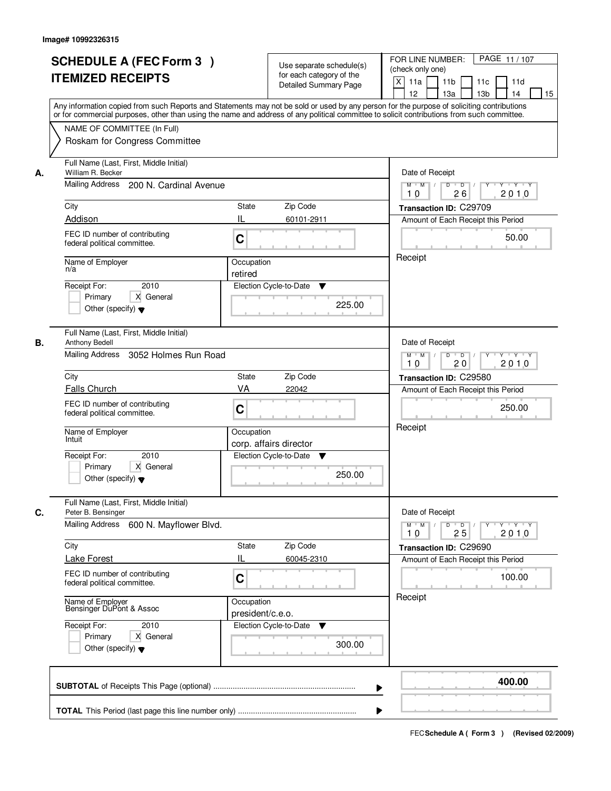|    | <b>SCHEDULE A (FEC Form 3)</b><br><b>ITEMIZED RECEIPTS</b><br>Any information copied from such Reports and Statements may not be sold or used by any person for the purpose of soliciting contributions<br>or for commercial purposes, other than using the name and address of any political committee to solicit contributions from such committee. |                                | Use separate schedule(s)<br>for each category of the<br><b>Detailed Summary Page</b> | PAGE 11/107<br>FOR LINE NUMBER:<br>(check only one)<br>$\mathsf{X}$<br>11 <sub>b</sub><br>11a<br>11c<br>11d<br>12<br>13 <sub>b</sub><br>14<br>13a<br>15 |
|----|-------------------------------------------------------------------------------------------------------------------------------------------------------------------------------------------------------------------------------------------------------------------------------------------------------------------------------------------------------|--------------------------------|--------------------------------------------------------------------------------------|---------------------------------------------------------------------------------------------------------------------------------------------------------|
|    | NAME OF COMMITTEE (In Full)<br>Roskam for Congress Committee                                                                                                                                                                                                                                                                                          |                                |                                                                                      |                                                                                                                                                         |
| А. | Full Name (Last, First, Middle Initial)<br>William R. Becker<br>Mailing Address 200 N. Cardinal Avenue                                                                                                                                                                                                                                                |                                |                                                                                      | Date of Receipt<br>$Y + Y + Y$<br>$M$ $M$ /<br>$D$ $D$<br>Y<br>$\sqrt{ }$                                                                               |
|    |                                                                                                                                                                                                                                                                                                                                                       |                                |                                                                                      | 26<br>2010<br>10                                                                                                                                        |
|    | City<br>Addison                                                                                                                                                                                                                                                                                                                                       | State<br>IL                    | Zip Code<br>60101-2911                                                               | Transaction ID: C29709<br>Amount of Each Receipt this Period                                                                                            |
|    | FEC ID number of contributing<br>federal political committee.                                                                                                                                                                                                                                                                                         | C                              |                                                                                      | 50.00                                                                                                                                                   |
|    | Name of Employer<br>n/a                                                                                                                                                                                                                                                                                                                               | Occupation<br>retired          |                                                                                      | Receipt                                                                                                                                                 |
|    | 2010<br>Receipt For:<br>X General<br>Primary<br>Other (specify) $\blacktriangledown$                                                                                                                                                                                                                                                                  |                                | Election Cycle-to-Date<br>▼<br>225.00                                                |                                                                                                                                                         |
| В. | Full Name (Last, First, Middle Initial)<br>Anthony Bedell<br>Mailing Address<br>3052 Holmes Run Road                                                                                                                                                                                                                                                  |                                |                                                                                      | Date of Receipt<br>$M$ $M$ /<br>D<br>$\overline{D}$<br>$Y + Y + Y$                                                                                      |
|    | City                                                                                                                                                                                                                                                                                                                                                  | <b>State</b>                   | Zip Code                                                                             | 20<br>2010<br>10                                                                                                                                        |
|    | Falls Church                                                                                                                                                                                                                                                                                                                                          | VA                             | 22042                                                                                | Transaction ID: C29580<br>Amount of Each Receipt this Period                                                                                            |
|    | FEC ID number of contributing<br>federal political committee.                                                                                                                                                                                                                                                                                         | C                              |                                                                                      | 250.00                                                                                                                                                  |
|    | Name of Employer<br>Intuit                                                                                                                                                                                                                                                                                                                            | Occupation                     | corp. affairs director                                                               | Receipt                                                                                                                                                 |
|    | Receipt For:<br>2010<br>Primary<br>X General<br>Other (specify) $\blacktriangledown$                                                                                                                                                                                                                                                                  |                                | Election Cycle-to-Date<br>v<br>250.00                                                |                                                                                                                                                         |
| C. | Full Name (Last, First, Middle Initial)<br>Peter B. Bensinger                                                                                                                                                                                                                                                                                         |                                |                                                                                      | Date of Receipt                                                                                                                                         |
|    | Mailing Address<br>600 N. Mayflower Blvd.                                                                                                                                                                                                                                                                                                             |                                |                                                                                      | $M = M$<br>$D$ $D$ $/$<br><u>y y y y y y</u><br>2010<br>10<br>25                                                                                        |
|    | City<br><b>Lake Forest</b>                                                                                                                                                                                                                                                                                                                            | State<br>Ш                     | Zip Code<br>60045-2310                                                               | Transaction ID: C29690<br>Amount of Each Receipt this Period                                                                                            |
|    | FEC ID number of contributing<br>federal political committee.                                                                                                                                                                                                                                                                                         | C                              |                                                                                      | 100.00                                                                                                                                                  |
|    | Name of Employer<br>Bensinger DuPont & Assoc                                                                                                                                                                                                                                                                                                          | Occupation<br>president/c.e.o. |                                                                                      | Receipt                                                                                                                                                 |
|    | Receipt For:<br>2010<br>Primary<br>X General<br>Other (specify) $\blacktriangledown$                                                                                                                                                                                                                                                                  |                                | Election Cycle-to-Date<br>▼<br>300.00                                                |                                                                                                                                                         |
|    |                                                                                                                                                                                                                                                                                                                                                       |                                | ▶                                                                                    | 400.00                                                                                                                                                  |
|    |                                                                                                                                                                                                                                                                                                                                                       |                                |                                                                                      |                                                                                                                                                         |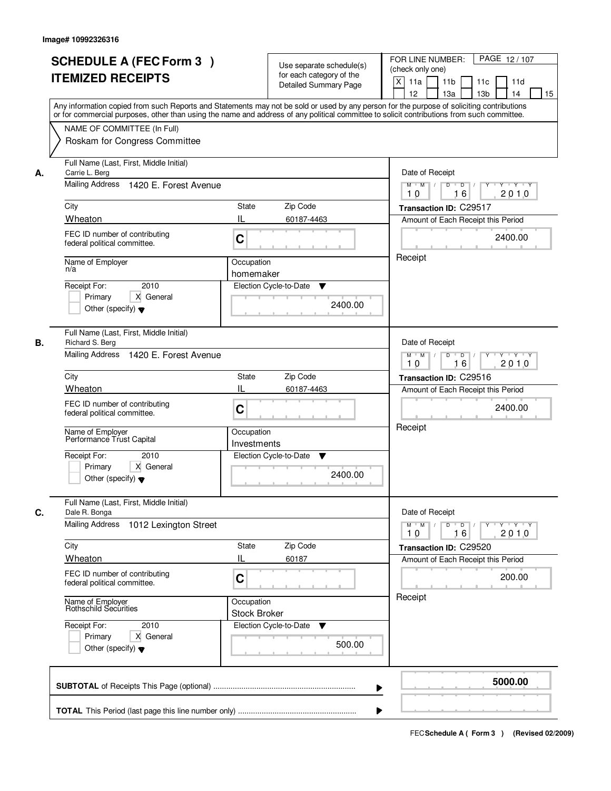|    | <b>SCHEDULE A (FEC Form 3)</b><br><b>ITEMIZED RECEIPTS</b><br>Any information copied from such Reports and Statements may not be sold or used by any person for the purpose of soliciting contributions                                                                                                                                                                  |                                                              | Use separate schedule(s)<br>for each category of the<br><b>Detailed Summary Page</b> | PAGE 12/107<br>FOR LINE NUMBER:<br>(check only one)<br>$\mathsf{X}$<br>11 <sub>b</sub><br>11a<br>11c<br>11d<br>13 <sub>b</sub><br>12<br>13a<br>14<br>15                                |
|----|--------------------------------------------------------------------------------------------------------------------------------------------------------------------------------------------------------------------------------------------------------------------------------------------------------------------------------------------------------------------------|--------------------------------------------------------------|--------------------------------------------------------------------------------------|----------------------------------------------------------------------------------------------------------------------------------------------------------------------------------------|
|    | or for commercial purposes, other than using the name and address of any political committee to solicit contributions from such committee.<br>NAME OF COMMITTEE (In Full)<br>Roskam for Congress Committee                                                                                                                                                               |                                                              |                                                                                      |                                                                                                                                                                                        |
| А. | Full Name (Last, First, Middle Initial)<br>Carrie L. Berg<br>Mailing Address 1420 E. Forest Avenue<br>City<br>Wheaton<br>FEC ID number of contributing<br>federal political committee.<br>Name of Employer<br>n/a<br>2010<br>Receipt For:<br>X General<br>Primary                                                                                                        | State<br>IL<br>C<br>Occupation<br>homemaker                  | Zip Code<br>60187-4463<br>Election Cycle-to-Date<br>▼<br>2400.00                     | Date of Receipt<br>$D$ $D$ $I$<br>$Y + Y + Y$<br>$M$ $M$ /<br>$\overline{Y}$<br>2010<br>10<br>16<br>Transaction ID: C29517<br>Amount of Each Receipt this Period<br>2400.00<br>Receipt |
| В. | Other (specify) $\blacktriangledown$<br>Full Name (Last, First, Middle Initial)<br>Richard S. Berg<br>Mailing Address 1420 E. Forest Avenue<br>City<br>Wheaton<br>FEC ID number of contributing<br>federal political committee.<br>Name of Employer<br>Performance Trust Capital<br>Receipt For:<br>2010<br>Primary<br>X General<br>Other (specify) $\blacktriangledown$ | <b>State</b><br>IL<br>C<br>Occupation<br>Investments         | Zip Code<br>60187-4463<br>Election Cycle-to-Date<br>v<br>2400.00                     | Date of Receipt<br>$M$ $M$ /<br>D<br>$\overline{\phantom{0}}$<br>$Y + Y + Y$<br>16<br>2010<br>10<br>Transaction ID: C29516<br>Amount of Each Receipt this Period<br>2400.00<br>Receipt |
| C. | Full Name (Last, First, Middle Initial)<br>Dale R. Bonga<br><b>Mailing Address</b><br>1012 Lexington Street<br>City<br>Wheaton<br>FEC ID number of contributing<br>federal political committee.<br>Name of Employer<br>Rothschild Securities<br>Receipt For:<br>2010<br>Primary<br>X General<br>Other (specify) $\blacktriangledown$                                     | <b>State</b><br>IL<br>C<br>Occupation<br><b>Stock Broker</b> | Zip Code<br>60187<br>Election Cycle-to-Date<br>v<br>500.00                           | Date of Receipt<br>$M$ $M$<br>$D$ $D$ $I$<br><b>Y</b><br>Y Y Y Y<br>2010<br>10<br>16<br>Transaction ID: C29520<br>Amount of Each Receipt this Period<br>200.00<br>Receipt              |
|    |                                                                                                                                                                                                                                                                                                                                                                          |                                                              | ▶                                                                                    | 5000.00                                                                                                                                                                                |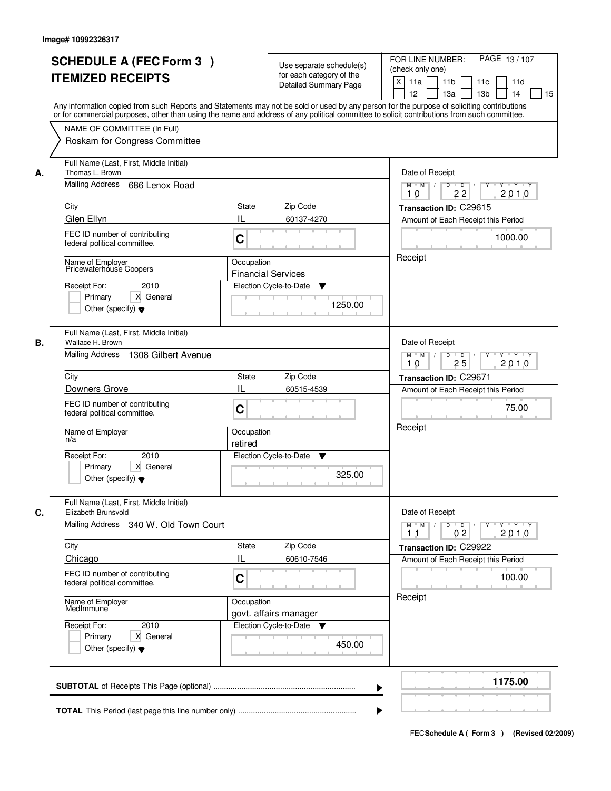| <b>SCHEDULE A (FEC Form 3)</b><br><b>ITEMIZED RECEIPTS</b>                                                                                                                                                                                                                                                                 | Use separate schedule(s)<br>for each category of the<br><b>Detailed Summary Page</b><br>Any information copied from such Reports and Statements may not be sold or used by any person for the purpose of soliciting contributions<br>or for commercial purposes, other than using the name and address of any political committee to solicit contributions from such committee. | PAGE 13/107<br>FOR LINE NUMBER:<br>(check only one)<br>X<br>11a<br>11 <sub>b</sub><br>11c<br>11d<br>12<br>13a<br>13 <sub>b</sub><br>14<br>15                                                  |
|----------------------------------------------------------------------------------------------------------------------------------------------------------------------------------------------------------------------------------------------------------------------------------------------------------------------------|---------------------------------------------------------------------------------------------------------------------------------------------------------------------------------------------------------------------------------------------------------------------------------------------------------------------------------------------------------------------------------|-----------------------------------------------------------------------------------------------------------------------------------------------------------------------------------------------|
| NAME OF COMMITTEE (In Full)<br>Roskam for Congress Committee                                                                                                                                                                                                                                                               |                                                                                                                                                                                                                                                                                                                                                                                 |                                                                                                                                                                                               |
| Full Name (Last, First, Middle Initial)<br>Thomas L. Brown<br>А.<br>Mailing Address<br>686 Lenox Road<br>City<br>Glen Ellyn                                                                                                                                                                                                | Zip Code<br>State<br>Ш<br>60137-4270                                                                                                                                                                                                                                                                                                                                            | Date of Receipt<br>$M$ $M$<br>$D$ $D$ $I$<br>$Y$ <sup>U</sup><br>$Y$ $Y$ $Y$<br>22<br>2010<br>10<br>Transaction ID: C29615<br>Amount of Each Receipt this Period                              |
| FEC ID number of contributing<br>federal political committee.<br>Name of Employer<br>Pricewaterhouse Coopers<br>Receipt For:<br>2010<br>X General<br>Primary<br>Other (specify) $\blacktriangledown$                                                                                                                       | C<br>Occupation<br><b>Financial Services</b><br>Election Cycle-to-Date<br>▼<br>1250.00                                                                                                                                                                                                                                                                                          | 1000.00<br>Receipt                                                                                                                                                                            |
| Full Name (Last, First, Middle Initial)<br>Wallace H. Brown<br>В.<br>Mailing Address 1308 Gilbert Avenue<br>City<br>Downers Grove<br>FEC ID number of contributing<br>federal political committee.<br>Name of Employer<br>n/a<br>Receipt For:<br>2010<br>Primary<br>X General<br>Other (specify) $\blacktriangledown$      | Zip Code<br>State<br>IL<br>60515-4539<br>C<br>Occupation<br>retired<br>Election Cycle-to-Date<br>v<br>325.00                                                                                                                                                                                                                                                                    | Date of Receipt<br>$Y \vdash Y \vdash Y$<br>$M$ $M$ /<br>D<br>$\overline{D}$<br>25<br>2010<br>10<br>Transaction ID: C29671<br>Amount of Each Receipt this Period<br>75.00<br>Receipt          |
| Full Name (Last, First, Middle Initial)<br>C.<br>Elizabeth Brunsvold<br>Mailing Address 340 W. Old Town Court<br>City<br>Chicago<br>FEC ID number of contributing<br>federal political committee.<br>Name of Employer<br>MedImmune<br>Receipt For:<br>2010<br>Primary<br>X General<br>Other (specify) $\blacktriangledown$ | Zip Code<br>State<br>IL<br>60610-7546<br>C<br>Occupation<br>govt. affairs manager<br>Election Cycle-to-Date ▼<br>450.00                                                                                                                                                                                                                                                         | Date of Receipt<br>$D$ $D$ $l$<br>$M$ $M$ /<br>$Y + Y + Y$<br>$Y^{\top}$<br>2010<br>0 <sub>2</sub><br>11<br>Transaction ID: C29922<br>Amount of Each Receipt this Period<br>100.00<br>Receipt |
|                                                                                                                                                                                                                                                                                                                            | ▶                                                                                                                                                                                                                                                                                                                                                                               | 1175.00                                                                                                                                                                                       |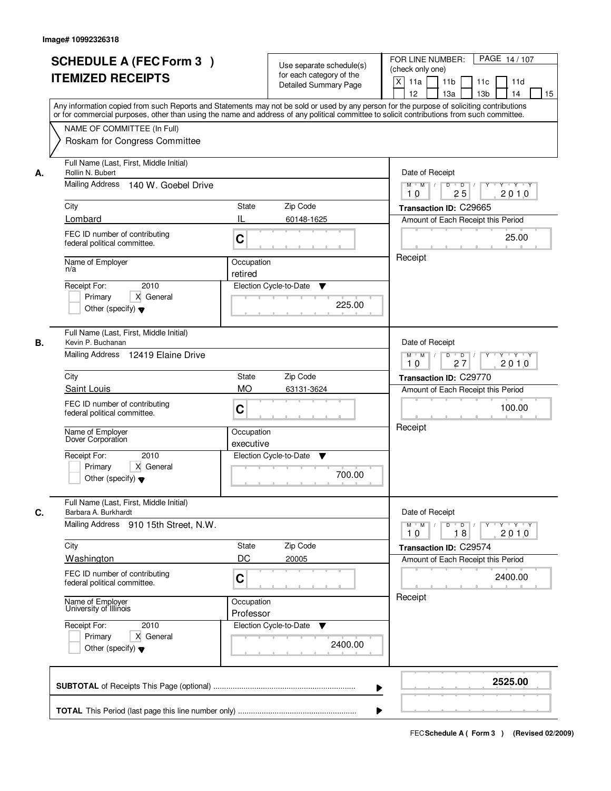|    | <b>SCHEDULE A (FEC Form 3)</b><br><b>ITEMIZED RECEIPTS</b><br>Any information copied from such Reports and Statements may not be sold or used by any person for the purpose of soliciting contributions<br>or for commercial purposes, other than using the name and address of any political committee to solicit contributions from such committee. | Use separate schedule(s)<br>for each category of the<br><b>Detailed Summary Page</b> | PAGE 14/107<br>FOR LINE NUMBER:<br>(check only one)<br>$\mathsf{X}$<br>11 <sub>b</sub><br>11a<br>11c<br>11d<br>12<br>13 <sub>b</sub><br>14<br>13a<br>15 |
|----|-------------------------------------------------------------------------------------------------------------------------------------------------------------------------------------------------------------------------------------------------------------------------------------------------------------------------------------------------------|--------------------------------------------------------------------------------------|---------------------------------------------------------------------------------------------------------------------------------------------------------|
|    | NAME OF COMMITTEE (In Full)<br>Roskam for Congress Committee                                                                                                                                                                                                                                                                                          |                                                                                      |                                                                                                                                                         |
| А. | Full Name (Last, First, Middle Initial)<br>Rollin N. Bubert<br>Mailing Address 140 W. Goebel Drive                                                                                                                                                                                                                                                    | Date of Receipt<br>$Y + Y + Y$<br>$M$ $M$ /<br>$D$ $D$<br>Y<br>$\sqrt{ }$            |                                                                                                                                                         |
|    |                                                                                                                                                                                                                                                                                                                                                       |                                                                                      | 25<br>2010<br>10                                                                                                                                        |
|    | City                                                                                                                                                                                                                                                                                                                                                  | State<br>Zip Code                                                                    | Transaction ID: C29665                                                                                                                                  |
|    | Lombard                                                                                                                                                                                                                                                                                                                                               | IL<br>60148-1625                                                                     | Amount of Each Receipt this Period                                                                                                                      |
|    | FEC ID number of contributing<br>federal political committee.                                                                                                                                                                                                                                                                                         | C                                                                                    | 25.00                                                                                                                                                   |
|    | Name of Employer<br>n/a                                                                                                                                                                                                                                                                                                                               | Receipt                                                                              |                                                                                                                                                         |
|    | 2010                                                                                                                                                                                                                                                                                                                                                  | retired                                                                              |                                                                                                                                                         |
|    | Receipt For:<br>X General<br>Primary<br>Other (specify) $\blacktriangledown$                                                                                                                                                                                                                                                                          | Election Cycle-to-Date<br>▼<br>225.00                                                |                                                                                                                                                         |
| В. | Full Name (Last, First, Middle Initial)<br>Kevin P. Buchanan                                                                                                                                                                                                                                                                                          |                                                                                      | Date of Receipt                                                                                                                                         |
|    | Mailing Address 12419 Elaine Drive                                                                                                                                                                                                                                                                                                                    | $M$ $M$ /<br>D<br>$\Box$<br>$Y \vdash Y \vdash Y$<br>27<br>2010<br>10                |                                                                                                                                                         |
|    | City                                                                                                                                                                                                                                                                                                                                                  | Zip Code<br><b>State</b>                                                             | Transaction ID: C29770                                                                                                                                  |
|    | Saint Louis                                                                                                                                                                                                                                                                                                                                           | <b>MO</b><br>63131-3624                                                              | Amount of Each Receipt this Period                                                                                                                      |
|    | FEC ID number of contributing<br>federal political committee.                                                                                                                                                                                                                                                                                         | C                                                                                    | 100.00                                                                                                                                                  |
|    | Name of Employer<br>Dover Corporation                                                                                                                                                                                                                                                                                                                 | Occupation<br>executive                                                              | Receipt                                                                                                                                                 |
|    | Receipt For:<br>2010<br>Primary<br>X General<br>Other (specify) $\blacktriangledown$                                                                                                                                                                                                                                                                  | Election Cycle-to-Date<br>▼<br>700.00                                                |                                                                                                                                                         |
| C. | Full Name (Last, First, Middle Initial)<br>Barbara A. Burkhardt                                                                                                                                                                                                                                                                                       |                                                                                      | Date of Receipt                                                                                                                                         |
|    | Mailing Address 910 15th Street, N.W.                                                                                                                                                                                                                                                                                                                 |                                                                                      | $D$ $D$ $/$<br>$M$ $M$<br>2010<br>10<br>18                                                                                                              |
|    | City                                                                                                                                                                                                                                                                                                                                                  | Zip Code<br>State                                                                    | Transaction ID: C29574                                                                                                                                  |
|    | Washington                                                                                                                                                                                                                                                                                                                                            | DC<br>20005                                                                          | Amount of Each Receipt this Period                                                                                                                      |
|    | FEC ID number of contributing<br>federal political committee.                                                                                                                                                                                                                                                                                         | C                                                                                    | 2400.00                                                                                                                                                 |
|    | Name of Employer<br>University of Illinois                                                                                                                                                                                                                                                                                                            | Occupation<br>Professor                                                              | Receipt                                                                                                                                                 |
|    | Receipt For:<br>2010<br>Primary<br>X General<br>Other (specify) $\blacktriangledown$                                                                                                                                                                                                                                                                  | Election Cycle-to-Date<br>v<br>2400.00                                               |                                                                                                                                                         |
|    |                                                                                                                                                                                                                                                                                                                                                       |                                                                                      | 2525.00<br>▶                                                                                                                                            |
|    |                                                                                                                                                                                                                                                                                                                                                       |                                                                                      |                                                                                                                                                         |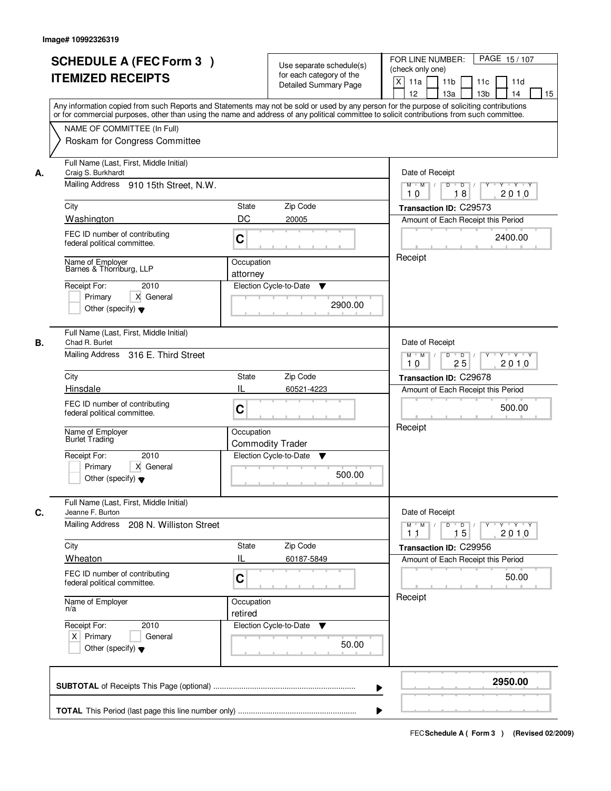|    | <b>SCHEDULE A (FEC Form 3)</b><br><b>ITEMIZED RECEIPTS</b><br>Any information copied from such Reports and Statements may not be sold or used by any person for the purpose of soliciting contributions<br>or for commercial purposes, other than using the name and address of any political committee to solicit contributions from such committee. | Use separate schedule(s)<br>for each category of the<br><b>Detailed Summary Page</b>  | PAGE 15/107<br>FOR LINE NUMBER:<br>(check only one)<br>X<br>11 <sub>b</sub><br>11a<br>11 <sub>c</sub><br>11d<br>12<br>13 <sub>b</sub><br>14<br>13a<br>15 |
|----|-------------------------------------------------------------------------------------------------------------------------------------------------------------------------------------------------------------------------------------------------------------------------------------------------------------------------------------------------------|---------------------------------------------------------------------------------------|----------------------------------------------------------------------------------------------------------------------------------------------------------|
|    | NAME OF COMMITTEE (In Full)<br>Roskam for Congress Committee                                                                                                                                                                                                                                                                                          |                                                                                       |                                                                                                                                                          |
| А. | Full Name (Last, First, Middle Initial)<br>Craig S. Burkhardt<br>Mailing Address 910 15th Street, N.W.                                                                                                                                                                                                                                                | Date of Receipt<br>$M$ $M$<br>$D$ $D$ $I$<br>Y<br>$Y - Y - Y - Y$<br>18<br>2010<br>10 |                                                                                                                                                          |
|    | City                                                                                                                                                                                                                                                                                                                                                  | Transaction ID: C29573                                                                |                                                                                                                                                          |
|    | Washington                                                                                                                                                                                                                                                                                                                                            | DC<br>20005                                                                           | Amount of Each Receipt this Period                                                                                                                       |
|    | FEC ID number of contributing<br>federal political committee.                                                                                                                                                                                                                                                                                         | C                                                                                     | 2400.00                                                                                                                                                  |
|    | Name of Employer<br>Barnes & Thornburg, LLP                                                                                                                                                                                                                                                                                                           | Occupation<br>attorney                                                                | Receipt                                                                                                                                                  |
|    | 2010<br>Receipt For:<br>Primary<br>X General<br>Other (specify) $\blacktriangledown$                                                                                                                                                                                                                                                                  | Election Cycle-to-Date<br>▼<br>2900.00                                                |                                                                                                                                                          |
| В. | Full Name (Last, First, Middle Initial)<br>Chad R. Burlet<br>Mailing Address 316 E. Third Street                                                                                                                                                                                                                                                      |                                                                                       | Date of Receipt<br>$M$ $M$ /<br>D<br>$\overline{\phantom{0}}$ D<br>$Y + Y + Y$                                                                           |
|    |                                                                                                                                                                                                                                                                                                                                                       | 25<br>2010<br>10                                                                      |                                                                                                                                                          |
|    | City<br>Hinsdale                                                                                                                                                                                                                                                                                                                                      | Zip Code<br>State<br>IL<br>60521-4223                                                 | Transaction ID: C29678<br>Amount of Each Receipt this Period<br>500.00                                                                                   |
|    | FEC ID number of contributing<br>federal political committee.                                                                                                                                                                                                                                                                                         | C                                                                                     |                                                                                                                                                          |
|    | Name of Employer<br><b>Burlet Trading</b>                                                                                                                                                                                                                                                                                                             | Occupation<br><b>Commodity Trader</b>                                                 | Receipt                                                                                                                                                  |
|    | Receipt For:<br>2010<br>Primary<br>X General<br>Other (specify) $\blacktriangledown$                                                                                                                                                                                                                                                                  | Election Cycle-to-Date<br>v<br>500.00                                                 |                                                                                                                                                          |
| C. | Full Name (Last, First, Middle Initial)<br>Jeanne F. Burton                                                                                                                                                                                                                                                                                           |                                                                                       | Date of Receipt                                                                                                                                          |
|    | Mailing Address<br>208 N. Williston Street                                                                                                                                                                                                                                                                                                            |                                                                                       | $D$ $D$ $/$<br>$M$ $M$<br>2010<br>15<br>11                                                                                                               |
|    | City                                                                                                                                                                                                                                                                                                                                                  | Zip Code<br>State                                                                     | Transaction ID: C29956                                                                                                                                   |
|    | Wheaton<br>FEC ID number of contributing<br>federal political committee.                                                                                                                                                                                                                                                                              | Ш<br>60187-5849<br>C                                                                  | Amount of Each Receipt this Period<br>50.00                                                                                                              |
|    | Name of Employer<br>n/a                                                                                                                                                                                                                                                                                                                               | Occupation<br>retired                                                                 | Receipt                                                                                                                                                  |
|    | Receipt For:<br>2010<br>$X$ Primary<br>General<br>Other (specify) $\blacktriangledown$                                                                                                                                                                                                                                                                | Election Cycle-to-Date ▼<br>50.00                                                     |                                                                                                                                                          |
|    |                                                                                                                                                                                                                                                                                                                                                       |                                                                                       | 2950.00<br>▶                                                                                                                                             |
|    |                                                                                                                                                                                                                                                                                                                                                       |                                                                                       |                                                                                                                                                          |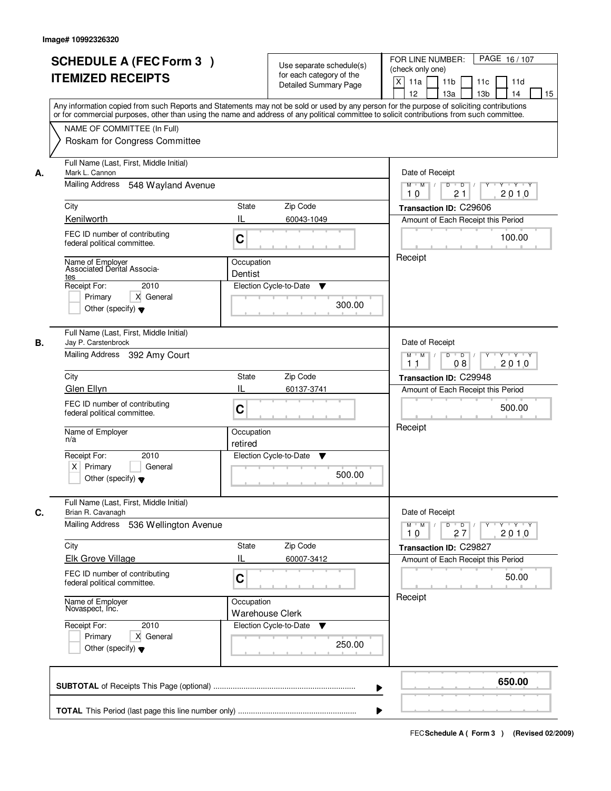|    | <b>SCHEDULE A (FEC Form 3)</b><br><b>ITEMIZED RECEIPTS</b><br>Any information copied from such Reports and Statements may not be sold or used by any person for the purpose of soliciting contributions<br>or for commercial purposes, other than using the name and address of any political committee to solicit contributions from such committee. |                                                                           | Use separate schedule(s)<br>for each category of the<br><b>Detailed Summary Page</b> | PAGE 16/107<br>FOR LINE NUMBER:<br>(check only one)<br>$\mathsf{X}$<br>11 <sub>b</sub><br>11a<br>11c<br>11d<br>12<br>13 <sub>b</sub><br>14<br>13a<br>15 |
|----|-------------------------------------------------------------------------------------------------------------------------------------------------------------------------------------------------------------------------------------------------------------------------------------------------------------------------------------------------------|---------------------------------------------------------------------------|--------------------------------------------------------------------------------------|---------------------------------------------------------------------------------------------------------------------------------------------------------|
|    | NAME OF COMMITTEE (In Full)<br>Roskam for Congress Committee                                                                                                                                                                                                                                                                                          |                                                                           |                                                                                      |                                                                                                                                                         |
| А. | Full Name (Last, First, Middle Initial)<br>Mark L. Cannon<br>Mailing Address<br>548 Wayland Avenue                                                                                                                                                                                                                                                    | Date of Receipt<br>$Y + Y + Y$<br>$M$ $M$ /<br>$D$ $D$<br>Y<br>$\sqrt{ }$ |                                                                                      |                                                                                                                                                         |
|    | City                                                                                                                                                                                                                                                                                                                                                  | 21<br>2010<br>10<br>Transaction ID: C29606                                |                                                                                      |                                                                                                                                                         |
|    | Kenilworth                                                                                                                                                                                                                                                                                                                                            | State<br>IL                                                               | Zip Code<br>60043-1049                                                               | Amount of Each Receipt this Period                                                                                                                      |
|    | FEC ID number of contributing<br>federal political committee.                                                                                                                                                                                                                                                                                         | C                                                                         |                                                                                      | 100.00                                                                                                                                                  |
|    | Name of Employer<br>Associated Dental Associa-<br>tes<br>Receipt For:<br>2010<br>Primary<br>X General<br>Other (specify) $\blacktriangledown$                                                                                                                                                                                                         | Occupation<br>Dentist                                                     | Election Cycle-to-Date<br>▼<br>300.00                                                | Receipt                                                                                                                                                 |
| В. | Full Name (Last, First, Middle Initial)<br>Jay P. Carstenbrock<br>Mailing Address 392 Amy Court                                                                                                                                                                                                                                                       |                                                                           |                                                                                      | Date of Receipt<br>$M$ $M$ /<br>D<br>$\overline{D}$<br>Y 'Y 'Y<br>08<br>2010<br>11                                                                      |
|    | City<br>Zip Code<br><b>State</b>                                                                                                                                                                                                                                                                                                                      |                                                                           |                                                                                      | Transaction ID: C29948                                                                                                                                  |
|    | Glen Ellyn                                                                                                                                                                                                                                                                                                                                            | IL                                                                        | 60137-3741                                                                           | Amount of Each Receipt this Period                                                                                                                      |
|    | FEC ID number of contributing<br>C<br>federal political committee.                                                                                                                                                                                                                                                                                    |                                                                           |                                                                                      | 500.00                                                                                                                                                  |
|    | Name of Employer<br>n/a                                                                                                                                                                                                                                                                                                                               | Occupation<br>retired                                                     |                                                                                      | Receipt                                                                                                                                                 |
|    | Receipt For:<br>2010<br>$X$ Primary<br>General<br>Other (specify) $\blacktriangledown$                                                                                                                                                                                                                                                                |                                                                           | Election Cycle-to-Date<br>v<br>500.00                                                |                                                                                                                                                         |
| C. | Full Name (Last, First, Middle Initial)<br>Brian R. Cavanagh                                                                                                                                                                                                                                                                                          |                                                                           |                                                                                      | Date of Receipt                                                                                                                                         |
|    | <b>Mailing Address</b><br>536 Wellington Avenue                                                                                                                                                                                                                                                                                                       |                                                                           |                                                                                      | $D$ $D$ $/$<br>$M = M$<br><u>yuyuyuy</u><br>2010<br>10<br>27                                                                                            |
|    | City<br><b>Elk Grove Village</b>                                                                                                                                                                                                                                                                                                                      | State<br>Ш                                                                | Zip Code<br>60007-3412                                                               | Transaction ID: C29827<br>Amount of Each Receipt this Period                                                                                            |
|    | FEC ID number of contributing<br>federal political committee.                                                                                                                                                                                                                                                                                         | C                                                                         |                                                                                      | 50.00                                                                                                                                                   |
|    | Name of Employer<br>Novaspect, Inc.                                                                                                                                                                                                                                                                                                                   | Occupation                                                                | <b>Warehouse Clerk</b>                                                               | Receipt                                                                                                                                                 |
|    | Receipt For:<br>2010<br>Primary<br>X General<br>Other (specify) $\blacktriangledown$                                                                                                                                                                                                                                                                  |                                                                           | Election Cycle-to-Date<br>▼<br>250.00                                                |                                                                                                                                                         |
|    |                                                                                                                                                                                                                                                                                                                                                       |                                                                           | ▶                                                                                    | 650.00                                                                                                                                                  |
|    |                                                                                                                                                                                                                                                                                                                                                       |                                                                           |                                                                                      |                                                                                                                                                         |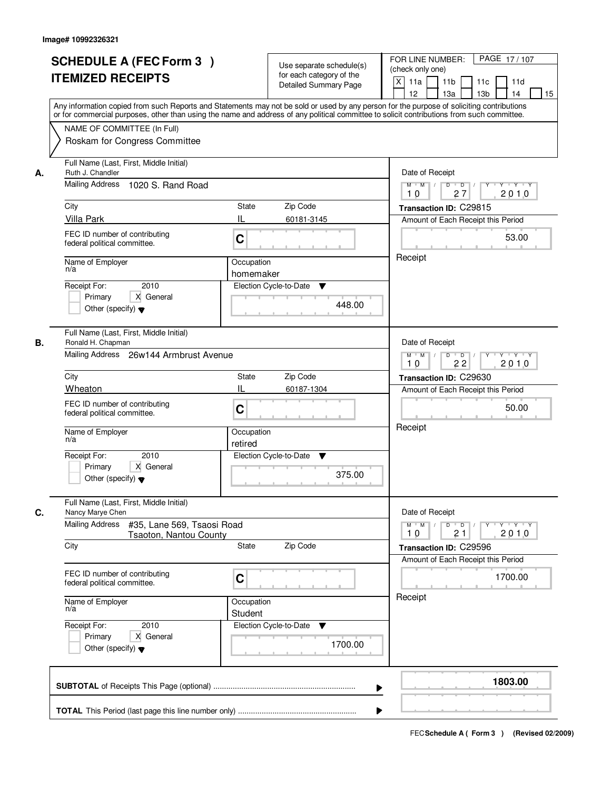|    | <b>SCHEDULE A (FEC Form 3)</b><br><b>ITEMIZED RECEIPTS</b><br>Any information copied from such Reports and Statements may not be sold or used by any person for the purpose of soliciting contributions | Use separate schedule(s)<br>for each category of the<br><b>Detailed Summary Page</b> | PAGE 17/107<br>FOR LINE NUMBER:<br>(check only one)<br>$\boldsymbol{\mathsf{X}}$<br>11a<br>11 <sub>b</sub><br>11c<br>11d<br>12<br>13 <sub>b</sub><br>14<br>13a<br>15 |
|----|---------------------------------------------------------------------------------------------------------------------------------------------------------------------------------------------------------|--------------------------------------------------------------------------------------|----------------------------------------------------------------------------------------------------------------------------------------------------------------------|
|    | or for commercial purposes, other than using the name and address of any political committee to solicit contributions from such committee.                                                              |                                                                                      |                                                                                                                                                                      |
|    | NAME OF COMMITTEE (In Full)<br>Roskam for Congress Committee                                                                                                                                            |                                                                                      |                                                                                                                                                                      |
| А. | Full Name (Last, First, Middle Initial)<br>Ruth J. Chandler                                                                                                                                             |                                                                                      | Date of Receipt                                                                                                                                                      |
|    | Mailing Address 1020 S. Rand Road                                                                                                                                                                       |                                                                                      | $D$ $D$<br>$Y + Y + Y$<br>$M$ $M$ /<br>Y<br>2010<br>27<br>10                                                                                                         |
|    | City                                                                                                                                                                                                    | <b>State</b><br>Zip Code                                                             | Transaction ID: C29815                                                                                                                                               |
|    | <b>Villa Park</b>                                                                                                                                                                                       | IL<br>60181-3145                                                                     | Amount of Each Receipt this Period                                                                                                                                   |
|    | FEC ID number of contributing<br>federal political committee.                                                                                                                                           | C                                                                                    | 53.00                                                                                                                                                                |
|    | Name of Employer<br>n/a                                                                                                                                                                                 | Occupation<br>homemaker                                                              | Receipt                                                                                                                                                              |
|    | 2010<br>Receipt For:                                                                                                                                                                                    | Election Cycle-to-Date<br>▼                                                          |                                                                                                                                                                      |
|    | X General<br>Primary<br>Other (specify) $\blacktriangledown$                                                                                                                                            | 448.00                                                                               |                                                                                                                                                                      |
| В. | Full Name (Last, First, Middle Initial)<br>Ronald H. Chapman                                                                                                                                            |                                                                                      | Date of Receipt                                                                                                                                                      |
|    | Mailing Address 26w144 Armbrust Avenue                                                                                                                                                                  | $M$ $M$ /<br>D<br>$\overline{D}$ /<br>$Y + Y + Y$<br>22<br>2010<br>10                |                                                                                                                                                                      |
|    | City                                                                                                                                                                                                    | Zip Code<br>State                                                                    | Transaction ID: C29630                                                                                                                                               |
|    | Wheaton                                                                                                                                                                                                 | IL<br>60187-1304                                                                     | Amount of Each Receipt this Period                                                                                                                                   |
|    | FEC ID number of contributing<br>federal political committee.                                                                                                                                           | C                                                                                    | 50.00                                                                                                                                                                |
|    | Name of Employer<br>n/a                                                                                                                                                                                 | Occupation<br>retired                                                                | Receipt                                                                                                                                                              |
|    | Receipt For:<br>2010                                                                                                                                                                                    | Election Cycle-to-Date<br>v                                                          |                                                                                                                                                                      |
|    | Primary<br>X General<br>Other (specify) $\blacktriangledown$                                                                                                                                            | 375.00                                                                               |                                                                                                                                                                      |
| C. | Full Name (Last, First, Middle Initial)<br>Nancy Marye Chen                                                                                                                                             |                                                                                      | Date of Receipt                                                                                                                                                      |
|    | <b>Mailing Address</b><br>#35, Lane 569, Tsaosi Road<br>Tsaoton, Nantou County                                                                                                                          |                                                                                      | $M$ $M$<br>$D$ $D$ $/$<br>$\mathsf{Y} \dashv \mathsf{Y} \dashv \mathsf{Y}$<br>$Y^+$<br>2010<br>10<br>21                                                              |
|    | City                                                                                                                                                                                                    | Zip Code<br>State                                                                    | Transaction ID: C29596<br>Amount of Each Receipt this Period                                                                                                         |
|    | FEC ID number of contributing<br>federal political committee.                                                                                                                                           | C                                                                                    | 1700.00                                                                                                                                                              |
|    | Name of Employer<br>n/a                                                                                                                                                                                 | Occupation<br>Student                                                                | Receipt                                                                                                                                                              |
|    | Receipt For:<br>2010                                                                                                                                                                                    | Election Cycle-to-Date<br>v                                                          |                                                                                                                                                                      |
|    | Primary<br>X General<br>Other (specify) $\blacktriangledown$                                                                                                                                            | 1700.00                                                                              |                                                                                                                                                                      |
|    |                                                                                                                                                                                                         |                                                                                      | 1803.00                                                                                                                                                              |
|    |                                                                                                                                                                                                         |                                                                                      |                                                                                                                                                                      |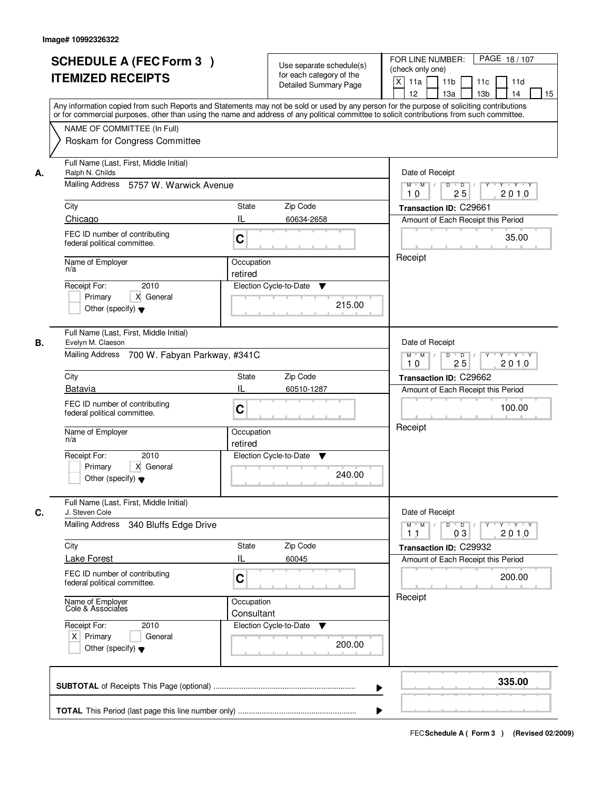|    | <b>SCHEDULE A (FEC Form 3)</b><br><b>ITEMIZED RECEIPTS</b><br>Any information copied from such Reports and Statements may not be sold or used by any person for the purpose of soliciting contributions<br>or for commercial purposes, other than using the name and address of any political committee to solicit contributions from such committee. |                          | Use separate schedule(s)<br>for each category of the<br><b>Detailed Summary Page</b> | PAGE 18/107<br>FOR LINE NUMBER:<br>(check only one)<br>$\mathsf{X}$<br>11 <sub>b</sub><br>11a<br>11c<br>11d<br>12<br>13 <sub>b</sub><br>14<br>13a<br>15 |
|----|-------------------------------------------------------------------------------------------------------------------------------------------------------------------------------------------------------------------------------------------------------------------------------------------------------------------------------------------------------|--------------------------|--------------------------------------------------------------------------------------|---------------------------------------------------------------------------------------------------------------------------------------------------------|
|    | NAME OF COMMITTEE (In Full)<br>Roskam for Congress Committee                                                                                                                                                                                                                                                                                          |                          |                                                                                      |                                                                                                                                                         |
| А. | Full Name (Last, First, Middle Initial)<br>Ralph N. Childs<br>Mailing Address 5757 W. Warwick Avenue                                                                                                                                                                                                                                                  |                          |                                                                                      | Date of Receipt<br>$Y + Y + Y$<br>$M$ $M$ /<br>$D$ $D$<br>Y                                                                                             |
|    | City<br>Chicago                                                                                                                                                                                                                                                                                                                                       | State<br>IL              | Zip Code<br>60634-2658                                                               | 25<br>2010<br>10<br>Transaction ID: C29661<br>Amount of Each Receipt this Period                                                                        |
|    | FEC ID number of contributing<br>federal political committee.                                                                                                                                                                                                                                                                                         | C                        |                                                                                      | 35.00                                                                                                                                                   |
|    | Name of Employer<br>n/a<br>2010<br>Receipt For:<br>X General<br>Primary<br>Other (specify) $\blacktriangledown$                                                                                                                                                                                                                                       | Occupation<br>retired    | Election Cycle-to-Date<br>▼<br>215.00                                                | Receipt                                                                                                                                                 |
| В. | Full Name (Last, First, Middle Initial)<br>Evelyn M. Claeson<br>Mailing Address 700 W. Fabyan Parkway, #341C                                                                                                                                                                                                                                          |                          |                                                                                      | Date of Receipt<br>$M$ $M$ /<br>D<br>$\overline{D}$ /<br>Y 'Y 'Y<br>25<br>2010<br>10                                                                    |
|    | City                                                                                                                                                                                                                                                                                                                                                  | <b>State</b>             | Zip Code                                                                             | Transaction ID: C29662                                                                                                                                  |
|    | <b>Batavia</b><br>FEC ID number of contributing<br>federal political committee.                                                                                                                                                                                                                                                                       | IL<br>C                  | 60510-1287                                                                           | Amount of Each Receipt this Period<br>100.00                                                                                                            |
|    | Name of Employer<br>n/a<br>Receipt For:<br>2010<br>Primary<br>X General<br>Other (specify) $\blacktriangledown$                                                                                                                                                                                                                                       | Occupation<br>retired    | Election Cycle-to-Date<br>v<br>240.00                                                | Receipt                                                                                                                                                 |
| C. | Full Name (Last, First, Middle Initial)<br>J. Steven Cole                                                                                                                                                                                                                                                                                             |                          |                                                                                      | Date of Receipt                                                                                                                                         |
|    | Mailing Address<br>340 Bluffs Edge Drive                                                                                                                                                                                                                                                                                                              |                          |                                                                                      | $D$ $D$ $/$<br>$M$ $M$<br><b>Y Y Y Y Y</b><br>2010<br>03<br>11                                                                                          |
|    | City<br><b>Lake Forest</b>                                                                                                                                                                                                                                                                                                                            | State<br>Ш               | Zip Code<br>60045                                                                    | Transaction ID: C29932<br>Amount of Each Receipt this Period                                                                                            |
|    | FEC ID number of contributing<br>federal political committee.                                                                                                                                                                                                                                                                                         | C                        |                                                                                      | 200.00                                                                                                                                                  |
|    | Name of Employer<br>Cole & Associates                                                                                                                                                                                                                                                                                                                 | Occupation<br>Consultant |                                                                                      | Receipt                                                                                                                                                 |
|    | Receipt For:<br>2010<br>$X$ Primary<br>General<br>Other (specify) $\blacktriangledown$                                                                                                                                                                                                                                                                |                          | Election Cycle-to-Date<br>200.00                                                     |                                                                                                                                                         |
|    |                                                                                                                                                                                                                                                                                                                                                       |                          |                                                                                      | 335.00<br>▶                                                                                                                                             |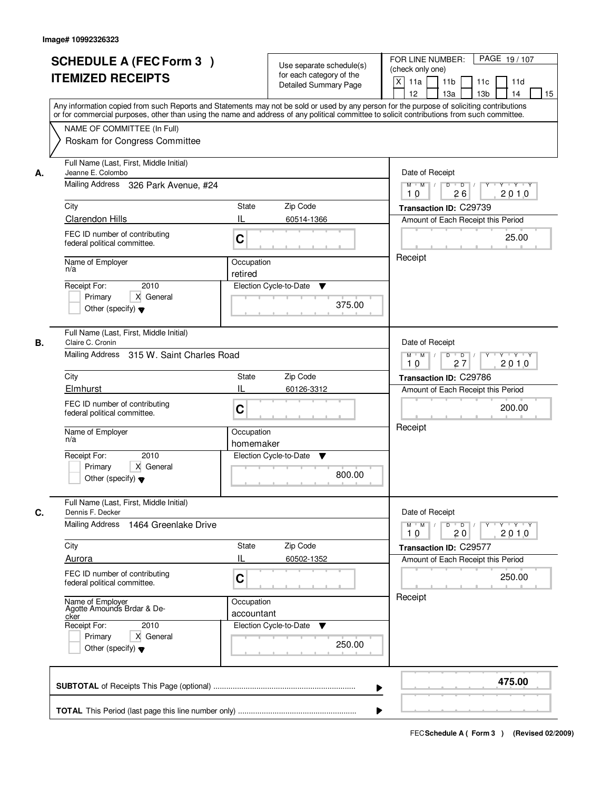|    | <b>SCHEDULE A (FEC Form 3)</b><br><b>ITEMIZED RECEIPTS</b><br>Any information copied from such Reports and Statements may not be sold or used by any person for the purpose of soliciting contributions    | Use separate schedule(s)<br>for each category of the<br><b>Detailed Summary Page</b> | PAGE 19/107<br>FOR LINE NUMBER:<br>(check only one)<br>$\boldsymbol{\mathsf{X}}$<br>11 <sub>b</sub><br>11a<br>11c<br>11d<br>12<br>13 <sub>b</sub><br>14<br>13a<br>15 |
|----|------------------------------------------------------------------------------------------------------------------------------------------------------------------------------------------------------------|--------------------------------------------------------------------------------------|----------------------------------------------------------------------------------------------------------------------------------------------------------------------|
|    | or for commercial purposes, other than using the name and address of any political committee to solicit contributions from such committee.<br>NAME OF COMMITTEE (In Full)<br>Roskam for Congress Committee |                                                                                      |                                                                                                                                                                      |
| А. | Full Name (Last, First, Middle Initial)<br>Jeanne E. Colombo<br>Mailing Address 326 Park Avenue, #24                                                                                                       | Date of Receipt<br>$D$ $D$<br>$Y + Y + Y$<br>$M$ $M$ /<br>Y<br>2010<br>26<br>10      |                                                                                                                                                                      |
|    | City                                                                                                                                                                                                       | <b>State</b><br>Zip Code                                                             | Transaction ID: C29739                                                                                                                                               |
|    | Clarendon Hills                                                                                                                                                                                            | IL<br>60514-1366                                                                     | Amount of Each Receipt this Period                                                                                                                                   |
|    | FEC ID number of contributing<br>federal political committee.                                                                                                                                              | C                                                                                    | 25.00                                                                                                                                                                |
|    | Name of Employer                                                                                                                                                                                           | Receipt                                                                              |                                                                                                                                                                      |
|    | n/a                                                                                                                                                                                                        |                                                                                      |                                                                                                                                                                      |
|    | 2010<br>Receipt For:                                                                                                                                                                                       | Election Cycle-to-Date<br>▼                                                          |                                                                                                                                                                      |
|    | X General<br>Primary<br>Other (specify) $\blacktriangledown$                                                                                                                                               | 375.00                                                                               |                                                                                                                                                                      |
| В. | Full Name (Last, First, Middle Initial)<br>Claire C. Cronin                                                                                                                                                |                                                                                      | Date of Receipt                                                                                                                                                      |
|    | Mailing Address 315 W. Saint Charles Road                                                                                                                                                                  | $M$ $M$ /<br>D<br>$\overline{\phantom{0}}$ D<br>$Y + Y + Y$<br>27<br>2010<br>10      |                                                                                                                                                                      |
|    | City                                                                                                                                                                                                       | Zip Code<br>State                                                                    | Transaction ID: C29786                                                                                                                                               |
|    | Elmhurst                                                                                                                                                                                                   | IL<br>60126-3312                                                                     | Amount of Each Receipt this Period                                                                                                                                   |
|    | FEC ID number of contributing<br>federal political committee.                                                                                                                                              | C                                                                                    | 200.00                                                                                                                                                               |
|    | Name of Employer<br>n/a                                                                                                                                                                                    | Occupation<br>homemaker                                                              | Receipt                                                                                                                                                              |
|    | Receipt For:<br>2010<br>Primary<br>X General<br>Other (specify) $\blacktriangledown$                                                                                                                       | Election Cycle-to-Date<br>v<br>800.00                                                |                                                                                                                                                                      |
| C. | Full Name (Last, First, Middle Initial)<br>Dennis F. Decker                                                                                                                                                |                                                                                      | Date of Receipt                                                                                                                                                      |
|    | Mailing Address<br>1464 Greenlake Drive                                                                                                                                                                    |                                                                                      | $M$ $M$ $/$<br>$D$ $D$ $l$<br>$\mathsf{Y} \dashv \neg \mathsf{Y} \dashv \neg \mathsf{Y}$<br>$Y^+$<br>2010<br>10<br>20                                                |
|    | City                                                                                                                                                                                                       | Zip Code<br>State                                                                    | Transaction ID: C29577                                                                                                                                               |
|    | Aurora                                                                                                                                                                                                     | Ш<br>60502-1352                                                                      | Amount of Each Receipt this Period                                                                                                                                   |
|    | FEC ID number of contributing<br>federal political committee.                                                                                                                                              | C                                                                                    | 250.00                                                                                                                                                               |
|    | Name of Employer<br>Agotte Amounds Brdar & De-<br>cker                                                                                                                                                     | Occupation<br>accountant                                                             | Receipt                                                                                                                                                              |
|    | Receipt For:<br>2010<br>Primary<br>X General<br>Other (specify) $\blacktriangledown$                                                                                                                       | Election Cycle-to-Date ▼<br>250.00                                                   |                                                                                                                                                                      |
|    |                                                                                                                                                                                                            |                                                                                      | 475.00                                                                                                                                                               |
|    |                                                                                                                                                                                                            |                                                                                      |                                                                                                                                                                      |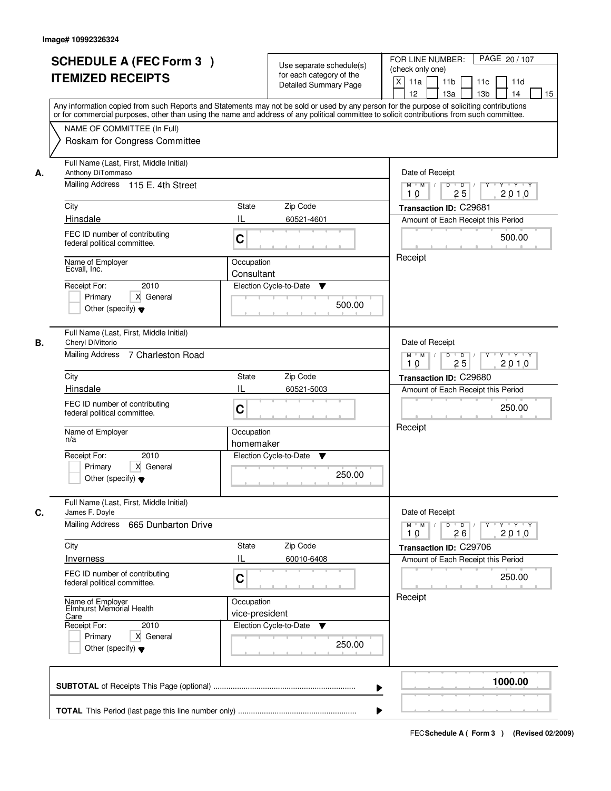| <b>SCHEDULE A (FEC Form 3)</b><br><b>ITEMIZED RECEIPTS</b>                                                                                   | Use separate schedule(s)<br>for each category of the<br><b>Detailed Summary Page</b><br>Any information copied from such Reports and Statements may not be sold or used by any person for the purpose of soliciting contributions<br>or for commercial purposes, other than using the name and address of any political committee to solicit contributions from such committee. | PAGE 20 / 107<br>FOR LINE NUMBER:<br>(check only one)<br>$\boldsymbol{\mathsf{X}}$<br>11 <sub>b</sub><br>11a<br>11c<br>11d<br>12<br>13 <sub>b</sub><br>14<br>13a<br>15 |  |
|----------------------------------------------------------------------------------------------------------------------------------------------|---------------------------------------------------------------------------------------------------------------------------------------------------------------------------------------------------------------------------------------------------------------------------------------------------------------------------------------------------------------------------------|------------------------------------------------------------------------------------------------------------------------------------------------------------------------|--|
| NAME OF COMMITTEE (In Full)<br>Roskam for Congress Committee                                                                                 |                                                                                                                                                                                                                                                                                                                                                                                 |                                                                                                                                                                        |  |
| Full Name (Last, First, Middle Initial)<br>Anthony DiTommaso<br>А.<br>Mailing Address 115 E. 4th Street                                      |                                                                                                                                                                                                                                                                                                                                                                                 | Date of Receipt<br>$D$ $D$<br>Y TY Y Y<br>$M$ $M$ /<br>Y<br>2010<br>25<br>10                                                                                           |  |
| City                                                                                                                                         | <b>State</b><br>Zip Code                                                                                                                                                                                                                                                                                                                                                        | Transaction ID: C29681                                                                                                                                                 |  |
| Hinsdale                                                                                                                                     | IL<br>60521-4601                                                                                                                                                                                                                                                                                                                                                                | Amount of Each Receipt this Period                                                                                                                                     |  |
| FEC ID number of contributing<br>federal political committee.                                                                                | C                                                                                                                                                                                                                                                                                                                                                                               | 500.00                                                                                                                                                                 |  |
| Name of Employer<br>Ecvall, Inc.                                                                                                             | Occupation<br>Consultant                                                                                                                                                                                                                                                                                                                                                        | Receipt                                                                                                                                                                |  |
| 2010<br>Receipt For:<br>X General<br>Primary<br>Other (specify) $\blacktriangledown$                                                         | Election Cycle-to-Date<br>▼<br>500.00                                                                                                                                                                                                                                                                                                                                           |                                                                                                                                                                        |  |
| Full Name (Last, First, Middle Initial)<br>Cheryl DiVittorio<br>В.                                                                           |                                                                                                                                                                                                                                                                                                                                                                                 | Date of Receipt<br>$M$ $M$ /<br>D<br>$\overline{D}$ /<br>$Y + Y + Y$                                                                                                   |  |
|                                                                                                                                              | Mailing Address 7 Charleston Road                                                                                                                                                                                                                                                                                                                                               |                                                                                                                                                                        |  |
| City                                                                                                                                         | Zip Code<br>State                                                                                                                                                                                                                                                                                                                                                               | Transaction ID: C29680                                                                                                                                                 |  |
| Hinsdale                                                                                                                                     | IL<br>60521-5003                                                                                                                                                                                                                                                                                                                                                                | Amount of Each Receipt this Period                                                                                                                                     |  |
| FEC ID number of contributing<br>federal political committee.                                                                                | C                                                                                                                                                                                                                                                                                                                                                                               |                                                                                                                                                                        |  |
| Name of Employer<br>n/a                                                                                                                      | Occupation<br>homemaker                                                                                                                                                                                                                                                                                                                                                         | Receipt                                                                                                                                                                |  |
| Receipt For:<br>2010<br>Primary<br>X General<br>Other (specify) $\blacktriangledown$                                                         | Election Cycle-to-Date<br>v<br>250.00                                                                                                                                                                                                                                                                                                                                           |                                                                                                                                                                        |  |
| Full Name (Last, First, Middle Initial)<br>C.<br>James F. Doyle                                                                              |                                                                                                                                                                                                                                                                                                                                                                                 | Date of Receipt                                                                                                                                                        |  |
| Mailing Address<br>665 Dunbarton Drive                                                                                                       |                                                                                                                                                                                                                                                                                                                                                                                 | $M$ $M$<br>$D$ $D$ $/$<br>$Y - Y - Y - Y$<br>$Y^+$<br>2010<br>10<br>26                                                                                                 |  |
| City                                                                                                                                         | Zip Code<br>State                                                                                                                                                                                                                                                                                                                                                               | Transaction ID: C29706                                                                                                                                                 |  |
| <b>Inverness</b>                                                                                                                             | Ш<br>60010-6408                                                                                                                                                                                                                                                                                                                                                                 | Amount of Each Receipt this Period                                                                                                                                     |  |
| FEC ID number of contributing<br>federal political committee.                                                                                | C                                                                                                                                                                                                                                                                                                                                                                               | 250.00                                                                                                                                                                 |  |
| Name of Employer<br>Elmhurst Memorial Health<br>Care<br>Receipt For:<br>2010<br>Primary<br>X General<br>Other (specify) $\blacktriangledown$ | Occupation<br>vice-president<br>Election Cycle-to-Date<br>v<br>250.00                                                                                                                                                                                                                                                                                                           | Receipt                                                                                                                                                                |  |
|                                                                                                                                              |                                                                                                                                                                                                                                                                                                                                                                                 | 1000.00                                                                                                                                                                |  |
|                                                                                                                                              |                                                                                                                                                                                                                                                                                                                                                                                 |                                                                                                                                                                        |  |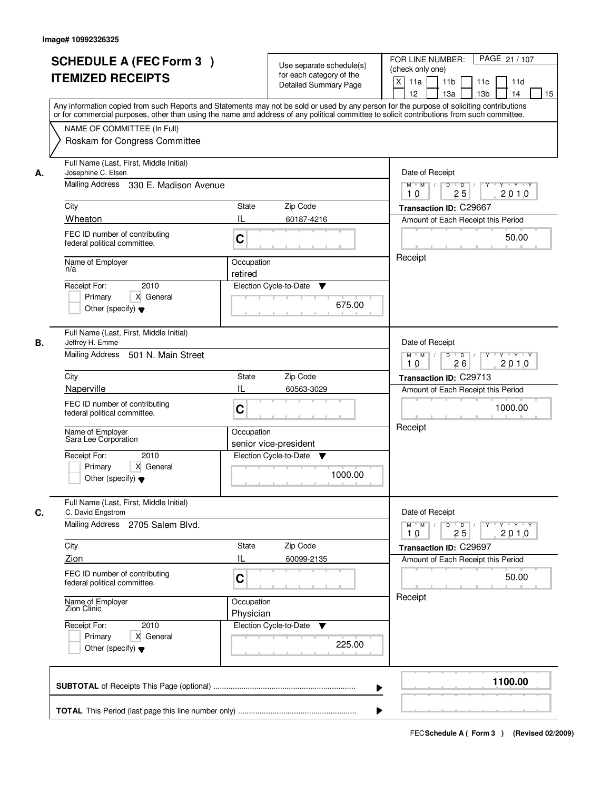|    |                                                                                                                                            |                        |                              | FOR LINE NUMBER:<br>PAGE 21 / 107                                                  |
|----|--------------------------------------------------------------------------------------------------------------------------------------------|------------------------|------------------------------|------------------------------------------------------------------------------------|
|    | <b>SCHEDULE A (FEC Form 3)</b>                                                                                                             |                        | Use separate schedule(s)     | (check only one)                                                                   |
|    | <b>ITEMIZED RECEIPTS</b>                                                                                                                   |                        | for each category of the     | $\mathsf{X}$<br>11a<br>11 <sub>b</sub><br>11d                                      |
|    |                                                                                                                                            |                        | <b>Detailed Summary Page</b> | 11c<br>12<br>13a<br>13 <sub>b</sub><br>14<br>15                                    |
|    | Any information copied from such Reports and Statements may not be sold or used by any person for the purpose of soliciting contributions  |                        |                              |                                                                                    |
|    | or for commercial purposes, other than using the name and address of any political committee to solicit contributions from such committee. |                        |                              |                                                                                    |
|    | NAME OF COMMITTEE (In Full)                                                                                                                |                        |                              |                                                                                    |
|    | Roskam for Congress Committee                                                                                                              |                        |                              |                                                                                    |
|    |                                                                                                                                            |                        |                              |                                                                                    |
|    | Full Name (Last, First, Middle Initial)                                                                                                    |                        |                              |                                                                                    |
| А. | Josephine C. Elsen                                                                                                                         |                        |                              | Date of Receipt                                                                    |
|    | Mailing Address 330 E. Madison Avenue                                                                                                      |                        |                              | $\overline{D}$<br>T Y T Y<br>$M$ $M$<br>D<br>Y                                     |
|    |                                                                                                                                            |                        |                              | 25<br>2010<br>10                                                                   |
|    | City                                                                                                                                       | <b>State</b>           | Zip Code                     | Transaction ID: C29667                                                             |
|    | Wheaton                                                                                                                                    | IL                     | 60187-4216                   | Amount of Each Receipt this Period                                                 |
|    | FEC ID number of contributing                                                                                                              | C                      |                              | 50.00                                                                              |
|    | federal political committee.                                                                                                               |                        |                              |                                                                                    |
|    | Name of Employer                                                                                                                           | Occupation             |                              | Receipt                                                                            |
|    | n/a                                                                                                                                        | retired                |                              |                                                                                    |
|    | 2010<br>Receipt For:                                                                                                                       | Election Cycle-to-Date | ▼                            |                                                                                    |
|    | X General<br>Primary                                                                                                                       |                        |                              |                                                                                    |
|    | Other (specify) $\blacktriangledown$                                                                                                       |                        | 675.00                       |                                                                                    |
|    |                                                                                                                                            |                        |                              |                                                                                    |
|    | Full Name (Last, First, Middle Initial)                                                                                                    |                        |                              |                                                                                    |
| В. | Jeffrey H. Emme                                                                                                                            |                        |                              | Date of Receipt                                                                    |
|    | Mailing Address<br>501 N. Main Street                                                                                                      |                        |                              | $M$ $M$ /<br>$D$ $D$ $/$<br>Y Y Y Y<br>$Y$ <sup><math>\top</math></sup>            |
|    |                                                                                                                                            |                        |                              | 26<br>2010<br>10                                                                   |
|    | City                                                                                                                                       | <b>State</b>           | Zip Code                     | Transaction ID: C29713                                                             |
|    | Naperville                                                                                                                                 | IL                     | 60563-3029                   | Amount of Each Receipt this Period                                                 |
|    | FEC ID number of contributing                                                                                                              | C                      |                              | 1000.00                                                                            |
|    | federal political committee.                                                                                                               |                        |                              |                                                                                    |
|    |                                                                                                                                            | Occupation             |                              | Receipt                                                                            |
|    | Name of Employer<br>Sara Lee Corporation                                                                                                   |                        | senior vice-president        |                                                                                    |
|    | 2010<br>Receipt For:                                                                                                                       | Election Cycle-to-Date | V                            |                                                                                    |
|    | Primary<br>X General                                                                                                                       |                        |                              |                                                                                    |
|    | Other (specify) $\blacktriangledown$                                                                                                       |                        | 1000.00                      |                                                                                    |
|    |                                                                                                                                            |                        |                              |                                                                                    |
|    | Full Name (Last, First, Middle Initial)                                                                                                    |                        |                              |                                                                                    |
| C. | C. David Engstrom                                                                                                                          |                        |                              | Date of Receipt                                                                    |
|    | Mailing Address 2705 Salem Blvd.                                                                                                           |                        |                              | $D$ $D$ $/$<br>$M$ $M$<br>$Y - Y - Y - Y$<br>$Y$ <sup>-1</sup><br>2010<br>10<br>25 |
|    |                                                                                                                                            |                        |                              |                                                                                    |
|    | City                                                                                                                                       | State                  | Zip Code                     | Transaction ID: C29697                                                             |
|    | Zion                                                                                                                                       | IL                     | 60099-2135                   | Amount of Each Receipt this Period                                                 |
|    | FEC ID number of contributing                                                                                                              | C                      |                              | 50.00                                                                              |
|    | federal political committee.                                                                                                               |                        |                              |                                                                                    |
|    | Name of Employer<br>Zion Clinic                                                                                                            | Occupation             |                              | Receipt                                                                            |
|    |                                                                                                                                            | Physician              |                              |                                                                                    |
|    | Receipt For:<br>2010                                                                                                                       |                        | Election Cycle-to-Date<br>v  |                                                                                    |
|    | Primary<br>X General                                                                                                                       |                        |                              |                                                                                    |
|    | Other (specify) $\blacktriangledown$                                                                                                       |                        | 225.00                       |                                                                                    |
|    |                                                                                                                                            |                        |                              |                                                                                    |
|    |                                                                                                                                            |                        |                              |                                                                                    |
|    |                                                                                                                                            |                        | ▶                            | 1100.00                                                                            |
|    |                                                                                                                                            |                        |                              |                                                                                    |
|    |                                                                                                                                            |                        |                              |                                                                                    |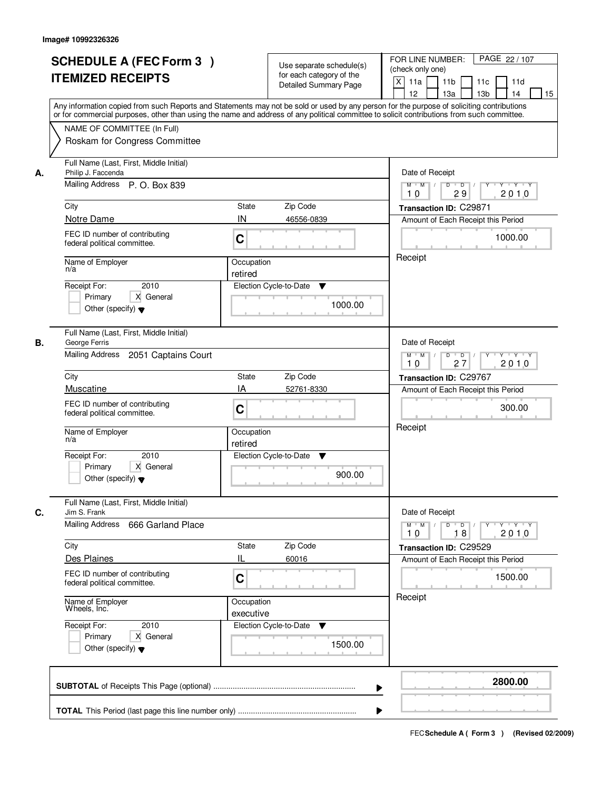|    | <b>SCHEDULE A (FEC Form 3)</b><br><b>ITEMIZED RECEIPTS</b>                                                                                                                                                                                                                              |                         | Use separate schedule(s)<br>for each category of the<br><b>Detailed Summary Page</b> | PAGE 22 / 107<br>FOR LINE NUMBER:<br>(check only one)<br>$\mathsf{X}$<br>11a<br>11 <sub>b</sub><br>11c<br>11d |
|----|-----------------------------------------------------------------------------------------------------------------------------------------------------------------------------------------------------------------------------------------------------------------------------------------|-------------------------|--------------------------------------------------------------------------------------|---------------------------------------------------------------------------------------------------------------|
|    | Any information copied from such Reports and Statements may not be sold or used by any person for the purpose of soliciting contributions<br>or for commercial purposes, other than using the name and address of any political committee to solicit contributions from such committee. |                         |                                                                                      | 13 <sub>b</sub><br>12 <sup>2</sup><br>13a<br>14<br>15                                                         |
|    | NAME OF COMMITTEE (In Full)<br>Roskam for Congress Committee                                                                                                                                                                                                                            |                         |                                                                                      |                                                                                                               |
| А. | Full Name (Last, First, Middle Initial)<br>Philip J. Faccenda<br>Mailing Address P. O. Box 839                                                                                                                                                                                          |                         |                                                                                      | Date of Receipt<br>$D$ $D$ $/$<br>$Y - Y - Y$<br>$M$ $M$ /<br>$\overline{Y}$                                  |
|    |                                                                                                                                                                                                                                                                                         |                         |                                                                                      | 10<br>29<br>2010                                                                                              |
|    | City<br>Notre Dame                                                                                                                                                                                                                                                                      | State<br>IN             | Zip Code<br>46556-0839                                                               | Transaction ID: C29871                                                                                        |
|    | FEC ID number of contributing<br>federal political committee.                                                                                                                                                                                                                           | C                       |                                                                                      | Amount of Each Receipt this Period<br>1000.00                                                                 |
|    | Name of Employer<br>n/a                                                                                                                                                                                                                                                                 | Occupation<br>retired   |                                                                                      | Receipt                                                                                                       |
|    | 2010<br>Receipt For:<br>X General<br>Primary<br>Other (specify) $\blacktriangledown$                                                                                                                                                                                                    |                         | Election Cycle-to-Date<br>▼<br>1000.00                                               |                                                                                                               |
| В. | Full Name (Last, First, Middle Initial)<br>George Ferris<br>Mailing Address<br>2051 Captains Court                                                                                                                                                                                      |                         |                                                                                      | Date of Receipt<br>$Y - Y - Y - Y$<br>$M$ $M$ /<br>D<br>$\overline{\phantom{a}}$                              |
|    |                                                                                                                                                                                                                                                                                         |                         |                                                                                      | 27<br>2010<br>10                                                                                              |
|    | City                                                                                                                                                                                                                                                                                    | <b>State</b>            | Zip Code                                                                             | Transaction ID: C29767                                                                                        |
|    | Muscatine<br>FEC ID number of contributing<br>federal political committee.                                                                                                                                                                                                              | IA<br>C                 | 52761-8330                                                                           | Amount of Each Receipt this Period<br>300.00                                                                  |
|    | Name of Employer<br>n/a                                                                                                                                                                                                                                                                 | Occupation<br>retired   |                                                                                      | Receipt                                                                                                       |
|    | Receipt For:<br>2010<br>Primary<br>X General<br>Other (specify) $\blacktriangledown$                                                                                                                                                                                                    |                         | Election Cycle-to-Date<br>v<br>900.00                                                |                                                                                                               |
| C. | Full Name (Last, First, Middle Initial)<br>Jim S. Frank                                                                                                                                                                                                                                 |                         |                                                                                      | Date of Receipt                                                                                               |
|    | <b>Mailing Address</b><br>666 Garland Place                                                                                                                                                                                                                                             |                         |                                                                                      | $M$ $M$<br>$D$ $D$ $I$<br>$Y^+$<br>Y Y Y Y<br>18<br>2010<br>10                                                |
|    | City<br>Des Plaines                                                                                                                                                                                                                                                                     | <b>State</b><br>IL      | Zip Code<br>60016                                                                    | Transaction ID: C29529<br>Amount of Each Receipt this Period                                                  |
|    | FEC ID number of contributing<br>federal political committee.                                                                                                                                                                                                                           | C                       |                                                                                      | 1500.00                                                                                                       |
|    | Name of Employer<br>Wheels, Inc.                                                                                                                                                                                                                                                        | Occupation<br>executive |                                                                                      | Receipt                                                                                                       |
|    | Receipt For:<br>2010<br>Primary<br>X General<br>Other (specify) $\blacktriangledown$                                                                                                                                                                                                    |                         | Election Cycle-to-Date<br>v<br>1500.00                                               |                                                                                                               |
|    |                                                                                                                                                                                                                                                                                         |                         | ▶                                                                                    | 2800.00                                                                                                       |
|    |                                                                                                                                                                                                                                                                                         |                         |                                                                                      |                                                                                                               |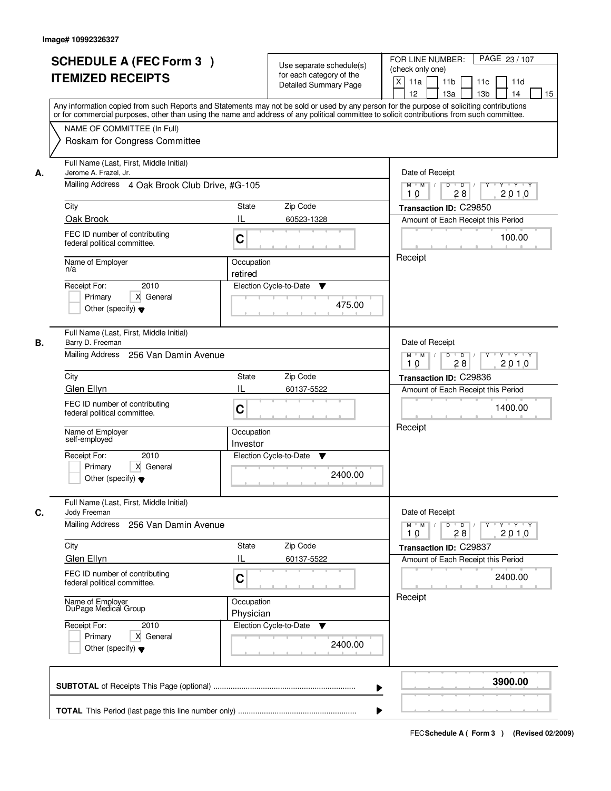|    | <b>SCHEDULE A (FEC Form 3)</b><br><b>ITEMIZED RECEIPTS</b>                                                                                                                                                                                                                              |                                                                              | Use separate schedule(s)<br>for each category of the<br><b>Detailed Summary Page</b> | PAGE 23 / 107<br>FOR LINE NUMBER:<br>(check only one)<br>$\mathsf{X}$<br>11a<br>11 <sub>b</sub><br>11c<br>11d |
|----|-----------------------------------------------------------------------------------------------------------------------------------------------------------------------------------------------------------------------------------------------------------------------------------------|------------------------------------------------------------------------------|--------------------------------------------------------------------------------------|---------------------------------------------------------------------------------------------------------------|
|    | Any information copied from such Reports and Statements may not be sold or used by any person for the purpose of soliciting contributions<br>or for commercial purposes, other than using the name and address of any political committee to solicit contributions from such committee. |                                                                              |                                                                                      | 13 <sub>b</sub><br>12<br>13a<br>14<br>15                                                                      |
|    | NAME OF COMMITTEE (In Full)<br>Roskam for Congress Committee                                                                                                                                                                                                                            |                                                                              |                                                                                      |                                                                                                               |
| А. | Full Name (Last, First, Middle Initial)<br>Jerome A. Frazel, Jr.<br>Mailing Address 4 Oak Brook Club Drive, #G-105                                                                                                                                                                      | Date of Receipt<br>$D$ $D$ $/$<br>$Y + Y + Y$<br>$M$ $M$ /<br>$\overline{Y}$ |                                                                                      |                                                                                                               |
|    |                                                                                                                                                                                                                                                                                         |                                                                              |                                                                                      | 2010<br>10<br>28                                                                                              |
|    | City                                                                                                                                                                                                                                                                                    | State                                                                        | Zip Code                                                                             | Transaction ID: C29850                                                                                        |
|    | Oak Brook                                                                                                                                                                                                                                                                               | IL                                                                           | 60523-1328                                                                           | Amount of Each Receipt this Period                                                                            |
|    | FEC ID number of contributing<br>federal political committee.                                                                                                                                                                                                                           | C                                                                            |                                                                                      | 100.00                                                                                                        |
|    | Name of Employer<br>n/a                                                                                                                                                                                                                                                                 | Occupation                                                                   |                                                                                      | Receipt                                                                                                       |
|    | 2010<br>Receipt For:                                                                                                                                                                                                                                                                    | retired                                                                      | Election Cycle-to-Date<br>▼                                                          |                                                                                                               |
|    | X General<br>Primary<br>Other (specify) $\blacktriangledown$                                                                                                                                                                                                                            |                                                                              | 475.00                                                                               |                                                                                                               |
| В. | Full Name (Last, First, Middle Initial)<br>Barry D. Freeman                                                                                                                                                                                                                             |                                                                              |                                                                                      | Date of Receipt                                                                                               |
|    | Mailing Address 256 Van Damin Avenue                                                                                                                                                                                                                                                    |                                                                              |                                                                                      | $M$ $M$ /<br>D<br>$\overline{\phantom{0}}$<br>$Y + Y + Y$<br>2010<br>28<br>10                                 |
|    | City                                                                                                                                                                                                                                                                                    | <b>State</b>                                                                 | Zip Code                                                                             | Transaction ID: C29836                                                                                        |
|    | Glen Ellyn                                                                                                                                                                                                                                                                              | IL                                                                           | 60137-5522                                                                           | Amount of Each Receipt this Period                                                                            |
|    | FEC ID number of contributing<br>federal political committee.                                                                                                                                                                                                                           | C                                                                            |                                                                                      | 1400.00                                                                                                       |
|    | Name of Employer<br>self-employed                                                                                                                                                                                                                                                       | Occupation<br>Investor                                                       |                                                                                      | Receipt                                                                                                       |
|    | Receipt For:<br>2010<br>Primary<br>X General<br>Other (specify) $\blacktriangledown$                                                                                                                                                                                                    |                                                                              | Election Cycle-to-Date<br>v<br>2400.00                                               |                                                                                                               |
| C. | Full Name (Last, First, Middle Initial)<br>Jody Freeman                                                                                                                                                                                                                                 |                                                                              |                                                                                      | Date of Receipt                                                                                               |
|    | <b>Mailing Address</b><br>256 Van Damin Avenue                                                                                                                                                                                                                                          |                                                                              |                                                                                      | $M$ $M$<br>$\mathsf D$<br>$\overline{D}$<br>Y Y Y Y<br>Y<br>28<br>2010<br>10                                  |
|    | City                                                                                                                                                                                                                                                                                    | <b>State</b>                                                                 | Zip Code                                                                             | Transaction ID: C29837                                                                                        |
|    | Glen Ellyn                                                                                                                                                                                                                                                                              | IL                                                                           | 60137-5522                                                                           | Amount of Each Receipt this Period                                                                            |
|    | FEC ID number of contributing<br>federal political committee.                                                                                                                                                                                                                           | C                                                                            |                                                                                      | 2400.00                                                                                                       |
|    | Name of Employer<br>DuPage Medical Group                                                                                                                                                                                                                                                | Occupation<br>Physician                                                      |                                                                                      | Receipt                                                                                                       |
|    | Receipt For:<br>2010<br>Primary<br>X General<br>Other (specify) $\blacktriangledown$                                                                                                                                                                                                    |                                                                              | Election Cycle-to-Date<br>v<br>2400.00                                               |                                                                                                               |
|    |                                                                                                                                                                                                                                                                                         |                                                                              | ▶                                                                                    | 3900.00                                                                                                       |
|    |                                                                                                                                                                                                                                                                                         |                                                                              |                                                                                      |                                                                                                               |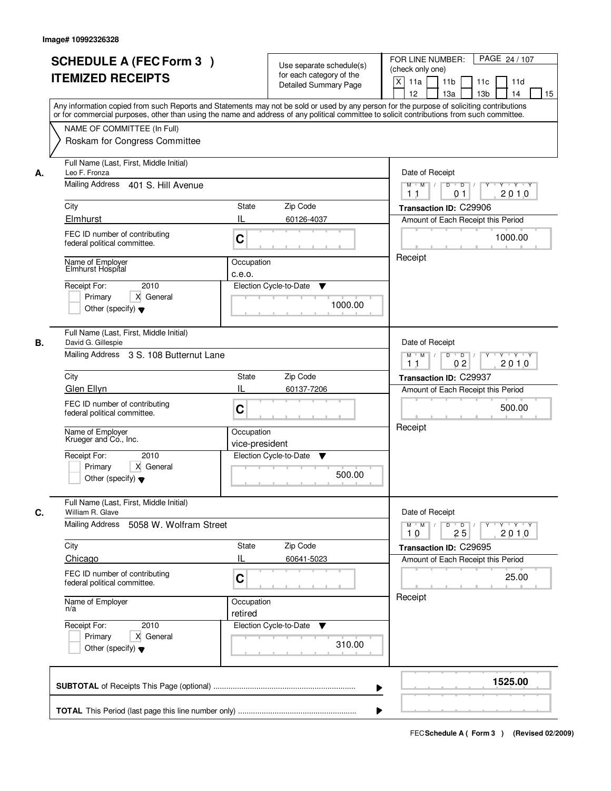|    | <b>SCHEDULE A (FEC Form 3)</b><br><b>ITEMIZED RECEIPTS</b><br>Any information copied from such Reports and Statements may not be sold or used by any person for the purpose of soliciting contributions<br>or for commercial purposes, other than using the name and address of any political committee to solicit contributions from such committee. |                                         | Use separate schedule(s)<br>for each category of the<br><b>Detailed Summary Page</b> | PAGE 24 / 107<br>FOR LINE NUMBER:<br>(check only one)<br>$\mathsf{X}$<br>11 <sub>b</sub><br>11a<br>11c<br>11d<br>13 <sub>b</sub><br>12<br>13a<br>14<br>15                                |
|----|-------------------------------------------------------------------------------------------------------------------------------------------------------------------------------------------------------------------------------------------------------------------------------------------------------------------------------------------------------|-----------------------------------------|--------------------------------------------------------------------------------------|------------------------------------------------------------------------------------------------------------------------------------------------------------------------------------------|
|    | NAME OF COMMITTEE (In Full)<br>Roskam for Congress Committee                                                                                                                                                                                                                                                                                          |                                         |                                                                                      |                                                                                                                                                                                          |
| А. | Full Name (Last, First, Middle Initial)<br>Leo F. Fronza<br>Mailing Address 401 S. Hill Avenue<br>City<br>Elmhurst                                                                                                                                                                                                                                    | State<br>IL                             | Zip Code<br>60126-4037                                                               | Date of Receipt<br>$D$ $D$ $/$<br>$Y + Y + Y$<br>$M$ $M$ /<br>$\overline{Y}$<br>2010<br>1 <sub>1</sub><br>0 <sub>1</sub><br>Transaction ID: C29906<br>Amount of Each Receipt this Period |
|    | FEC ID number of contributing<br>federal political committee.<br>Name of Employer<br>Elmhurst Hospital<br>2010<br>Receipt For:<br>X General<br>Primary<br>Other (specify) $\blacktriangledown$                                                                                                                                                        | C<br>Occupation<br>c.e.o.               | Election Cycle-to-Date<br>▼<br>1000.00                                               | 1000.00<br>Receipt                                                                                                                                                                       |
| В. | Full Name (Last, First, Middle Initial)<br>David G. Gillespie<br>Mailing Address 3 S. 108 Butternut Lane<br>City                                                                                                                                                                                                                                      | <b>State</b>                            | Zip Code                                                                             | Date of Receipt<br>$M$ $M$ /<br>D<br>$\overline{\phantom{0}}$<br>$Y + Y + Y$<br>02<br>2010<br>11<br>Transaction ID: C29937                                                               |
|    | Glen Ellyn<br>FEC ID number of contributing<br>federal political committee.<br>Name of Employer<br>Krueger and Co., Inc.                                                                                                                                                                                                                              | IL<br>C<br>Occupation<br>vice-president | 60137-7206                                                                           | Amount of Each Receipt this Period<br>500.00<br>Receipt                                                                                                                                  |
|    | Receipt For:<br>2010<br>Primary<br>X General<br>Other (specify) $\blacktriangledown$                                                                                                                                                                                                                                                                  |                                         | Election Cycle-to-Date<br>v<br>500.00                                                |                                                                                                                                                                                          |
| C. | Full Name (Last, First, Middle Initial)<br>William R. Glave<br><b>Mailing Address</b><br>5058 W. Wolfram Street                                                                                                                                                                                                                                       |                                         |                                                                                      | Date of Receipt<br>$M = M$<br>$\mathsf D$<br>$\overline{D}$<br>$Y \dashv Y \dashv Y$<br>Y<br>2010<br>25<br>10                                                                            |
|    | City<br>Chicago<br>FEC ID number of contributing<br>federal political committee.                                                                                                                                                                                                                                                                      | <b>State</b><br>IL<br>C                 | Zip Code<br>60641-5023                                                               | Transaction ID: C29695<br>Amount of Each Receipt this Period<br>25.00                                                                                                                    |
|    | Name of Employer<br>n/a<br>Receipt For:<br>2010<br>Primary<br>X General<br>Other (specify) $\blacktriangledown$                                                                                                                                                                                                                                       | Occupation<br>retired                   | Election Cycle-to-Date<br>v<br>310.00                                                | Receipt                                                                                                                                                                                  |
|    |                                                                                                                                                                                                                                                                                                                                                       |                                         | ▶                                                                                    | 1525.00                                                                                                                                                                                  |
|    |                                                                                                                                                                                                                                                                                                                                                       |                                         |                                                                                      |                                                                                                                                                                                          |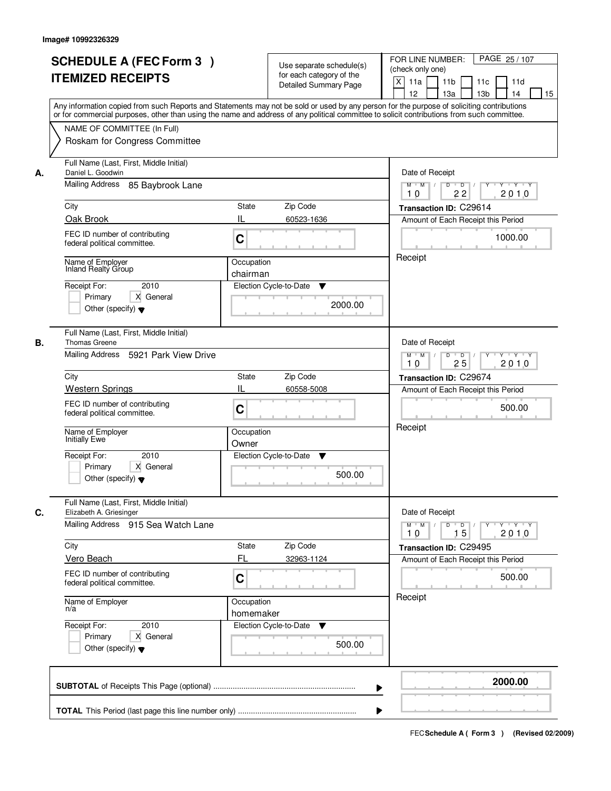|    | <b>SCHEDULE A (FEC Form 3)</b><br><b>ITEMIZED RECEIPTS</b><br>Any information copied from such Reports and Statements may not be sold or used by any person for the purpose of soliciting contributions                                                                                                                                           | Use separate schedule(s)<br>for each category of the<br><b>Detailed Summary Page</b>                        | PAGE 25 / 107<br>FOR LINE NUMBER:<br>(check only one)<br>$\boldsymbol{\mathsf{X}}$<br>11 <sub>b</sub><br>11a<br>11 <sub>c</sub><br>11d<br>12<br>13 <sub>b</sub><br>14<br>13a<br>15 |
|----|---------------------------------------------------------------------------------------------------------------------------------------------------------------------------------------------------------------------------------------------------------------------------------------------------------------------------------------------------|-------------------------------------------------------------------------------------------------------------|------------------------------------------------------------------------------------------------------------------------------------------------------------------------------------|
|    | or for commercial purposes, other than using the name and address of any political committee to solicit contributions from such committee.<br>NAME OF COMMITTEE (In Full)<br>Roskam for Congress Committee                                                                                                                                        |                                                                                                             |                                                                                                                                                                                    |
| А. | Full Name (Last, First, Middle Initial)<br>Daniel L. Goodwin<br>Mailing Address 85 Baybrook Lane<br>City<br>Oak Brook<br>FEC ID number of contributing                                                                                                                                                                                            | <b>State</b><br>Zip Code<br>IL<br>60523-1636<br>C                                                           | Date of Receipt<br>$D$ $D$<br>$Y - Y - Y - Y$<br>$M$ $M$ /<br>Y<br>2010<br>22<br>10<br>Transaction ID: C29614<br>Amount of Each Receipt this Period<br>1000.00                     |
|    | federal political committee.<br>Name of Employer<br><b>Inland Realty Group</b><br>2010<br>Receipt For:<br>X General<br>Primary<br>Other (specify) $\blacktriangledown$                                                                                                                                                                            | Occupation<br>chairman<br>Election Cycle-to-Date<br>▼<br>2000.00                                            | Receipt                                                                                                                                                                            |
| В. | Full Name (Last, First, Middle Initial)<br><b>Thomas Greene</b><br>Mailing Address<br>5921 Park View Drive<br>City<br><b>Western Springs</b><br>FEC ID number of contributing<br>federal political committee.<br>Name of Employer<br><b>Initially Ewe</b><br>2010<br>Receipt For:<br>Primary<br>X General<br>Other (specify) $\blacktriangledown$ | Zip Code<br>State<br>IL<br>60558-5008<br>C<br>Occupation<br>Owner<br>Election Cycle-to-Date<br>v<br>500.00  | Date of Receipt<br>$M$ $M$ /<br>D<br>$\overline{D}$ /<br>$Y + Y + Y$<br>25<br>2010<br>10<br>Transaction ID: C29674<br>Amount of Each Receipt this Period<br>500.00<br>Receipt      |
| C. | Full Name (Last, First, Middle Initial)<br>Elizabeth A. Griesinger<br>Mailing Address 915 Sea Watch Lane<br>City<br>Vero Beach<br>FEC ID number of contributing<br>federal political committee.<br>Name of Employer<br>n/a<br>Receipt For:<br>2010<br>Primary<br>X General<br>Other (specify) $\blacktriangledown$                                | Zip Code<br>State<br>FL<br>32963-1124<br>C<br>Occupation<br>homemaker<br>Election Cycle-to-Date ▼<br>500.00 | Date of Receipt<br>$D$ $D$ $/$<br>$M$ $M$ $/$<br>2010<br>10<br>15<br>Transaction ID: C29495<br>Amount of Each Receipt this Period<br>500.00<br>Receipt                             |
|    |                                                                                                                                                                                                                                                                                                                                                   |                                                                                                             | 2000.00                                                                                                                                                                            |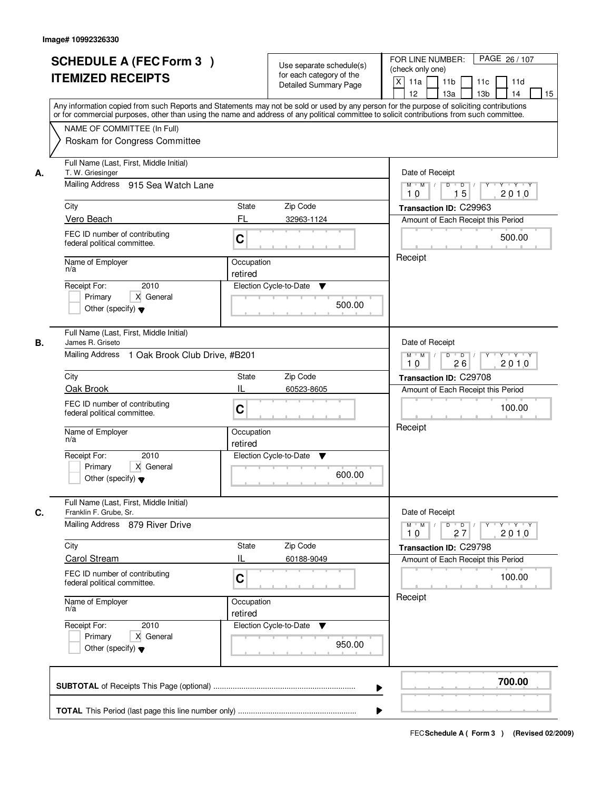| NAME OF COMMITTEE (In Full)<br>Roskam for Congress Committee<br>Full Name (Last, First, Middle Initial)<br>Date of Receipt<br>T. W. Griesinger<br>А.<br>Mailing Address 915 Sea Watch Lane<br>$D$ $D$ $/$<br>$M$ $M$ /<br>$\overline{Y}$<br>15<br>10<br>Zip Code<br>City<br>State<br>Transaction ID: C29963<br>Vero Beach<br>FL<br>32963-1124<br>Amount of Each Receipt this Period<br>FEC ID number of contributing<br>C<br>federal political committee.<br>Receipt<br>Name of Employer<br>Occupation<br>n/a<br>retired<br>2010<br>Election Cycle-to-Date<br>Receipt For:<br>▼<br>X General<br>Primary<br>500.00<br>Other (specify) $\blacktriangledown$<br>Full Name (Last, First, Middle Initial)<br>James R. Griseto<br>Date of Receipt<br>В.<br>Mailing Address 1 Oak Brook Club Drive, #B201<br>$M$ $M$ /<br>D<br>$\overline{\phantom{0}}$<br>26<br>10<br>City<br>Zip Code<br><b>State</b><br>Transaction ID: C29708<br>IL<br>Oak Brook<br>60523-8605<br>Amount of Each Receipt this Period<br>FEC ID number of contributing<br>C<br>federal political committee.<br>Receipt<br>Name of Employer<br>Occupation<br>n/a<br>retired<br>Receipt For:<br>2010<br>Election Cycle-to-Date<br>v<br>Primary<br>X General<br>600.00<br>Other (specify) $\blacktriangledown$<br>Full Name (Last, First, Middle Initial)<br>C.<br>Franklin F. Grube, Sr.<br>Date of Receipt<br>Mailing Address 879 River Drive<br>$M = M$<br>$\mathsf D$<br>$\overline{D}$<br>$Y^{\top}$<br>10<br>27<br>Zip Code<br>City<br><b>State</b><br>Transaction ID: C29798<br><b>Carol Stream</b><br>IL<br>60188-9049<br>Amount of Each Receipt this Period<br>FEC ID number of contributing<br>C<br>federal political committee.<br>Receipt<br>Name of Employer<br>Occupation<br>n/a<br>retired<br>Receipt For:<br>Election Cycle-to-Date<br>2010<br>v<br>Primary<br>X General<br>950.00<br>Other (specify) $\blacktriangledown$ | <b>SCHEDULE A (FEC Form 3)</b><br><b>ITEMIZED RECEIPTS</b><br>Any information copied from such Reports and Statements may not be sold or used by any person for the purpose of soliciting contributions<br>or for commercial purposes, other than using the name and address of any political committee to solicit contributions from such committee. | Use separate schedule(s)<br>for each category of the<br><b>Detailed Summary Page</b> | PAGE 26 / 107<br>FOR LINE NUMBER:<br>(check only one)<br>$\mathsf{X}$<br>11a<br>11 <sub>b</sub><br>11c<br>11d<br>13 <sub>b</sub><br>12 <sup>2</sup><br>13a<br>14<br>15 |
|-----------------------------------------------------------------------------------------------------------------------------------------------------------------------------------------------------------------------------------------------------------------------------------------------------------------------------------------------------------------------------------------------------------------------------------------------------------------------------------------------------------------------------------------------------------------------------------------------------------------------------------------------------------------------------------------------------------------------------------------------------------------------------------------------------------------------------------------------------------------------------------------------------------------------------------------------------------------------------------------------------------------------------------------------------------------------------------------------------------------------------------------------------------------------------------------------------------------------------------------------------------------------------------------------------------------------------------------------------------------------------------------------------------------------------------------------------------------------------------------------------------------------------------------------------------------------------------------------------------------------------------------------------------------------------------------------------------------------------------------------------------------------------------------------------------------------------------------------------------------------------------------------------|-------------------------------------------------------------------------------------------------------------------------------------------------------------------------------------------------------------------------------------------------------------------------------------------------------------------------------------------------------|--------------------------------------------------------------------------------------|------------------------------------------------------------------------------------------------------------------------------------------------------------------------|
|                                                                                                                                                                                                                                                                                                                                                                                                                                                                                                                                                                                                                                                                                                                                                                                                                                                                                                                                                                                                                                                                                                                                                                                                                                                                                                                                                                                                                                                                                                                                                                                                                                                                                                                                                                                                                                                                                                     |                                                                                                                                                                                                                                                                                                                                                       |                                                                                      |                                                                                                                                                                        |
|                                                                                                                                                                                                                                                                                                                                                                                                                                                                                                                                                                                                                                                                                                                                                                                                                                                                                                                                                                                                                                                                                                                                                                                                                                                                                                                                                                                                                                                                                                                                                                                                                                                                                                                                                                                                                                                                                                     |                                                                                                                                                                                                                                                                                                                                                       |                                                                                      | $Y$ $Y$ $Y$ $Y$<br>2010<br>500.00                                                                                                                                      |
|                                                                                                                                                                                                                                                                                                                                                                                                                                                                                                                                                                                                                                                                                                                                                                                                                                                                                                                                                                                                                                                                                                                                                                                                                                                                                                                                                                                                                                                                                                                                                                                                                                                                                                                                                                                                                                                                                                     |                                                                                                                                                                                                                                                                                                                                                       |                                                                                      |                                                                                                                                                                        |
|                                                                                                                                                                                                                                                                                                                                                                                                                                                                                                                                                                                                                                                                                                                                                                                                                                                                                                                                                                                                                                                                                                                                                                                                                                                                                                                                                                                                                                                                                                                                                                                                                                                                                                                                                                                                                                                                                                     |                                                                                                                                                                                                                                                                                                                                                       |                                                                                      | $Y + Y + Y$<br>2010                                                                                                                                                    |
|                                                                                                                                                                                                                                                                                                                                                                                                                                                                                                                                                                                                                                                                                                                                                                                                                                                                                                                                                                                                                                                                                                                                                                                                                                                                                                                                                                                                                                                                                                                                                                                                                                                                                                                                                                                                                                                                                                     |                                                                                                                                                                                                                                                                                                                                                       |                                                                                      | 100.00                                                                                                                                                                 |
|                                                                                                                                                                                                                                                                                                                                                                                                                                                                                                                                                                                                                                                                                                                                                                                                                                                                                                                                                                                                                                                                                                                                                                                                                                                                                                                                                                                                                                                                                                                                                                                                                                                                                                                                                                                                                                                                                                     |                                                                                                                                                                                                                                                                                                                                                       |                                                                                      | $Y + Y + Y$<br>2010<br>100.00                                                                                                                                          |
| ▶                                                                                                                                                                                                                                                                                                                                                                                                                                                                                                                                                                                                                                                                                                                                                                                                                                                                                                                                                                                                                                                                                                                                                                                                                                                                                                                                                                                                                                                                                                                                                                                                                                                                                                                                                                                                                                                                                                   |                                                                                                                                                                                                                                                                                                                                                       |                                                                                      | 700.00                                                                                                                                                                 |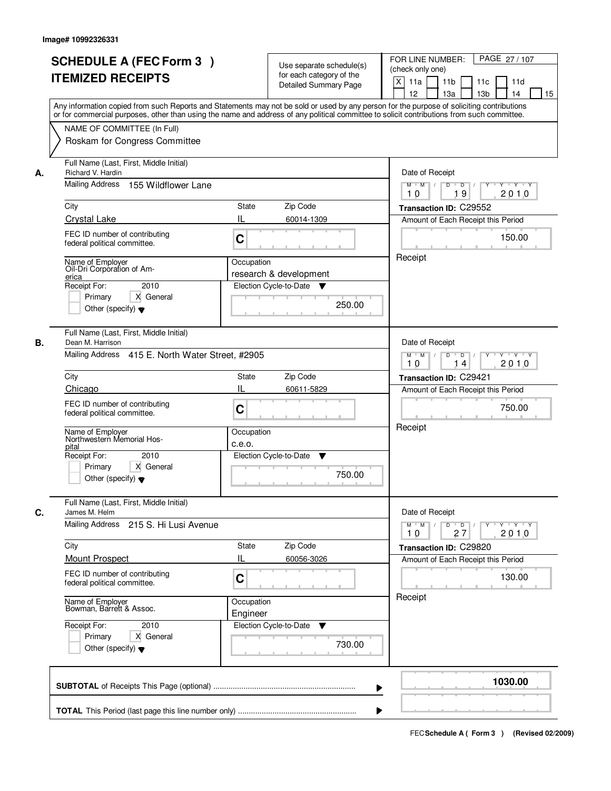|    | <b>SCHEDULE A (FEC Form 3)</b>                                                                                                                                                                                                                                                          |                                                                      | Use separate schedule(s)     | PAGE 27/107<br>FOR LINE NUMBER:                                                         |  |  |
|----|-----------------------------------------------------------------------------------------------------------------------------------------------------------------------------------------------------------------------------------------------------------------------------------------|----------------------------------------------------------------------|------------------------------|-----------------------------------------------------------------------------------------|--|--|
|    | <b>ITEMIZED RECEIPTS</b>                                                                                                                                                                                                                                                                |                                                                      | for each category of the     | (check only one)                                                                        |  |  |
|    |                                                                                                                                                                                                                                                                                         |                                                                      | <b>Detailed Summary Page</b> | $\boldsymbol{\mathsf{X}}$<br>11a<br>11 <sub>b</sub><br>11c<br>11d                       |  |  |
|    |                                                                                                                                                                                                                                                                                         |                                                                      |                              | 12<br>13a<br>13 <sub>b</sub><br>14<br>15                                                |  |  |
|    | Any information copied from such Reports and Statements may not be sold or used by any person for the purpose of soliciting contributions<br>or for commercial purposes, other than using the name and address of any political committee to solicit contributions from such committee. |                                                                      |                              |                                                                                         |  |  |
|    |                                                                                                                                                                                                                                                                                         |                                                                      |                              |                                                                                         |  |  |
|    | NAME OF COMMITTEE (In Full)                                                                                                                                                                                                                                                             |                                                                      |                              |                                                                                         |  |  |
|    |                                                                                                                                                                                                                                                                                         | Roskam for Congress Committee                                        |                              |                                                                                         |  |  |
| А. | Full Name (Last, First, Middle Initial)<br>Richard V. Hardin                                                                                                                                                                                                                            |                                                                      |                              | Date of Receipt                                                                         |  |  |
|    | Mailing Address<br>155 Wildflower Lane                                                                                                                                                                                                                                                  | $\overline{D}$<br>T Y T Y<br>$M$ $M$ /<br>D<br>Y<br>2010<br>19<br>10 |                              |                                                                                         |  |  |
|    | City                                                                                                                                                                                                                                                                                    | State                                                                | Zip Code                     | Transaction ID: C29552                                                                  |  |  |
|    | <b>Crystal Lake</b>                                                                                                                                                                                                                                                                     | IL                                                                   | 60014-1309                   | Amount of Each Receipt this Period                                                      |  |  |
|    | FEC ID number of contributing                                                                                                                                                                                                                                                           |                                                                      |                              |                                                                                         |  |  |
|    | federal political committee.                                                                                                                                                                                                                                                            | C                                                                    |                              | 150.00                                                                                  |  |  |
|    |                                                                                                                                                                                                                                                                                         |                                                                      |                              | Receipt                                                                                 |  |  |
|    | Name of Employer<br>Oil-Dri Corporation of Am-                                                                                                                                                                                                                                          | Occupation                                                           | research & development       |                                                                                         |  |  |
|    | erica<br>2010<br>Receipt For:                                                                                                                                                                                                                                                           |                                                                      | Election Cycle-to-Date<br>v  |                                                                                         |  |  |
|    | Primary<br>X General                                                                                                                                                                                                                                                                    |                                                                      |                              |                                                                                         |  |  |
|    | Other (specify) $\blacktriangledown$                                                                                                                                                                                                                                                    |                                                                      | 250.00                       |                                                                                         |  |  |
|    |                                                                                                                                                                                                                                                                                         |                                                                      |                              |                                                                                         |  |  |
|    | Full Name (Last, First, Middle Initial)                                                                                                                                                                                                                                                 |                                                                      |                              |                                                                                         |  |  |
| В. | Dean M. Harrison                                                                                                                                                                                                                                                                        |                                                                      |                              | Date of Receipt                                                                         |  |  |
|    | Mailing Address 415 E. North Water Street, #2905                                                                                                                                                                                                                                        |                                                                      |                              | D<br>$\overline{D}$ $\overline{I}$<br>$M$ $M$ /<br>Y<br>$Y + Y + Y$<br>2010<br>10<br>14 |  |  |
|    | City<br>Zip Code<br>State                                                                                                                                                                                                                                                               |                                                                      |                              | Transaction ID: C29421                                                                  |  |  |
|    | Chicago                                                                                                                                                                                                                                                                                 | Ш                                                                    | 60611-5829                   | Amount of Each Receipt this Period                                                      |  |  |
|    |                                                                                                                                                                                                                                                                                         |                                                                      |                              |                                                                                         |  |  |
|    | FEC ID number of contributing<br>federal political committee.                                                                                                                                                                                                                           | C                                                                    |                              | 750.00                                                                                  |  |  |
|    |                                                                                                                                                                                                                                                                                         |                                                                      |                              | Receipt                                                                                 |  |  |
|    | Name of Employer<br>Northwestern Memorial Hos-                                                                                                                                                                                                                                          | Occupation                                                           |                              |                                                                                         |  |  |
|    | pital                                                                                                                                                                                                                                                                                   | c.e.o.                                                               |                              |                                                                                         |  |  |
|    | Receipt For:<br>2010<br>Primary<br>X General                                                                                                                                                                                                                                            |                                                                      | Election Cycle-to-Date<br>v  |                                                                                         |  |  |
|    | Other (specify) $\blacktriangledown$                                                                                                                                                                                                                                                    |                                                                      | 750.00                       |                                                                                         |  |  |
|    |                                                                                                                                                                                                                                                                                         |                                                                      |                              |                                                                                         |  |  |
| C. | Full Name (Last, First, Middle Initial)<br>James M. Helm                                                                                                                                                                                                                                |                                                                      |                              | Date of Receipt                                                                         |  |  |
|    | Mailing Address 215 S. Hi Lusi Avenue                                                                                                                                                                                                                                                   |                                                                      |                              | $M$ $M$<br>$D$ $D$ $/$<br>$Y - Y - Y$<br>Y<br>2010                                      |  |  |
|    |                                                                                                                                                                                                                                                                                         |                                                                      |                              |                                                                                         |  |  |
|    | City                                                                                                                                                                                                                                                                                    | State                                                                | Zip Code                     | Transaction ID: C29820                                                                  |  |  |
|    | <b>Mount Prospect</b>                                                                                                                                                                                                                                                                   | IL                                                                   | 60056-3026                   | Amount of Each Receipt this Period                                                      |  |  |
|    | FEC ID number of contributing<br>federal political committee.                                                                                                                                                                                                                           | C                                                                    |                              | 130.00                                                                                  |  |  |
|    |                                                                                                                                                                                                                                                                                         |                                                                      |                              | Receipt                                                                                 |  |  |
|    | Name of Employer<br>Bowman, Barrett & Assoc.                                                                                                                                                                                                                                            | Occupation                                                           |                              |                                                                                         |  |  |
|    |                                                                                                                                                                                                                                                                                         | Engineer                                                             |                              |                                                                                         |  |  |
|    | Receipt For:<br>2010                                                                                                                                                                                                                                                                    |                                                                      | Election Cycle-to-Date<br>v  |                                                                                         |  |  |
|    | Primary<br>X General<br>Other (specify) $\blacktriangledown$                                                                                                                                                                                                                            |                                                                      | 730.00                       |                                                                                         |  |  |
|    |                                                                                                                                                                                                                                                                                         |                                                                      |                              |                                                                                         |  |  |
|    |                                                                                                                                                                                                                                                                                         |                                                                      |                              |                                                                                         |  |  |
|    |                                                                                                                                                                                                                                                                                         |                                                                      | ▶                            | 1030.00                                                                                 |  |  |
|    |                                                                                                                                                                                                                                                                                         |                                                                      |                              |                                                                                         |  |  |
|    |                                                                                                                                                                                                                                                                                         |                                                                      |                              |                                                                                         |  |  |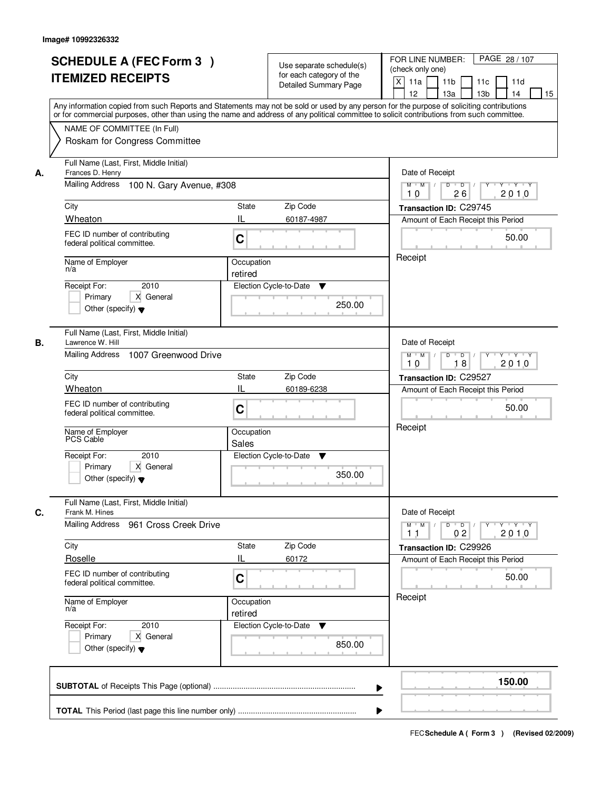|    | <b>SCHEDULE A (FEC Form 3)</b><br><b>ITEMIZED RECEIPTS</b><br>Any information copied from such Reports and Statements may not be sold or used by any person for the purpose of soliciting contributions    |                       | Use separate schedule(s)<br>for each category of the<br><b>Detailed Summary Page</b> | PAGE 28 / 107<br>FOR LINE NUMBER:<br>(check only one)<br>$\mathsf{X}$<br>11a<br>11 <sub>b</sub><br>11c<br>11d<br>13 <sub>b</sub><br>12<br>13a<br>14<br>15 |
|----|------------------------------------------------------------------------------------------------------------------------------------------------------------------------------------------------------------|-----------------------|--------------------------------------------------------------------------------------|-----------------------------------------------------------------------------------------------------------------------------------------------------------|
|    | or for commercial purposes, other than using the name and address of any political committee to solicit contributions from such committee.<br>NAME OF COMMITTEE (In Full)<br>Roskam for Congress Committee |                       |                                                                                      |                                                                                                                                                           |
| А. | Full Name (Last, First, Middle Initial)<br>Frances D. Henry<br><b>Mailing Address</b><br>100 N. Gary Avenue, #308<br>City                                                                                  | State                 | Zip Code                                                                             | Date of Receipt<br>$D$ $D$ $/$<br>$Y$ $Y$ $Y$<br>$M$ $M$ /<br>$\overline{Y}$<br>2010<br>10<br>26<br>Transaction ID: C29745                                |
|    |                                                                                                                                                                                                            |                       |                                                                                      |                                                                                                                                                           |
|    | Wheaton<br>FEC ID number of contributing<br>federal political committee.                                                                                                                                   | IL<br>C               | 60187-4987                                                                           | Amount of Each Receipt this Period<br>50.00                                                                                                               |
|    | Name of Employer<br>n/a<br>2010<br>Receipt For:<br>X General<br>Primary<br>Other (specify) $\blacktriangledown$                                                                                            | Occupation<br>retired | Election Cycle-to-Date<br>▼<br>250.00                                                | Receipt                                                                                                                                                   |
| В. | Full Name (Last, First, Middle Initial)<br>Lawrence W. Hill<br>Mailing Address 1007 Greenwood Drive                                                                                                        |                       |                                                                                      | Date of Receipt<br>$Y - Y - Y$<br>$M$ $M$ /<br>D<br>$\overline{\phantom{0}}$<br>18<br>2010<br>10                                                          |
|    | City                                                                                                                                                                                                       | <b>State</b>          | Zip Code                                                                             | Transaction ID: C29527                                                                                                                                    |
|    | Wheaton                                                                                                                                                                                                    | IL                    | 60189-6238                                                                           | Amount of Each Receipt this Period                                                                                                                        |
|    | FEC ID number of contributing<br>federal political committee.                                                                                                                                              | C                     |                                                                                      | 50.00<br>Receipt                                                                                                                                          |
|    | Name of Employer<br>PCS Cable                                                                                                                                                                              | Occupation<br>Sales   |                                                                                      |                                                                                                                                                           |
|    | 2010<br>Receipt For:<br>Primary<br>X General<br>Other (specify) $\blacktriangledown$                                                                                                                       |                       | Election Cycle-to-Date<br>v<br>350.00                                                |                                                                                                                                                           |
| C. | Full Name (Last, First, Middle Initial)<br>Frank M. Hines<br>Mailing Address 961 Cross Creek Drive                                                                                                         |                       |                                                                                      | Date of Receipt<br>$M$ $M$ $/$<br>$D$ $D$ $/$<br>$Y \dashv Y \dashv Y$<br>$Y^{\top}$<br>2010<br>02<br>11                                                  |
|    | City                                                                                                                                                                                                       | <b>State</b>          | Zip Code                                                                             | Transaction ID: C29926                                                                                                                                    |
|    | Roselle                                                                                                                                                                                                    | IL                    | 60172                                                                                | Amount of Each Receipt this Period                                                                                                                        |
|    | FEC ID number of contributing<br>federal political committee.                                                                                                                                              | C                     |                                                                                      | 50.00                                                                                                                                                     |
|    | Name of Employer<br>n/a                                                                                                                                                                                    | Occupation<br>retired |                                                                                      | Receipt                                                                                                                                                   |
|    | Receipt For:<br>2010<br>Primary<br>X General<br>Other (specify) $\blacktriangledown$                                                                                                                       |                       | Election Cycle-to-Date<br>v<br>850.00                                                |                                                                                                                                                           |
|    |                                                                                                                                                                                                            |                       | ▶                                                                                    | 150.00                                                                                                                                                    |
|    |                                                                                                                                                                                                            |                       |                                                                                      |                                                                                                                                                           |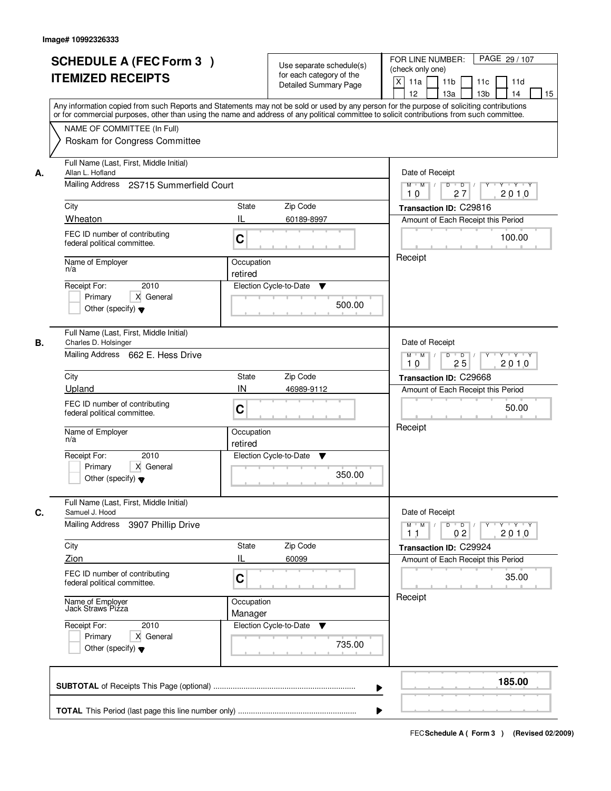|    | <b>SCHEDULE A (FEC Form 3)</b><br><b>ITEMIZED RECEIPTS</b>                                                                                                                                                                                                                                                                                              |                                                  | Use separate schedule(s)<br>for each category of the<br><b>Detailed Summary Page</b> | PAGE 29 / 107<br>FOR LINE NUMBER:<br>(check only one)<br>$\mathsf{X}$<br>11a<br>11 <sub>b</sub><br>11c<br>11d<br>13 <sub>b</sub><br>12 <sup>2</sup><br>13a<br>14<br>15                    |
|----|---------------------------------------------------------------------------------------------------------------------------------------------------------------------------------------------------------------------------------------------------------------------------------------------------------------------------------------------------------|--------------------------------------------------|--------------------------------------------------------------------------------------|-------------------------------------------------------------------------------------------------------------------------------------------------------------------------------------------|
|    | Any information copied from such Reports and Statements may not be sold or used by any person for the purpose of soliciting contributions<br>or for commercial purposes, other than using the name and address of any political committee to solicit contributions from such committee.<br>NAME OF COMMITTEE (In Full)<br>Roskam for Congress Committee |                                                  |                                                                                      |                                                                                                                                                                                           |
| А. | Full Name (Last, First, Middle Initial)<br>Allan L. Hofland<br>Mailing Address 2S715 Summerfield Court<br>City<br>Wheaton<br>FEC ID number of contributing<br>federal political committee.<br>Name of Employer<br>n/a                                                                                                                                   | State<br>IL<br>C<br>Occupation                   | Zip Code<br>60189-8997                                                               | Date of Receipt<br>$D$ $D$ $l$<br>$Y$ $Y$ $Y$ $Y$<br>$M$ $M$ /<br>$\overline{Y}$<br>27<br>2010<br>10<br>Transaction ID: C29816<br>Amount of Each Receipt this Period<br>100.00<br>Receipt |
|    | 2010<br>Receipt For:<br>X General<br>Primary<br>Other (specify) $\blacktriangledown$                                                                                                                                                                                                                                                                    | retired                                          | Election Cycle-to-Date<br>▼<br>500.00                                                |                                                                                                                                                                                           |
| В. | Full Name (Last, First, Middle Initial)<br>Charles D. Holsinger<br>Mailing Address 662 E. Hess Drive<br>City<br>Upland<br>FEC ID number of contributing<br>federal political committee.<br>Name of Employer<br>n/a<br>Receipt For:<br>2010<br>Primary<br>X General<br>Other (specify) $\blacktriangledown$                                              | <b>State</b><br>IN<br>C<br>Occupation<br>retired | Zip Code<br>46989-9112<br>Election Cycle-to-Date<br>v<br>350.00                      | Date of Receipt<br>$M$ $M$ /<br>D<br>$\overline{\phantom{0}}$<br>$Y + Y + Y$<br>25<br>2010<br>10<br>Transaction ID: C29668<br>Amount of Each Receipt this Period<br>50.00<br>Receipt      |
| C. | Full Name (Last, First, Middle Initial)<br>Samuel J. Hood<br><b>Mailing Address</b><br>3907 Phillip Drive<br>City<br>Zion<br>FEC ID number of contributing<br>federal political committee.<br>Name of Employer<br>Jack Straws Pizza<br>Receipt For:<br>2010<br>Primary<br>X General<br>Other (specify) $\blacktriangledown$                             | <b>State</b><br>IL<br>C<br>Occupation<br>Manager | Zip Code<br>60099<br>Election Cycle-to-Date<br>v<br>735.00                           | Date of Receipt<br>$M$ $M$<br>$D$ $D$ $/$<br>Y Y Y Y<br>$Y^{\top}$<br>02<br>2010<br>11<br>Transaction ID: C29924<br>Amount of Each Receipt this Period<br>35.00<br>Receipt                |
|    |                                                                                                                                                                                                                                                                                                                                                         |                                                  | ▶                                                                                    | 185.00                                                                                                                                                                                    |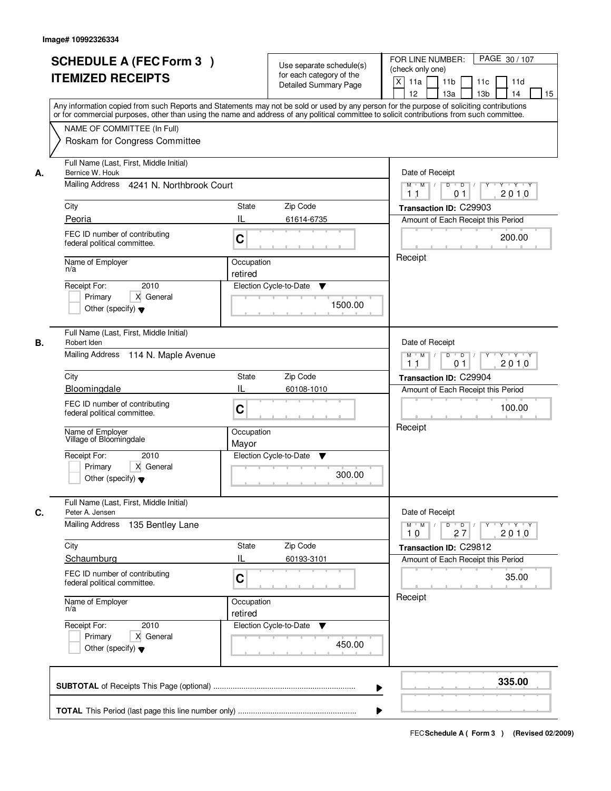|    | <b>SCHEDULE A (FEC Form 3)</b><br><b>ITEMIZED RECEIPTS</b>                           | Use separate schedule(s)<br>for each category of the<br><b>Detailed Summary Page</b><br>Any information copied from such Reports and Statements may not be sold or used by any person for the purpose of soliciting contributions<br>or for commercial purposes, other than using the name and address of any political committee to solicit contributions from such committee. | PAGE 30 / 107<br>FOR LINE NUMBER:<br>(check only one)<br>$\mathsf{X}$<br>11 <sub>b</sub><br>11a<br>11c<br>11d<br>12<br>13 <sub>b</sub><br>14<br>13a<br>15                |
|----|--------------------------------------------------------------------------------------|---------------------------------------------------------------------------------------------------------------------------------------------------------------------------------------------------------------------------------------------------------------------------------------------------------------------------------------------------------------------------------|--------------------------------------------------------------------------------------------------------------------------------------------------------------------------|
|    | NAME OF COMMITTEE (In Full)<br>Roskam for Congress Committee                         |                                                                                                                                                                                                                                                                                                                                                                                 |                                                                                                                                                                          |
| А. | Full Name (Last, First, Middle Initial)<br>Bernice W. Houk                           |                                                                                                                                                                                                                                                                                                                                                                                 | Date of Receipt                                                                                                                                                          |
|    | Mailing Address 4241 N. Northbrook Court                                             |                                                                                                                                                                                                                                                                                                                                                                                 | $Y + Y + Y$<br>$M$ $M$ /<br>$D$ $D$ $1$<br>Y<br>2010<br>1 <sub>1</sub><br>0 <sub>1</sub>                                                                                 |
|    | City                                                                                 | State<br>Zip Code                                                                                                                                                                                                                                                                                                                                                               | Transaction ID: C29903                                                                                                                                                   |
|    | Peoria                                                                               | IL<br>61614-6735                                                                                                                                                                                                                                                                                                                                                                | Amount of Each Receipt this Period                                                                                                                                       |
|    | FEC ID number of contributing<br>federal political committee.                        | C                                                                                                                                                                                                                                                                                                                                                                               | 200.00                                                                                                                                                                   |
|    | Name of Employer<br>n/a                                                              | Occupation<br>retired                                                                                                                                                                                                                                                                                                                                                           | Receipt                                                                                                                                                                  |
|    | 2010<br>Receipt For:<br>X General<br>Primary<br>Other (specify) $\blacktriangledown$ | Election Cycle-to-Date<br>▼<br>1500.00                                                                                                                                                                                                                                                                                                                                          |                                                                                                                                                                          |
| В. | Full Name (Last, First, Middle Initial)<br>Robert Iden                               |                                                                                                                                                                                                                                                                                                                                                                                 | Date of Receipt                                                                                                                                                          |
|    | Mailing Address 114 N. Maple Avenue                                                  | $M$ $M$ /<br>D<br>$\overline{\phantom{0}}$<br>Y 'Y 'Y<br>2010<br>0 <sub>1</sub><br>11                                                                                                                                                                                                                                                                                           |                                                                                                                                                                          |
|    | City                                                                                 | <b>State</b><br>Zip Code                                                                                                                                                                                                                                                                                                                                                        | Transaction ID: C29904                                                                                                                                                   |
|    | Bloomingdale                                                                         | IL<br>60108-1010                                                                                                                                                                                                                                                                                                                                                                | Amount of Each Receipt this Period                                                                                                                                       |
|    | FEC ID number of contributing<br>federal political committee.                        | C                                                                                                                                                                                                                                                                                                                                                                               | 100.00                                                                                                                                                                   |
|    | Name of Employer<br>Village of Bloomingdale                                          | Occupation<br>Mayor                                                                                                                                                                                                                                                                                                                                                             | Receipt                                                                                                                                                                  |
|    | Receipt For:<br>2010<br>Primary<br>X General<br>Other (specify) $\blacktriangledown$ | Election Cycle-to-Date<br>v<br>300.00                                                                                                                                                                                                                                                                                                                                           |                                                                                                                                                                          |
| C. | Full Name (Last, First, Middle Initial)<br>Peter A. Jensen                           |                                                                                                                                                                                                                                                                                                                                                                                 | Date of Receipt                                                                                                                                                          |
|    | <b>Mailing Address</b><br>135 Bentley Lane                                           |                                                                                                                                                                                                                                                                                                                                                                                 | $D$ $D$ $/$<br>$M = M$<br>$\begin{array}{cccccccccc} &\mathsf{Y} &\mathsf{I} &\mathsf{Y} &\mathsf{I} &\mathsf{Y} &\mathsf{I} &\mathsf{Y}\end{array}$<br>2010<br>10<br>27 |
|    | City<br>Schaumburg                                                                   | Zip Code<br>State<br>IL<br>60193-3101                                                                                                                                                                                                                                                                                                                                           | Transaction ID: C29812<br>Amount of Each Receipt this Period                                                                                                             |
|    | FEC ID number of contributing<br>federal political committee.                        | C                                                                                                                                                                                                                                                                                                                                                                               | 35.00                                                                                                                                                                    |
|    | Name of Employer<br>n/a                                                              | Occupation<br>retired                                                                                                                                                                                                                                                                                                                                                           | Receipt                                                                                                                                                                  |
|    | Receipt For:<br>2010<br>Primary<br>X General<br>Other (specify) $\blacktriangledown$ | Election Cycle-to-Date ▼<br>450.00                                                                                                                                                                                                                                                                                                                                              |                                                                                                                                                                          |
|    |                                                                                      | ▶                                                                                                                                                                                                                                                                                                                                                                               | 335.00                                                                                                                                                                   |
|    |                                                                                      |                                                                                                                                                                                                                                                                                                                                                                                 |                                                                                                                                                                          |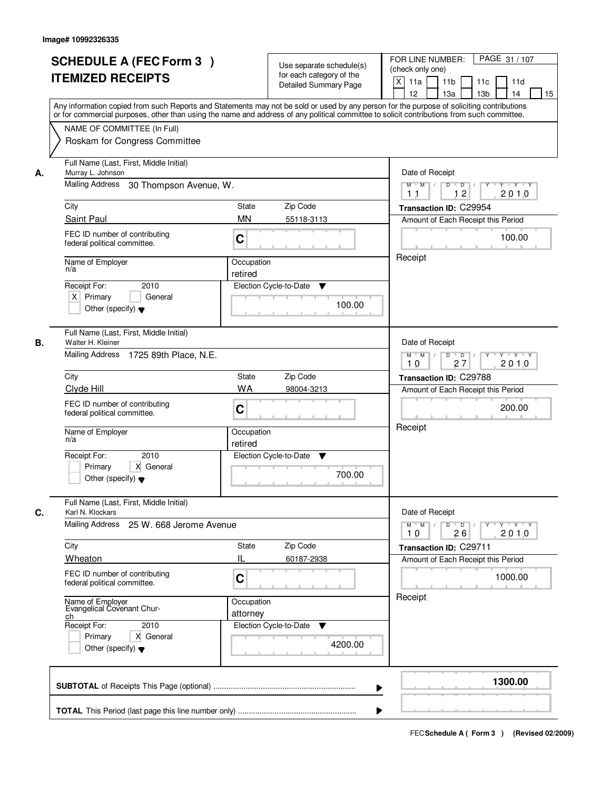|    | <b>SCHEDULE A (FEC Form 3)</b><br><b>ITEMIZED RECEIPTS</b><br>Any information copied from such Reports and Statements may not be sold or used by any person for the purpose of soliciting contributions<br>or for commercial purposes, other than using the name and address of any political committee to solicit contributions from such committee. |                        | Use separate schedule(s)<br>for each category of the<br><b>Detailed Summary Page</b> | PAGE 31 / 107<br>FOR LINE NUMBER:<br>(check only one)<br>$\mathsf{X}$<br>11a<br>11 <sub>b</sub><br>11c<br>11d<br>13 <sub>b</sub><br>12<br>13a<br>14<br>15 |
|----|-------------------------------------------------------------------------------------------------------------------------------------------------------------------------------------------------------------------------------------------------------------------------------------------------------------------------------------------------------|------------------------|--------------------------------------------------------------------------------------|-----------------------------------------------------------------------------------------------------------------------------------------------------------|
|    | NAME OF COMMITTEE (In Full)<br>Roskam for Congress Committee                                                                                                                                                                                                                                                                                          |                        |                                                                                      |                                                                                                                                                           |
| А. | Full Name (Last, First, Middle Initial)<br>Murray L. Johnson<br>Mailing Address<br>30 Thompson Avenue, W.                                                                                                                                                                                                                                             |                        |                                                                                      | Date of Receipt<br>$D$ $D$ $/$<br>$Y$ $Y$ $Y$<br>$M$ $M$ /<br>$\overline{Y}$<br>12<br>2010<br>1 <sub>1</sub>                                              |
|    | City                                                                                                                                                                                                                                                                                                                                                  | State                  | Zip Code                                                                             | Transaction ID: C29954                                                                                                                                    |
|    | Saint Paul                                                                                                                                                                                                                                                                                                                                            | <b>MN</b>              | 55118-3113                                                                           | Amount of Each Receipt this Period                                                                                                                        |
|    | FEC ID number of contributing<br>federal political committee.                                                                                                                                                                                                                                                                                         | C                      |                                                                                      | 100.00                                                                                                                                                    |
|    | Name of Employer<br>n/a                                                                                                                                                                                                                                                                                                                               | Occupation<br>retired  |                                                                                      | Receipt                                                                                                                                                   |
|    | 2010<br>Receipt For:<br>$X$ Primary<br>General<br>Other (specify) $\blacktriangledown$                                                                                                                                                                                                                                                                |                        | Election Cycle-to-Date<br>▼<br>100.00                                                |                                                                                                                                                           |
| В. | Full Name (Last, First, Middle Initial)<br>Walter H. Kleiner<br>Mailing Address 1725 89th Place, N.E.                                                                                                                                                                                                                                                 |                        |                                                                                      | Date of Receipt<br>$Y - Y - Y$<br>$M$ $M$ /<br>D<br>$\overline{D}$<br>27<br>2010<br>10                                                                    |
|    | City<br>State<br>Zip Code                                                                                                                                                                                                                                                                                                                             |                        |                                                                                      | Transaction ID: C29788                                                                                                                                    |
|    | Clyde Hill                                                                                                                                                                                                                                                                                                                                            | <b>WA</b>              | 98004-3213                                                                           | Amount of Each Receipt this Period                                                                                                                        |
|    | FEC ID number of contributing<br>federal political committee.                                                                                                                                                                                                                                                                                         | C                      |                                                                                      | 200.00                                                                                                                                                    |
|    | Name of Employer<br>n/a                                                                                                                                                                                                                                                                                                                               | Occupation<br>retired  |                                                                                      | Receipt                                                                                                                                                   |
|    | Receipt For:<br>2010<br>Primary<br>X General<br>Other (specify) $\blacktriangledown$                                                                                                                                                                                                                                                                  |                        | Election Cycle-to-Date<br>v<br>700.00                                                |                                                                                                                                                           |
| C. | Full Name (Last, First, Middle Initial)<br>Karl N. Klockars                                                                                                                                                                                                                                                                                           |                        |                                                                                      | Date of Receipt                                                                                                                                           |
|    | Mailing Address<br>25 W. 668 Jerome Avenue                                                                                                                                                                                                                                                                                                            |                        |                                                                                      | $M$ $M$<br>D<br>$\overline{D}$<br>Y Y Y Y<br>Y<br>2010<br>10<br>26                                                                                        |
|    | City<br>Wheaton                                                                                                                                                                                                                                                                                                                                       | <b>State</b><br>IL     | Zip Code                                                                             | Transaction ID: C29711                                                                                                                                    |
|    | FEC ID number of contributing<br>federal political committee.                                                                                                                                                                                                                                                                                         | C                      | 60187-2938                                                                           | Amount of Each Receipt this Period<br>1000.00                                                                                                             |
|    | Name of Employer<br>Evangelical Covenant Chur-<br>ch<br>Receipt For:<br>2010<br>Primary<br>X General<br>Other (specify) $\blacktriangledown$                                                                                                                                                                                                          | Occupation<br>attorney | Election Cycle-to-Date<br>v<br>4200.00                                               | Receipt                                                                                                                                                   |
|    |                                                                                                                                                                                                                                                                                                                                                       |                        | ▶                                                                                    | 1300.00                                                                                                                                                   |
|    |                                                                                                                                                                                                                                                                                                                                                       |                        |                                                                                      |                                                                                                                                                           |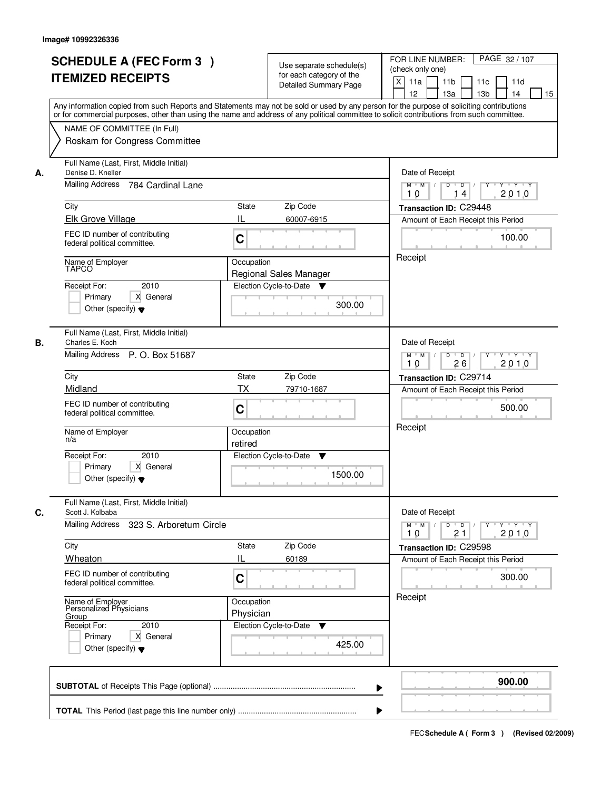|    | <b>SCHEDULE A (FEC Form 3)</b><br><b>ITEMIZED RECEIPTS</b><br>Any information copied from such Reports and Statements may not be sold or used by any person for the purpose of soliciting contributions<br>or for commercial purposes, other than using the name and address of any political committee to solicit contributions from such committee. |                                                         | Use separate schedule(s)<br>for each category of the<br><b>Detailed Summary Page</b>   | PAGE 32 / 107<br>FOR LINE NUMBER:<br>(check only one)<br>X<br>11a<br>11 <sub>b</sub><br>11c<br>11d<br>12<br>13a<br>13 <sub>b</sub><br>14<br>15                                    |
|----|-------------------------------------------------------------------------------------------------------------------------------------------------------------------------------------------------------------------------------------------------------------------------------------------------------------------------------------------------------|---------------------------------------------------------|----------------------------------------------------------------------------------------|-----------------------------------------------------------------------------------------------------------------------------------------------------------------------------------|
|    | NAME OF COMMITTEE (In Full)<br>Roskam for Congress Committee                                                                                                                                                                                                                                                                                          |                                                         |                                                                                        |                                                                                                                                                                                   |
| А. | Full Name (Last, First, Middle Initial)<br>Denise D. Kneller<br>Mailing Address<br>784 Cardinal Lane<br>City<br>Elk Grove Village<br>FEC ID number of contributing<br>federal political committee.<br>Name of Employer<br><b>TAPCO</b><br>2010<br>Receipt For:<br>X General<br>Primary<br>Other (specify) $\blacktriangledown$                        | State<br>Ш<br>C<br>Occupation                           | Zip Code<br>60007-6915<br>Regional Sales Manager<br>Election Cycle-to-Date ▼<br>300.00 | Date of Receipt<br>$M$ $M$<br>$D$ $D$ $/$<br>$Y^+$<br>$Y + Y + Y$<br>2010<br>10<br>14<br>Transaction ID: C29448<br>Amount of Each Receipt this Period<br>100.00<br>Receipt        |
| В. | Full Name (Last, First, Middle Initial)<br>Charles E. Koch<br>Mailing Address P. O. Box 51687<br>City<br>Midland<br>FEC ID number of contributing<br>federal political committee.<br>Name of Employer<br>n/a<br>Receipt For:<br>2010<br>Primary<br>X General<br>Other (specify) $\blacktriangledown$                                                  | <b>State</b><br><b>TX</b><br>C<br>Occupation<br>retired | Zip Code<br>79710-1687<br>Election Cycle-to-Date<br>v<br>1500.00                       | Date of Receipt<br>$Y - Y - Y$<br>$M$ $M$ /<br>D<br>$\overline{D}$<br>2010<br>26<br>10<br>Transaction ID: C29714<br>Amount of Each Receipt this Period<br>500.00<br>Receipt       |
| C. | Full Name (Last, First, Middle Initial)<br>Scott J. Kolbaba<br>Mailing Address<br>323 S. Arboretum Circle<br>City<br>Wheaton<br>FEC ID number of contributing<br>federal political committee.<br>Name of Employer<br>Personalized Physicians<br><u>Group</u><br>Receipt For:<br>2010<br>Primary<br>X General<br>Other (specify) $\blacktriangledown$  | State<br>IL<br>C<br>Occupation<br>Physician             | Zip Code<br>60189<br>Election Cycle-to-Date<br>v<br>425.00                             | Date of Receipt<br>$D$ $D$ $/$<br>$M$ $M$ /<br>$Y + Y + Y$<br>$Y^{\top}$<br>21<br>2010<br>10<br>Transaction ID: C29598<br>Amount of Each Receipt this Period<br>300.00<br>Receipt |
|    |                                                                                                                                                                                                                                                                                                                                                       |                                                         | ▶                                                                                      | 900.00                                                                                                                                                                            |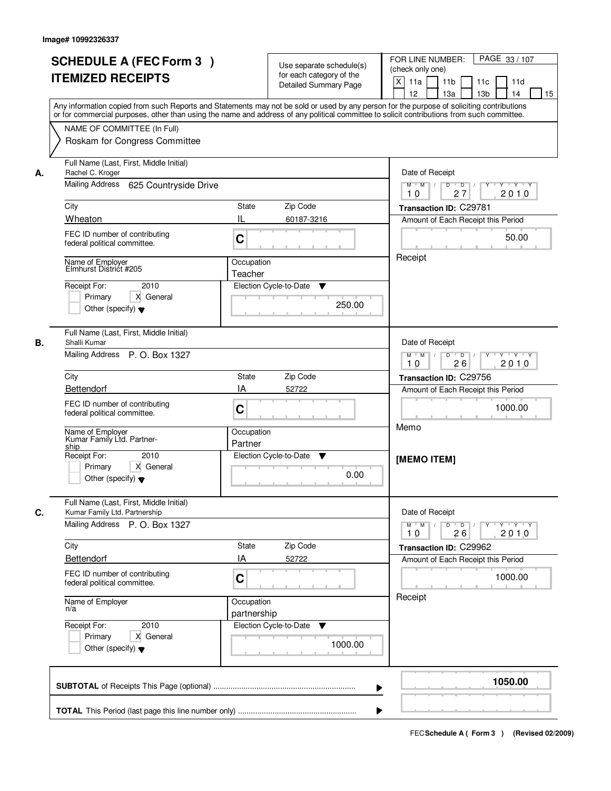|    | <b>SCHEDULE A (FEC Form 3)</b><br><b>ITEMIZED RECEIPTS</b><br>Any information copied from such Reports and Statements may not be sold or used by any person for the purpose of soliciting contributions<br>or for commercial purposes, other than using the name and address of any political committee to solicit contributions from such committee.<br>NAME OF COMMITTEE (In Full) | Use separate schedule(s)<br>for each category of the<br><b>Detailed Summary Page</b> | PAGE 33 / 107<br>FOR LINE NUMBER:<br>(check only one)<br>$\mathsf{X}$<br>11 <sub>b</sub><br>11a<br>11c<br>11d<br>12<br>13 <sub>b</sub><br>14<br>13a<br>15                                               |
|----|--------------------------------------------------------------------------------------------------------------------------------------------------------------------------------------------------------------------------------------------------------------------------------------------------------------------------------------------------------------------------------------|--------------------------------------------------------------------------------------|---------------------------------------------------------------------------------------------------------------------------------------------------------------------------------------------------------|
|    | Roskam for Congress Committee                                                                                                                                                                                                                                                                                                                                                        |                                                                                      |                                                                                                                                                                                                         |
| А. | Full Name (Last, First, Middle Initial)<br>Rachel C. Kroger<br>Mailing Address 625 Countryside Drive                                                                                                                                                                                                                                                                                 |                                                                                      | Date of Receipt<br>$M$ $M$ /<br>$D$ $D$<br>$Y + Y + Y$<br>Y                                                                                                                                             |
|    | City                                                                                                                                                                                                                                                                                                                                                                                 | State<br>Zip Code                                                                    | 27<br>2010<br>10<br>Transaction ID: C29781                                                                                                                                                              |
|    | Wheaton                                                                                                                                                                                                                                                                                                                                                                              | IL<br>60187-3216                                                                     | Amount of Each Receipt this Period                                                                                                                                                                      |
|    | FEC ID number of contributing<br>federal political committee.                                                                                                                                                                                                                                                                                                                        | C                                                                                    | 50.00                                                                                                                                                                                                   |
|    | Name of Employer<br>Elmhurst District #205                                                                                                                                                                                                                                                                                                                                           | Occupation<br>Teacher                                                                | Receipt                                                                                                                                                                                                 |
|    | 2010<br>Receipt For:<br>Primary<br>X General<br>Other (specify) $\blacktriangledown$                                                                                                                                                                                                                                                                                                 | Election Cycle-to-Date<br>▼<br>250.00                                                |                                                                                                                                                                                                         |
| В. | Full Name (Last, First, Middle Initial)<br>Shalli Kumar<br>Mailing Address P. O. Box 1327                                                                                                                                                                                                                                                                                            |                                                                                      | Date of Receipt<br>$M$ $M$ /<br>D<br>$\overline{D}$ /<br>Y 'Y 'Y<br>26<br>2010<br>10                                                                                                                    |
|    | City                                                                                                                                                                                                                                                                                                                                                                                 | Zip Code<br><b>State</b>                                                             | Transaction ID: C29756                                                                                                                                                                                  |
|    | <b>Bettendorf</b>                                                                                                                                                                                                                                                                                                                                                                    | IA<br>52722                                                                          | Amount of Each Receipt this Period                                                                                                                                                                      |
|    | FEC ID number of contributing<br>federal political committee.                                                                                                                                                                                                                                                                                                                        | C                                                                                    | 1000.00<br>Memo                                                                                                                                                                                         |
|    | Name of Employer<br>Kumar Family Ltd. Partner-<br>ship                                                                                                                                                                                                                                                                                                                               | Occupation<br>Partner                                                                |                                                                                                                                                                                                         |
|    | Receipt For:<br>2010<br>Primary<br>X General<br>Other (specify) $\blacktriangledown$                                                                                                                                                                                                                                                                                                 | Election Cycle-to-Date<br>v<br>0.00                                                  | [MEMO ITEM]                                                                                                                                                                                             |
| C. | Full Name (Last, First, Middle Initial)<br>Kumar Family Ltd. Partnership                                                                                                                                                                                                                                                                                                             |                                                                                      | Date of Receipt                                                                                                                                                                                         |
|    | Mailing Address P. O. Box 1327                                                                                                                                                                                                                                                                                                                                                       |                                                                                      | $D$ $D$ $/$<br>$M^{\prime}$ $M^{\prime}$ $M^{\prime}$<br>$\begin{array}{cccccccccc} &\mathsf{Y} &\mathsf{I} &\mathsf{Y} &\mathsf{I} &\mathsf{Y} &\mathsf{I} &\mathsf{Y}\end{array}$<br>2010<br>10<br>26 |
|    | City<br><b>Bettendorf</b>                                                                                                                                                                                                                                                                                                                                                            | Zip Code<br>State<br>IA<br>52722                                                     | Transaction ID: C29962                                                                                                                                                                                  |
|    | FEC ID number of contributing<br>federal political committee.                                                                                                                                                                                                                                                                                                                        | C                                                                                    | Amount of Each Receipt this Period<br>1000.00                                                                                                                                                           |
|    | Name of Employer<br>n/a                                                                                                                                                                                                                                                                                                                                                              | Occupation<br>partnership                                                            | Receipt                                                                                                                                                                                                 |
|    | Receipt For:<br>2010<br>Primary<br>X General<br>Other (specify) $\blacktriangledown$                                                                                                                                                                                                                                                                                                 | Election Cycle-to-Date ▼<br>1000.00                                                  |                                                                                                                                                                                                         |
|    |                                                                                                                                                                                                                                                                                                                                                                                      | ▶                                                                                    | 1050.00                                                                                                                                                                                                 |
|    |                                                                                                                                                                                                                                                                                                                                                                                      |                                                                                      |                                                                                                                                                                                                         |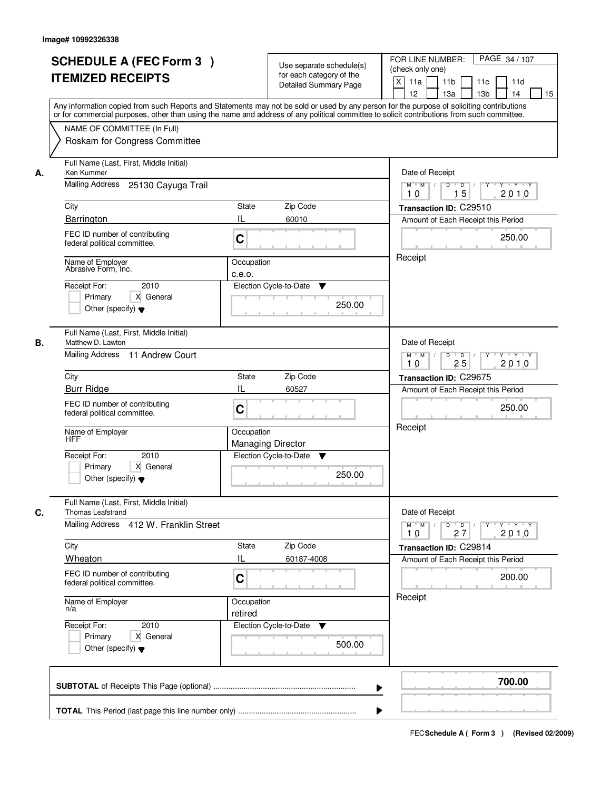|    | <b>SCHEDULE A (FEC Form 3)</b><br><b>ITEMIZED RECEIPTS</b><br>Any information copied from such Reports and Statements may not be sold or used by any person for the purpose of soliciting contributions<br>or for commercial purposes, other than using the name and address of any political committee to solicit contributions from such committee.<br>NAME OF COMMITTEE (In Full)<br>Roskam for Congress Committee |                                                  | Use separate schedule(s)<br>for each category of the<br><b>Detailed Summary Page</b>   | PAGE 34 / 107<br>FOR LINE NUMBER:<br>(check only one)<br>$\mathsf{X}$<br>11 <sub>b</sub><br>11a<br>11c<br>11d<br>13 <sub>b</sub><br>12<br>13a<br>14<br>15                                         |
|----|-----------------------------------------------------------------------------------------------------------------------------------------------------------------------------------------------------------------------------------------------------------------------------------------------------------------------------------------------------------------------------------------------------------------------|--------------------------------------------------|----------------------------------------------------------------------------------------|---------------------------------------------------------------------------------------------------------------------------------------------------------------------------------------------------|
| А. | Full Name (Last, First, Middle Initial)<br>Ken Kummer<br>Mailing Address 25130 Cayuga Trail<br>City<br>Barrington<br>FEC ID number of contributing<br>federal political committee.<br>Name of Employer<br>Abrasive Form, Inc.<br>2010<br>Receipt For:<br>X General<br>Primary<br>Other (specify) $\blacktriangledown$                                                                                                 | State<br>IL<br>C<br>Occupation<br>c.e.o.         | Zip Code<br>60010<br>Election Cycle-to-Date<br>▼<br>250.00                             | Date of Receipt<br>$D$ $D$ $/$<br>$Y$ $Y$ $Y$<br>$M$ $M$ /<br>$\overline{Y}$<br>15<br>2010<br>10<br>Transaction ID: C29510<br>Amount of Each Receipt this Period<br>250.00<br>Receipt             |
| В. | Full Name (Last, First, Middle Initial)<br>Matthew D. Lawton<br>Mailing Address 11 Andrew Court<br>City<br><b>Burr Ridge</b><br>FEC ID number of contributing<br>federal political committee.<br>Name of Employer<br>HFF<br>Receipt For:<br>2010<br>Primary<br>X General<br>Other (specify) $\blacktriangledown$                                                                                                      | <b>State</b><br>IL<br>C<br>Occupation            | Zip Code<br>60527<br><b>Managing Director</b><br>Election Cycle-to-Date<br>▼<br>250.00 | Date of Receipt<br>$M$ $M$ /<br>D<br>$\overline{\phantom{0}}$<br>$Y + Y + Y$<br>25<br>2010<br>10<br>Transaction ID: C29675<br>Amount of Each Receipt this Period<br>250.00<br>Receipt             |
| C. | Full Name (Last, First, Middle Initial)<br><b>Thomas Leafstrand</b><br>Mailing Address 412 W. Franklin Street<br>City<br>Wheaton<br>FEC ID number of contributing<br>federal political committee.<br>Name of Employer<br>n/a<br>Receipt For:<br>2010<br>Primary<br>X General<br>Other (specify) $\blacktriangledown$                                                                                                  | <b>State</b><br>IL<br>C<br>Occupation<br>retired | Zip Code<br>60187-4008<br>Election Cycle-to-Date<br>v<br>500.00                        | Date of Receipt<br>$M = M$<br>$\mathsf D$<br>$\overline{D}$<br>$Y + Y + Y$<br>$Y^{\top}$<br>2010<br>10<br>27<br>Transaction ID: C29814<br>Amount of Each Receipt this Period<br>200.00<br>Receipt |
|    |                                                                                                                                                                                                                                                                                                                                                                                                                       |                                                  | ▶                                                                                      | 700.00                                                                                                                                                                                            |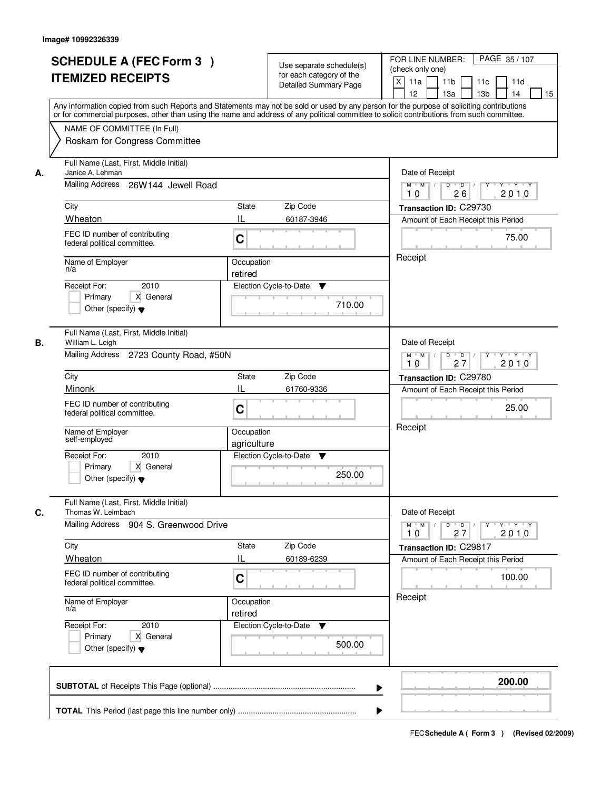|    | <b>SCHEDULE A (FEC Form 3)</b><br><b>ITEMIZED RECEIPTS</b>                                                                                                                                                                                                                              | Use separate schedule(s)<br>for each category of the             | PAGE 35/107<br>FOR LINE NUMBER:<br>(check only one)                                                           |  |  |
|----|-----------------------------------------------------------------------------------------------------------------------------------------------------------------------------------------------------------------------------------------------------------------------------------------|------------------------------------------------------------------|---------------------------------------------------------------------------------------------------------------|--|--|
|    |                                                                                                                                                                                                                                                                                         | <b>Detailed Summary Page</b>                                     | $\boldsymbol{\mathsf{X}}$<br>11a<br>11 <sub>b</sub><br>11c<br>11d<br>12<br>13a<br>13 <sub>b</sub><br>14<br>15 |  |  |
|    | Any information copied from such Reports and Statements may not be sold or used by any person for the purpose of soliciting contributions<br>or for commercial purposes, other than using the name and address of any political committee to solicit contributions from such committee. |                                                                  |                                                                                                               |  |  |
|    | NAME OF COMMITTEE (In Full)                                                                                                                                                                                                                                                             |                                                                  |                                                                                                               |  |  |
|    | Roskam for Congress Committee                                                                                                                                                                                                                                                           |                                                                  |                                                                                                               |  |  |
| А. | Full Name (Last, First, Middle Initial)<br>Janice A. Lehman                                                                                                                                                                                                                             | Date of Receipt                                                  |                                                                                                               |  |  |
|    | Mailing Address<br>26W144 Jewell Road                                                                                                                                                                                                                                                   |                                                                  | $\overline{D}$<br>$Y - Y - Y$<br>$M$ $M$ /<br>D<br>2010<br>26<br>10                                           |  |  |
|    | City                                                                                                                                                                                                                                                                                    | <b>State</b><br>Zip Code                                         | Transaction ID: C29730                                                                                        |  |  |
|    | Wheaton                                                                                                                                                                                                                                                                                 | IL<br>60187-3946                                                 | Amount of Each Receipt this Period                                                                            |  |  |
|    | FEC ID number of contributing<br>federal political committee.                                                                                                                                                                                                                           | C                                                                | 75.00<br>Receipt                                                                                              |  |  |
|    | Name of Employer<br>n/a                                                                                                                                                                                                                                                                 | Occupation                                                       |                                                                                                               |  |  |
|    | 2010<br>Receipt For:                                                                                                                                                                                                                                                                    | retired<br>Election Cycle-to-Date<br>▼                           |                                                                                                               |  |  |
|    | X General<br>Primary                                                                                                                                                                                                                                                                    |                                                                  |                                                                                                               |  |  |
|    | Other (specify) $\blacktriangledown$                                                                                                                                                                                                                                                    | 710.00                                                           |                                                                                                               |  |  |
| В. | Full Name (Last, First, Middle Initial)<br>William L. Leigh                                                                                                                                                                                                                             |                                                                  | Date of Receipt                                                                                               |  |  |
|    | Mailing Address 2723 County Road, #50N                                                                                                                                                                                                                                                  | $D$ $D$ $/$<br>$M$ $M$ /<br>Y<br>$Y + Y + Y$<br>27<br>2010<br>10 |                                                                                                               |  |  |
|    | City                                                                                                                                                                                                                                                                                    | Zip Code<br>State                                                | Transaction ID: C29780                                                                                        |  |  |
|    | Minonk                                                                                                                                                                                                                                                                                  | Ш<br>61760-9336                                                  | Amount of Each Receipt this Period                                                                            |  |  |
|    | FEC ID number of contributing<br>federal political committee.                                                                                                                                                                                                                           | C                                                                | 25.00                                                                                                         |  |  |
|    | Name of Employer<br>self-employed                                                                                                                                                                                                                                                       | Occupation<br>agriculture                                        | Receipt                                                                                                       |  |  |
|    | 2010<br>Receipt For:                                                                                                                                                                                                                                                                    | Election Cycle-to-Date<br>v                                      |                                                                                                               |  |  |
|    | Primary<br>X General<br>Other (specify) $\blacktriangledown$                                                                                                                                                                                                                            | 250.00                                                           |                                                                                                               |  |  |
| C. | Full Name (Last, First, Middle Initial)<br>Thomas W. Leimbach                                                                                                                                                                                                                           |                                                                  | Date of Receipt                                                                                               |  |  |
|    | Mailing Address 904 S. Greenwood Drive                                                                                                                                                                                                                                                  |                                                                  | $M$ $M$<br>$D$ $D$ $/$<br>$Y \rightarrow Y \rightarrow Y$<br>$Y$ <sup>-1</sup><br>2010<br>10<br>27            |  |  |
|    | City                                                                                                                                                                                                                                                                                    | Zip Code<br>State                                                | Transaction ID: C29817                                                                                        |  |  |
|    | Wheaton                                                                                                                                                                                                                                                                                 | IL<br>60189-6239                                                 | Amount of Each Receipt this Period                                                                            |  |  |
|    | FEC ID number of contributing<br>federal political committee.                                                                                                                                                                                                                           | C                                                                | 100.00                                                                                                        |  |  |
|    | Name of Employer<br>n/a                                                                                                                                                                                                                                                                 | Occupation<br>retired                                            | Receipt                                                                                                       |  |  |
|    | Receipt For:<br>2010                                                                                                                                                                                                                                                                    | Election Cycle-to-Date<br>v                                      |                                                                                                               |  |  |
|    | Primary<br>X General<br>Other (specify) $\blacktriangledown$                                                                                                                                                                                                                            | 500.00                                                           |                                                                                                               |  |  |
|    |                                                                                                                                                                                                                                                                                         |                                                                  | 200.00                                                                                                        |  |  |
|    |                                                                                                                                                                                                                                                                                         |                                                                  | ▶                                                                                                             |  |  |
|    |                                                                                                                                                                                                                                                                                         |                                                                  |                                                                                                               |  |  |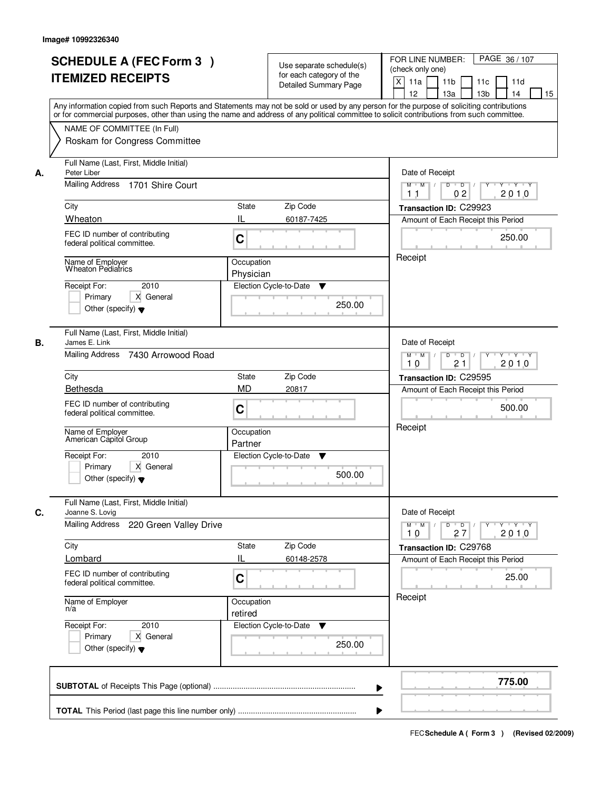|    | <b>SCHEDULE A (FEC Form 3)</b><br><b>ITEMIZED RECEIPTS</b><br>Any information copied from such Reports and Statements may not be sold or used by any person for the purpose of soliciting contributions<br>or for commercial purposes, other than using the name and address of any political committee to solicit contributions from such committee.         |                                                         | Use separate schedule(s)<br>for each category of the<br><b>Detailed Summary Page</b> | PAGE 36 / 107<br>FOR LINE NUMBER:<br>(check only one)<br>$\mathsf{X}$<br>11 <sub>b</sub><br>11a<br>11c<br>11d<br>13 <sub>b</sub><br>12<br>13a<br>14<br>15                                         |
|----|---------------------------------------------------------------------------------------------------------------------------------------------------------------------------------------------------------------------------------------------------------------------------------------------------------------------------------------------------------------|---------------------------------------------------------|--------------------------------------------------------------------------------------|---------------------------------------------------------------------------------------------------------------------------------------------------------------------------------------------------|
|    | NAME OF COMMITTEE (In Full)<br>Roskam for Congress Committee                                                                                                                                                                                                                                                                                                  |                                                         |                                                                                      |                                                                                                                                                                                                   |
| А. | Full Name (Last, First, Middle Initial)<br>Peter Liber<br>Mailing Address 1701 Shire Court<br>City<br>Wheaton<br>FEC ID number of contributing<br>federal political committee.<br>Name of Employer<br><b>Wheaton Pediatrics</b><br>2010<br>Receipt For:<br>X General                                                                                          | State<br>IL<br>C<br>Occupation<br>Physician             | Zip Code<br>60187-7425<br>Election Cycle-to-Date<br>▼                                | Date of Receipt<br>$D$ $D$ $/$<br>$Y$ $Y$ $Y$<br>$M$ $M$ /<br>$\overline{Y}$<br>02<br>2010<br>1 <sub>1</sub><br>Transaction ID: C29923<br>Amount of Each Receipt this Period<br>250.00<br>Receipt |
| В. | Primary<br>Other (specify) $\blacktriangledown$<br>Full Name (Last, First, Middle Initial)<br>James E. Link<br>Mailing Address 7430 Arrowood Road<br>City<br>Bethesda<br>FEC ID number of contributing<br>federal political committee.<br>Name of Employer<br>American Capitol Group<br>Receipt For:<br>2010<br>X General<br>Primary                          | <b>State</b><br><b>MD</b><br>C<br>Occupation<br>Partner | 250.00<br>Zip Code<br>20817<br>Election Cycle-to-Date<br>v                           | Date of Receipt<br>$M$ $M$ /<br>D<br>$\overline{D}$<br>$Y + Y + Y$<br>2010<br>21<br>10<br>Transaction ID: C29595<br>Amount of Each Receipt this Period<br>500.00<br>Receipt                       |
| C. | Other (specify) $\blacktriangledown$<br>Full Name (Last, First, Middle Initial)<br>Joanne S. Lovig<br><b>Mailing Address</b><br>220 Green Valley Drive<br>City<br>Lombard<br>FEC ID number of contributing<br>federal political committee.<br>Name of Employer<br>n/a<br>Receipt For:<br>2010<br>Primary<br>X General<br>Other (specify) $\blacktriangledown$ | <b>State</b><br>IL<br>C<br>Occupation<br>retired        | 500.00<br>Zip Code<br>60148-2578<br>Election Cycle-to-Date<br>v<br>250.00            | Date of Receipt<br>$M$ $M$<br>$\mathsf D$<br>$\overline{D}$<br>$Y + Y + Y$<br>Y<br>2010<br>10<br>27<br>Transaction ID: C29768<br>Amount of Each Receipt this Period<br>25.00<br>Receipt           |
|    |                                                                                                                                                                                                                                                                                                                                                               |                                                         | ▶                                                                                    | 775.00                                                                                                                                                                                            |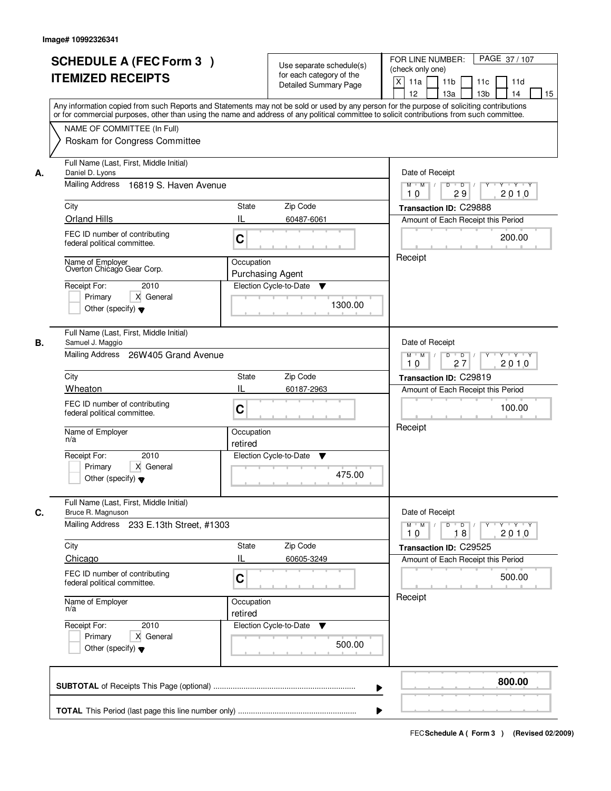|    | <b>SCHEDULE A (FEC Form 3)</b><br><b>ITEMIZED RECEIPTS</b>                                                                                                                                                                                            | Use separate schedule(s)<br>for each category of the<br>Detailed Summary Page<br>Any information copied from such Reports and Statements may not be sold or used by any person for the purpose of soliciting contributions<br>or for commercial purposes, other than using the name and address of any political committee to solicit contributions from such committee. | PAGE 37/107<br>FOR LINE NUMBER:<br>(check only one)<br>$\mathsf{X}$<br>11 <sub>b</sub><br>11a<br>11c<br>11d<br>12<br>13 <sub>b</sub><br>14<br>13a<br>15              |
|----|-------------------------------------------------------------------------------------------------------------------------------------------------------------------------------------------------------------------------------------------------------|--------------------------------------------------------------------------------------------------------------------------------------------------------------------------------------------------------------------------------------------------------------------------------------------------------------------------------------------------------------------------|----------------------------------------------------------------------------------------------------------------------------------------------------------------------|
|    | NAME OF COMMITTEE (In Full)<br>Roskam for Congress Committee                                                                                                                                                                                          |                                                                                                                                                                                                                                                                                                                                                                          |                                                                                                                                                                      |
| А. | Full Name (Last, First, Middle Initial)<br>Daniel D. Lyons<br>Mailing Address 16819 S. Haven Avenue<br>City<br><b>Orland Hills</b><br>FEC ID number of contributing<br>federal political committee.<br>Name of Employer<br>Overton Chicago Gear Corp. | State<br>Zip Code<br>IL<br>60487-6061<br>C<br>Occupation<br><b>Purchasing Agent</b>                                                                                                                                                                                                                                                                                      | Date of Receipt<br>$Y + Y + Y$<br>$M$ $M$ /<br>$D$ $D$<br>Y<br>29<br>2010<br>10<br>Transaction ID: C29888<br>Amount of Each Receipt this Period<br>200.00<br>Receipt |
|    | 2010<br>Receipt For:<br>Primary<br>X General<br>Other (specify) $\blacktriangledown$                                                                                                                                                                  | Election Cycle-to-Date<br>▼<br>1300.00                                                                                                                                                                                                                                                                                                                                   |                                                                                                                                                                      |
| В. | Full Name (Last, First, Middle Initial)<br>Samuel J. Maggio<br>Mailing Address 26W405 Grand Avenue<br>City                                                                                                                                            | Zip Code<br><b>State</b>                                                                                                                                                                                                                                                                                                                                                 | Date of Receipt<br>$M$ $M$ /<br>D<br>$\Box$<br>$Y + Y + Y$<br>27<br>2010<br>10<br>Transaction ID: C29819                                                             |
|    | Wheaton<br>FEC ID number of contributing<br>federal political committee.<br>Name of Employer<br>n/a<br>Receipt For:<br>2010<br>Primary<br>X General<br>Other (specify) $\blacktriangledown$                                                           | IL<br>60187-2963<br>C<br>Occupation<br>retired<br>Election Cycle-to-Date<br>v<br>475.00                                                                                                                                                                                                                                                                                  | Amount of Each Receipt this Period<br>100.00<br>Receipt                                                                                                              |
| C. | Full Name (Last, First, Middle Initial)<br>Bruce R. Magnuson<br>Mailing Address 233 E.13th Street, #1303<br>City<br>Chicago<br>FEC ID number of contributing<br>federal political committee.                                                          | Zip Code<br>State<br>Ш<br>60605-3249<br>C                                                                                                                                                                                                                                                                                                                                | Date of Receipt<br>$D$ $D$ $/$<br>$M = M$<br>2010<br>10<br>18<br>Transaction ID: C29525<br>Amount of Each Receipt this Period<br>500.00                              |
|    | Name of Employer<br>n/a<br>Receipt For:<br>2010<br>Primary<br>X General<br>Other (specify) $\blacktriangledown$                                                                                                                                       | Occupation<br>retired<br>Election Cycle-to-Date ▼<br>500.00                                                                                                                                                                                                                                                                                                              | Receipt                                                                                                                                                              |
|    |                                                                                                                                                                                                                                                       | ▶                                                                                                                                                                                                                                                                                                                                                                        | 800.00                                                                                                                                                               |
|    |                                                                                                                                                                                                                                                       |                                                                                                                                                                                                                                                                                                                                                                          |                                                                                                                                                                      |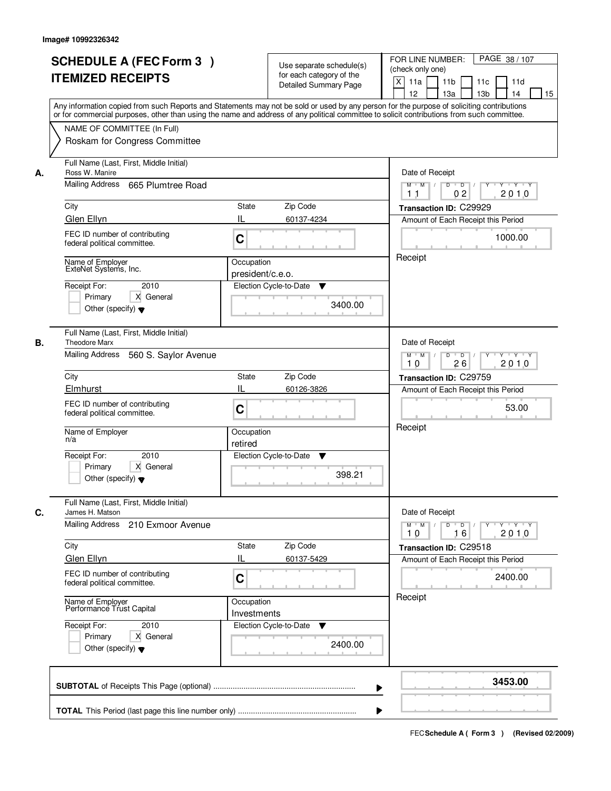|    | <b>SCHEDULE A (FEC Form 3)</b><br><b>ITEMIZED RECEIPTS</b><br>Any information copied from such Reports and Statements may not be sold or used by any person for the purpose of soliciting contributions<br>or for commercial purposes, other than using the name and address of any political committee to solicit contributions from such committee. | Use separate schedule(s)<br>for each category of the<br>Detailed Summary Page | PAGE 38 / 107<br>FOR LINE NUMBER:<br>(check only one)<br>$\mathsf{X}$<br>11 <sub>b</sub><br>11a<br>11c<br>11d<br>12<br>13 <sub>b</sub><br>14<br>13a<br>15 |
|----|-------------------------------------------------------------------------------------------------------------------------------------------------------------------------------------------------------------------------------------------------------------------------------------------------------------------------------------------------------|-------------------------------------------------------------------------------|-----------------------------------------------------------------------------------------------------------------------------------------------------------|
|    | NAME OF COMMITTEE (In Full)<br>Roskam for Congress Committee                                                                                                                                                                                                                                                                                          |                                                                               |                                                                                                                                                           |
| А. | Full Name (Last, First, Middle Initial)<br>Ross W. Manire<br>Mailing Address 665 Plumtree Road                                                                                                                                                                                                                                                        |                                                                               | Date of Receipt<br>$D$ $D$ $/$<br>$Y + Y + Y$<br>$M$ $M$ /<br>Y                                                                                           |
|    | City                                                                                                                                                                                                                                                                                                                                                  | State<br>Zip Code                                                             | 02<br>2010<br>1 <sub>1</sub><br>Transaction ID: C29929                                                                                                    |
|    | Glen Ellyn                                                                                                                                                                                                                                                                                                                                            | IL<br>60137-4234                                                              | Amount of Each Receipt this Period                                                                                                                        |
|    | FEC ID number of contributing<br>federal political committee.                                                                                                                                                                                                                                                                                         | C                                                                             | 1000.00                                                                                                                                                   |
|    | Name of Employer<br>ExteNet Systems, Inc.<br>2010<br>Receipt For:<br>X General<br>Primary<br>Other (specify) $\blacktriangledown$                                                                                                                                                                                                                     | Occupation<br>president/c.e.o.<br>Election Cycle-to-Date<br>▼<br>3400.00      | Receipt                                                                                                                                                   |
| В. | Full Name (Last, First, Middle Initial)<br><b>Theodore Marx</b><br>Mailing Address<br>560 S. Saylor Avenue                                                                                                                                                                                                                                            |                                                                               | Date of Receipt<br>$M$ $M$ /<br>D<br>$\overline{D}$ /<br>Y 'Y 'Y                                                                                          |
|    |                                                                                                                                                                                                                                                                                                                                                       |                                                                               | 26<br>2010<br>10                                                                                                                                          |
|    | City<br>Elmhurst                                                                                                                                                                                                                                                                                                                                      | Zip Code<br><b>State</b><br>IL                                                | Transaction ID: C29759                                                                                                                                    |
|    | FEC ID number of contributing<br>federal political committee.                                                                                                                                                                                                                                                                                         | 60126-3826<br>C                                                               | Amount of Each Receipt this Period<br>53.00                                                                                                               |
|    | Name of Employer<br>n/a                                                                                                                                                                                                                                                                                                                               | Occupation<br>retired                                                         | Receipt                                                                                                                                                   |
|    | Receipt For:<br>2010<br>Primary<br>X General<br>Other (specify) $\blacktriangledown$                                                                                                                                                                                                                                                                  | Election Cycle-to-Date<br>v<br>398.21                                         |                                                                                                                                                           |
| C. | Full Name (Last, First, Middle Initial)<br>James H. Matson                                                                                                                                                                                                                                                                                            |                                                                               | Date of Receipt                                                                                                                                           |
|    | Mailing Address 210 Exmoor Avenue                                                                                                                                                                                                                                                                                                                     |                                                                               | $M$ $M$<br>2010<br>10<br>16                                                                                                                               |
|    | City                                                                                                                                                                                                                                                                                                                                                  | Zip Code<br>State                                                             | Transaction ID: C29518                                                                                                                                    |
|    | Glen Ellyn<br>FEC ID number of contributing<br>federal political committee.                                                                                                                                                                                                                                                                           | Ш<br>60137-5429<br>C                                                          | Amount of Each Receipt this Period<br>2400.00                                                                                                             |
|    | Name of Employer<br>Performance Trust Capital                                                                                                                                                                                                                                                                                                         | Occupation<br>Investments                                                     | Receipt                                                                                                                                                   |
|    | Receipt For:<br>2010<br>Primary<br>X General<br>Other (specify) $\blacktriangledown$                                                                                                                                                                                                                                                                  | Election Cycle-to-Date ▼<br>2400.00                                           |                                                                                                                                                           |
|    |                                                                                                                                                                                                                                                                                                                                                       |                                                                               | 3453.00<br>▶                                                                                                                                              |
|    |                                                                                                                                                                                                                                                                                                                                                       |                                                                               |                                                                                                                                                           |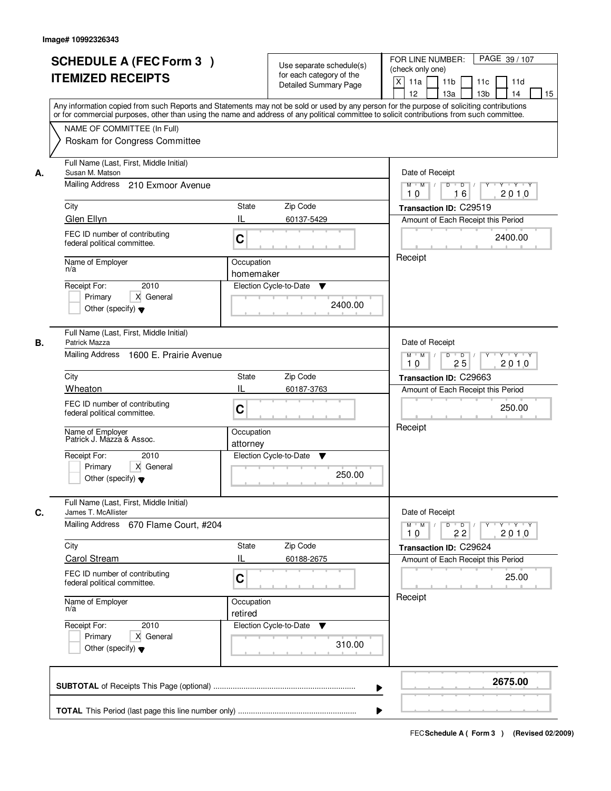|    | <b>SCHEDULE A (FEC Form 3)</b><br><b>ITEMIZED RECEIPTS</b>                                                                            | Use separate schedule(s)<br>for each category of the<br>Detailed Summary Page | PAGE 39 / 107<br>FOR LINE NUMBER:<br>(check only one)<br>$\mathsf{X}$<br>11 <sub>b</sub><br>11a<br>11c<br>11d<br>12<br>13 <sub>b</sub><br>14<br>13a<br>15<br>Any information copied from such Reports and Statements may not be sold or used by any person for the purpose of soliciting contributions<br>or for commercial purposes, other than using the name and address of any political committee to solicit contributions from such committee. |
|----|---------------------------------------------------------------------------------------------------------------------------------------|-------------------------------------------------------------------------------|------------------------------------------------------------------------------------------------------------------------------------------------------------------------------------------------------------------------------------------------------------------------------------------------------------------------------------------------------------------------------------------------------------------------------------------------------|
|    | NAME OF COMMITTEE (In Full)<br>Roskam for Congress Committee                                                                          |                                                                               |                                                                                                                                                                                                                                                                                                                                                                                                                                                      |
| А. | Full Name (Last, First, Middle Initial)<br>Susan M. Matson<br>Mailing Address 210 Exmoor Avenue                                       |                                                                               | Date of Receipt<br>$Y + Y + Y$<br>$M$ $M$ /<br>$D$ $D$ $1$<br>Y<br>16<br>2010<br>10                                                                                                                                                                                                                                                                                                                                                                  |
|    | City<br>Glen Ellyn                                                                                                                    | State<br>Zip Code<br>IL<br>60137-5429                                         | Transaction ID: C29519<br>Amount of Each Receipt this Period                                                                                                                                                                                                                                                                                                                                                                                         |
|    | FEC ID number of contributing<br>federal political committee.                                                                         | C                                                                             | 2400.00<br>Receipt                                                                                                                                                                                                                                                                                                                                                                                                                                   |
|    | Name of Employer<br>n/a<br>2010<br>Receipt For:<br>X General<br>Primary<br>Other (specify) $\blacktriangledown$                       | Occupation<br>homemaker<br>Election Cycle-to-Date<br>▼                        | 2400.00                                                                                                                                                                                                                                                                                                                                                                                                                                              |
| В. | Full Name (Last, First, Middle Initial)<br>Patrick Mazza<br>Mailing Address<br>1600 E. Prairie Avenue                                 |                                                                               | Date of Receipt<br>$M$ $M$ /<br>D<br>$\overline{D}$<br>Y 'Y 'Y<br>25<br>2010<br>10                                                                                                                                                                                                                                                                                                                                                                   |
|    | City                                                                                                                                  | <b>State</b><br>Zip Code                                                      | Transaction ID: C29663                                                                                                                                                                                                                                                                                                                                                                                                                               |
|    | Wheaton<br>FEC ID number of contributing<br>federal political committee.                                                              | IL<br>60187-3763<br>C                                                         | Amount of Each Receipt this Period<br>250.00<br>Receipt                                                                                                                                                                                                                                                                                                                                                                                              |
|    | Name of Employer<br>Patrick J. Mazza & Assoc.<br>Receipt For:<br>2010<br>Primary<br>X General<br>Other (specify) $\blacktriangledown$ | Occupation<br>attorney<br>Election Cycle-to-Date<br>v                         | 250.00                                                                                                                                                                                                                                                                                                                                                                                                                                               |
| C. | Full Name (Last, First, Middle Initial)<br>James T. McAllister<br><b>Mailing Address</b><br>670 Flame Court, #204                     |                                                                               | Date of Receipt<br>$D$ $D$ $/$<br>$M = M$<br><b>EY FY FY FY</b><br>2010<br>10<br>22                                                                                                                                                                                                                                                                                                                                                                  |
|    | City                                                                                                                                  | Zip Code<br>State                                                             | Transaction ID: C29624                                                                                                                                                                                                                                                                                                                                                                                                                               |
|    | Carol Stream<br>FEC ID number of contributing<br>federal political committee.                                                         | Ш<br>60188-2675<br>C                                                          | Amount of Each Receipt this Period<br>25.00                                                                                                                                                                                                                                                                                                                                                                                                          |
|    | Name of Employer<br>n/a                                                                                                               | Occupation<br>retired                                                         | Receipt                                                                                                                                                                                                                                                                                                                                                                                                                                              |
|    | Receipt For:<br>2010<br>Primary<br>X General<br>Other (specify) $\blacktriangledown$                                                  | Election Cycle-to-Date ▼                                                      | 310.00                                                                                                                                                                                                                                                                                                                                                                                                                                               |
|    |                                                                                                                                       |                                                                               | 2675.00<br>▶                                                                                                                                                                                                                                                                                                                                                                                                                                         |
|    |                                                                                                                                       |                                                                               |                                                                                                                                                                                                                                                                                                                                                                                                                                                      |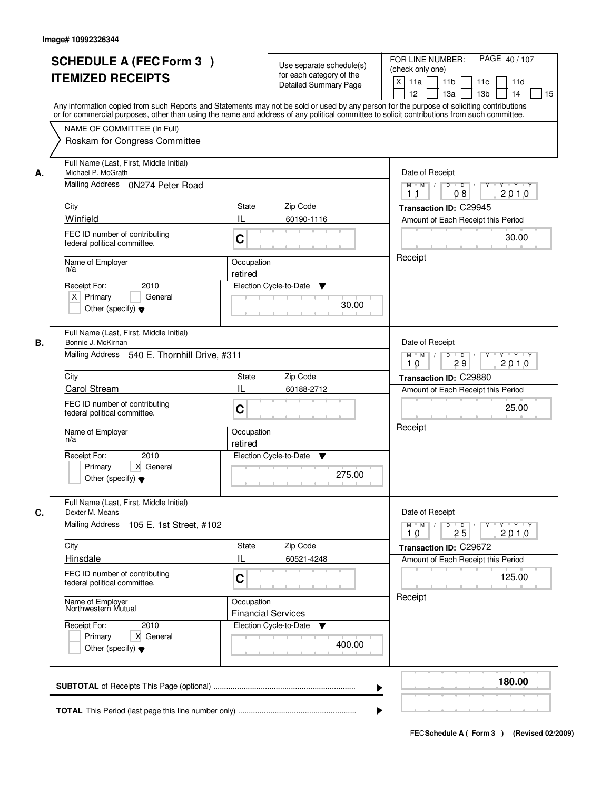|    | <b>SCHEDULE A (FEC Form 3)</b><br><b>ITEMIZED RECEIPTS</b><br>Any information copied from such Reports and Statements may not be sold or used by any person for the purpose of soliciting contributions<br>or for commercial purposes, other than using the name and address of any political committee to solicit contributions from such committee.<br>NAME OF COMMITTEE (In Full) |                       | Use separate schedule(s)<br>for each category of the<br><b>Detailed Summary Page</b> | PAGE 40 / 107<br>FOR LINE NUMBER:<br>(check only one)<br>$\mathsf{X}$<br>11a<br>11 <sub>b</sub><br>11c<br>11d<br>13 <sub>b</sub><br>12 <sup>2</sup><br>13a<br>14<br>15 |
|----|--------------------------------------------------------------------------------------------------------------------------------------------------------------------------------------------------------------------------------------------------------------------------------------------------------------------------------------------------------------------------------------|-----------------------|--------------------------------------------------------------------------------------|------------------------------------------------------------------------------------------------------------------------------------------------------------------------|
|    | Roskam for Congress Committee                                                                                                                                                                                                                                                                                                                                                        |                       |                                                                                      |                                                                                                                                                                        |
| А. | Full Name (Last, First, Middle Initial)<br>Michael P. McGrath<br>Mailing Address 0N274 Peter Road<br>City                                                                                                                                                                                                                                                                            | State                 | Zip Code                                                                             | Date of Receipt<br>$D$ $D$ $/$<br>$Y$ $Y$ $Y$<br>$M$ $M$ /<br>$\overline{Y}$<br>2010<br>1 <sub>1</sub><br>08                                                           |
|    | Winfield                                                                                                                                                                                                                                                                                                                                                                             | IL                    |                                                                                      | Transaction ID: C29945                                                                                                                                                 |
|    | FEC ID number of contributing<br>federal political committee.                                                                                                                                                                                                                                                                                                                        | C                     | 60190-1116                                                                           | Amount of Each Receipt this Period<br>30.00                                                                                                                            |
|    | Name of Employer<br>n/a<br>2010<br>Receipt For:<br>$X$ Primary<br>General<br>Other (specify) $\blacktriangledown$                                                                                                                                                                                                                                                                    | Occupation<br>retired | Election Cycle-to-Date<br>▼<br>30.00                                                 | Receipt                                                                                                                                                                |
| В. | Full Name (Last, First, Middle Initial)<br>Bonnie J. McKirnan<br>Mailing Address 540 E. Thornhill Drive, #311                                                                                                                                                                                                                                                                        |                       |                                                                                      | Date of Receipt<br>$Y - Y - Y$<br>$M$ $M$ /<br>D<br>$\overline{\phantom{0}}$<br>2010<br>29<br>10                                                                       |
|    | City                                                                                                                                                                                                                                                                                                                                                                                 | <b>State</b>          | Zip Code                                                                             | Transaction ID: C29880                                                                                                                                                 |
|    | Carol Stream                                                                                                                                                                                                                                                                                                                                                                         | IL                    | 60188-2712                                                                           | Amount of Each Receipt this Period                                                                                                                                     |
|    | FEC ID number of contributing<br>federal political committee.                                                                                                                                                                                                                                                                                                                        | C                     |                                                                                      | 25.00                                                                                                                                                                  |
|    | Name of Employer<br>n/a                                                                                                                                                                                                                                                                                                                                                              | Occupation<br>retired |                                                                                      | Receipt                                                                                                                                                                |
|    | Receipt For:<br>2010<br>Primary<br>X General<br>Other (specify) $\blacktriangledown$                                                                                                                                                                                                                                                                                                 |                       | Election Cycle-to-Date<br>v<br>275.00                                                |                                                                                                                                                                        |
| C. | Full Name (Last, First, Middle Initial)<br>Dexter M. Means                                                                                                                                                                                                                                                                                                                           |                       |                                                                                      | Date of Receipt                                                                                                                                                        |
|    | <b>Mailing Address</b><br>105 E. 1st Street, #102                                                                                                                                                                                                                                                                                                                                    |                       |                                                                                      | $M^{\prime}$ M $\rightarrow$ /<br>$\mathsf D$<br>$\overline{D}$<br>Y Y Y Y<br>Y<br>25<br>2010<br>10                                                                    |
|    | City<br><b>Hinsdale</b>                                                                                                                                                                                                                                                                                                                                                              | <b>State</b><br>IL    | Zip Code<br>60521-4248                                                               | Transaction ID: C29672<br>Amount of Each Receipt this Period                                                                                                           |
|    | FEC ID number of contributing<br>federal political committee.                                                                                                                                                                                                                                                                                                                        | C                     |                                                                                      | 125.00                                                                                                                                                                 |
|    | Name of Employer<br>Northwestern Mutual                                                                                                                                                                                                                                                                                                                                              | Occupation            | <b>Financial Services</b>                                                            | Receipt                                                                                                                                                                |
|    | Receipt For:<br>2010<br>Primary<br>X General<br>Other (specify) $\blacktriangledown$                                                                                                                                                                                                                                                                                                 |                       | Election Cycle-to-Date<br>v<br>400.00                                                |                                                                                                                                                                        |
|    |                                                                                                                                                                                                                                                                                                                                                                                      |                       | ▶                                                                                    | 180.00                                                                                                                                                                 |
|    |                                                                                                                                                                                                                                                                                                                                                                                      |                       |                                                                                      |                                                                                                                                                                        |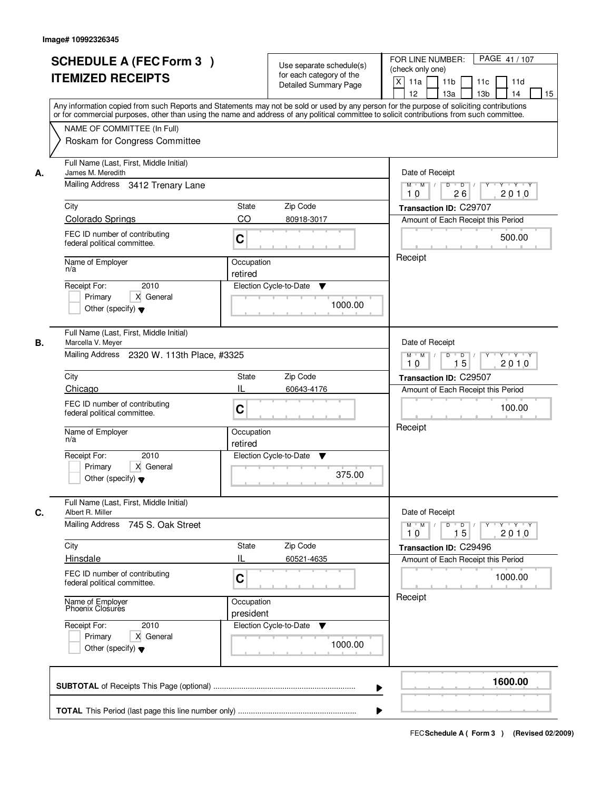|    | <b>SCHEDULE A (FEC Form 3)</b><br><b>ITEMIZED RECEIPTS</b><br>Any information copied from such Reports and Statements may not be sold or used by any person for the purpose of soliciting contributions<br>or for commercial purposes, other than using the name and address of any political committee to solicit contributions from such committee. | Use separate schedule(s)<br>for each category of the<br><b>Detailed Summary Page</b> | PAGE 41 / 107<br>FOR LINE NUMBER:<br>(check only one)<br>$\mathsf{X}$<br>11 <sub>b</sub><br>11a<br>11c<br>11d<br>12<br>13 <sub>b</sub><br>14<br>13a<br>15 |
|----|-------------------------------------------------------------------------------------------------------------------------------------------------------------------------------------------------------------------------------------------------------------------------------------------------------------------------------------------------------|--------------------------------------------------------------------------------------|-----------------------------------------------------------------------------------------------------------------------------------------------------------|
|    | NAME OF COMMITTEE (In Full)<br>Roskam for Congress Committee                                                                                                                                                                                                                                                                                          |                                                                                      |                                                                                                                                                           |
| А. | Full Name (Last, First, Middle Initial)<br>James M. Meredith<br>Mailing Address 3412 Trenary Lane                                                                                                                                                                                                                                                     |                                                                                      | Date of Receipt<br>$Y + Y + Y$<br>$M$ $M$ /<br>$D$ $D$ $/$<br>Y                                                                                           |
|    |                                                                                                                                                                                                                                                                                                                                                       |                                                                                      | 2010<br>10<br>26                                                                                                                                          |
|    | City                                                                                                                                                                                                                                                                                                                                                  | State<br>Zip Code                                                                    | Transaction ID: C29707                                                                                                                                    |
|    | <b>Colorado Springs</b><br>FEC ID number of contributing<br>federal political committee.                                                                                                                                                                                                                                                              | CO<br>80918-3017<br>C                                                                | Amount of Each Receipt this Period<br>500.00                                                                                                              |
|    | Name of Employer<br>n/a<br>2010                                                                                                                                                                                                                                                                                                                       | Occupation<br>retired                                                                | Receipt                                                                                                                                                   |
|    | Receipt For:<br>X General<br>Primary<br>Other (specify) $\blacktriangledown$                                                                                                                                                                                                                                                                          | Election Cycle-to-Date<br>▼<br>1000.00                                               |                                                                                                                                                           |
| В. | Full Name (Last, First, Middle Initial)<br>Marcella V. Meyer<br>Mailing Address 2320 W. 113th Place, #3325                                                                                                                                                                                                                                            |                                                                                      | Date of Receipt<br>$\mathsf D$<br>$M$ $M$ /<br>$\overline{D}$<br>$Y \vdash Y \vdash Y$                                                                    |
|    | City                                                                                                                                                                                                                                                                                                                                                  | Zip Code<br><b>State</b>                                                             | 15<br>2010<br>10<br>Transaction ID: C29507                                                                                                                |
|    | Chicago                                                                                                                                                                                                                                                                                                                                               | IL<br>60643-4176                                                                     | Amount of Each Receipt this Period                                                                                                                        |
|    | FEC ID number of contributing<br>federal political committee.                                                                                                                                                                                                                                                                                         | C                                                                                    | 100.00                                                                                                                                                    |
|    | Name of Employer<br>n/a                                                                                                                                                                                                                                                                                                                               | Occupation<br>retired                                                                | Receipt                                                                                                                                                   |
|    | Receipt For:<br>2010<br>Primary<br>X General<br>Other (specify) $\blacktriangledown$                                                                                                                                                                                                                                                                  | Election Cycle-to-Date<br>v<br>375.00                                                |                                                                                                                                                           |
| C. | Full Name (Last, First, Middle Initial)<br>Albert R. Miller                                                                                                                                                                                                                                                                                           |                                                                                      | Date of Receipt                                                                                                                                           |
|    | Mailing Address 745 S. Oak Street                                                                                                                                                                                                                                                                                                                     |                                                                                      | $D$ $D$ $/$<br>$M = M$<br>2010<br>10<br>15                                                                                                                |
|    | City                                                                                                                                                                                                                                                                                                                                                  | Zip Code<br>State                                                                    | Transaction ID: C29496                                                                                                                                    |
|    | <b>Hinsdale</b><br>FEC ID number of contributing<br>federal political committee.                                                                                                                                                                                                                                                                      | Ш<br>60521-4635<br>C                                                                 | Amount of Each Receipt this Period<br>1000.00                                                                                                             |
|    | Name of Employer<br>Phoenix Closures                                                                                                                                                                                                                                                                                                                  | Occupation<br>president                                                              | Receipt                                                                                                                                                   |
|    | Receipt For:<br>2010<br>Primary<br>X General<br>Other (specify) $\blacktriangledown$                                                                                                                                                                                                                                                                  | Election Cycle-to-Date<br>$\mathbf v$<br>1000.00                                     |                                                                                                                                                           |
|    |                                                                                                                                                                                                                                                                                                                                                       |                                                                                      | 1600.00<br>▶                                                                                                                                              |
|    |                                                                                                                                                                                                                                                                                                                                                       |                                                                                      |                                                                                                                                                           |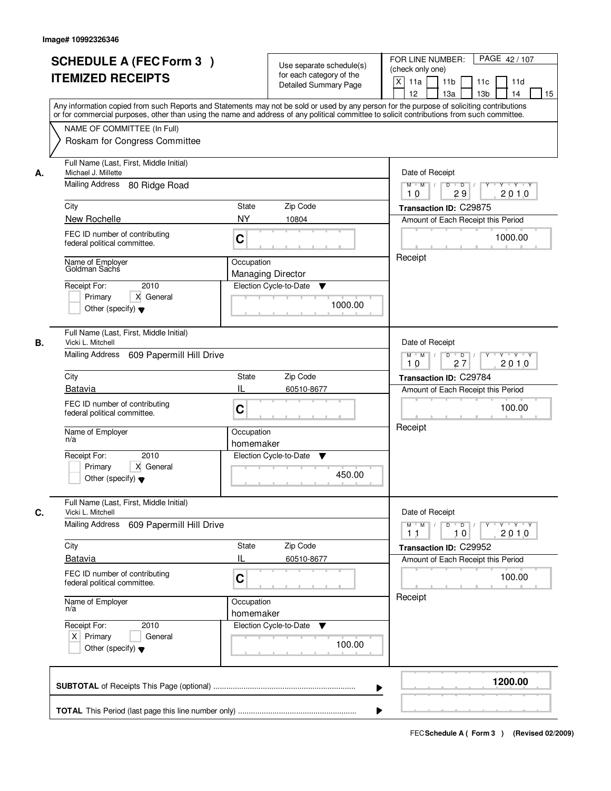|    | <b>SCHEDULE A (FEC Form 3)</b><br><b>ITEMIZED RECEIPTS</b><br>Any information copied from such Reports and Statements may not be sold or used by any person for the purpose of soliciting contributions<br>or for commercial purposes, other than using the name and address of any political committee to solicit contributions from such committee. |                                                                                             | Use separate schedule(s)<br>for each category of the<br><b>Detailed Summary Page</b> | PAGE 42/107<br>FOR LINE NUMBER:<br>(check only one)<br>X<br>11a<br>11 <sub>b</sub><br>11c<br>11d<br>12<br>13a<br>13 <sub>b</sub><br>14<br>15                                                    |
|----|-------------------------------------------------------------------------------------------------------------------------------------------------------------------------------------------------------------------------------------------------------------------------------------------------------------------------------------------------------|---------------------------------------------------------------------------------------------|--------------------------------------------------------------------------------------|-------------------------------------------------------------------------------------------------------------------------------------------------------------------------------------------------|
|    | NAME OF COMMITTEE (In Full)<br>Roskam for Congress Committee                                                                                                                                                                                                                                                                                          |                                                                                             |                                                                                      |                                                                                                                                                                                                 |
| А. | Full Name (Last, First, Middle Initial)<br>Michael J. Millette<br><b>Mailing Address</b><br>80 Ridge Road<br>City<br>New Rochelle<br>FEC ID number of contributing<br>federal political committee.<br>Name of Employer<br>Goldman Sachs<br>2010<br>Receipt For:<br>X General<br>Primary                                                               | State<br><b>NY</b><br>C<br>Occupation<br><b>Managing Director</b><br>Election Cycle-to-Date | Zip Code<br>10804<br>▼                                                               | Date of Receipt<br>$M$ $M$<br>$D$ $D$<br>Y TYTEY<br>Y<br>29<br>2010<br>10<br>Transaction ID: C29875<br>Amount of Each Receipt this Period<br>1000.00<br>Receipt                                 |
| В. | Other (specify) $\blacktriangledown$<br>Full Name (Last, First, Middle Initial)<br>Vicki L. Mitchell<br>Mailing Address<br>609 Papermill Hill Drive<br>City<br>Batavia<br>FEC ID number of contributing<br>federal political committee.<br>Name of Employer<br>n/a                                                                                    | State<br>IL<br>C<br>Occupation<br>homemaker                                                 | 1000.00<br>Zip Code<br>60510-8677                                                    | Date of Receipt<br>$Y \vdash Y \vdash Y$<br>$M$ $M$ /<br>D<br>$\overline{\phantom{0}}$<br>2010<br>27<br>10<br>Transaction ID: C29784<br>Amount of Each Receipt this Period<br>100.00<br>Receipt |
| C. | Receipt For:<br>2010<br>Primary<br>X General<br>Other (specify) $\blacktriangledown$<br>Full Name (Last, First, Middle Initial)<br>Vicki L. Mitchell<br><b>Mailing Address</b><br>609 Papermill Hill Drive<br>City<br><b>Batavia</b>                                                                                                                  | Election Cycle-to-Date<br>State<br>IL                                                       | v<br>450.00<br>Zip Code<br>60510-8677                                                | Date of Receipt<br>$M$ $M$<br>$D$ $D$ $l$<br>$Y^+$<br>$Y + Y + Y$<br>2010<br>11<br>10<br>Transaction ID: C29952<br>Amount of Each Receipt this Period                                           |
|    | FEC ID number of contributing<br>federal political committee.<br>Name of Employer<br>n/a<br>Receipt For:<br>2010<br>$X$ Primary<br>General<br>Other (specify) $\blacktriangledown$                                                                                                                                                                    | C<br>Occupation<br>homemaker<br>Election Cycle-to-Date                                      | v<br>100.00                                                                          | 100.00<br>Receipt                                                                                                                                                                               |
|    |                                                                                                                                                                                                                                                                                                                                                       |                                                                                             | ▶                                                                                    | 1200.00                                                                                                                                                                                         |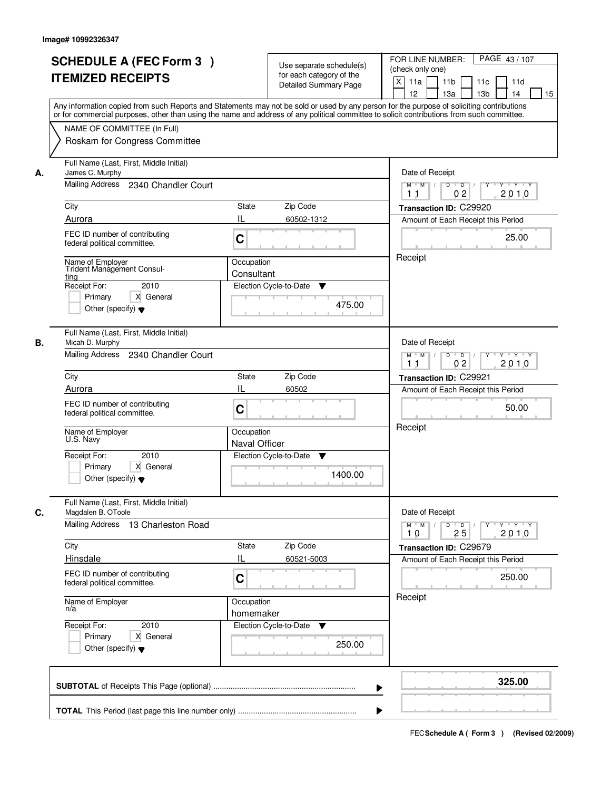| <b>SCHEDULE A (FEC Form 3)</b><br><b>ITEMIZED RECEIPTS</b>                                                                              |                                               | Use separate schedule(s)<br>for each category of the<br><b>Detailed Summary Page</b> | PAGE 43/107<br>FOR LINE NUMBER:<br>(check only one)<br>$\boldsymbol{\mathsf{X}}$<br>11 <sub>b</sub><br>11a<br>11 <sub>c</sub><br>11d<br>12<br>13 <sub>b</sub><br>14<br>13a<br>15<br>Any information copied from such Reports and Statements may not be sold or used by any person for the purpose of soliciting contributions |
|-----------------------------------------------------------------------------------------------------------------------------------------|-----------------------------------------------|--------------------------------------------------------------------------------------|-------------------------------------------------------------------------------------------------------------------------------------------------------------------------------------------------------------------------------------------------------------------------------------------------------------------------------|
| NAME OF COMMITTEE (In Full)<br>Roskam for Congress Committee                                                                            |                                               |                                                                                      | or for commercial purposes, other than using the name and address of any political committee to solicit contributions from such committee.                                                                                                                                                                                    |
| Full Name (Last, First, Middle Initial)<br>James C. Murphy<br>А.<br>Mailing Address 2340 Chandler Court                                 |                                               |                                                                                      | Date of Receipt<br>$D$ $D$ $1$<br>Y<br>$Y - Y - Y - Y$<br>$M$ $M$ /<br>02<br>2010<br>1 <sub>1</sub>                                                                                                                                                                                                                           |
| City                                                                                                                                    | <b>State</b>                                  | Zip Code                                                                             | Transaction ID: C29920                                                                                                                                                                                                                                                                                                        |
| Aurora                                                                                                                                  | IL                                            | 60502-1312                                                                           | Amount of Each Receipt this Period                                                                                                                                                                                                                                                                                            |
| FEC ID number of contributing<br>federal political committee.                                                                           | C                                             |                                                                                      | 25.00                                                                                                                                                                                                                                                                                                                         |
| Name of Employer<br><b>Trident Management Consul-</b><br><u>ting</u><br>Receipt For:<br>Primary<br>Other (specify) $\blacktriangledown$ | Occupation<br>Consultant<br>2010<br>X General | Election Cycle-to-Date<br>▼<br>475.00                                                | Receipt                                                                                                                                                                                                                                                                                                                       |
| Full Name (Last, First, Middle Initial)<br>В.<br>Micah D. Murphy<br>Mailing Address 2340 Chandler Court                                 |                                               |                                                                                      | Date of Receipt<br>$M$ $M$ /<br>D<br>$\overline{D}$ /<br>$Y + Y + Y$                                                                                                                                                                                                                                                          |
| City                                                                                                                                    | State                                         | Zip Code                                                                             | 0 <sub>2</sub><br>2010<br>11<br>Transaction ID: C29921                                                                                                                                                                                                                                                                        |
| Aurora                                                                                                                                  | IL                                            | 60502                                                                                | Amount of Each Receipt this Period                                                                                                                                                                                                                                                                                            |
| FEC ID number of contributing<br>federal political committee.                                                                           | C                                             |                                                                                      | 50.00                                                                                                                                                                                                                                                                                                                         |
| Name of Employer<br>U.S. Navy                                                                                                           | Occupation<br>Naval Officer                   |                                                                                      | Receipt                                                                                                                                                                                                                                                                                                                       |
| Receipt For:<br>Primary<br>Other (specify) $\blacktriangledown$                                                                         | 2010<br>X General                             | Election Cycle-to-Date<br>▼<br>1400.00                                               |                                                                                                                                                                                                                                                                                                                               |
| Full Name (Last, First, Middle Initial)<br>C.<br>Magdalen B. OToole<br>Mailing Address 13 Charleston Road                               |                                               |                                                                                      | Date of Receipt<br>$D$ $D$ $/$<br>$M$ $M$<br>$\mathsf{Y} \dashv \neg \mathsf{Y} \dashv \neg \mathsf{Y}$<br>$Y^+$                                                                                                                                                                                                              |
|                                                                                                                                         |                                               |                                                                                      | 2010<br>10<br>25                                                                                                                                                                                                                                                                                                              |
| City<br>Hinsdale                                                                                                                        | State<br>Ш                                    | Zip Code<br>60521-5003                                                               | Transaction ID: C29679<br>Amount of Each Receipt this Period                                                                                                                                                                                                                                                                  |
| FEC ID number of contributing<br>federal political committee.                                                                           | C                                             |                                                                                      | 250.00                                                                                                                                                                                                                                                                                                                        |
| Name of Employer<br>n/a                                                                                                                 | Occupation<br>homemaker                       |                                                                                      | Receipt                                                                                                                                                                                                                                                                                                                       |
| Receipt For:<br>Primary<br>Other (specify) $\blacktriangledown$                                                                         | 2010<br>X General                             | Election Cycle-to-Date ▼<br>250.00                                                   |                                                                                                                                                                                                                                                                                                                               |
|                                                                                                                                         |                                               |                                                                                      | 325.00                                                                                                                                                                                                                                                                                                                        |
|                                                                                                                                         |                                               |                                                                                      |                                                                                                                                                                                                                                                                                                                               |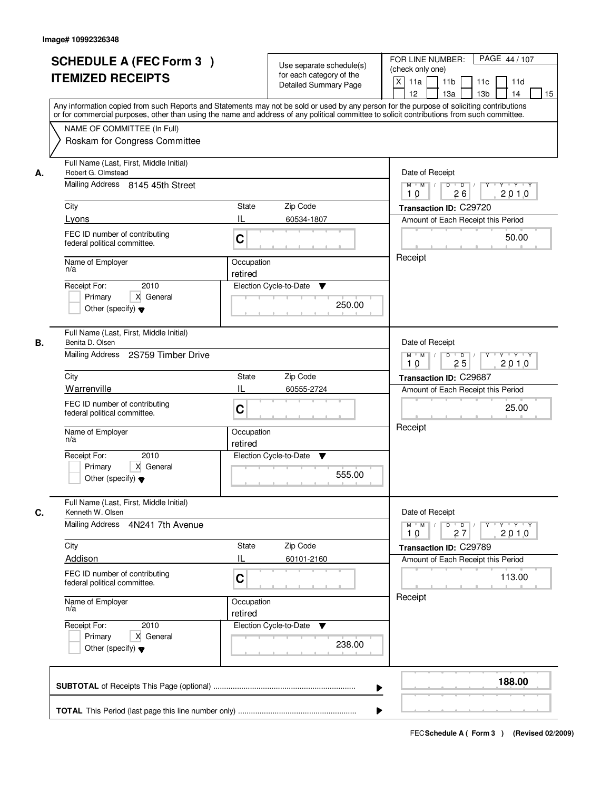|                            | <b>SCHEDULE A (FEC Form 3)</b><br><b>ITEMIZED RECEIPTS</b>                                                                                                                                                                                                                                        |                                                  | Use separate schedule(s)<br>for each category of the<br><b>Detailed Summary Page</b> | PAGE 44 / 107<br>FOR LINE NUMBER:<br>(check only one)<br>$\mathsf{X}$<br>11 <sub>b</sub><br>11a<br>11c<br>11d<br>12<br>13 <sub>b</sub><br>14<br>13a<br>15<br>Any information copied from such Reports and Statements may not be sold or used by any person for the purpose of soliciting contributions<br>or for commercial purposes, other than using the name and address of any political committee to solicit contributions from such committee. |
|----------------------------|---------------------------------------------------------------------------------------------------------------------------------------------------------------------------------------------------------------------------------------------------------------------------------------------------|--------------------------------------------------|--------------------------------------------------------------------------------------|------------------------------------------------------------------------------------------------------------------------------------------------------------------------------------------------------------------------------------------------------------------------------------------------------------------------------------------------------------------------------------------------------------------------------------------------------|
|                            | NAME OF COMMITTEE (In Full)<br>Roskam for Congress Committee                                                                                                                                                                                                                                      |                                                  |                                                                                      |                                                                                                                                                                                                                                                                                                                                                                                                                                                      |
| А.<br>City<br>Lyons<br>n/a | Full Name (Last, First, Middle Initial)<br>Robert G. Olmstead<br>Mailing Address 8145 45th Street<br>FEC ID number of contributing<br>federal political committee.<br>Name of Employer<br>2010<br>Receipt For:<br>X General<br>Primary<br>Other (specify) $\blacktriangledown$                    | State<br>IL<br>C<br>Occupation<br>retired        | Zip Code<br>60534-1807<br>Election Cycle-to-Date<br>▼<br>250.00                      | Date of Receipt<br>$Y + Y + Y$<br>$M$ $M$ /<br>$D$ $D$ $1$<br>Y<br>26<br>2010<br>10<br>Transaction ID: C29720<br>Amount of Each Receipt this Period<br>50.00<br>Receipt                                                                                                                                                                                                                                                                              |
| В.<br>City<br>n/a          | Full Name (Last, First, Middle Initial)<br>Benita D. Olsen<br>Mailing Address<br>2S759 Timber Drive<br>Warrenville<br>FEC ID number of contributing<br>federal political committee.<br>Name of Employer<br>Receipt For:<br>2010<br>Primary<br>X General<br>Other (specify) $\blacktriangledown$   | <b>State</b><br>IL<br>C<br>Occupation<br>retired | Zip Code<br>60555-2724<br>Election Cycle-to-Date<br>v<br>555.00                      | Date of Receipt<br>$M$ $M$ /<br>D<br>$\overline{D}$<br>$Y \vdash Y \vdash Y$<br>25<br>2010<br>10<br>Transaction ID: C29687<br>Amount of Each Receipt this Period<br>25.00<br>Receipt                                                                                                                                                                                                                                                                 |
| C.<br>City<br>n/a          | Full Name (Last, First, Middle Initial)<br>Kenneth W. Olsen<br><b>Mailing Address</b><br>4N241 7th Avenue<br>Addison<br>FEC ID number of contributing<br>federal political committee.<br>Name of Employer<br>Receipt For:<br>2010<br>Primary<br>X General<br>Other (specify) $\blacktriangledown$ | <b>State</b><br>IL<br>C<br>Occupation<br>retired | Zip Code<br>60101-2160<br>Election Cycle-to-Date ▼<br>238.00                         | Date of Receipt<br>$D$ $D$ $/$<br>$M$ $M$ $/$<br>$\begin{array}{cccccccccc} &\mathsf{Y} &\mathsf{I} &\mathsf{Y} &\mathsf{I} &\mathsf{Y} &\mathsf{I} &\mathsf{Y}\end{array}$<br>2010<br>10<br>27<br>Transaction ID: C29789<br>Amount of Each Receipt this Period<br>113.00<br>Receipt                                                                                                                                                                 |
|                            |                                                                                                                                                                                                                                                                                                   |                                                  | ▶                                                                                    | 188.00                                                                                                                                                                                                                                                                                                                                                                                                                                               |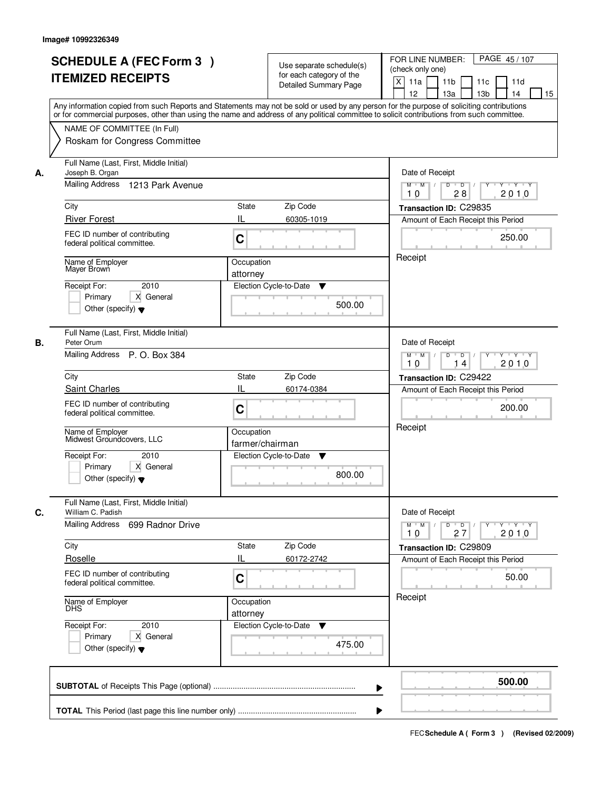|    | <b>SCHEDULE A (FEC Form 3)</b><br><b>ITEMIZED RECEIPTS</b>                                                                     | Use separate schedule(s)<br>for each category of the<br><b>Detailed Summary Page</b><br>Any information copied from such Reports and Statements may not be sold or used by any person for the purpose of soliciting contributions<br>or for commercial purposes, other than using the name and address of any political committee to solicit contributions from such committee. | PAGE 45/107<br>FOR LINE NUMBER:<br>(check only one)<br>$\mathsf{X}$<br>11 <sub>b</sub><br>11a<br>11c<br>11d<br>12<br>13 <sub>b</sub><br>14<br>13a<br>15                  |
|----|--------------------------------------------------------------------------------------------------------------------------------|---------------------------------------------------------------------------------------------------------------------------------------------------------------------------------------------------------------------------------------------------------------------------------------------------------------------------------------------------------------------------------|--------------------------------------------------------------------------------------------------------------------------------------------------------------------------|
|    | NAME OF COMMITTEE (In Full)<br>Roskam for Congress Committee                                                                   |                                                                                                                                                                                                                                                                                                                                                                                 |                                                                                                                                                                          |
| А. | Full Name (Last, First, Middle Initial)<br>Joseph B. Organ<br>Mailing Address 1213 Park Avenue                                 |                                                                                                                                                                                                                                                                                                                                                                                 | Date of Receipt<br>$Y + Y + Y$<br>$M$ $M$ /<br>$D$ $D$<br>Y<br>$\sqrt{ }$                                                                                                |
|    | City                                                                                                                           | State<br>Zip Code                                                                                                                                                                                                                                                                                                                                                               | 2010<br>10<br>28                                                                                                                                                         |
|    | <b>River Forest</b>                                                                                                            | IL<br>60305-1019                                                                                                                                                                                                                                                                                                                                                                | Transaction ID: C29835<br>Amount of Each Receipt this Period                                                                                                             |
|    | FEC ID number of contributing<br>federal political committee.                                                                  | C                                                                                                                                                                                                                                                                                                                                                                               | 250.00                                                                                                                                                                   |
|    | Name of Employer<br>Mayer Brown<br>2010<br>Receipt For:<br>X General<br>Primary                                                | Occupation<br>attorney<br>Election Cycle-to-Date<br>▼<br>500.00                                                                                                                                                                                                                                                                                                                 | Receipt                                                                                                                                                                  |
| В. | Other (specify) $\blacktriangledown$<br>Full Name (Last, First, Middle Initial)<br>Peter Orum<br>Mailing Address P. O. Box 384 |                                                                                                                                                                                                                                                                                                                                                                                 | Date of Receipt<br>$M$ $M$ /<br>D<br>$\overline{\phantom{0}}$<br>Y 'Y 'Y                                                                                                 |
|    |                                                                                                                                |                                                                                                                                                                                                                                                                                                                                                                                 | 2010<br>10<br>14                                                                                                                                                         |
|    | City                                                                                                                           | Zip Code<br><b>State</b>                                                                                                                                                                                                                                                                                                                                                        | Transaction ID: C29422                                                                                                                                                   |
|    | Saint Charles<br>FEC ID number of contributing<br>federal political committee.                                                 | IL<br>60174-0384<br>C                                                                                                                                                                                                                                                                                                                                                           | Amount of Each Receipt this Period<br>200.00                                                                                                                             |
|    | Name of Employer<br>Midwest Groundcovers, LLC                                                                                  | Occupation<br>farmer/chairman                                                                                                                                                                                                                                                                                                                                                   | Receipt                                                                                                                                                                  |
|    | Receipt For:<br>2010<br>Primary<br>X General<br>Other (specify) $\blacktriangledown$                                           | Election Cycle-to-Date<br>Y<br>800.00                                                                                                                                                                                                                                                                                                                                           |                                                                                                                                                                          |
| C. | Full Name (Last, First, Middle Initial)<br>William C. Padish                                                                   |                                                                                                                                                                                                                                                                                                                                                                                 | Date of Receipt                                                                                                                                                          |
|    | <b>Mailing Address</b><br>699 Radnor Drive                                                                                     |                                                                                                                                                                                                                                                                                                                                                                                 | $D$ $D$ $/$<br>$M = M$<br>$\begin{array}{cccccccccc} &\mathsf{Y} &\mathsf{I} &\mathsf{Y} &\mathsf{I} &\mathsf{Y} &\mathsf{I} &\mathsf{Y}\end{array}$<br>2010<br>10<br>27 |
|    | City                                                                                                                           | Zip Code<br>State                                                                                                                                                                                                                                                                                                                                                               | Transaction ID: C29809                                                                                                                                                   |
|    | Roselle                                                                                                                        | IL<br>60172-2742                                                                                                                                                                                                                                                                                                                                                                | Amount of Each Receipt this Period                                                                                                                                       |
|    | FEC ID number of contributing<br>federal political committee.                                                                  | C                                                                                                                                                                                                                                                                                                                                                                               | 50.00                                                                                                                                                                    |
|    | Name of Employer<br>DHS                                                                                                        | Occupation<br>attorney                                                                                                                                                                                                                                                                                                                                                          | Receipt                                                                                                                                                                  |
|    | Receipt For:<br>2010<br>Primary<br>X General<br>Other (specify) $\blacktriangledown$                                           | Election Cycle-to-Date ▼<br>475.00                                                                                                                                                                                                                                                                                                                                              |                                                                                                                                                                          |
|    |                                                                                                                                | ▶                                                                                                                                                                                                                                                                                                                                                                               | 500.00                                                                                                                                                                   |
|    |                                                                                                                                |                                                                                                                                                                                                                                                                                                                                                                                 |                                                                                                                                                                          |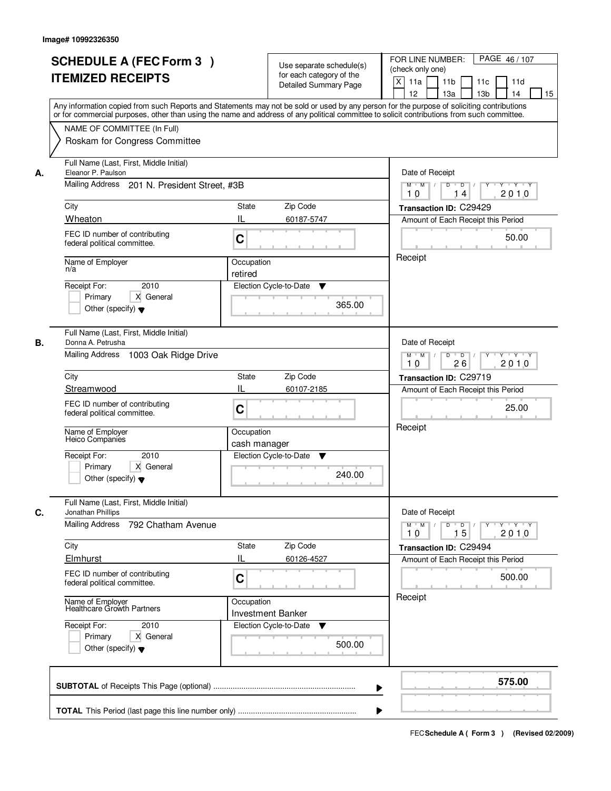|    | <b>SCHEDULE A (FEC Form 3)</b><br><b>ITEMIZED RECEIPTS</b><br>Any information copied from such Reports and Statements may not be sold or used by any person for the purpose of soliciting contributions<br>or for commercial purposes, other than using the name and address of any political committee to solicit contributions from such committee. |                                        | Use separate schedule(s)<br>for each category of the<br><b>Detailed Summary Page</b> | PAGE 46 / 107<br>FOR LINE NUMBER:<br>(check only one)<br>$\boldsymbol{\mathsf{X}}$<br>11 <sub>b</sub><br>11a<br>11 <sub>c</sub><br>11d<br>12<br>13 <sub>b</sub><br>14<br>13a<br>15 |
|----|-------------------------------------------------------------------------------------------------------------------------------------------------------------------------------------------------------------------------------------------------------------------------------------------------------------------------------------------------------|----------------------------------------|--------------------------------------------------------------------------------------|------------------------------------------------------------------------------------------------------------------------------------------------------------------------------------|
|    | NAME OF COMMITTEE (In Full)<br>Roskam for Congress Committee                                                                                                                                                                                                                                                                                          |                                        |                                                                                      |                                                                                                                                                                                    |
| А. | Full Name (Last, First, Middle Initial)<br>Eleanor P. Paulson<br>Mailing Address 201 N. President Street, #3B                                                                                                                                                                                                                                         |                                        |                                                                                      | Date of Receipt<br>$M$ $M$<br>$D$ $D$ $1$<br>$Y - Y - Y - Y$<br>Y<br>2010<br>10<br>14                                                                                              |
|    | City                                                                                                                                                                                                                                                                                                                                                  | <b>State</b>                           | Zip Code                                                                             | Transaction ID: C29429                                                                                                                                                             |
|    | Wheaton                                                                                                                                                                                                                                                                                                                                               | IL                                     | 60187-5747                                                                           | Amount of Each Receipt this Period                                                                                                                                                 |
|    | FEC ID number of contributing<br>federal political committee.                                                                                                                                                                                                                                                                                         | C                                      |                                                                                      | 50.00                                                                                                                                                                              |
|    | Name of Employer<br>n/a                                                                                                                                                                                                                                                                                                                               | Occupation<br>retired                  |                                                                                      | Receipt                                                                                                                                                                            |
|    | 2010<br>Receipt For:<br>X General<br>Primary<br>Other (specify) $\blacktriangledown$                                                                                                                                                                                                                                                                  | Election Cycle-to-Date                 | ▼<br>365.00                                                                          |                                                                                                                                                                                    |
| В. | Full Name (Last, First, Middle Initial)<br>Donna A. Petrusha<br>Mailing Address 1003 Oak Ridge Drive                                                                                                                                                                                                                                                  |                                        |                                                                                      | Date of Receipt<br>$M$ $M$ /<br>D<br>$\overline{D}$ /<br>$Y + Y + Y$                                                                                                               |
|    |                                                                                                                                                                                                                                                                                                                                                       |                                        |                                                                                      | 26<br>2010<br>10                                                                                                                                                                   |
|    | City<br>Streamwood                                                                                                                                                                                                                                                                                                                                    | State<br>IL                            | Zip Code<br>60107-2185                                                               | Transaction ID: C29719                                                                                                                                                             |
|    | FEC ID number of contributing<br>federal political committee.                                                                                                                                                                                                                                                                                         | C                                      |                                                                                      | Amount of Each Receipt this Period<br>25.00                                                                                                                                        |
|    | Name of Employer<br>Heico Companies                                                                                                                                                                                                                                                                                                                   | Occupation<br>cash manager             |                                                                                      | Receipt                                                                                                                                                                            |
|    | Receipt For:<br>2010<br>Primary<br>X General<br>Other (specify) $\blacktriangledown$                                                                                                                                                                                                                                                                  | Election Cycle-to-Date                 | v<br>240.00                                                                          |                                                                                                                                                                                    |
| C. | Full Name (Last, First, Middle Initial)<br>Jonathan Phillips                                                                                                                                                                                                                                                                                          |                                        |                                                                                      | Date of Receipt                                                                                                                                                                    |
|    | Mailing Address<br>792 Chatham Avenue                                                                                                                                                                                                                                                                                                                 |                                        |                                                                                      | $M$ $M$<br>$D$ $D$ $l$<br><b>TY TEY TEY TEY</b><br>2010<br>10<br>15                                                                                                                |
|    | City<br>Elmhurst                                                                                                                                                                                                                                                                                                                                      | State<br>Ш                             | Zip Code<br>60126-4527                                                               | Transaction ID: C29494                                                                                                                                                             |
|    | FEC ID number of contributing<br>federal political committee.                                                                                                                                                                                                                                                                                         | C                                      |                                                                                      | Amount of Each Receipt this Period<br>500.00                                                                                                                                       |
|    | Name of Employer<br>Healthcare Growth Partners                                                                                                                                                                                                                                                                                                        | Occupation<br><b>Investment Banker</b> |                                                                                      | Receipt                                                                                                                                                                            |
|    | Receipt For:<br>2010<br>Primary<br>X General<br>Other (specify) $\blacktriangledown$                                                                                                                                                                                                                                                                  | Election Cycle-to-Date                 | v<br>500.00                                                                          |                                                                                                                                                                                    |
|    |                                                                                                                                                                                                                                                                                                                                                       |                                        |                                                                                      | 575.00                                                                                                                                                                             |
|    |                                                                                                                                                                                                                                                                                                                                                       |                                        |                                                                                      |                                                                                                                                                                                    |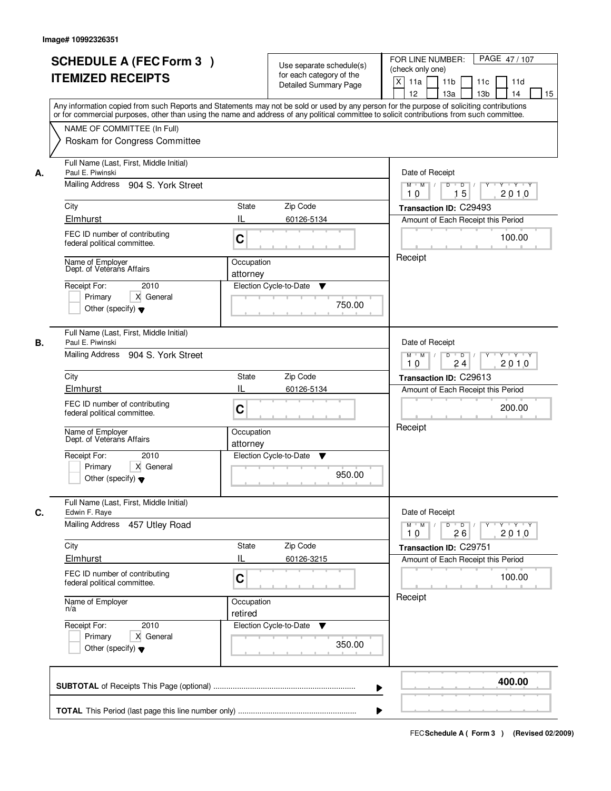|    | <b>SCHEDULE A (FEC Form 3)</b><br><b>ITEMIZED RECEIPTS</b><br>Any information copied from such Reports and Statements may not be sold or used by any person for the purpose of soliciting contributions                                                                                                                         |                                                   | Use separate schedule(s)<br>for each category of the<br><b>Detailed Summary Page</b> | PAGE 47/107<br>FOR LINE NUMBER:<br>(check only one)<br>$\boldsymbol{\mathsf{X}}$<br>11 <sub>b</sub><br>11a<br>11 <sub>c</sub><br>11d<br>12<br>13 <sub>b</sub><br>14<br>13a<br>15 |
|----|---------------------------------------------------------------------------------------------------------------------------------------------------------------------------------------------------------------------------------------------------------------------------------------------------------------------------------|---------------------------------------------------|--------------------------------------------------------------------------------------|----------------------------------------------------------------------------------------------------------------------------------------------------------------------------------|
|    | or for commercial purposes, other than using the name and address of any political committee to solicit contributions from such committee.<br>NAME OF COMMITTEE (In Full)<br>Roskam for Congress Committee                                                                                                                      |                                                   |                                                                                      |                                                                                                                                                                                  |
| А. | Full Name (Last, First, Middle Initial)<br>Paul E. Piwinski<br>Mailing Address 904 S. York Street<br>City<br>Elmhurst<br>FEC ID number of contributing<br>federal political committee.<br>Name of Employer<br>Dept. of Veterans Affairs<br>Receipt For:<br>2010<br>Primary<br>X General<br>Other (specify) $\blacktriangledown$ | <b>State</b><br>IL<br>C<br>Occupation<br>attorney | Zip Code<br>60126-5134<br>Election Cycle-to-Date<br>▼<br>750.00                      | Date of Receipt<br>$D$ $D$<br>$Y - Y - Y - Y$<br>$M$ $M$ /<br>Y<br>15<br>2010<br>10<br>Transaction ID: C29493<br>Amount of Each Receipt this Period<br>100.00<br>Receipt         |
| В. | Full Name (Last, First, Middle Initial)<br>Paul E. Piwinski<br>Mailing Address 904 S. York Street<br>City<br>Elmhurst<br>FEC ID number of contributing<br>federal political committee.<br>Name of Employer<br>Dept. of Veterans Affairs<br>Receipt For:<br>2010<br>Primary<br>X General<br>Other (specify) $\blacktriangledown$ | State<br>IL<br>C<br>Occupation<br>attorney        | Zip Code<br>60126-5134<br>Election Cycle-to-Date<br>v<br>950.00                      | Date of Receipt<br>$M$ $M$ /<br>D<br>$\overline{D}$<br>$Y + Y + Y$<br>24<br>2010<br>10<br>Transaction ID: C29613<br>Amount of Each Receipt this Period<br>200.00<br>Receipt      |
| C. | Full Name (Last, First, Middle Initial)<br>Edwin F. Raye<br>Mailing Address 457 Utley Road<br>City<br>Elmhurst<br>FEC ID number of contributing<br>federal political committee.<br>Name of Employer<br>n/a<br>Receipt For:<br>2010<br>Primary<br>X General<br>Other (specify) $\blacktriangledown$                              | State<br>Ш<br>C<br>Occupation<br>retired          | Zip Code<br>60126-3215<br>Election Cycle-to-Date ▼<br>350.00                         | Date of Receipt<br>$M$ $M$<br>$D$ $D$ $I$<br>$Y - Y - Y - Y$<br>$Y^+$<br>2010<br>10<br>26<br>Transaction ID: C29751<br>Amount of Each Receipt this Period<br>100.00<br>Receipt   |
|    |                                                                                                                                                                                                                                                                                                                                 |                                                   |                                                                                      | 400.00                                                                                                                                                                           |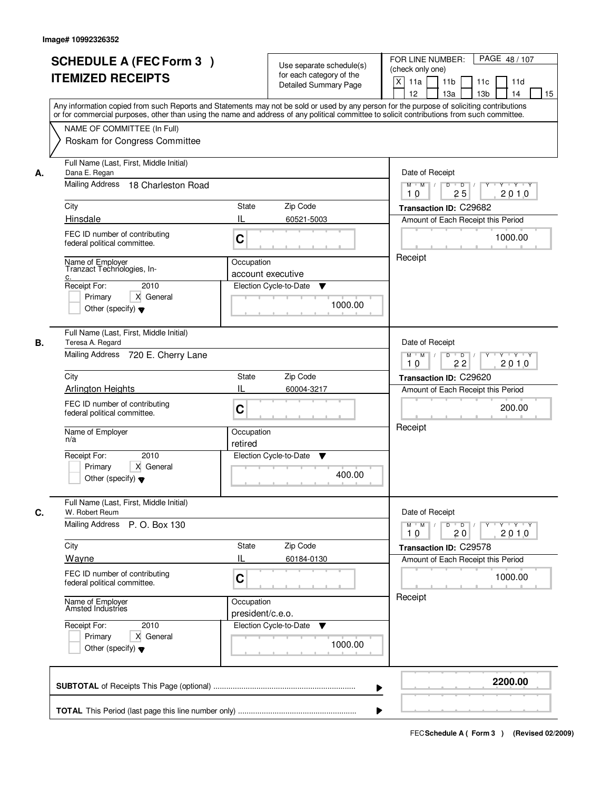|    | <b>SCHEDULE A (FEC Form 3)</b><br><b>ITEMIZED RECEIPTS</b>                                                                                          | Use separate schedule(s)<br>for each category of the<br><b>Detailed Summary Page</b> | PAGE 48 / 107<br>FOR LINE NUMBER:<br>(check only one)<br>$\boldsymbol{\mathsf{X}}$<br>11 <sub>b</sub><br>11a<br>11 <sub>c</sub><br>11d<br>12<br>13 <sub>b</sub><br>14<br>13a<br>15<br>Any information copied from such Reports and Statements may not be sold or used by any person for the purpose of soliciting contributions |
|----|-----------------------------------------------------------------------------------------------------------------------------------------------------|--------------------------------------------------------------------------------------|---------------------------------------------------------------------------------------------------------------------------------------------------------------------------------------------------------------------------------------------------------------------------------------------------------------------------------|
|    | NAME OF COMMITTEE (In Full)<br>Roskam for Congress Committee                                                                                        |                                                                                      | or for commercial purposes, other than using the name and address of any political committee to solicit contributions from such committee.                                                                                                                                                                                      |
| А. | Full Name (Last, First, Middle Initial)<br>Dana E. Regan<br>Mailing Address 18 Charleston Road<br>City                                              | <b>State</b><br>Zip Code                                                             | Date of Receipt<br>$D$ $D$<br>Y TY Y Y<br>$M$ $M$ /<br>Y<br>2010<br>25<br>10<br>Transaction ID: C29682                                                                                                                                                                                                                          |
|    | Hinsdale<br>FEC ID number of contributing<br>federal political committee.                                                                           | IL<br>60521-5003<br>C                                                                | Amount of Each Receipt this Period<br>1000.00                                                                                                                                                                                                                                                                                   |
|    | Name of Employer<br>Tranzact Technologies, In-<br><u>c.</u><br>Receipt For:<br>2010<br>Primary<br>X General<br>Other (specify) $\blacktriangledown$ | Occupation<br>account executive<br>Election Cycle-to-Date<br>▼<br>1000.00            | Receipt                                                                                                                                                                                                                                                                                                                         |
| В. | Full Name (Last, First, Middle Initial)<br>Teresa A. Regard<br>Mailing Address 720 E. Cherry Lane                                                   |                                                                                      | Date of Receipt<br>$M$ $M$ /<br>D<br>$\overline{\phantom{0}}$ D<br>$Y + Y + Y$<br>22<br>2010<br>10                                                                                                                                                                                                                              |
|    | City<br><b>Arlington Heights</b><br>FEC ID number of contributing                                                                                   | Zip Code<br>State<br>IL<br>60004-3217<br>C                                           | Transaction ID: C29620<br>Amount of Each Receipt this Period<br>200.00                                                                                                                                                                                                                                                          |
|    | federal political committee.<br>Name of Employer<br>n/a<br>Receipt For:<br>2010<br>Primary<br>X General<br>Other (specify) $\blacktriangledown$     | Occupation<br>retired<br>Election Cycle-to-Date<br>v<br>400.00                       | Receipt                                                                                                                                                                                                                                                                                                                         |
| C. | Full Name (Last, First, Middle Initial)<br>W. Robert Reum<br>Mailing Address<br>P. O. Box 130                                                       |                                                                                      | Date of Receipt<br>$M$ $M$<br>$D$ $D$ $I$<br>$Y - Y - Y - Y$<br>$Y^+$                                                                                                                                                                                                                                                           |
|    | City<br>Wayne<br>FEC ID number of contributing<br>federal political committee.                                                                      | State<br>Zip Code<br>Ш<br>60184-0130<br>C                                            | 2010<br>10<br>20<br>Transaction ID: C29578<br>Amount of Each Receipt this Period<br>1000.00                                                                                                                                                                                                                                     |
|    | Name of Employer<br>Amsted Industries<br>Receipt For:<br>2010<br>Primary<br>X General<br>Other (specify) $\blacktriangledown$                       | Occupation<br>president/c.e.o.<br>Election Cycle-to-Date<br>v<br>1000.00             | Receipt                                                                                                                                                                                                                                                                                                                         |
|    |                                                                                                                                                     |                                                                                      | 2200.00                                                                                                                                                                                                                                                                                                                         |
|    |                                                                                                                                                     |                                                                                      |                                                                                                                                                                                                                                                                                                                                 |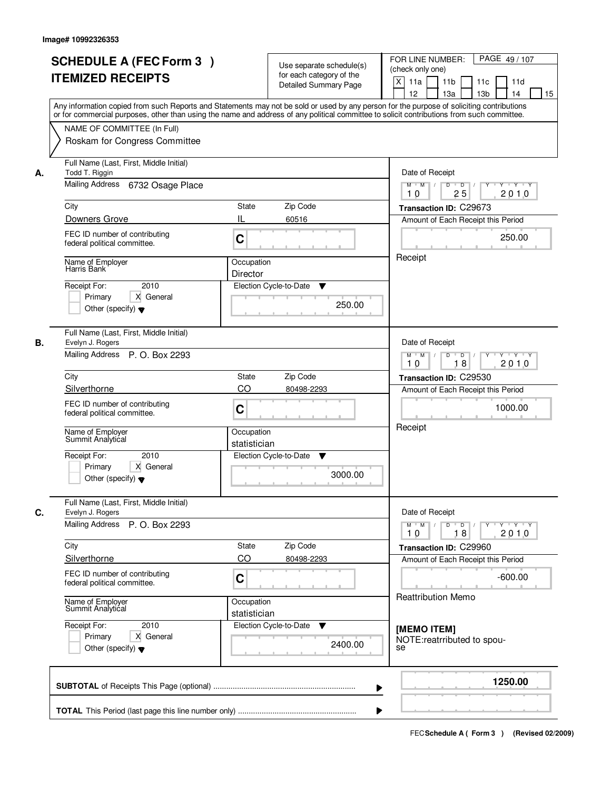|    |                                                                                                                         | for each category of the<br><b>Detailed Summary Page</b><br>Any information copied from such Reports and Statements may not be sold or used by any person for the purpose of soliciting contributions<br>or for commercial purposes, other than using the name and address of any political committee to solicit contributions from such committee. | $\mathsf{X}$<br>11 <sub>b</sub><br>11a<br>11c<br>11d<br>12<br>13 <sub>b</sub><br>13a<br>14<br>15      |
|----|-------------------------------------------------------------------------------------------------------------------------|-----------------------------------------------------------------------------------------------------------------------------------------------------------------------------------------------------------------------------------------------------------------------------------------------------------------------------------------------------|-------------------------------------------------------------------------------------------------------|
|    | NAME OF COMMITTEE (In Full)<br>Roskam for Congress Committee                                                            |                                                                                                                                                                                                                                                                                                                                                     |                                                                                                       |
| А. | Full Name (Last, First, Middle Initial)<br>Todd T. Riggin<br>Mailing Address 6732 Osage Place                           | Date of Receipt<br>$M$ $M$ /<br>$D$ $D$<br>$Y + Y + Y$<br>Y                                                                                                                                                                                                                                                                                         |                                                                                                       |
|    |                                                                                                                         |                                                                                                                                                                                                                                                                                                                                                     | 25<br>2010<br>10                                                                                      |
|    | City<br>Downers Grove                                                                                                   | Zip Code<br>State<br>IL<br>60516                                                                                                                                                                                                                                                                                                                    | Transaction ID: C29673<br>Amount of Each Receipt this Period                                          |
|    | FEC ID number of contributing<br>federal political committee.                                                           | C                                                                                                                                                                                                                                                                                                                                                   | 250.00                                                                                                |
|    | Name of Employer<br>Harris Bank<br>2010<br>Receipt For:<br>Primary<br>X General<br>Other (specify) $\blacktriangledown$ | Occupation<br>Director<br>Election Cycle-to-Date<br>▼<br>250.00                                                                                                                                                                                                                                                                                     | Receipt                                                                                               |
| В. | Full Name (Last, First, Middle Initial)<br>Evelyn J. Rogers<br>Mailing Address P. O. Box 2293                           |                                                                                                                                                                                                                                                                                                                                                     | Date of Receipt<br>D<br>$M$ $M$ /<br>$\blacksquare$ D $\blacksquare$ /<br>Y 'Y 'Y<br>18<br>2010<br>10 |
|    | City                                                                                                                    | Zip Code<br><b>State</b>                                                                                                                                                                                                                                                                                                                            | Transaction ID: C29530                                                                                |
|    | Silverthorne                                                                                                            | CO<br>80498-2293                                                                                                                                                                                                                                                                                                                                    | Amount of Each Receipt this Period                                                                    |
|    | FEC ID number of contributing<br>federal political committee.                                                           | C                                                                                                                                                                                                                                                                                                                                                   | 1000.00                                                                                               |
|    | Name of Employer<br>Summit Analytical                                                                                   | Occupation<br>statistician                                                                                                                                                                                                                                                                                                                          | Receipt                                                                                               |
|    | Receipt For:<br>2010<br>Primary<br>X General<br>Other (specify) $\blacktriangledown$                                    | Election Cycle-to-Date<br>▼<br>3000.00                                                                                                                                                                                                                                                                                                              |                                                                                                       |
| C. | Full Name (Last, First, Middle Initial)<br>Evelyn J. Rogers                                                             |                                                                                                                                                                                                                                                                                                                                                     | Date of Receipt                                                                                       |
|    | Mailing Address<br>P. O. Box 2293                                                                                       |                                                                                                                                                                                                                                                                                                                                                     | $M$ $M$<br>2010<br>10<br>18                                                                           |
|    | City                                                                                                                    | Zip Code<br>State                                                                                                                                                                                                                                                                                                                                   | Transaction ID: C29960                                                                                |
|    | Silverthorne<br>FEC ID number of contributing<br>federal political committee.                                           | CO<br>80498-2293<br>C                                                                                                                                                                                                                                                                                                                               | Amount of Each Receipt this Period<br>$-600.00$                                                       |
|    | Name of Employer<br>Summit Analytical                                                                                   | Occupation<br>statistician                                                                                                                                                                                                                                                                                                                          | <b>Reattribution Memo</b>                                                                             |
|    | Receipt For:<br>2010<br>Primary<br>X General<br>Other (specify) $\blacktriangledown$                                    | Election Cycle-to-Date ▼<br>2400.00                                                                                                                                                                                                                                                                                                                 | [MEMO ITEM]<br>NOTE: reatrributed to spou-<br>se                                                      |
|    |                                                                                                                         | ▶                                                                                                                                                                                                                                                                                                                                                   | 1250.00                                                                                               |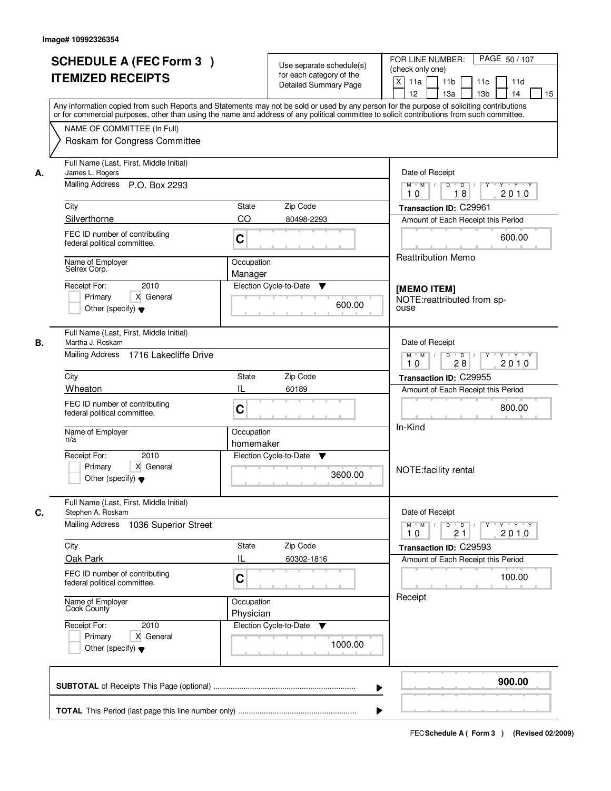| <b>SCHEDULE A (FEC Form 3)</b><br><b>ITEMIZED RECEIPTS</b>                                                                                                                                                                                                                                                             |                                                                    | Use separate schedule(s)<br>for each category of the<br>Detailed Summary Page | PAGE 50 / 107<br>FOR LINE NUMBER:<br>(check only one)<br>$\mathsf{X}$<br>11 <sub>b</sub><br>11a<br>11c<br>11d<br>12<br>13 <sub>b</sub><br>14<br>15<br>13a<br>Any information copied from such Reports and Statements may not be sold or used by any person for the purpose of soliciting contributions<br>or for commercial purposes, other than using the name and address of any political committee to solicit contributions from such committee. |
|------------------------------------------------------------------------------------------------------------------------------------------------------------------------------------------------------------------------------------------------------------------------------------------------------------------------|--------------------------------------------------------------------|-------------------------------------------------------------------------------|------------------------------------------------------------------------------------------------------------------------------------------------------------------------------------------------------------------------------------------------------------------------------------------------------------------------------------------------------------------------------------------------------------------------------------------------------|
| NAME OF COMMITTEE (In Full)<br>Roskam for Congress Committee                                                                                                                                                                                                                                                           |                                                                    |                                                                               |                                                                                                                                                                                                                                                                                                                                                                                                                                                      |
| Full Name (Last, First, Middle Initial)<br>James L. Rogers<br>А.<br>Mailing Address P.O. Box 2293<br>City<br>Silverthorne<br>FEC ID number of contributing<br>federal political committee.<br>Name of Employer<br>Selrex Corp.<br>2010<br>Receipt For:<br>X General<br>Primary<br>Other (specify) $\blacktriangledown$ | State<br>CO<br>C<br>Occupation<br>Manager                          | Zip Code<br>80498-2293<br>Election Cycle-to-Date<br>▼<br>600.00               | Date of Receipt<br>$D$ $D$ $/$<br>$Y + Y + Y$<br>$M$ $M$ /<br>Y<br>18<br>2010<br>10<br>Transaction ID: C29961<br>Amount of Each Receipt this Period<br>600.00<br><b>Reattribution Memo</b><br>[MEMO ITEM]<br>NOTE:reattributed from sp-<br>ouse                                                                                                                                                                                                      |
| Full Name (Last, First, Middle Initial)<br>В.<br>Martha J. Roskam<br>Mailing Address 1716 Lakecliffe Drive<br>City<br>Wheaton<br>FEC ID number of contributing<br>federal political committee.<br>Name of Employer<br>n/a<br>Receipt For:<br>2010<br>Primary<br>X General<br>Other (specify) $\blacktriangledown$      | <b>State</b><br>IL<br>C<br>Occupation<br>homemaker                 | Zip Code<br>60189<br>Election Cycle-to-Date<br>▼<br>3600.00                   | Date of Receipt<br>$M$ $M$ /<br>D<br>$\overline{D}$<br>$Y + Y + Y$<br>28<br>2010<br>10<br>Transaction ID: C29955<br>Amount of Each Receipt this Period<br>800.00<br>In-Kind<br>NOTE: facility rental                                                                                                                                                                                                                                                 |
| Full Name (Last, First, Middle Initial)<br>C.<br>Stephen A. Roskam<br><b>Mailing Address</b><br>City<br>Oak Park<br>FEC ID number of contributing<br>federal political committee.<br>Name of Employer<br>Cook County<br>Receipt For:<br>2010<br>Primary<br>X General<br>Other (specify) $\blacktriangledown$           | 1036 Superior Street<br>State<br>Ш<br>C<br>Occupation<br>Physician | Zip Code<br>60302-1816<br>Election Cycle-to-Date<br>v<br>1000.00              | Date of Receipt<br>$D$ $D$ $/$<br>$M = M$<br><b>Y Y Y Y Y</b><br>2010<br>10<br>21<br>Transaction ID: C29593<br>Amount of Each Receipt this Period<br>100.00<br>Receipt                                                                                                                                                                                                                                                                               |
|                                                                                                                                                                                                                                                                                                                        |                                                                    |                                                                               | 900.00<br>▶                                                                                                                                                                                                                                                                                                                                                                                                                                          |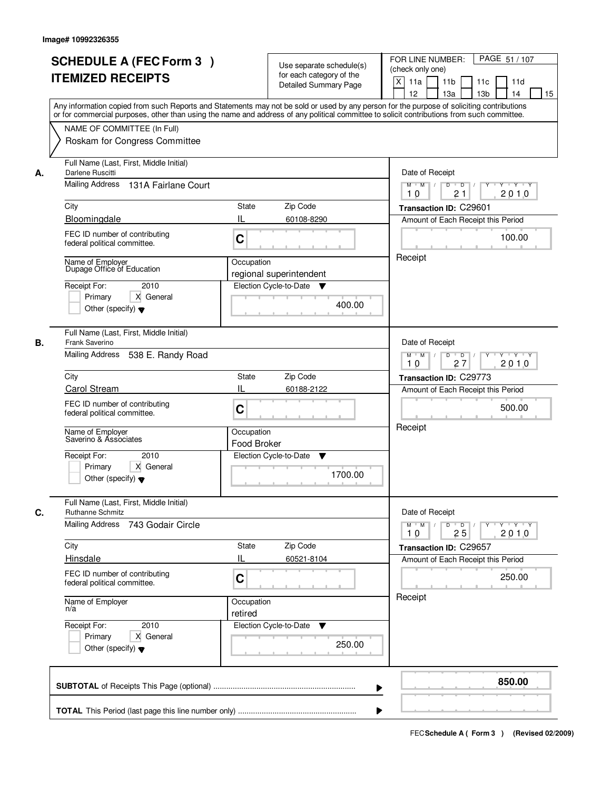|    | <b>SCHEDULE A (FEC Form 3)</b><br><b>ITEMIZED RECEIPTS</b><br>Any information copied from such Reports and Statements may not be sold or used by any person for the purpose of soliciting contributions    | Use separate schedule(s)<br>for each category of the<br><b>Detailed Summary Page</b> | PAGE 51 / 107<br>FOR LINE NUMBER:<br>(check only one)<br>$\boldsymbol{\mathsf{X}}$<br>11 <sub>b</sub><br>11a<br>11c<br>11d<br>12<br>13 <sub>b</sub><br>14<br>13a<br>15 |
|----|------------------------------------------------------------------------------------------------------------------------------------------------------------------------------------------------------------|--------------------------------------------------------------------------------------|------------------------------------------------------------------------------------------------------------------------------------------------------------------------|
|    | or for commercial purposes, other than using the name and address of any political committee to solicit contributions from such committee.<br>NAME OF COMMITTEE (In Full)<br>Roskam for Congress Committee |                                                                                      |                                                                                                                                                                        |
| А. | Full Name (Last, First, Middle Initial)<br>Darlene Ruscitti<br>Mailing Address 131A Fairlane Court                                                                                                         |                                                                                      | Date of Receipt<br>$\overline{D}$<br><b>TEXT TY</b><br>$M$ $M$ /<br>D<br>Y<br>21<br>2010<br>10                                                                         |
|    | City                                                                                                                                                                                                       | <b>State</b><br>Zip Code                                                             | Transaction ID: C29601                                                                                                                                                 |
|    | Bloomingdale                                                                                                                                                                                               | IL<br>60108-8290                                                                     | Amount of Each Receipt this Period                                                                                                                                     |
|    | FEC ID number of contributing<br>federal political committee.                                                                                                                                              | C                                                                                    | 100.00                                                                                                                                                                 |
|    | Name of Employer<br>Dupage Office of Education<br>Receipt For:<br>2010<br>Primary<br>X General<br>Other (specify) $\blacktriangledown$                                                                     | Occupation<br>regional superintendent<br>Election Cycle-to-Date<br>v<br>400.00       | Receipt                                                                                                                                                                |
| В. | Full Name (Last, First, Middle Initial)<br>Frank Saverino<br>Mailing Address<br>538 E. Randy Road                                                                                                          |                                                                                      | Date of Receipt<br>$M$ $M$ /<br>D<br>$\overline{D}$<br>$Y + Y + Y$                                                                                                     |
|    |                                                                                                                                                                                                            |                                                                                      | 27<br>2010<br>10                                                                                                                                                       |
|    | City<br>Carol Stream                                                                                                                                                                                       | Zip Code<br>State<br>IL<br>60188-2122                                                | Transaction ID: C29773                                                                                                                                                 |
|    | FEC ID number of contributing<br>federal political committee.                                                                                                                                              | C                                                                                    | Amount of Each Receipt this Period<br>500.00                                                                                                                           |
|    | Name of Employer<br>Saverino & Associates                                                                                                                                                                  | Occupation<br>Food Broker                                                            | Receipt                                                                                                                                                                |
|    | Receipt For:<br>2010<br>Primary<br>X General<br>Other (specify) $\blacktriangledown$                                                                                                                       | Election Cycle-to-Date<br>v<br>1700.00                                               |                                                                                                                                                                        |
| C. | Full Name (Last, First, Middle Initial)<br>Ruthanne Schmitz                                                                                                                                                |                                                                                      | Date of Receipt                                                                                                                                                        |
|    | <b>Mailing Address</b><br>743 Godair Circle                                                                                                                                                                |                                                                                      | $M$ $M$<br>$D$ $D$ $l$<br>$Y - Y - Y - Y$<br>$\mathbf{Y}$<br>2010<br>10<br>25                                                                                          |
|    | City                                                                                                                                                                                                       | Zip Code<br>State<br>Ш                                                               | Transaction ID: C29657                                                                                                                                                 |
|    | Hinsdale<br>FEC ID number of contributing<br>federal political committee.                                                                                                                                  | 60521-8104<br>C                                                                      | Amount of Each Receipt this Period<br>250.00                                                                                                                           |
|    | Name of Employer<br>n/a                                                                                                                                                                                    | Occupation<br>retired                                                                | Receipt                                                                                                                                                                |
|    | Receipt For:<br>2010<br>Primary<br>X General<br>Other (specify) $\blacktriangledown$                                                                                                                       | Election Cycle-to-Date ▼<br>250.00                                                   |                                                                                                                                                                        |
|    |                                                                                                                                                                                                            |                                                                                      | 850.00                                                                                                                                                                 |
|    |                                                                                                                                                                                                            |                                                                                      |                                                                                                                                                                        |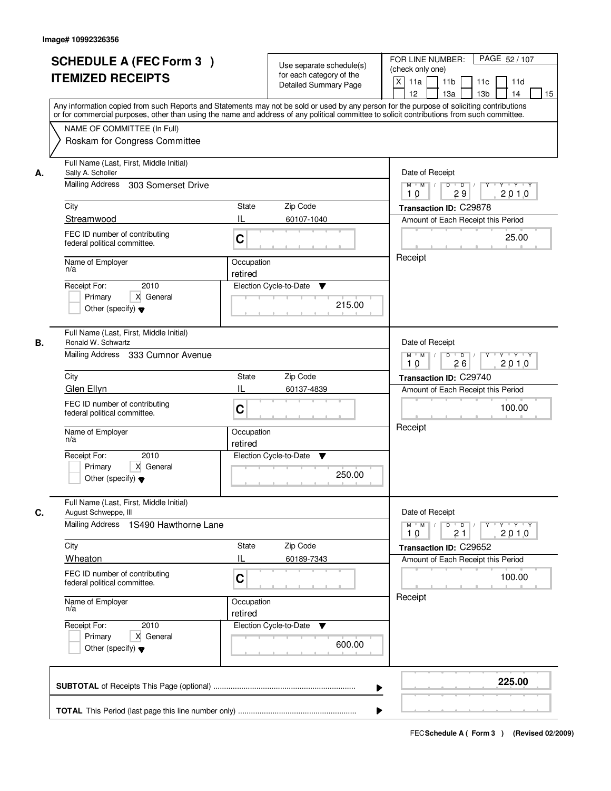| <b>ITEMIZED RECEIPTS</b><br>Any information copied from such Reports and Statements may not be sold or used by any person for the purpose of soliciting contributions<br>or for commercial purposes, other than using the name and address of any political committee to solicit contributions from such committee.<br>NAME OF COMMITTEE (In Full)<br>Roskam for Congress Committee<br>Full Name (Last, First, Middle Initial)<br>Sally A. Scholler<br>Mailing Address<br>303 Somerset Drive<br>City |                                                                                                                                                                                                                                                                                                                                                                                                                                                                                                                                   | for each category of the<br><b>Detailed Summary Page</b> | $\mathsf{X}$<br>11a<br>11 <sub>b</sub><br>11c<br>11d<br>13 <sub>b</sub><br>12 <sup>2</sup><br>13a<br>14<br>15                 |
|------------------------------------------------------------------------------------------------------------------------------------------------------------------------------------------------------------------------------------------------------------------------------------------------------------------------------------------------------------------------------------------------------------------------------------------------------------------------------------------------------|-----------------------------------------------------------------------------------------------------------------------------------------------------------------------------------------------------------------------------------------------------------------------------------------------------------------------------------------------------------------------------------------------------------------------------------------------------------------------------------------------------------------------------------|----------------------------------------------------------|-------------------------------------------------------------------------------------------------------------------------------|
|                                                                                                                                                                                                                                                                                                                                                                                                                                                                                                      |                                                                                                                                                                                                                                                                                                                                                                                                                                                                                                                                   |                                                          |                                                                                                                               |
|                                                                                                                                                                                                                                                                                                                                                                                                                                                                                                      |                                                                                                                                                                                                                                                                                                                                                                                                                                                                                                                                   |                                                          |                                                                                                                               |
|                                                                                                                                                                                                                                                                                                                                                                                                                                                                                                      |                                                                                                                                                                                                                                                                                                                                                                                                                                                                                                                                   |                                                          |                                                                                                                               |
|                                                                                                                                                                                                                                                                                                                                                                                                                                                                                                      |                                                                                                                                                                                                                                                                                                                                                                                                                                                                                                                                   |                                                          | Date of Receipt                                                                                                               |
|                                                                                                                                                                                                                                                                                                                                                                                                                                                                                                      |                                                                                                                                                                                                                                                                                                                                                                                                                                                                                                                                   |                                                          | $D$ $D$ $/$<br>$Y$ $Y$ $Y$ $Y$<br>$M$ $M$ /<br>$\overline{Y}$<br>10<br>29<br>2010                                             |
|                                                                                                                                                                                                                                                                                                                                                                                                                                                                                                      | State                                                                                                                                                                                                                                                                                                                                                                                                                                                                                                                             | Zip Code                                                 | Transaction ID: C29878                                                                                                        |
| Streamwood                                                                                                                                                                                                                                                                                                                                                                                                                                                                                           | IL                                                                                                                                                                                                                                                                                                                                                                                                                                                                                                                                | 60107-1040                                               | Amount of Each Receipt this Period                                                                                            |
| FEC ID number of contributing<br>federal political committee.                                                                                                                                                                                                                                                                                                                                                                                                                                        | C                                                                                                                                                                                                                                                                                                                                                                                                                                                                                                                                 |                                                          | 25.00                                                                                                                         |
|                                                                                                                                                                                                                                                                                                                                                                                                                                                                                                      |                                                                                                                                                                                                                                                                                                                                                                                                                                                                                                                                   |                                                          | Receipt                                                                                                                       |
| 2010                                                                                                                                                                                                                                                                                                                                                                                                                                                                                                 |                                                                                                                                                                                                                                                                                                                                                                                                                                                                                                                                   | ▼                                                        |                                                                                                                               |
| X General<br>Primary<br>Other (specify) $\blacktriangledown$                                                                                                                                                                                                                                                                                                                                                                                                                                         |                                                                                                                                                                                                                                                                                                                                                                                                                                                                                                                                   | 215.00                                                   |                                                                                                                               |
|                                                                                                                                                                                                                                                                                                                                                                                                                                                                                                      |                                                                                                                                                                                                                                                                                                                                                                                                                                                                                                                                   |                                                          | Date of Receipt                                                                                                               |
|                                                                                                                                                                                                                                                                                                                                                                                                                                                                                                      |                                                                                                                                                                                                                                                                                                                                                                                                                                                                                                                                   |                                                          | $Y - Y - Y$<br>$M$ $M$ /<br>D<br>$\overline{\phantom{0}}$<br>2010<br>26<br>10                                                 |
|                                                                                                                                                                                                                                                                                                                                                                                                                                                                                                      | <b>State</b>                                                                                                                                                                                                                                                                                                                                                                                                                                                                                                                      | Zip Code                                                 | Transaction ID: C29740                                                                                                        |
|                                                                                                                                                                                                                                                                                                                                                                                                                                                                                                      |                                                                                                                                                                                                                                                                                                                                                                                                                                                                                                                                   | 60137-4839                                               | Amount of Each Receipt this Period                                                                                            |
|                                                                                                                                                                                                                                                                                                                                                                                                                                                                                                      | C                                                                                                                                                                                                                                                                                                                                                                                                                                                                                                                                 |                                                          | 100.00                                                                                                                        |
|                                                                                                                                                                                                                                                                                                                                                                                                                                                                                                      | retired                                                                                                                                                                                                                                                                                                                                                                                                                                                                                                                           |                                                          | Receipt                                                                                                                       |
| 2010                                                                                                                                                                                                                                                                                                                                                                                                                                                                                                 |                                                                                                                                                                                                                                                                                                                                                                                                                                                                                                                                   | v                                                        |                                                                                                                               |
| Other (specify) $\blacktriangledown$                                                                                                                                                                                                                                                                                                                                                                                                                                                                 |                                                                                                                                                                                                                                                                                                                                                                                                                                                                                                                                   | 250.00                                                   |                                                                                                                               |
|                                                                                                                                                                                                                                                                                                                                                                                                                                                                                                      |                                                                                                                                                                                                                                                                                                                                                                                                                                                                                                                                   |                                                          | Date of Receipt                                                                                                               |
|                                                                                                                                                                                                                                                                                                                                                                                                                                                                                                      |                                                                                                                                                                                                                                                                                                                                                                                                                                                                                                                                   |                                                          | $M$ $M$<br>$\mathsf D$<br>$\blacksquare$ $\blacksquare$ $\blacksquare$ $\blacksquare$<br>$Y^+$<br>Y 'Y 'Y<br>2010<br>21<br>10 |
|                                                                                                                                                                                                                                                                                                                                                                                                                                                                                                      | State                                                                                                                                                                                                                                                                                                                                                                                                                                                                                                                             | Zip Code                                                 | Transaction ID: C29652                                                                                                        |
|                                                                                                                                                                                                                                                                                                                                                                                                                                                                                                      | IL                                                                                                                                                                                                                                                                                                                                                                                                                                                                                                                                | 60189-7343                                               | Amount of Each Receipt this Period                                                                                            |
|                                                                                                                                                                                                                                                                                                                                                                                                                                                                                                      | C                                                                                                                                                                                                                                                                                                                                                                                                                                                                                                                                 |                                                          | 100.00                                                                                                                        |
|                                                                                                                                                                                                                                                                                                                                                                                                                                                                                                      | retired                                                                                                                                                                                                                                                                                                                                                                                                                                                                                                                           |                                                          | Receipt                                                                                                                       |
| 2010                                                                                                                                                                                                                                                                                                                                                                                                                                                                                                 |                                                                                                                                                                                                                                                                                                                                                                                                                                                                                                                                   | v                                                        |                                                                                                                               |
| Other (specify) $\blacktriangledown$                                                                                                                                                                                                                                                                                                                                                                                                                                                                 |                                                                                                                                                                                                                                                                                                                                                                                                                                                                                                                                   | 600.00                                                   |                                                                                                                               |
|                                                                                                                                                                                                                                                                                                                                                                                                                                                                                                      |                                                                                                                                                                                                                                                                                                                                                                                                                                                                                                                                   |                                                          | 225.00                                                                                                                        |
|                                                                                                                                                                                                                                                                                                                                                                                                                                                                                                      | Name of Employer<br>n/a<br>Receipt For:<br>Full Name (Last, First, Middle Initial)<br>Ronald W. Schwartz<br>Mailing Address 333 Cumnor Avenue<br>City<br>Glen Ellyn<br>FEC ID number of contributing<br>federal political committee.<br>Name of Employer<br>n/a<br>Receipt For:<br>Primary<br>X General<br>Full Name (Last, First, Middle Initial)<br>August Schweppe, III<br>City<br>Wheaton<br>FEC ID number of contributing<br>federal political committee.<br>Name of Employer<br>n/a<br>Receipt For:<br>Primary<br>X General | retired<br>IL<br>Mailing Address 1S490 Hawthorne Lane    | Occupation<br>Election Cycle-to-Date<br>Occupation<br>Election Cycle-to-Date<br>Occupation<br>Election Cycle-to-Date<br>▶     |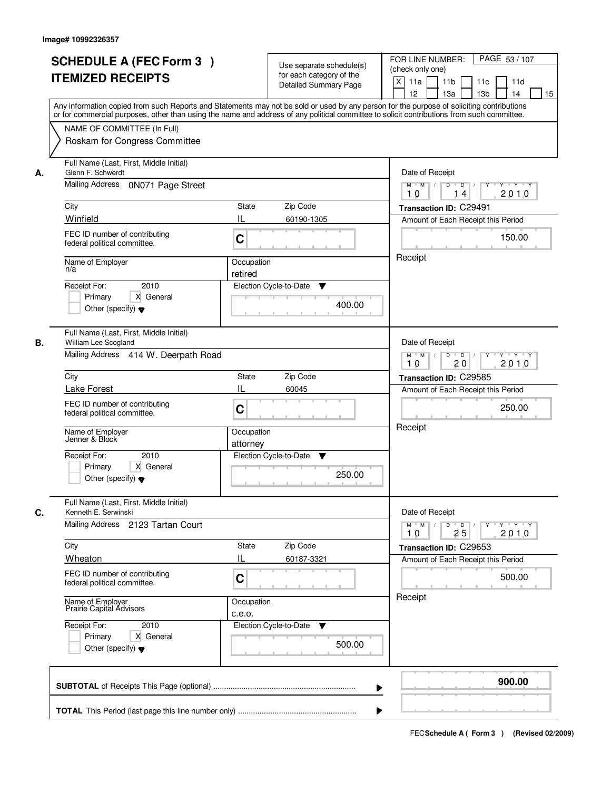| or for commercial purposes, other than using the name and address of any political committee to solicit contributions from such committee.<br>NAME OF COMMITTEE (In Full)<br>Roskam for Congress Committee<br>Full Name (Last, First, Middle Initial)<br>Glenn F. Schwerdt<br>Date of Receipt<br>А.<br>Mailing Address 0N071 Page Street<br>$M$ $M$<br>$D$ $D$ $/$<br>$Y^+$<br>$Y + Y + Y$<br>2010<br>10<br>14<br>Zip Code<br>City<br>State<br>Transaction ID: C29491<br>Winfield<br>Ш<br>60190-1305<br>Amount of Each Receipt this Period<br>FEC ID number of contributing<br>C<br>150.00<br>federal political committee.<br>Receipt<br>Name of Employer<br>Occupation<br>n/a<br>retired<br>2010<br>Election Cycle-to-Date<br>Receipt For:<br>▼<br>X General<br>Primary<br>400.00<br>Other (specify) $\blacktriangledown$<br>Full Name (Last, First, Middle Initial)<br>William Lee Scogland<br>Date of Receipt<br>В.<br>Mailing Address 414 W. Deerpath Road<br>$Y - Y - Y$<br>$M$ $M$ /<br>D<br>$\overline{D}$<br>2010<br>20<br>10<br>City<br>Zip Code<br>State<br>Transaction ID: C29585<br>IL<br>Lake Forest<br>60045<br>Amount of Each Receipt this Period<br>FEC ID number of contributing<br>250.00<br>C<br>federal political committee.<br>Receipt<br>Name of Employer<br>Jenner & Block<br>Occupation<br>attorney<br>Receipt For:<br>2010<br>Election Cycle-to-Date<br>v<br>Primary<br>X General<br>250.00<br>Other (specify) $\blacktriangledown$<br>Full Name (Last, First, Middle Initial)<br>Kenneth E. Serwinski<br>Date of Receipt<br>Mailing Address 2123 Tartan Court<br>$D$ $D$ $/$<br>$M$ $M$ /<br>$Y + Y + Y$<br>$Y^{\top}$<br>2010<br>25<br>10<br>Zip Code<br>City<br>State<br>Transaction ID: C29653<br>Wheaton<br>IL<br>60187-3321<br>Amount of Each Receipt this Period<br>FEC ID number of contributing<br>C<br>500.00<br>federal political committee.<br>Receipt<br>Name of Employer<br>Prairie Capital Advisors<br>Occupation<br>c.e.o.<br>Receipt For:<br>Election Cycle-to-Date<br>2010<br>v<br>Primary<br>X General<br>500.00<br>Other (specify) $\blacktriangledown$<br>900.00<br>▶ |    | <b>SCHEDULE A (FEC Form 3)</b><br><b>ITEMIZED RECEIPTS</b> | Use separate schedule(s)<br>for each category of the<br><b>Detailed Summary Page</b> | PAGE 53 / 107<br>FOR LINE NUMBER:<br>(check only one)<br>X<br>11a<br>11 <sub>b</sub><br>11c<br>11d<br>12<br>13a<br>13 <sub>b</sub><br>14<br>15<br>Any information copied from such Reports and Statements may not be sold or used by any person for the purpose of soliciting contributions |
|---------------------------------------------------------------------------------------------------------------------------------------------------------------------------------------------------------------------------------------------------------------------------------------------------------------------------------------------------------------------------------------------------------------------------------------------------------------------------------------------------------------------------------------------------------------------------------------------------------------------------------------------------------------------------------------------------------------------------------------------------------------------------------------------------------------------------------------------------------------------------------------------------------------------------------------------------------------------------------------------------------------------------------------------------------------------------------------------------------------------------------------------------------------------------------------------------------------------------------------------------------------------------------------------------------------------------------------------------------------------------------------------------------------------------------------------------------------------------------------------------------------------------------------------------------------------------------------------------------------------------------------------------------------------------------------------------------------------------------------------------------------------------------------------------------------------------------------------------------------------------------------------------------------------------------------------------------------------------------------------------------------------------------------------------------------------------------------------------------------------|----|------------------------------------------------------------|--------------------------------------------------------------------------------------|---------------------------------------------------------------------------------------------------------------------------------------------------------------------------------------------------------------------------------------------------------------------------------------------|
|                                                                                                                                                                                                                                                                                                                                                                                                                                                                                                                                                                                                                                                                                                                                                                                                                                                                                                                                                                                                                                                                                                                                                                                                                                                                                                                                                                                                                                                                                                                                                                                                                                                                                                                                                                                                                                                                                                                                                                                                                                                                                                                     |    |                                                            |                                                                                      |                                                                                                                                                                                                                                                                                             |
|                                                                                                                                                                                                                                                                                                                                                                                                                                                                                                                                                                                                                                                                                                                                                                                                                                                                                                                                                                                                                                                                                                                                                                                                                                                                                                                                                                                                                                                                                                                                                                                                                                                                                                                                                                                                                                                                                                                                                                                                                                                                                                                     |    |                                                            |                                                                                      |                                                                                                                                                                                                                                                                                             |
|                                                                                                                                                                                                                                                                                                                                                                                                                                                                                                                                                                                                                                                                                                                                                                                                                                                                                                                                                                                                                                                                                                                                                                                                                                                                                                                                                                                                                                                                                                                                                                                                                                                                                                                                                                                                                                                                                                                                                                                                                                                                                                                     |    |                                                            |                                                                                      |                                                                                                                                                                                                                                                                                             |
|                                                                                                                                                                                                                                                                                                                                                                                                                                                                                                                                                                                                                                                                                                                                                                                                                                                                                                                                                                                                                                                                                                                                                                                                                                                                                                                                                                                                                                                                                                                                                                                                                                                                                                                                                                                                                                                                                                                                                                                                                                                                                                                     | C. |                                                            |                                                                                      |                                                                                                                                                                                                                                                                                             |
|                                                                                                                                                                                                                                                                                                                                                                                                                                                                                                                                                                                                                                                                                                                                                                                                                                                                                                                                                                                                                                                                                                                                                                                                                                                                                                                                                                                                                                                                                                                                                                                                                                                                                                                                                                                                                                                                                                                                                                                                                                                                                                                     |    |                                                            |                                                                                      |                                                                                                                                                                                                                                                                                             |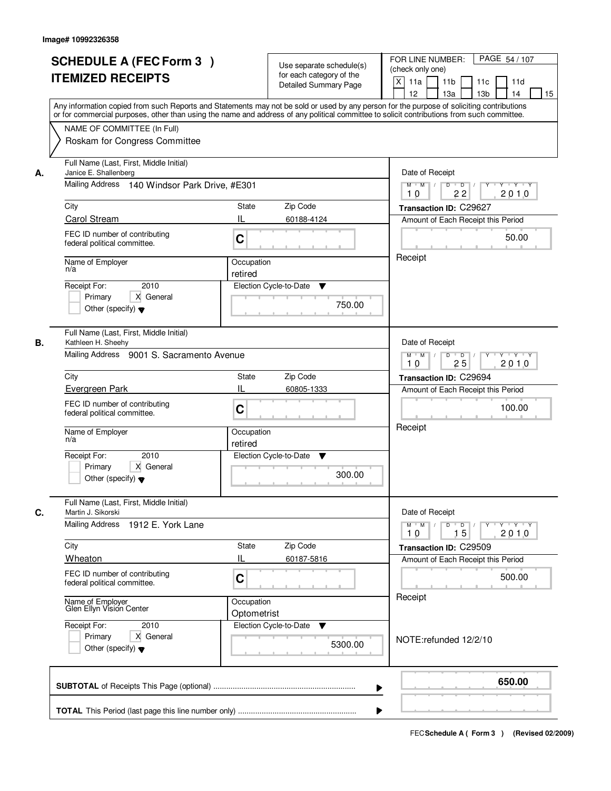| А.<br>City<br>n/a<br>В.<br>City | NAME OF COMMITTEE (In Full)<br>Roskam for Congress Committee<br>Full Name (Last, First, Middle Initial)<br>Janice E. Shallenberg<br>Mailing Address 140 Windsor Park Drive, #E301<br>Carol Stream<br>FEC ID number of contributing<br>federal political committee.<br>Name of Employer<br>2010<br>Receipt For:<br>X General<br>Primary | or for commercial purposes, other than using the name and address of any political committee to solicit contributions from such committee.<br>State<br>Zip Code<br>IL<br>60188-4124<br>C<br>Occupation<br>retired<br>Election Cycle-to-Date<br>▼ | Date of Receipt<br>$Y + Y + Y$<br>$M$ $M$ /<br>$D$ $D$<br>Y<br>$\sqrt{ }$<br>22<br>2010<br>10<br>Transaction ID: C29627<br>Amount of Each Receipt this Period<br>50.00<br>Receipt |
|---------------------------------|----------------------------------------------------------------------------------------------------------------------------------------------------------------------------------------------------------------------------------------------------------------------------------------------------------------------------------------|--------------------------------------------------------------------------------------------------------------------------------------------------------------------------------------------------------------------------------------------------|-----------------------------------------------------------------------------------------------------------------------------------------------------------------------------------|
|                                 |                                                                                                                                                                                                                                                                                                                                        |                                                                                                                                                                                                                                                  |                                                                                                                                                                                   |
|                                 |                                                                                                                                                                                                                                                                                                                                        |                                                                                                                                                                                                                                                  |                                                                                                                                                                                   |
|                                 |                                                                                                                                                                                                                                                                                                                                        |                                                                                                                                                                                                                                                  |                                                                                                                                                                                   |
|                                 |                                                                                                                                                                                                                                                                                                                                        |                                                                                                                                                                                                                                                  |                                                                                                                                                                                   |
|                                 |                                                                                                                                                                                                                                                                                                                                        |                                                                                                                                                                                                                                                  |                                                                                                                                                                                   |
|                                 |                                                                                                                                                                                                                                                                                                                                        |                                                                                                                                                                                                                                                  |                                                                                                                                                                                   |
|                                 |                                                                                                                                                                                                                                                                                                                                        |                                                                                                                                                                                                                                                  |                                                                                                                                                                                   |
|                                 |                                                                                                                                                                                                                                                                                                                                        |                                                                                                                                                                                                                                                  |                                                                                                                                                                                   |
|                                 |                                                                                                                                                                                                                                                                                                                                        |                                                                                                                                                                                                                                                  |                                                                                                                                                                                   |
|                                 |                                                                                                                                                                                                                                                                                                                                        |                                                                                                                                                                                                                                                  |                                                                                                                                                                                   |
|                                 | Other (specify) $\blacktriangledown$                                                                                                                                                                                                                                                                                                   | 750.00                                                                                                                                                                                                                                           |                                                                                                                                                                                   |
|                                 | Full Name (Last, First, Middle Initial)<br>Kathleen H. Sheehy                                                                                                                                                                                                                                                                          |                                                                                                                                                                                                                                                  | Date of Receipt                                                                                                                                                                   |
|                                 | Mailing Address 9001 S. Sacramento Avenue                                                                                                                                                                                                                                                                                              |                                                                                                                                                                                                                                                  | $M$ $M$ /<br>D<br>$\overline{D}$<br>$Y + Y + Y$<br>25<br>2010<br>10                                                                                                               |
|                                 |                                                                                                                                                                                                                                                                                                                                        | Zip Code<br><b>State</b>                                                                                                                                                                                                                         | Transaction ID: C29694                                                                                                                                                            |
|                                 | Evergreen Park                                                                                                                                                                                                                                                                                                                         | IL<br>60805-1333                                                                                                                                                                                                                                 | Amount of Each Receipt this Period                                                                                                                                                |
|                                 | FEC ID number of contributing<br>federal political committee.                                                                                                                                                                                                                                                                          | C                                                                                                                                                                                                                                                | 100.00                                                                                                                                                                            |
| n/a                             | Name of Employer                                                                                                                                                                                                                                                                                                                       | Occupation<br>retired                                                                                                                                                                                                                            | Receipt                                                                                                                                                                           |
|                                 | Receipt For:<br>2010<br>Primary<br>X General<br>Other (specify) $\blacktriangledown$                                                                                                                                                                                                                                                   | Election Cycle-to-Date<br>v<br>300.00                                                                                                                                                                                                            |                                                                                                                                                                                   |
| C.                              | Full Name (Last, First, Middle Initial)<br>Martin J. Sikorski<br>Mailing Address 1912 E. York Lane                                                                                                                                                                                                                                     |                                                                                                                                                                                                                                                  | Date of Receipt<br>$D$ $D$ $/$<br>$M$ $M$ /<br>2010<br>10<br>15                                                                                                                   |
| City                            |                                                                                                                                                                                                                                                                                                                                        | Zip Code<br>State                                                                                                                                                                                                                                | Transaction ID: C29509                                                                                                                                                            |
|                                 | Wheaton                                                                                                                                                                                                                                                                                                                                | Ш<br>60187-5816                                                                                                                                                                                                                                  | Amount of Each Receipt this Period                                                                                                                                                |
|                                 | FEC ID number of contributing<br>federal political committee.                                                                                                                                                                                                                                                                          | C                                                                                                                                                                                                                                                | 500.00                                                                                                                                                                            |
|                                 | Name of Employer<br>Glen Ellyn Vision Center                                                                                                                                                                                                                                                                                           | Occupation<br>Optometrist                                                                                                                                                                                                                        | Receipt                                                                                                                                                                           |
|                                 | Receipt For:<br>2010<br>Primary<br>X General<br>Other (specify) $\blacktriangledown$                                                                                                                                                                                                                                                   | Election Cycle-to-Date<br>5300.00                                                                                                                                                                                                                | NOTE:refunded 12/2/10                                                                                                                                                             |
|                                 |                                                                                                                                                                                                                                                                                                                                        |                                                                                                                                                                                                                                                  |                                                                                                                                                                                   |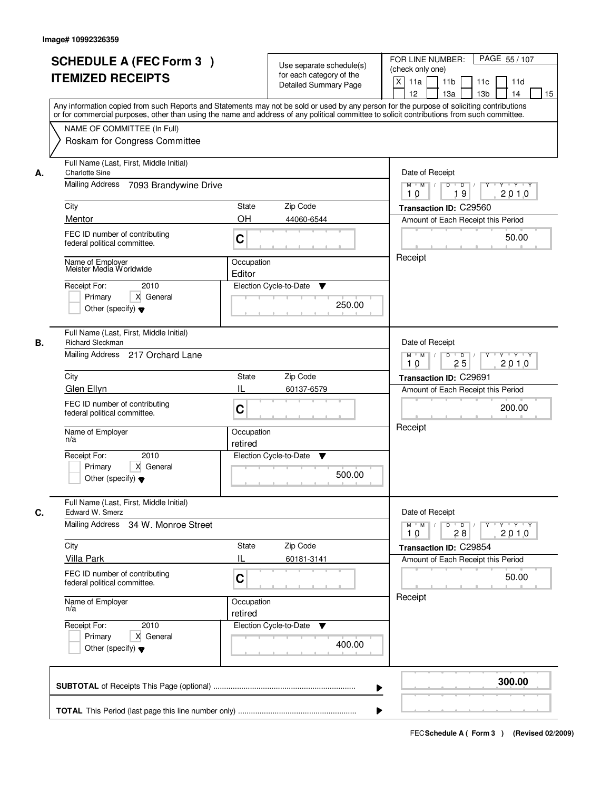|    | <b>SCHEDULE A (FEC Form 3)</b><br><b>ITEMIZED RECEIPTS</b><br>Any information copied from such Reports and Statements may not be sold or used by any person for the purpose of soliciting contributions<br>or for commercial purposes, other than using the name and address of any political committee to solicit contributions from such committee. |                                                  | Use separate schedule(s)<br>for each category of the<br><b>Detailed Summary Page</b> | PAGE 55 / 107<br>FOR LINE NUMBER:<br>(check only one)<br>$\mathsf{X}$<br>11a<br>11 <sub>b</sub><br>11c<br>11d<br>13 <sub>b</sub><br>12<br>13a<br>14<br>15                                |
|----|-------------------------------------------------------------------------------------------------------------------------------------------------------------------------------------------------------------------------------------------------------------------------------------------------------------------------------------------------------|--------------------------------------------------|--------------------------------------------------------------------------------------|------------------------------------------------------------------------------------------------------------------------------------------------------------------------------------------|
|    | NAME OF COMMITTEE (In Full)<br>Roskam for Congress Committee                                                                                                                                                                                                                                                                                          |                                                  |                                                                                      |                                                                                                                                                                                          |
| А. | Full Name (Last, First, Middle Initial)<br><b>Charlotte Sine</b><br><b>Mailing Address</b><br>7093 Brandywine Drive<br>City<br>Mentor<br>FEC ID number of contributing<br>federal political committee.<br>Name of Employer<br>Meister Media Worldwide<br>Receipt For:<br>2010<br>X General<br>Primary<br>Other (specify) $\blacktriangledown$         | <b>State</b><br>OH<br>C<br>Occupation<br>Editor  | Zip Code<br>44060-6544<br>Election Cycle-to-Date<br>▼<br>250.00                      | Date of Receipt<br>$D$ $D$ $/$<br>$Y$ $Y$ $Y$ $Y$<br>$M$ $M$ /<br>$\overline{Y}$<br>19<br>2010<br>10<br>Transaction ID: C29560<br>Amount of Each Receipt this Period<br>50.00<br>Receipt |
| В. | Full Name (Last, First, Middle Initial)<br>Richard Sleckman<br>Mailing Address 217 Orchard Lane<br>City<br>Glen Ellyn<br>FEC ID number of contributing<br>federal political committee.<br>Name of Employer<br>n/a<br>Receipt For:<br>2010<br>Primary<br>X General<br>Other (specify) $\blacktriangledown$                                             | <b>State</b><br>IL<br>C<br>Occupation<br>retired | Zip Code<br>60137-6579<br>Election Cycle-to-Date<br>v<br>500.00                      | Date of Receipt<br>$M$ $M$ /<br>D<br>$\overline{\phantom{0}}$<br>$Y + Y + Y$<br>25<br>2010<br>10<br>Transaction ID: C29691<br>Amount of Each Receipt this Period<br>200.00<br>Receipt    |
| C. | Full Name (Last, First, Middle Initial)<br>Edward W. Smerz<br><b>Mailing Address</b><br>34 W. Monroe Street<br>City<br><b>Villa Park</b><br>FEC ID number of contributing<br>federal political committee.<br>Name of Employer<br>n/a<br>Receipt For:<br>2010<br>Primary<br>X General<br>Other (specify) $\blacktriangledown$                          | <b>State</b><br>IL<br>C<br>Occupation<br>retired | Zip Code<br>60181-3141<br>Election Cycle-to-Date<br>v<br>400.00                      | Date of Receipt<br>$M = M$<br>$\mathsf D$<br>$\overline{D}$<br>$Y + Y + Y$<br>Y<br>2010<br>28<br>10<br>Transaction ID: C29854<br>Amount of Each Receipt this Period<br>50.00<br>Receipt  |
|    |                                                                                                                                                                                                                                                                                                                                                       |                                                  | ▶                                                                                    | 300.00                                                                                                                                                                                   |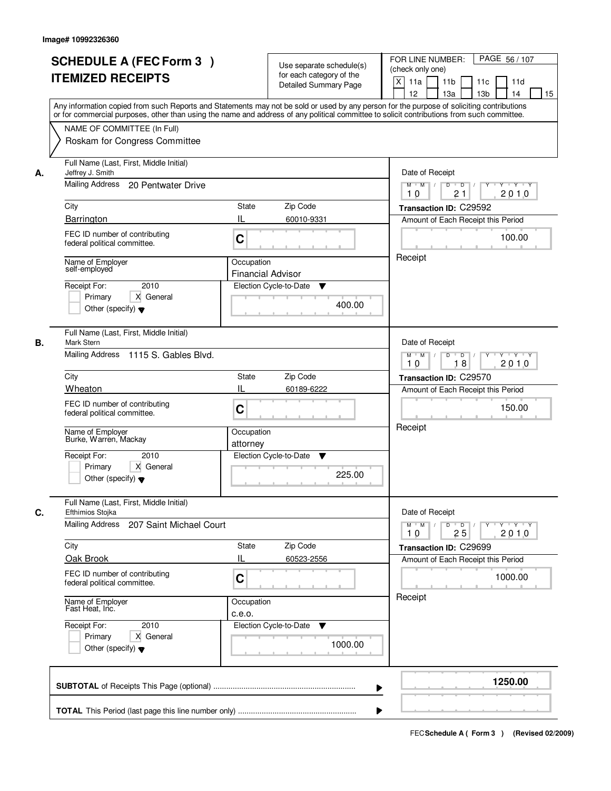|    | <b>SCHEDULE A (FEC Form 3)</b><br><b>ITEMIZED RECEIPTS</b><br>Any information copied from such Reports and Statements may not be sold or used by any person for the purpose of soliciting contributions<br>or for commercial purposes, other than using the name and address of any political committee to solicit contributions from such committee. |                                        | Use separate schedule(s)<br>for each category of the<br>Detailed Summary Page | PAGE 56 / 107<br>FOR LINE NUMBER:<br>(check only one)<br>$\mathsf{X}$<br>11 <sub>b</sub><br>11a<br>11c<br>11d<br>13 <sub>b</sub><br>12<br>13a<br>14<br>15 |
|----|-------------------------------------------------------------------------------------------------------------------------------------------------------------------------------------------------------------------------------------------------------------------------------------------------------------------------------------------------------|----------------------------------------|-------------------------------------------------------------------------------|-----------------------------------------------------------------------------------------------------------------------------------------------------------|
|    | NAME OF COMMITTEE (In Full)<br>Roskam for Congress Committee                                                                                                                                                                                                                                                                                          |                                        |                                                                               |                                                                                                                                                           |
| А. | Full Name (Last, First, Middle Initial)<br>Jeffrey J. Smith<br>Mailing Address 20 Pentwater Drive<br>City                                                                                                                                                                                                                                             | State                                  | Zip Code                                                                      | Date of Receipt<br>$D$ $D$ $/$<br>$Y + Y + Y$<br>$M$ $M$ /<br>$\overline{Y}$<br>21<br>2010<br>10<br>Transaction ID: C29592                                |
|    | Barrington                                                                                                                                                                                                                                                                                                                                            | IL                                     | 60010-9331                                                                    |                                                                                                                                                           |
|    | FEC ID number of contributing<br>federal political committee.                                                                                                                                                                                                                                                                                         | C                                      |                                                                               | Amount of Each Receipt this Period<br>100.00                                                                                                              |
|    | Name of Employer<br>self-employed<br>2010<br>Receipt For:<br>X General<br>Primary<br>Other (specify) $\blacktriangledown$                                                                                                                                                                                                                             | Occupation<br><b>Financial Advisor</b> | Election Cycle-to-Date<br>▼<br>400.00                                         | Receipt                                                                                                                                                   |
| В. | Full Name (Last, First, Middle Initial)<br>Mark Stern<br>Mailing Address 1115 S. Gables Blvd.                                                                                                                                                                                                                                                         |                                        |                                                                               | Date of Receipt<br>$Y - Y - Y$<br>$M$ $M$ /<br>D<br>$\overline{\phantom{0}}$<br>18<br>2010<br>10                                                          |
|    | City                                                                                                                                                                                                                                                                                                                                                  | <b>State</b>                           | Zip Code                                                                      | Transaction ID: C29570                                                                                                                                    |
|    | Wheaton                                                                                                                                                                                                                                                                                                                                               | IL                                     | 60189-6222                                                                    | Amount of Each Receipt this Period                                                                                                                        |
|    | FEC ID number of contributing<br>federal political committee.                                                                                                                                                                                                                                                                                         | C                                      |                                                                               | 150.00<br>Receipt                                                                                                                                         |
|    | Name of Employer<br>Burke, Warren, Mackay                                                                                                                                                                                                                                                                                                             | Occupation<br>attorney                 |                                                                               |                                                                                                                                                           |
|    | Receipt For:<br>2010<br>Primary<br>X General<br>Other (specify) $\blacktriangledown$                                                                                                                                                                                                                                                                  |                                        | Election Cycle-to-Date<br>▼<br>225.00                                         |                                                                                                                                                           |
| C. | Full Name (Last, First, Middle Initial)<br>Efthimios Stojka                                                                                                                                                                                                                                                                                           |                                        |                                                                               | Date of Receipt                                                                                                                                           |
|    | Mailing Address<br>207 Saint Michael Court                                                                                                                                                                                                                                                                                                            |                                        |                                                                               | $M = M$<br>$\mathsf D$<br>$\overline{D}$<br>Y Y Y Y<br>Y<br>2010<br>25<br>10                                                                              |
|    | City<br>Oak Brook                                                                                                                                                                                                                                                                                                                                     | <b>State</b><br>IL                     | Zip Code<br>60523-2556                                                        | Transaction ID: C29699<br>Amount of Each Receipt this Period                                                                                              |
|    | FEC ID number of contributing<br>federal political committee.                                                                                                                                                                                                                                                                                         | C                                      |                                                                               | 1000.00                                                                                                                                                   |
|    | Name of Employer<br>Fast Heat, Inc.                                                                                                                                                                                                                                                                                                                   | Occupation<br>c.e.o.                   |                                                                               | Receipt                                                                                                                                                   |
|    | Receipt For:<br>2010<br>Primary<br>X General<br>Other (specify) $\blacktriangledown$                                                                                                                                                                                                                                                                  |                                        | Election Cycle-to-Date<br>v<br>1000.00                                        |                                                                                                                                                           |
|    |                                                                                                                                                                                                                                                                                                                                                       |                                        | ▶                                                                             | 1250.00                                                                                                                                                   |
|    |                                                                                                                                                                                                                                                                                                                                                       |                                        |                                                                               |                                                                                                                                                           |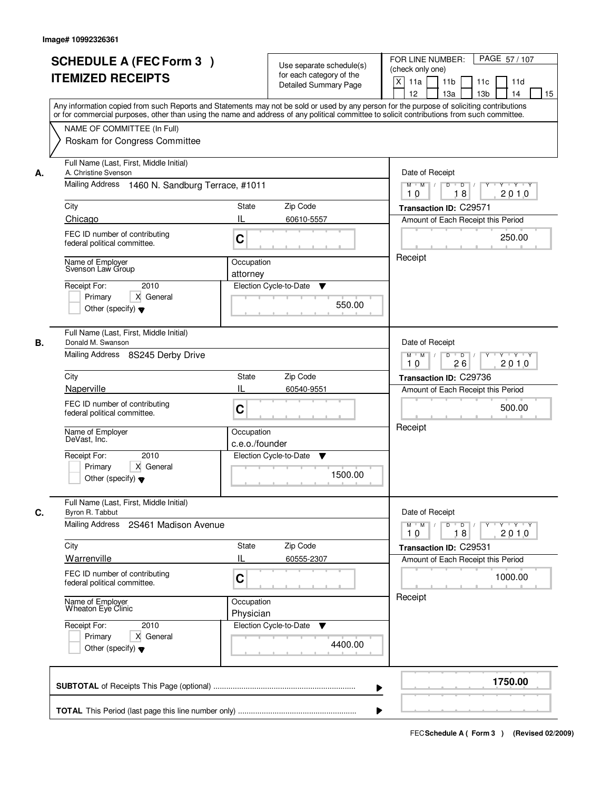|    | <b>SCHEDULE A (FEC Form 3)</b><br><b>ITEMIZED RECEIPTS</b>                                                                    | Use separate schedule(s)<br>for each category of the<br><b>Detailed Summary Page</b><br>Any information copied from such Reports and Statements may not be sold or used by any person for the purpose of soliciting contributions | PAGE 57/107<br>FOR LINE NUMBER:<br>(check only one)<br>$\boldsymbol{\mathsf{X}}$<br>11 <sub>b</sub><br>11a<br>11c<br>11d<br>12<br>13 <sub>b</sub><br>14<br>13a<br>15 |
|----|-------------------------------------------------------------------------------------------------------------------------------|-----------------------------------------------------------------------------------------------------------------------------------------------------------------------------------------------------------------------------------|----------------------------------------------------------------------------------------------------------------------------------------------------------------------|
|    | NAME OF COMMITTEE (In Full)<br>Roskam for Congress Committee                                                                  | or for commercial purposes, other than using the name and address of any political committee to solicit contributions from such committee.                                                                                        |                                                                                                                                                                      |
| А. | Full Name (Last, First, Middle Initial)<br>A. Christine Svenson<br>Mailing Address 1460 N. Sandburg Terrace, #1011            | Date of Receipt<br>$M$ $M$ /<br>$D$ $D$ $I$<br>Y<br>$Y - Y - Y - Y$<br>18<br>2010<br>10                                                                                                                                           |                                                                                                                                                                      |
|    | City                                                                                                                          | <b>State</b><br>Zip Code                                                                                                                                                                                                          | Transaction ID: C29571                                                                                                                                               |
|    | Chicago                                                                                                                       | IL<br>60610-5557                                                                                                                                                                                                                  | Amount of Each Receipt this Period                                                                                                                                   |
|    | FEC ID number of contributing<br>federal political committee.                                                                 | C                                                                                                                                                                                                                                 | 250.00                                                                                                                                                               |
|    | Name of Employer<br>Svenson Law Group<br>2010<br>Receipt For:<br>X General<br>Primary<br>Other (specify) $\blacktriangledown$ | Occupation<br>attorney<br>Election Cycle-to-Date<br>▼<br>550.00                                                                                                                                                                   | Receipt                                                                                                                                                              |
| В. | Full Name (Last, First, Middle Initial)<br>Donald M. Swanson<br>Mailing Address 8S245 Derby Drive                             |                                                                                                                                                                                                                                   | Date of Receipt<br>$M$ $M$ /<br>D<br>$\overline{D}$ /<br>$Y + Y + Y$<br>26<br>2010<br>10                                                                             |
|    | City                                                                                                                          | Zip Code<br>State                                                                                                                                                                                                                 | Transaction ID: C29736                                                                                                                                               |
|    | Naperville                                                                                                                    | IL<br>60540-9551                                                                                                                                                                                                                  | Amount of Each Receipt this Period                                                                                                                                   |
|    | FEC ID number of contributing<br>federal political committee.                                                                 | C                                                                                                                                                                                                                                 | 500.00                                                                                                                                                               |
|    | Name of Employer<br>DeVast, Inc.                                                                                              | Occupation<br>c.e.o./founder                                                                                                                                                                                                      | Receipt                                                                                                                                                              |
|    | 2010<br>Receipt For:<br>Primary<br>X General<br>Other (specify) $\blacktriangledown$                                          | Election Cycle-to-Date<br>▼<br>1500.00                                                                                                                                                                                            |                                                                                                                                                                      |
| C. | Full Name (Last, First, Middle Initial)<br>Byron R. Tabbut<br>Mailing Address<br>2S461 Madison Avenue                         |                                                                                                                                                                                                                                   | Date of Receipt<br>$D$ $D$ $/$<br>$M$ $M$<br>2010<br>10<br>18                                                                                                        |
|    | City                                                                                                                          | Zip Code<br>State                                                                                                                                                                                                                 | Transaction ID: C29531                                                                                                                                               |
|    | Warrenville                                                                                                                   | Ш<br>60555-2307                                                                                                                                                                                                                   | Amount of Each Receipt this Period                                                                                                                                   |
|    | FEC ID number of contributing<br>federal political committee.                                                                 | C                                                                                                                                                                                                                                 | 1000.00                                                                                                                                                              |
|    | Name of Employer<br>Wheaton Eye Clinic                                                                                        | Occupation<br>Physician                                                                                                                                                                                                           | Receipt                                                                                                                                                              |
|    | Receipt For:<br>2010<br>Primary<br>X General<br>Other (specify) $\blacktriangledown$                                          | Election Cycle-to-Date<br>v<br>4400.00                                                                                                                                                                                            |                                                                                                                                                                      |
|    |                                                                                                                               |                                                                                                                                                                                                                                   | 1750.00                                                                                                                                                              |
|    |                                                                                                                               |                                                                                                                                                                                                                                   |                                                                                                                                                                      |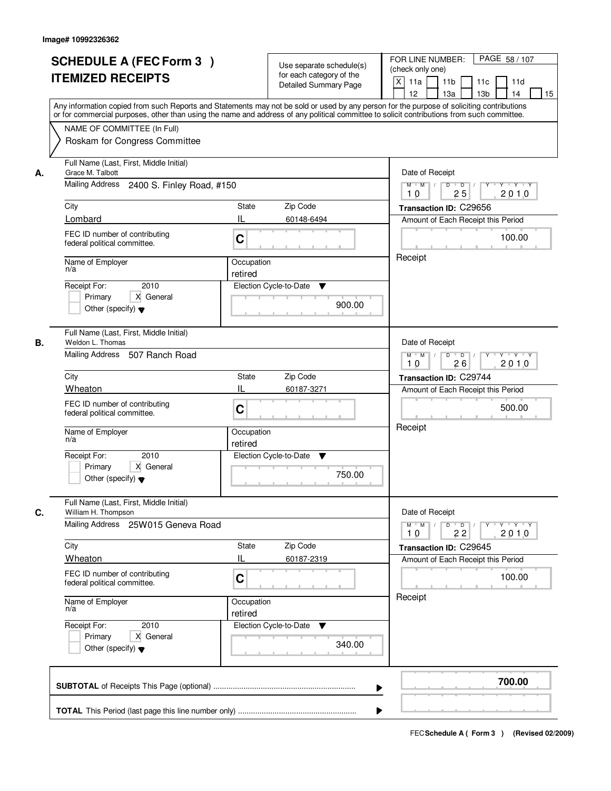|    | <b>SCHEDULE A (FEC Form 3)</b><br><b>ITEMIZED RECEIPTS</b>                                                                                                                                                                                                                              |                       | Use separate schedule(s)<br>for each category of the | PAGE 58 / 107<br>FOR LINE NUMBER:<br>(check only one)                                                         |
|----|-----------------------------------------------------------------------------------------------------------------------------------------------------------------------------------------------------------------------------------------------------------------------------------------|-----------------------|------------------------------------------------------|---------------------------------------------------------------------------------------------------------------|
|    |                                                                                                                                                                                                                                                                                         |                       | Detailed Summary Page                                | $\mathsf{X}$<br>11a<br>11 <sub>b</sub><br>11c<br>11d<br>13 <sub>b</sub><br>12 <sup>2</sup><br>13a<br>14<br>15 |
|    | Any information copied from such Reports and Statements may not be sold or used by any person for the purpose of soliciting contributions<br>or for commercial purposes, other than using the name and address of any political committee to solicit contributions from such committee. |                       |                                                      |                                                                                                               |
|    | NAME OF COMMITTEE (In Full)<br>Roskam for Congress Committee                                                                                                                                                                                                                            |                       |                                                      |                                                                                                               |
| А. | Full Name (Last, First, Middle Initial)<br>Grace M. Talbott                                                                                                                                                                                                                             | Date of Receipt       |                                                      |                                                                                                               |
|    | Mailing Address 2400 S. Finley Road, #150                                                                                                                                                                                                                                               |                       |                                                      | $D$ $D$ $/$<br>$Y$ $Y$ $Y$ $Y$<br>$M$ $M$ /<br>$\overline{Y}$<br>25<br>2010<br>10                             |
|    | City                                                                                                                                                                                                                                                                                    | State                 | Zip Code                                             | Transaction ID: C29656                                                                                        |
|    | Lombard                                                                                                                                                                                                                                                                                 | IL                    | 60148-6494                                           | Amount of Each Receipt this Period                                                                            |
|    | FEC ID number of contributing<br>federal political committee.                                                                                                                                                                                                                           | C                     |                                                      | 100.00                                                                                                        |
|    | Name of Employer<br>n/a                                                                                                                                                                                                                                                                 | Occupation<br>retired |                                                      | Receipt                                                                                                       |
|    | 2010<br>Receipt For:                                                                                                                                                                                                                                                                    |                       | Election Cycle-to-Date<br>▼                          |                                                                                                               |
|    | X General<br>Primary<br>Other (specify) $\blacktriangledown$                                                                                                                                                                                                                            |                       | 900.00                                               |                                                                                                               |
| В. | Full Name (Last, First, Middle Initial)<br>Weldon L. Thomas                                                                                                                                                                                                                             |                       |                                                      | Date of Receipt                                                                                               |
|    | Mailing Address 507 Ranch Road                                                                                                                                                                                                                                                          |                       |                                                      | $Y - Y - Y$<br>$M$ $M$ /<br>D<br>$\overline{\phantom{0}}$<br>2010<br>26<br>10                                 |
|    | City                                                                                                                                                                                                                                                                                    | <b>State</b>          | Zip Code                                             | Transaction ID: C29744                                                                                        |
|    | Wheaton                                                                                                                                                                                                                                                                                 | IL                    | 60187-3271                                           | Amount of Each Receipt this Period                                                                            |
|    | FEC ID number of contributing<br>federal political committee.                                                                                                                                                                                                                           | C                     |                                                      | 500.00                                                                                                        |
|    | Name of Employer<br>n/a                                                                                                                                                                                                                                                                 | Occupation<br>retired |                                                      | Receipt                                                                                                       |
|    | Receipt For:<br>2010                                                                                                                                                                                                                                                                    |                       | Election Cycle-to-Date<br>v                          |                                                                                                               |
|    | Primary<br>X General<br>Other (specify) $\blacktriangledown$                                                                                                                                                                                                                            |                       | 750.00                                               |                                                                                                               |
| C. | Full Name (Last, First, Middle Initial)<br>William H. Thompson                                                                                                                                                                                                                          |                       |                                                      | Date of Receipt                                                                                               |
|    | Mailing Address 25W015 Geneva Road                                                                                                                                                                                                                                                      |                       |                                                      | $M = M$<br>$D$ $D$ $/$<br>$Y \dashv Y \dashv Y$<br>$Y^{\top}$<br>2010<br>22<br>10                             |
|    | City                                                                                                                                                                                                                                                                                    | State                 | Zip Code                                             | Transaction ID: C29645                                                                                        |
|    | Wheaton                                                                                                                                                                                                                                                                                 | IL                    | 60187-2319                                           | Amount of Each Receipt this Period                                                                            |
|    | FEC ID number of contributing<br>federal political committee.                                                                                                                                                                                                                           | C                     |                                                      | 100.00                                                                                                        |
|    | Name of Employer<br>n/a                                                                                                                                                                                                                                                                 | Occupation<br>retired |                                                      | Receipt                                                                                                       |
|    | Receipt For:<br>2010                                                                                                                                                                                                                                                                    |                       | Election Cycle-to-Date<br>v                          |                                                                                                               |
|    | Primary<br>X General<br>Other (specify) $\blacktriangledown$                                                                                                                                                                                                                            |                       | 340.00                                               |                                                                                                               |
|    |                                                                                                                                                                                                                                                                                         |                       | ▶                                                    | 700.00                                                                                                        |
|    |                                                                                                                                                                                                                                                                                         |                       |                                                      |                                                                                                               |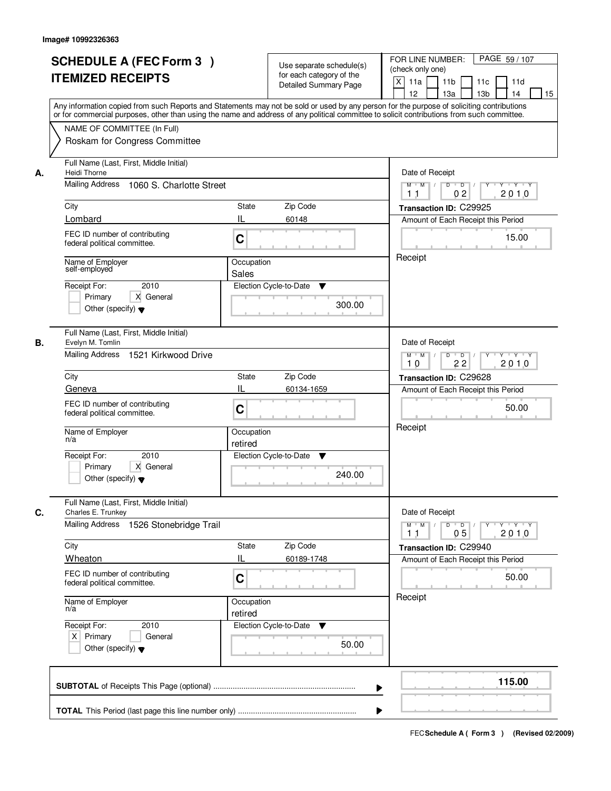|    | <b>SCHEDULE A (FEC Form 3)</b><br><b>ITEMIZED RECEIPTS</b><br>Any information copied from such Reports and Statements may not be sold or used by any person for the purpose of soliciting contributions<br>or for commercial purposes, other than using the name and address of any political committee to solicit contributions from such committee. |                                         | Use separate schedule(s)<br>for each category of the<br><b>Detailed Summary Page</b> | PAGE 59 / 107<br>FOR LINE NUMBER:<br>(check only one)<br>$\mathsf{X}$<br>11a<br>11 <sub>b</sub><br>11c<br>11d<br>13 <sub>b</sub><br>12<br>13a<br>14<br>15                                            |
|----|-------------------------------------------------------------------------------------------------------------------------------------------------------------------------------------------------------------------------------------------------------------------------------------------------------------------------------------------------------|-----------------------------------------|--------------------------------------------------------------------------------------|------------------------------------------------------------------------------------------------------------------------------------------------------------------------------------------------------|
|    | NAME OF COMMITTEE (In Full)<br>Roskam for Congress Committee                                                                                                                                                                                                                                                                                          |                                         |                                                                                      |                                                                                                                                                                                                      |
| А. | Full Name (Last, First, Middle Initial)<br>Heidi Thorne<br>Mailing Address<br>1060 S. Charlotte Street<br>City<br>Lombard<br>FEC ID number of contributing<br>federal political committee.<br>Name of Employer<br>self-employed                                                                                                                       | State<br>IL<br>C<br>Occupation<br>Sales | Zip Code<br>60148                                                                    | Date of Receipt<br>$D$ $D$ $/$<br>$Y$ $Y$ $Y$ $Y$<br>$M$ $M$ /<br>$\overline{Y}$<br>02<br>2010<br>1 <sub>1</sub><br>Transaction ID: C29925<br>Amount of Each Receipt this Period<br>15.00<br>Receipt |
|    | 2010<br>Receipt For:<br>X General<br>Primary<br>Other (specify) $\blacktriangledown$                                                                                                                                                                                                                                                                  |                                         | Election Cycle-to-Date<br>▼<br>300.00                                                |                                                                                                                                                                                                      |
| В. | Full Name (Last, First, Middle Initial)<br>Evelyn M. Tomlin<br>Mailing Address 1521 Kirkwood Drive                                                                                                                                                                                                                                                    |                                         |                                                                                      | Date of Receipt<br>$M$ $M$ /<br>D<br>$\overline{\phantom{0}}$<br>$Y + Y + Y$<br>22<br>2010<br>10                                                                                                     |
|    | City<br>Geneva<br>FEC ID number of contributing<br>federal political committee.                                                                                                                                                                                                                                                                       | <b>State</b><br>IL<br>C                 | Zip Code<br>60134-1659                                                               | Transaction ID: C29628<br>Amount of Each Receipt this Period<br>50.00                                                                                                                                |
|    | Name of Employer<br>n/a<br>Receipt For:<br>2010<br>Primary<br>X General<br>Other (specify) $\blacktriangledown$                                                                                                                                                                                                                                       | Occupation<br>retired                   | Election Cycle-to-Date<br>v<br>240.00                                                | Receipt                                                                                                                                                                                              |
| C. | Full Name (Last, First, Middle Initial)<br>Charles E. Trunkey<br><b>Mailing Address</b><br>1526 Stonebridge Trail                                                                                                                                                                                                                                     |                                         |                                                                                      | Date of Receipt<br>$M$ $M$ $/$<br>$D$ $D$ $/$<br>$Y^+$<br>$Y + Y + Y$<br>2010<br>05<br>11                                                                                                            |
|    | City<br>Wheaton<br>FEC ID number of contributing<br>federal political committee.                                                                                                                                                                                                                                                                      | <b>State</b><br>IL<br>C                 | Zip Code<br>60189-1748                                                               | Transaction ID: C29940<br>Amount of Each Receipt this Period<br>50.00                                                                                                                                |
|    | Name of Employer<br>n/a<br>Receipt For:<br>2010<br>$X$ Primary<br>General<br>Other (specify) $\blacktriangledown$                                                                                                                                                                                                                                     | Occupation<br>retired                   | Election Cycle-to-Date<br>v<br>50.00                                                 | Receipt                                                                                                                                                                                              |
|    |                                                                                                                                                                                                                                                                                                                                                       |                                         | ▶                                                                                    | 115.00                                                                                                                                                                                               |
|    |                                                                                                                                                                                                                                                                                                                                                       |                                         |                                                                                      |                                                                                                                                                                                                      |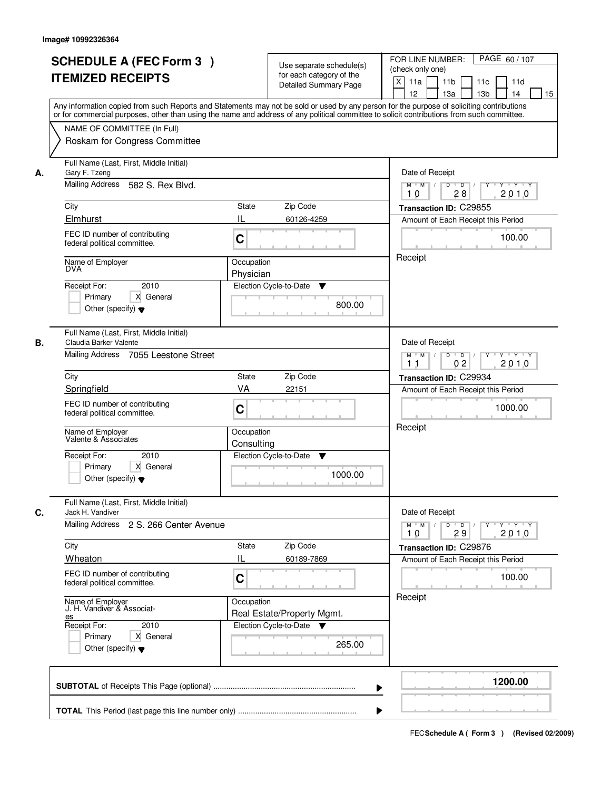|    | <b>SCHEDULE A (FEC Form 3)</b><br><b>ITEMIZED RECEIPTS</b><br>Any information copied from such Reports and Statements may not be sold or used by any person for the purpose of soliciting contributions<br>or for commercial purposes, other than using the name and address of any political committee to solicit contributions from such committee.                         |                                                     | Use separate schedule(s)<br>for each category of the<br>Detailed Summary Page                 | PAGE 60 / 107<br>FOR LINE NUMBER:<br>(check only one)<br>$\mathsf{X}$<br>11 <sub>b</sub><br>11a<br>11c<br>11d<br>13 <sub>b</sub><br>12<br>13a<br>14<br>15                                  |
|----|-------------------------------------------------------------------------------------------------------------------------------------------------------------------------------------------------------------------------------------------------------------------------------------------------------------------------------------------------------------------------------|-----------------------------------------------------|-----------------------------------------------------------------------------------------------|--------------------------------------------------------------------------------------------------------------------------------------------------------------------------------------------|
|    | NAME OF COMMITTEE (In Full)<br>Roskam for Congress Committee                                                                                                                                                                                                                                                                                                                  |                                                     |                                                                                               |                                                                                                                                                                                            |
| А. | Full Name (Last, First, Middle Initial)<br>Gary F. Tzeng<br>Mailing Address 582 S. Rex Blvd.<br>City<br>Elmhurst<br>FEC ID number of contributing<br>federal political committee.<br>Name of Employer<br><b>DVA</b><br>2010<br>Receipt For:<br>X General<br>Primary                                                                                                           | State<br>IL<br>C<br>Occupation<br>Physician         | Zip Code<br>60126-4259<br>Election Cycle-to-Date<br>▼                                         | Date of Receipt<br>$D$ $D$ $/$<br>$Y + Y + Y$<br>$M$ $M$ /<br>$\overline{Y}$<br>2010<br>10<br>28<br>Transaction ID: C29855<br>Amount of Each Receipt this Period<br>100.00<br>Receipt      |
| В. | Other (specify) $\blacktriangledown$<br>Full Name (Last, First, Middle Initial)<br>Claudia Barker Valente<br>Mailing Address 7055 Leestone Street<br>City<br>Springfield<br>FEC ID number of contributing<br>federal political committee.<br>Name of Employer<br>Valente & Associates<br>Receipt For:<br>2010<br>Primary<br>X General<br>Other (specify) $\blacktriangledown$ | <b>State</b><br>VA<br>C<br>Occupation<br>Consulting | 800.00<br>Zip Code<br>22151<br>Election Cycle-to-Date<br>v<br>1000.00                         | Date of Receipt<br>$M$ $M$ /<br>D<br>$\overline{\phantom{0}}$<br>$Y + Y + Y$<br>02<br>2010<br>11<br>Transaction ID: C29934<br>Amount of Each Receipt this Period<br>1000.00<br>Receipt     |
| C. | Full Name (Last, First, Middle Initial)<br>Jack H. Vandiver<br><b>Mailing Address</b><br>2 S. 266 Center Avenue<br>City<br>Wheaton<br>FEC ID number of contributing<br>federal political committee.<br>Name of Employer<br>J. H. Vandiver & Associat-<br><u>es</u><br>Receipt For:<br>2010<br>Primary<br>X General<br>Other (specify) $\blacktriangledown$                    | <b>State</b><br>IL<br>C<br>Occupation               | Zip Code<br>60189-7869<br>Real Estate/Property Mgmt.<br>Election Cycle-to-Date<br>▼<br>265.00 | Date of Receipt<br>$\mathsf D$<br>$M$ $M$ /<br>$\overline{D}$<br>$Y - Y - Y$<br>Y<br>29<br>2010<br>10<br>Transaction ID: C29876<br>Amount of Each Receipt this Period<br>100.00<br>Receipt |
|    |                                                                                                                                                                                                                                                                                                                                                                               |                                                     | ▶                                                                                             | 1200.00                                                                                                                                                                                    |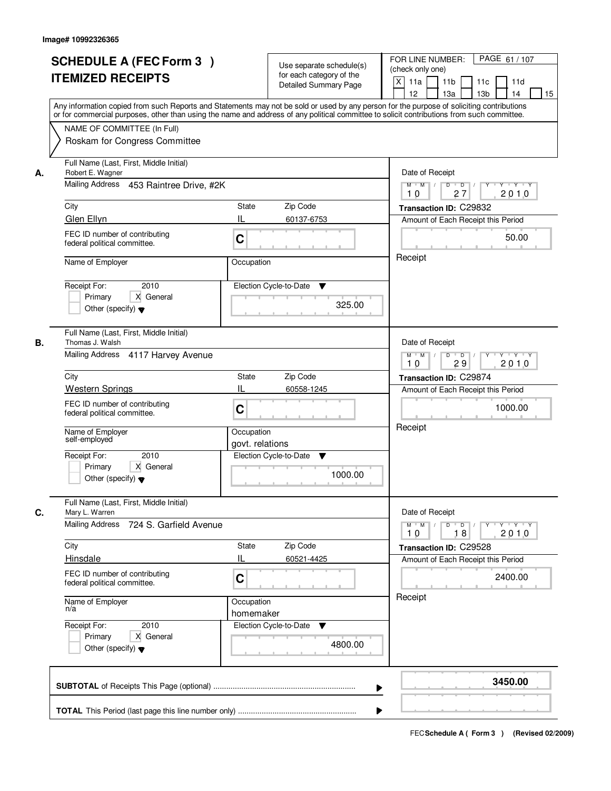|    | <b>SCHEDULE A (FEC Form 3)</b><br><b>ITEMIZED RECEIPTS</b><br>Any information copied from such Reports and Statements may not be sold or used by any person for the purpose of soliciting contributions    | Use separate schedule(s)<br>for each category of the<br><b>Detailed Summary Page</b> | PAGE 61 / 107<br>FOR LINE NUMBER:<br>(check only one)<br>$\boldsymbol{\mathsf{X}}$<br>11 <sub>b</sub><br>11a<br>11c<br>11d<br>12<br>13 <sub>b</sub><br>14<br>13a<br>15 |
|----|------------------------------------------------------------------------------------------------------------------------------------------------------------------------------------------------------------|--------------------------------------------------------------------------------------|------------------------------------------------------------------------------------------------------------------------------------------------------------------------|
|    | or for commercial purposes, other than using the name and address of any political committee to solicit contributions from such committee.<br>NAME OF COMMITTEE (In Full)<br>Roskam for Congress Committee |                                                                                      |                                                                                                                                                                        |
| А. | Full Name (Last, First, Middle Initial)<br>Robert E. Wagner<br>Mailing Address 453 Raintree Drive, #2K                                                                                                     |                                                                                      | Date of Receipt<br>$D$ $D$<br>Y TY Y Y<br>$M$ $M$ /<br>2010<br>27<br>10                                                                                                |
|    | City<br>Glen Ellyn                                                                                                                                                                                         | <b>State</b><br>Zip Code<br>IL<br>60137-6753                                         | Transaction ID: C29832<br>Amount of Each Receipt this Period                                                                                                           |
|    | FEC ID number of contributing<br>federal political committee.                                                                                                                                              | C                                                                                    | 50.00                                                                                                                                                                  |
|    | Name of Employer                                                                                                                                                                                           | Occupation                                                                           | Receipt                                                                                                                                                                |
|    | 2010<br>Receipt For:<br>X General<br>Primary<br>Other (specify) $\blacktriangledown$                                                                                                                       | Election Cycle-to-Date<br>▼<br>325.00                                                |                                                                                                                                                                        |
| В. | Full Name (Last, First, Middle Initial)<br>Thomas J. Walsh<br>Mailing Address 4117 Harvey Avenue                                                                                                           |                                                                                      | Date of Receipt<br>$M$ $M$ /<br>D<br>$\overline{\phantom{0}}$ D<br>$Y + Y + Y$                                                                                         |
|    | City                                                                                                                                                                                                       | Zip Code<br>State                                                                    | 29<br>2010<br>10<br>Transaction ID: C29874                                                                                                                             |
|    | <b>Western Springs</b><br>FEC ID number of contributing<br>federal political committee.                                                                                                                    | IL<br>60558-1245<br>C                                                                | Amount of Each Receipt this Period<br>1000.00                                                                                                                          |
|    | Name of Employer<br>self-employed                                                                                                                                                                          | Occupation<br>govt. relations                                                        | Receipt                                                                                                                                                                |
|    | Receipt For:<br>2010<br>Primary<br>X General<br>Other (specify) $\blacktriangledown$                                                                                                                       | Election Cycle-to-Date<br>▼<br>1000.00                                               |                                                                                                                                                                        |
| C. | Full Name (Last, First, Middle Initial)<br>Mary L. Warren                                                                                                                                                  |                                                                                      | Date of Receipt                                                                                                                                                        |
|    | <b>Mailing Address</b><br>724 S. Garfield Avenue                                                                                                                                                           |                                                                                      | $D$ $D$ $/$<br>$M$ $M$<br><b>EXPLAIN A SEX</b><br>2010<br>10<br>18                                                                                                     |
|    | City<br>Hinsdale                                                                                                                                                                                           | Zip Code<br>State<br>Ш<br>60521-4425                                                 | Transaction ID: C29528<br>Amount of Each Receipt this Period                                                                                                           |
|    | FEC ID number of contributing<br>federal political committee.                                                                                                                                              | C                                                                                    | 2400.00                                                                                                                                                                |
|    | Name of Employer<br>n/a                                                                                                                                                                                    | Occupation<br>homemaker                                                              | Receipt                                                                                                                                                                |
|    | Receipt For:<br>2010<br>Primary<br>X General<br>Other (specify) $\blacktriangledown$                                                                                                                       | Election Cycle-to-Date<br>v<br>4800.00                                               |                                                                                                                                                                        |
|    |                                                                                                                                                                                                            |                                                                                      | 3450.00                                                                                                                                                                |
|    |                                                                                                                                                                                                            |                                                                                      |                                                                                                                                                                        |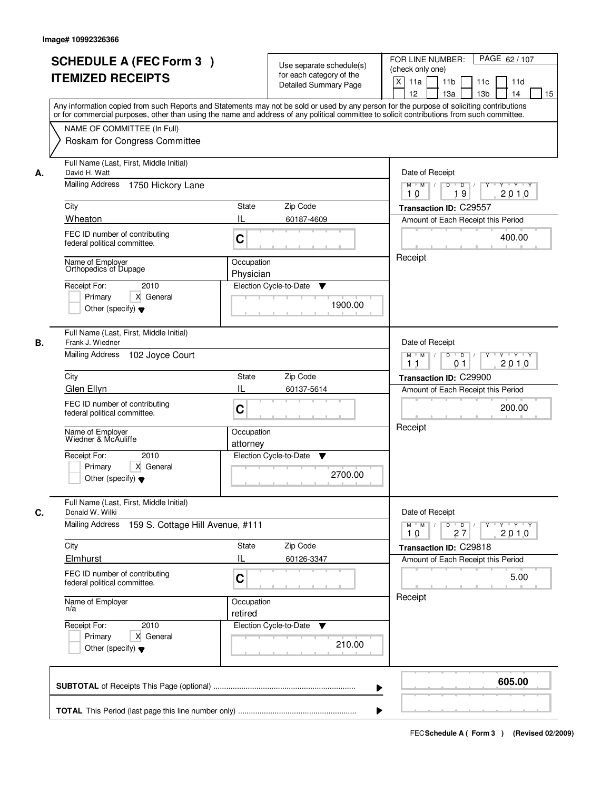|    | <b>SCHEDULE A (FEC Form 3)</b><br><b>ITEMIZED RECEIPTS</b><br>Any information copied from such Reports and Statements may not be sold or used by any person for the purpose of soliciting contributions                                                                                                                          |                                            | Use separate schedule(s)<br>for each category of the<br><b>Detailed Summary Page</b> | PAGE 62 / 107<br>FOR LINE NUMBER:<br>(check only one)<br>X<br>11a<br>11 <sub>b</sub><br>11c<br>11d<br>12<br>13 <sub>b</sub><br>13a<br>14<br>15                               |
|----|----------------------------------------------------------------------------------------------------------------------------------------------------------------------------------------------------------------------------------------------------------------------------------------------------------------------------------|--------------------------------------------|--------------------------------------------------------------------------------------|------------------------------------------------------------------------------------------------------------------------------------------------------------------------------|
|    | or for commercial purposes, other than using the name and address of any political committee to solicit contributions from such committee.<br>NAME OF COMMITTEE (In Full)<br>Roskam for Congress Committee                                                                                                                       |                                            |                                                                                      |                                                                                                                                                                              |
| А. | Full Name (Last, First, Middle Initial)<br>David H. Watt<br>Mailing Address<br>1750 Hickory Lane<br>City<br>Wheaton<br>FEC ID number of contributing<br>federal political committee.<br>Name of Employer<br>Orthopedics of Dupage<br>Receipt For:<br>2010<br>Primary<br>X General<br>Other (specify) $\blacktriangledown$        | State<br>Ш<br>C<br>Occupation<br>Physician | Zip Code<br>60187-4609<br>Election Cycle-to-Date<br>▼<br>1900.00                     | Date of Receipt<br>$M$ $M$<br>$D$ $D$<br>Y<br>Y 'Y 'Y<br>$\sqrt{ }$<br>19<br>2010<br>10<br>Transaction ID: C29557<br>Amount of Each Receipt this Period<br>400.00<br>Receipt |
| В. | Full Name (Last, First, Middle Initial)<br>Frank J. Wiedner<br>Mailing Address<br>102 Joyce Court<br>City<br>Glen Ellyn<br>FEC ID number of contributing<br>federal political committee.<br>Name of Employer<br>Wiedner & McAuliffe<br>Receipt For:<br>2010<br>Primary<br>X General<br>Other (specify) $\blacktriangledown$      | State<br>IL<br>C<br>Occupation<br>attorney | Zip Code<br>60137-5614<br>Election Cycle-to-Date<br>v<br>2700.00                     | Date of Receipt<br>$M$ M<br>D<br>$\overline{D}$<br>$Y + Y + Y$<br>2010<br>11<br>01<br>Transaction ID: C29900<br>Amount of Each Receipt this Period<br>200.00<br>Receipt      |
| C. | Full Name (Last, First, Middle Initial)<br>Donald W. Wilki<br><b>Mailing Address</b><br>159 S. Cottage Hill Avenue, #111<br>City<br>Elmhurst<br>FEC ID number of contributing<br>federal political committee.<br>Name of Employer<br>n/a<br>Receipt For:<br>2010<br>Primary<br>X General<br>Other (specify) $\blacktriangledown$ | State<br>IL<br>C<br>Occupation<br>retired  | Zip Code<br>60126-3347<br>Election Cycle-to-Date<br>v<br>210.00                      | Date of Receipt<br>$D$ $D$ $/$<br>$M$ $M$ /<br>$Y + Y + Y$<br>Y<br>2010<br>10<br>27<br>Transaction ID: C29818<br>Amount of Each Receipt this Period<br>5.00<br>Receipt       |
|    |                                                                                                                                                                                                                                                                                                                                  |                                            |                                                                                      | 605.00                                                                                                                                                                       |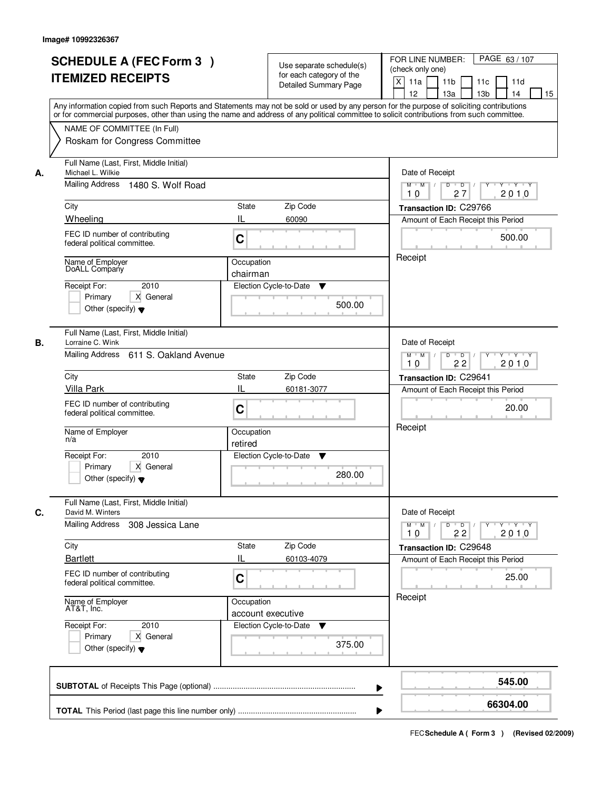|    | <b>SCHEDULE A (FEC Form 3)</b><br><b>ITEMIZED RECEIPTS</b><br>Any information copied from such Reports and Statements may not be sold or used by any person for the purpose of soliciting contributions<br>or for commercial purposes, other than using the name and address of any political committee to solicit contributions from such committee. | Use separate schedule(s)<br>for each category of the<br>Detailed Summary Page                                                 | PAGE 63/107<br>FOR LINE NUMBER:<br>(check only one)<br>$\mathsf{X}$<br>11a<br>11 <sub>b</sub><br>11c<br>11d<br>13 <sub>b</sub><br>12<br>13a<br>14<br>15                               |
|----|-------------------------------------------------------------------------------------------------------------------------------------------------------------------------------------------------------------------------------------------------------------------------------------------------------------------------------------------------------|-------------------------------------------------------------------------------------------------------------------------------|---------------------------------------------------------------------------------------------------------------------------------------------------------------------------------------|
|    | NAME OF COMMITTEE (In Full)<br>Roskam for Congress Committee                                                                                                                                                                                                                                                                                          |                                                                                                                               |                                                                                                                                                                                       |
| А. | Full Name (Last, First, Middle Initial)<br>Michael L. Wilkie<br>Mailing Address<br>1480 S. Wolf Road<br>City<br>Wheeling<br>FEC ID number of contributing<br>federal political committee.<br>Name of Employer<br>DoALL Company<br>2010<br>Receipt For:<br>X General<br>Primary<br>Other (specify) $\blacktriangledown$                                | State<br>Zip Code<br>IL<br>60090<br>C<br>Occupation<br>chairman<br>Election Cycle-to-Date<br>▼<br>500.00                      | Date of Receipt<br>$D$ $D$ $/$<br>$Y - Y - Y$<br>$M$ $M$ /<br>$\overline{Y}$<br>27<br>2010<br>10<br>Transaction ID: C29766<br>Amount of Each Receipt this Period<br>500.00<br>Receipt |
| В. | Full Name (Last, First, Middle Initial)<br>Lorraine C. Wink<br>Mailing Address 611 S. Oakland Avenue<br>City<br>Villa Park<br>FEC ID number of contributing<br>federal political committee.<br>Name of Employer<br>n/a<br>Receipt For:<br>2010<br>Primary<br>X General<br>Other (specify) $\blacktriangledown$                                        | Zip Code<br><b>State</b><br>IL<br>60181-3077<br>C<br>Occupation<br>retired<br>Election Cycle-to-Date<br>v<br>280.00           | Date of Receipt<br>$Y - Y - Y$<br>$M$ $M$ /<br>D<br>$\overline{\phantom{0}}$<br>22<br>2010<br>10<br>Transaction ID: C29641<br>Amount of Each Receipt this Period<br>20.00<br>Receipt  |
| C. | Full Name (Last, First, Middle Initial)<br>David M. Winters<br><b>Mailing Address</b><br>308 Jessica Lane<br>City<br><b>Bartlett</b><br>FEC ID number of contributing<br>federal political committee.<br>Name of Employer<br>AT&T, Inc.<br>Receipt For:<br>2010<br>Primary<br>X General<br>Other (specify) $\blacktriangledown$                       | Zip Code<br><b>State</b><br>IL<br>60103-4079<br>C<br>Occupation<br>account executive<br>Election Cycle-to-Date<br>v<br>375.00 | Date of Receipt<br>$M = M$<br>$D$ $D$ $/$<br>Y Y Y Y<br>Y<br>2010<br>22<br>10<br>Transaction ID: C29648<br>Amount of Each Receipt this Period<br>25.00<br>Receipt                     |
|    |                                                                                                                                                                                                                                                                                                                                                       | ▶                                                                                                                             | 545.00                                                                                                                                                                                |
|    |                                                                                                                                                                                                                                                                                                                                                       |                                                                                                                               | 66304.00                                                                                                                                                                              |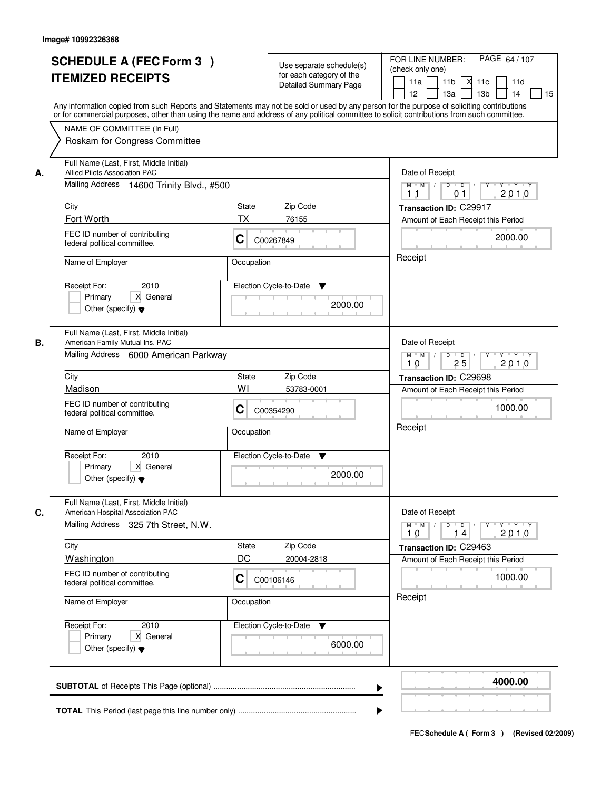|    | <b>SCHEDULE A (FEC Form 3)</b><br><b>ITEMIZED RECEIPTS</b><br>Any information copied from such Reports and Statements may not be sold or used by any person for the purpose of soliciting contributions    |                        | Use separate schedule(s)<br>for each category of the<br><b>Detailed Summary Page</b> | PAGE 64 / 107<br>FOR LINE NUMBER:<br>(check only one)<br>11 <sub>b</sub><br>11a<br><b>X</b><br>11c<br>11d<br>13 <sub>b</sub><br>14<br>12<br>13a<br>15 |
|----|------------------------------------------------------------------------------------------------------------------------------------------------------------------------------------------------------------|------------------------|--------------------------------------------------------------------------------------|-------------------------------------------------------------------------------------------------------------------------------------------------------|
|    | or for commercial purposes, other than using the name and address of any political committee to solicit contributions from such committee.<br>NAME OF COMMITTEE (In Full)<br>Roskam for Congress Committee |                        |                                                                                      |                                                                                                                                                       |
| А. | Full Name (Last, First, Middle Initial)<br>Allied Pilots Association PAC<br>Mailing Address 14600 Trinity Blvd., #500                                                                                      |                        |                                                                                      | Date of Receipt<br>$M$ $M$<br>$D$ $D$ $I$<br>Y<br>Y 'Y 'Y<br>2010<br>1 <sub>1</sub><br>0 <sub>1</sub>                                                 |
|    | City                                                                                                                                                                                                       | State                  | Zip Code                                                                             | Transaction ID: C29917                                                                                                                                |
|    | Fort Worth                                                                                                                                                                                                 | ТX                     | 76155                                                                                | Amount of Each Receipt this Period                                                                                                                    |
|    | FEC ID number of contributing<br>federal political committee.                                                                                                                                              | C                      | C00267849                                                                            | 2000.00                                                                                                                                               |
|    | Name of Employer                                                                                                                                                                                           | Occupation             |                                                                                      | Receipt                                                                                                                                               |
|    | 2010<br>Receipt For:<br>X General<br>Primary<br>Other (specify) $\blacktriangledown$                                                                                                                       | Election Cycle-to-Date | ▼<br>2000.00                                                                         |                                                                                                                                                       |
| В. | Full Name (Last, First, Middle Initial)<br>American Family Mutual Ins. PAC<br>Mailing Address 6000 American Parkway                                                                                        |                        |                                                                                      | Date of Receipt<br>$M$ $M$ /<br>D<br>$\overline{D}$ /<br>$Y + Y + Y$<br>25<br>2010<br>10                                                              |
|    | City                                                                                                                                                                                                       | State                  | Zip Code                                                                             | Transaction ID: C29698                                                                                                                                |
|    | Madison                                                                                                                                                                                                    | WI                     | 53783-0001                                                                           | Amount of Each Receipt this Period                                                                                                                    |
|    | FEC ID number of contributing<br>federal political committee.                                                                                                                                              | С                      | C00354290                                                                            | 1000.00                                                                                                                                               |
|    | Name of Employer                                                                                                                                                                                           | Occupation             |                                                                                      | Receipt                                                                                                                                               |
|    | Receipt For:<br>2010<br>Primary<br>X General<br>Other (specify) $\blacktriangledown$                                                                                                                       | Election Cycle-to-Date | v<br>2000.00                                                                         |                                                                                                                                                       |
| C. | Full Name (Last, First, Middle Initial)<br>American Hospital Association PAC                                                                                                                               |                        |                                                                                      | Date of Receipt                                                                                                                                       |
|    | Mailing Address 325 7th Street, N.W.                                                                                                                                                                       |                        |                                                                                      | $M$ $M$<br>$D$ $D$ $l$<br>2010<br>10<br>14                                                                                                            |
|    | City                                                                                                                                                                                                       | State                  | Zip Code                                                                             | Transaction ID: C29463                                                                                                                                |
|    | Washington                                                                                                                                                                                                 | DC                     | 20004-2818                                                                           | Amount of Each Receipt this Period                                                                                                                    |
|    | FEC ID number of contributing<br>federal political committee.                                                                                                                                              | C                      | C00106146                                                                            | 1000.00                                                                                                                                               |
|    | Name of Employer                                                                                                                                                                                           | Occupation             |                                                                                      | Receipt                                                                                                                                               |
|    | Receipt For:<br>2010<br>Primary<br>X General<br>Other (specify) $\blacktriangledown$                                                                                                                       |                        | Election Cycle-to-Date ▼<br>6000.00                                                  |                                                                                                                                                       |
|    |                                                                                                                                                                                                            |                        |                                                                                      | 4000.00<br>▶                                                                                                                                          |
|    |                                                                                                                                                                                                            |                        |                                                                                      |                                                                                                                                                       |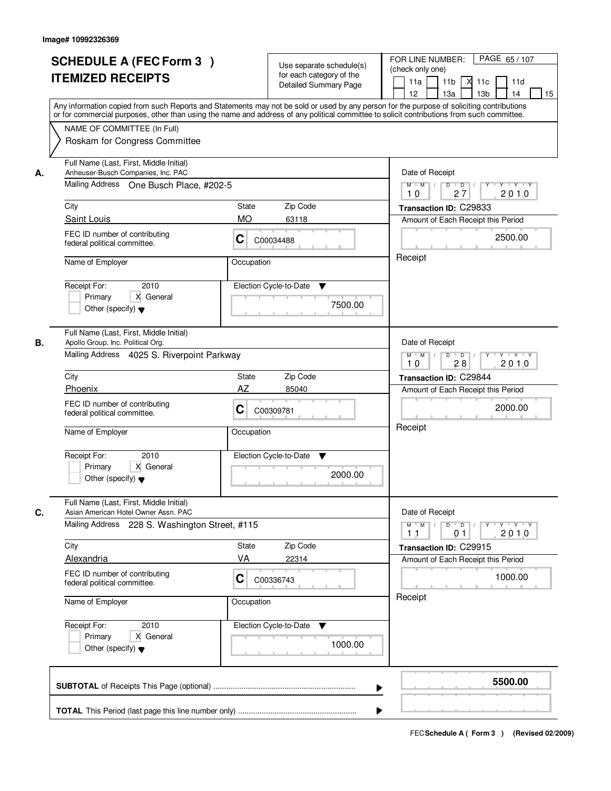|    | <b>SCHEDULE A (FEC Form 3)</b><br><b>ITEMIZED RECEIPTS</b><br>Any information copied from such Reports and Statements may not be sold or used by any person for the purpose of soliciting contributions    | Use separate schedule(s)<br>for each category of the<br><b>Detailed Summary Page</b> | PAGE 65/107<br>FOR LINE NUMBER:<br>(check only one)<br>11 <sub>b</sub><br>11a<br>-XI<br>11c<br>11d<br>13 <sub>b</sub><br>14<br>12<br>13a<br>15 |
|----|------------------------------------------------------------------------------------------------------------------------------------------------------------------------------------------------------------|--------------------------------------------------------------------------------------|------------------------------------------------------------------------------------------------------------------------------------------------|
|    | or for commercial purposes, other than using the name and address of any political committee to solicit contributions from such committee.<br>NAME OF COMMITTEE (In Full)<br>Roskam for Congress Committee |                                                                                      |                                                                                                                                                |
| А. | Full Name (Last, First, Middle Initial)<br>Anheuser-Busch Companies, Inc. PAC<br>Mailing Address One Busch Place, #202-5                                                                                   | Date of Receipt<br>$D$ $D$<br>Y TYTEY<br>$M$ $M$ /<br>2010<br>27<br>10               |                                                                                                                                                |
|    | City                                                                                                                                                                                                       | State<br>Zip Code                                                                    | Transaction ID: C29833                                                                                                                         |
|    | Saint Louis                                                                                                                                                                                                | <b>MO</b><br>63118                                                                   | Amount of Each Receipt this Period                                                                                                             |
|    | FEC ID number of contributing<br>federal political committee.                                                                                                                                              | C<br>C00034488                                                                       | 2500.00                                                                                                                                        |
|    | Name of Employer                                                                                                                                                                                           | Occupation                                                                           | Receipt                                                                                                                                        |
|    | 2010<br>Receipt For:<br>X General<br>Primary<br>Other (specify) $\blacktriangledown$                                                                                                                       | Election Cycle-to-Date<br>▼<br>7500.00                                               |                                                                                                                                                |
| В. | Full Name (Last, First, Middle Initial)<br>Apollo Group, Inc. Political Org.<br>Mailing Address 4025 S. Riverpoint Parkway                                                                                 |                                                                                      | Date of Receipt<br>$M$ $M$ /<br>D<br>$\overline{D}$ /<br>$Y + Y + Y$<br>2010<br>10<br>28                                                       |
|    | City                                                                                                                                                                                                       | Zip Code<br>State                                                                    | Transaction ID: C29844                                                                                                                         |
|    | Phoenix                                                                                                                                                                                                    | AZ<br>85040                                                                          | Amount of Each Receipt this Period                                                                                                             |
|    | FEC ID number of contributing<br>federal political committee.                                                                                                                                              | С<br>C00309781                                                                       | 2000.00                                                                                                                                        |
|    | Name of Employer                                                                                                                                                                                           | Occupation                                                                           | Receipt                                                                                                                                        |
|    | Receipt For:<br>2010<br>Primary<br>X General<br>Other (specify) $\blacktriangledown$                                                                                                                       | Election Cycle-to-Date<br>v<br>2000.00                                               |                                                                                                                                                |
| C. | Full Name (Last, First, Middle Initial)<br>Asian American Hotel Owner Assn. PAC                                                                                                                            |                                                                                      | Date of Receipt                                                                                                                                |
|    | Mailing Address 228 S. Washington Street, #115                                                                                                                                                             |                                                                                      | $D$ $D$ $/$<br>$M$ $M$ $/$<br><u> EYELYELYEK</u><br>2010<br>11<br>01                                                                           |
|    | City                                                                                                                                                                                                       | Zip Code<br>State                                                                    | Transaction ID: C29915                                                                                                                         |
|    | Alexandria                                                                                                                                                                                                 | VA<br>22314                                                                          | Amount of Each Receipt this Period                                                                                                             |
|    | FEC ID number of contributing<br>federal political committee.                                                                                                                                              | C<br>C00336743                                                                       | 1000.00                                                                                                                                        |
|    | Name of Employer                                                                                                                                                                                           | Occupation                                                                           | Receipt                                                                                                                                        |
|    | Receipt For:<br>2010<br>Primary<br>X General<br>Other (specify) $\blacktriangledown$                                                                                                                       | Election Cycle-to-Date ▼<br>1000.00                                                  |                                                                                                                                                |
|    |                                                                                                                                                                                                            |                                                                                      | 5500.00                                                                                                                                        |
|    |                                                                                                                                                                                                            |                                                                                      |                                                                                                                                                |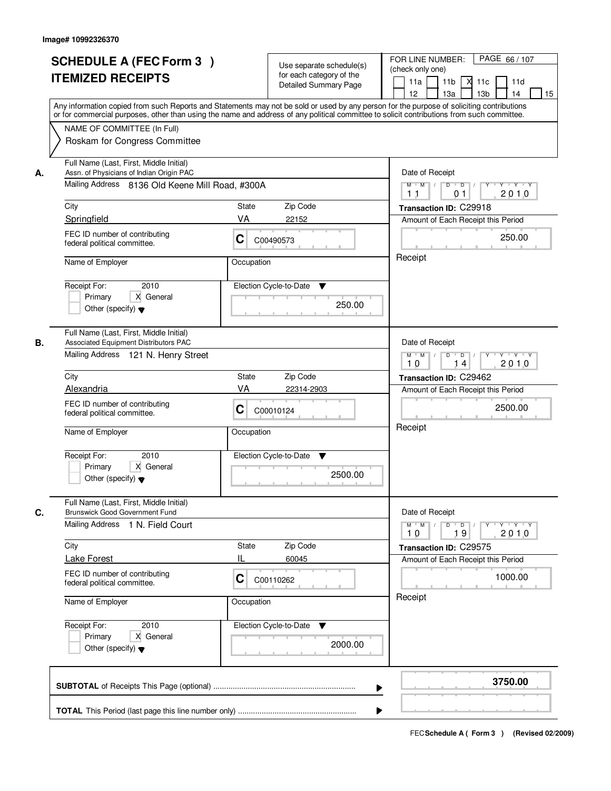|    | <b>SCHEDULE A (FEC Form 3)</b><br><b>ITEMIZED RECEIPTS</b><br>Any information copied from such Reports and Statements may not be sold or used by any person for the purpose of soliciting contributions    | Use separate schedule(s)<br>for each category of the<br>Detailed Summary Page | PAGE 66 / 107<br>FOR LINE NUMBER:<br>(check only one)<br>11 <sub>b</sub><br>X<br>11d<br>11a<br>11c<br>12 <sup>2</sup><br>13a<br>13 <sub>b</sub><br>14<br>15 |
|----|------------------------------------------------------------------------------------------------------------------------------------------------------------------------------------------------------------|-------------------------------------------------------------------------------|-------------------------------------------------------------------------------------------------------------------------------------------------------------|
|    | or for commercial purposes, other than using the name and address of any political committee to solicit contributions from such committee.<br>NAME OF COMMITTEE (In Full)<br>Roskam for Congress Committee |                                                                               |                                                                                                                                                             |
| А. | Full Name (Last, First, Middle Initial)<br>Assn. of Physicians of Indian Origin PAC<br>Mailing Address 8136 Old Keene Mill Road, #300A                                                                     |                                                                               | Date of Receipt<br>$\mathsf D$<br>$\overline{D}$<br><b>TY TY</b><br>$M$ $M$<br>Y<br>2010<br>01<br>11                                                        |
|    | City<br>Springfield                                                                                                                                                                                        | Zip Code<br>State<br>VA<br>22152                                              | Transaction ID: C29918<br>Amount of Each Receipt this Period                                                                                                |
|    | FEC ID number of contributing<br>federal political committee.                                                                                                                                              | С<br>C00490573                                                                | 250.00                                                                                                                                                      |
|    | Name of Employer<br>Receipt For:<br>2010<br>X General<br>Primary<br>Other (specify) $\blacktriangledown$                                                                                                   | Occupation<br>Election Cycle-to-Date<br>▼<br>250.00                           | Receipt                                                                                                                                                     |
| В. | Full Name (Last, First, Middle Initial)<br>Associated Equipment Distributors PAC<br>Mailing Address 121 N. Henry Street                                                                                    |                                                                               | Date of Receipt<br>$M$ $M$ /<br>$D$ $D$ $/$<br>Y Y Y Y<br>$Y$ <sup>U</sup><br>2010<br>10<br>14                                                              |
|    | City                                                                                                                                                                                                       | Zip Code<br><b>State</b>                                                      | Transaction ID: C29462                                                                                                                                      |
|    | Alexandria<br>FEC ID number of contributing<br>federal political committee.                                                                                                                                | VA<br>22314-2903<br>С<br>C00010124                                            | Amount of Each Receipt this Period<br>2500.00<br>Receipt                                                                                                    |
|    | Name of Employer<br>2010<br>Receipt For:<br>Primary<br>X General<br>Other (specify) $\blacktriangledown$                                                                                                   | Occupation<br>Election Cycle-to-Date<br>V<br>2500.00                          |                                                                                                                                                             |
| C. | Full Name (Last, First, Middle Initial)<br><b>Brunswick Good Government Fund</b><br>Mailing Address 1 N. Field Court                                                                                       |                                                                               | Date of Receipt<br>$D$ $D$ $/$<br>$M$ $M$<br>$\mathsf{Y} \dashv \mathsf{Y} \dashv \mathsf{Y}$<br>$Y$ <sup>U</sup><br>2010<br>10<br>19                       |
|    | City                                                                                                                                                                                                       | Zip Code<br>State                                                             | Transaction ID: C29575                                                                                                                                      |
|    | <b>Lake Forest</b><br>FEC ID number of contributing<br>federal political committee.                                                                                                                        | Ш<br>60045<br>С<br>C00110262                                                  | Amount of Each Receipt this Period<br>1000.00                                                                                                               |
|    | Name of Employer                                                                                                                                                                                           | Occupation                                                                    | Receipt                                                                                                                                                     |
|    | Receipt For:<br>2010<br>Primary<br>X General<br>Other (specify) $\blacktriangledown$                                                                                                                       | Election Cycle-to-Date<br>v<br>2000.00                                        |                                                                                                                                                             |
|    |                                                                                                                                                                                                            |                                                                               | 3750.00<br>▶                                                                                                                                                |
|    |                                                                                                                                                                                                            |                                                                               |                                                                                                                                                             |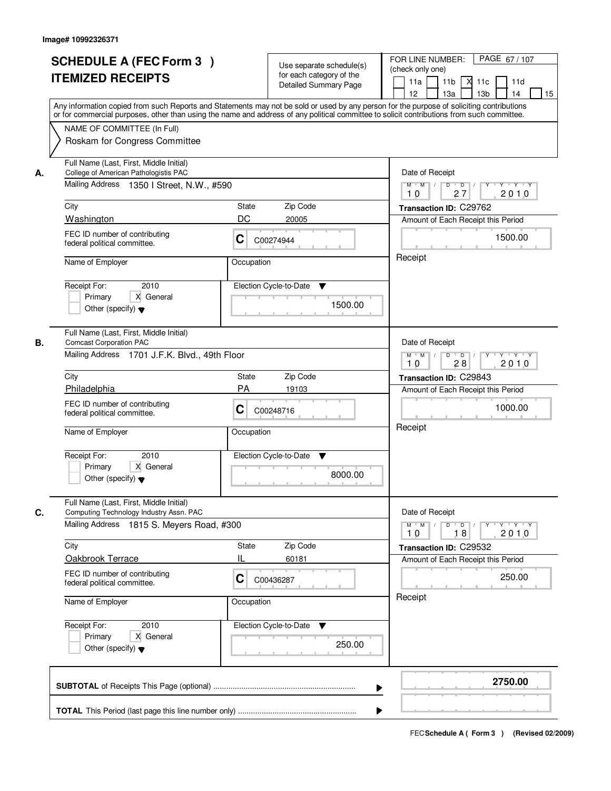|    | <b>SCHEDULE A (FEC Form 3)</b><br><b>ITEMIZED RECEIPTS</b><br>Any information copied from such Reports and Statements may not be sold or used by any person for the purpose of soliciting contributions<br>or for commercial purposes, other than using the name and address of any political committee to solicit contributions from such committee. |            | Use separate schedule(s)<br>for each category of the<br><b>Detailed Summary Page</b> | PAGE 67/107<br>FOR LINE NUMBER:<br>(check only one)<br>11 <sub>b</sub><br>11a<br><b>X</b><br>11c<br>11d<br>13 <sub>b</sub><br>12<br>13a<br>14<br>15 |
|----|-------------------------------------------------------------------------------------------------------------------------------------------------------------------------------------------------------------------------------------------------------------------------------------------------------------------------------------------------------|------------|--------------------------------------------------------------------------------------|-----------------------------------------------------------------------------------------------------------------------------------------------------|
|    | NAME OF COMMITTEE (In Full)<br>Roskam for Congress Committee                                                                                                                                                                                                                                                                                          |            |                                                                                      |                                                                                                                                                     |
| А. | Full Name (Last, First, Middle Initial)<br>College of American Pathologistis PAC<br>Mailing Address 1350   Street, N.W., #590                                                                                                                                                                                                                         |            |                                                                                      | Date of Receipt<br>$M$ $M$<br>$D$ $D$<br>$Y$ <sup><math>\top</math></sup><br>$Y + Y + Y$<br>$\sqrt{ }$<br>27<br>2010<br>10                          |
|    | City                                                                                                                                                                                                                                                                                                                                                  | State      | Zip Code                                                                             | Transaction ID: C29762                                                                                                                              |
|    | Washington                                                                                                                                                                                                                                                                                                                                            | DC         | 20005                                                                                | Amount of Each Receipt this Period                                                                                                                  |
|    | FEC ID number of contributing<br>federal political committee.                                                                                                                                                                                                                                                                                         | C          | C00274944                                                                            | 1500.00                                                                                                                                             |
|    | Name of Employer                                                                                                                                                                                                                                                                                                                                      | Occupation |                                                                                      | Receipt                                                                                                                                             |
|    | 2010<br>Receipt For:<br>X General<br>Primary<br>Other (specify) $\blacktriangledown$                                                                                                                                                                                                                                                                  |            | Election Cycle-to-Date<br>▼<br>1500.00                                               |                                                                                                                                                     |
| В. | Full Name (Last, First, Middle Initial)<br><b>Comcast Corporation PAC</b>                                                                                                                                                                                                                                                                             |            |                                                                                      | Date of Receipt                                                                                                                                     |
|    | Mailing Address 1701 J.F.K. Blvd., 49th Floor                                                                                                                                                                                                                                                                                                         |            |                                                                                      | $Y - Y - Y$<br>$M$ $M$ /<br>D<br>$\overline{D}$<br>Y<br>2010<br>28<br>10                                                                            |
|    | City                                                                                                                                                                                                                                                                                                                                                  | State      | Zip Code                                                                             | Transaction ID: C29843                                                                                                                              |
|    | Philadelphia                                                                                                                                                                                                                                                                                                                                          | PA         | 19103                                                                                | Amount of Each Receipt this Period                                                                                                                  |
|    | FEC ID number of contributing<br>federal political committee.                                                                                                                                                                                                                                                                                         | С          | C00248716                                                                            | 1000.00<br>Receipt                                                                                                                                  |
|    | Name of Employer                                                                                                                                                                                                                                                                                                                                      | Occupation |                                                                                      |                                                                                                                                                     |
|    | Receipt For:<br>2010<br>Primary<br>X General<br>Other (specify) $\blacktriangledown$                                                                                                                                                                                                                                                                  |            | Election Cycle-to-Date<br>▼<br>8000.00                                               |                                                                                                                                                     |
| C. | Full Name (Last, First, Middle Initial)<br>Computing Technology Industry Assn. PAC<br><b>Mailing Address</b><br>1815 S. Meyers Road, #300                                                                                                                                                                                                             |            |                                                                                      | Date of Receipt<br>$M$ $M$<br>$D$ $D$ $l$<br>$Y$ <sup>-1</sup><br>$Y + Y + Y$<br>2010<br>10<br>18                                                   |
|    | City                                                                                                                                                                                                                                                                                                                                                  | State      | Zip Code                                                                             | Transaction ID: C29532                                                                                                                              |
|    | Oakbrook Terrace                                                                                                                                                                                                                                                                                                                                      | Ш          | 60181                                                                                | Amount of Each Receipt this Period                                                                                                                  |
|    | FEC ID number of contributing<br>federal political committee.                                                                                                                                                                                                                                                                                         | C          | C00436287                                                                            | 250.00                                                                                                                                              |
|    | Name of Employer                                                                                                                                                                                                                                                                                                                                      | Occupation |                                                                                      | Receipt                                                                                                                                             |
|    | Receipt For:<br>2010<br>X General<br>Primary<br>Other (specify) $\blacktriangledown$                                                                                                                                                                                                                                                                  |            | Election Cycle-to-Date ▼<br>250.00                                                   |                                                                                                                                                     |
|    |                                                                                                                                                                                                                                                                                                                                                       |            |                                                                                      | 2750.00                                                                                                                                             |
|    |                                                                                                                                                                                                                                                                                                                                                       |            |                                                                                      |                                                                                                                                                     |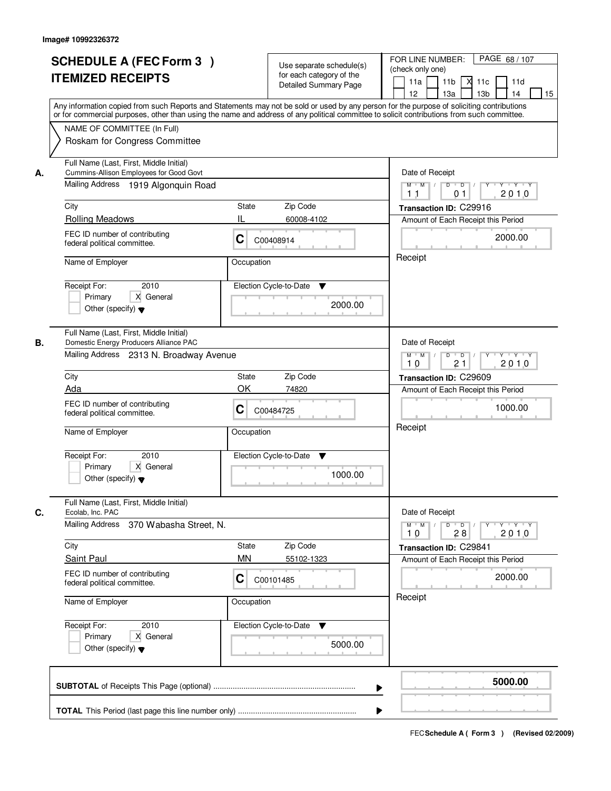|    | <b>SCHEDULE A (FEC Form 3)</b><br><b>ITEMIZED RECEIPTS</b><br>Any information copied from such Reports and Statements may not be sold or used by any person for the purpose of soliciting contributions    | Use separate schedule(s)<br>for each category of the<br><b>Detailed Summary Page</b> |         | PAGE 68 / 107<br>FOR LINE NUMBER:<br>(check only one)<br>11 <sub>b</sub><br>$X$ 11 $c$<br>11a<br>11d<br>12<br>13a<br>13 <sub>b</sub><br>14<br>15 |
|----|------------------------------------------------------------------------------------------------------------------------------------------------------------------------------------------------------------|--------------------------------------------------------------------------------------|---------|--------------------------------------------------------------------------------------------------------------------------------------------------|
|    | or for commercial purposes, other than using the name and address of any political committee to solicit contributions from such committee.<br>NAME OF COMMITTEE (In Full)<br>Roskam for Congress Committee |                                                                                      |         |                                                                                                                                                  |
| А. | Full Name (Last, First, Middle Initial)<br>Cummins-Allison Employees for Good Govt<br>Mailing Address 1919 Algonquin Road                                                                                  |                                                                                      |         | Date of Receipt<br>$\overline{D}$<br>$Y - Y - Y$<br>$M$ $M$<br>D<br>2010<br>1 <sub>1</sub><br>01                                                 |
|    | City                                                                                                                                                                                                       | Zip Code<br>State                                                                    |         | Transaction ID: C29916                                                                                                                           |
|    | <b>Rolling Meadows</b>                                                                                                                                                                                     | IL<br>60008-4102                                                                     |         | Amount of Each Receipt this Period                                                                                                               |
|    | FEC ID number of contributing<br>federal political committee.                                                                                                                                              | C<br>C00408914                                                                       |         | 2000.00                                                                                                                                          |
|    | Name of Employer                                                                                                                                                                                           | Occupation                                                                           |         | Receipt                                                                                                                                          |
|    | 2010<br>Receipt For:<br>X General<br>Primary<br>Other (specify) $\blacktriangledown$                                                                                                                       | Election Cycle-to-Date<br>▼                                                          | 2000.00 |                                                                                                                                                  |
| В. | Full Name (Last, First, Middle Initial)<br>Domestic Energy Producers Alliance PAC                                                                                                                          |                                                                                      |         | Date of Receipt                                                                                                                                  |
|    | Mailing Address 2313 N. Broadway Avenue                                                                                                                                                                    |                                                                                      |         | D<br>$M$ $M$ /<br>$\overline{D}$<br>Y<br>$Y + Y + Y$<br>21<br>2010<br>10                                                                         |
|    | City                                                                                                                                                                                                       | Zip Code<br>State                                                                    |         | Transaction ID: C29609                                                                                                                           |
|    | Ada<br>FEC ID number of contributing<br>federal political committee.                                                                                                                                       | OK<br>74820<br>С<br>C00484725                                                        |         | Amount of Each Receipt this Period<br>1000.00                                                                                                    |
|    | Name of Employer                                                                                                                                                                                           | Occupation                                                                           |         | Receipt                                                                                                                                          |
|    | 2010<br>Receipt For:<br>Primary<br>X General<br>Other (specify) $\blacktriangledown$                                                                                                                       | Election Cycle-to-Date<br>v                                                          | 1000.00 |                                                                                                                                                  |
| C. | Full Name (Last, First, Middle Initial)<br>Ecolab, Inc. PAC                                                                                                                                                |                                                                                      |         | Date of Receipt                                                                                                                                  |
|    | Mailing Address<br>370 Wabasha Street, N.                                                                                                                                                                  |                                                                                      |         | $M$ $M$<br>$D$ $D$ $l$<br>$Y - Y - Y$<br>$\top$ /<br>Y<br>2010<br>10<br>28                                                                       |
|    | City                                                                                                                                                                                                       | Zip Code<br>State                                                                    |         | Transaction ID: C29841                                                                                                                           |
|    | <b>Saint Paul</b>                                                                                                                                                                                          | <b>MN</b><br>55102-1323                                                              |         | Amount of Each Receipt this Period                                                                                                               |
|    | FEC ID number of contributing<br>federal political committee.                                                                                                                                              | C<br>C00101485                                                                       |         | 2000.00                                                                                                                                          |
|    | Name of Employer                                                                                                                                                                                           | Occupation                                                                           |         | Receipt                                                                                                                                          |
|    | Receipt For:<br>2010<br>Primary<br>X General<br>Other (specify) $\blacktriangledown$                                                                                                                       | Election Cycle-to-Date<br>v                                                          | 5000.00 |                                                                                                                                                  |
|    |                                                                                                                                                                                                            |                                                                                      | ▶       | 5000.00                                                                                                                                          |
|    |                                                                                                                                                                                                            |                                                                                      |         |                                                                                                                                                  |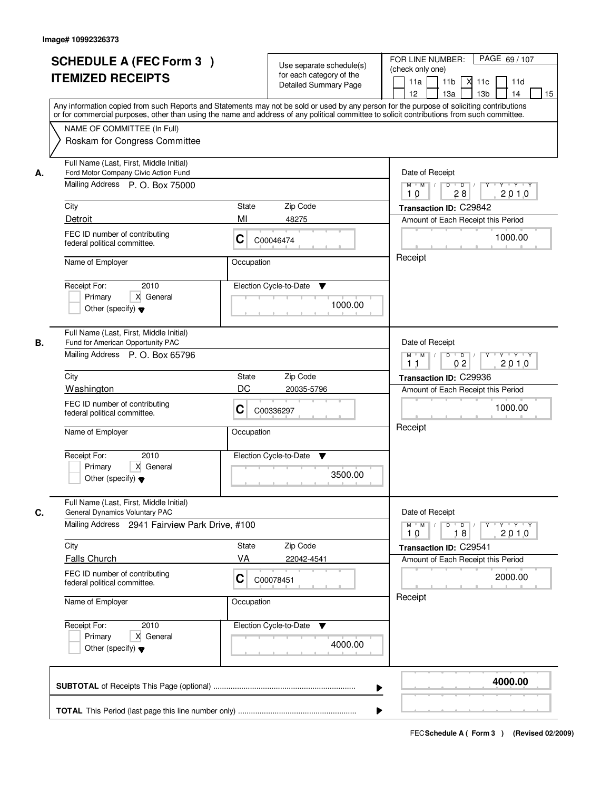| <b>SCHEDULE A (FEC Form 3)</b><br><b>ITEMIZED RECEIPTS</b>                                                                                                                                                                                                                       |                                                                       | Use separate schedule(s)<br>for each category of the<br><b>Detailed Summary Page</b> | PAGE 69 / 107<br>FOR LINE NUMBER:<br>(check only one)<br>11 <sub>b</sub><br>11a<br><b>X</b><br>11c<br>11d<br>13 <sub>b</sub><br>12<br>13a<br>14<br>15<br>Any information copied from such Reports and Statements may not be sold or used by any person for the purpose of soliciting contributions |
|----------------------------------------------------------------------------------------------------------------------------------------------------------------------------------------------------------------------------------------------------------------------------------|-----------------------------------------------------------------------|--------------------------------------------------------------------------------------|----------------------------------------------------------------------------------------------------------------------------------------------------------------------------------------------------------------------------------------------------------------------------------------------------|
| NAME OF COMMITTEE (In Full)<br>Roskam for Congress Committee                                                                                                                                                                                                                     |                                                                       |                                                                                      | or for commercial purposes, other than using the name and address of any political committee to solicit contributions from such committee.                                                                                                                                                         |
| Full Name (Last, First, Middle Initial)<br>Ford Motor Company Civic Action Fund<br>А.<br>Mailing Address P. O. Box 75000<br>City<br>Detroit                                                                                                                                      | State<br>MI                                                           | Zip Code<br>48275                                                                    | Date of Receipt<br>$M$ $M$<br>$D$ $D$ $1$<br>$Y^+$<br>Y TYTY<br>28<br>2010<br>10<br>Transaction ID: C29842<br>Amount of Each Receipt this Period                                                                                                                                                   |
| FEC ID number of contributing<br>federal political committee.<br>Name of Employer<br>2010<br>Receipt For:<br>X General<br>Primary<br>Other (specify) $\blacktriangledown$                                                                                                        | C<br>C00046474<br>Occupation<br>Election Cycle-to-Date                | ▼<br>1000.00                                                                         | 1000.00<br>Receipt                                                                                                                                                                                                                                                                                 |
| Full Name (Last, First, Middle Initial)<br>Fund for American Opportunity PAC<br>В.<br>Mailing Address P. O. Box 65796<br>City<br>Washington<br>FEC ID number of contributing<br>federal political committee.<br>Name of Employer<br>Receipt For:<br>2010<br>Primary<br>X General | State<br>DC<br>C<br>C00336297<br>Occupation<br>Election Cycle-to-Date | Zip Code<br>20035-5796<br>v                                                          | Date of Receipt<br>$Y - Y - Y$<br>$M$ $M$ /<br>D<br>$\overline{D}$ /<br>Y<br>0 <sub>2</sub><br>2010<br>11<br>Transaction ID: C29936<br>Amount of Each Receipt this Period<br>1000.00<br>Receipt                                                                                                    |
| Other (specify) $\blacktriangledown$<br>Full Name (Last, First, Middle Initial)<br>C.<br>General Dynamics Voluntary PAC<br>Mailing Address 2941 Fairview Park Drive, #100<br>City<br><b>Falls Church</b>                                                                         | State<br>VA                                                           | 3500.00<br>Zip Code<br>22042-4541                                                    | Date of Receipt<br>$M$ $M$<br>$D$ $D$ $l$<br>Y<br>$Y + Y + Y$<br>2010<br>10<br>18<br>Transaction ID: C29541<br>Amount of Each Receipt this Period                                                                                                                                                  |
| FEC ID number of contributing<br>federal political committee.<br>Name of Employer<br>Receipt For:<br>2010<br>Primary<br>X General<br>Other (specify) $\blacktriangledown$                                                                                                        | C<br>C00078451<br>Occupation<br>Election Cycle-to-Date                | v<br>4000.00                                                                         | 2000.00<br>Receipt                                                                                                                                                                                                                                                                                 |
|                                                                                                                                                                                                                                                                                  |                                                                       |                                                                                      | 4000.00<br>▶                                                                                                                                                                                                                                                                                       |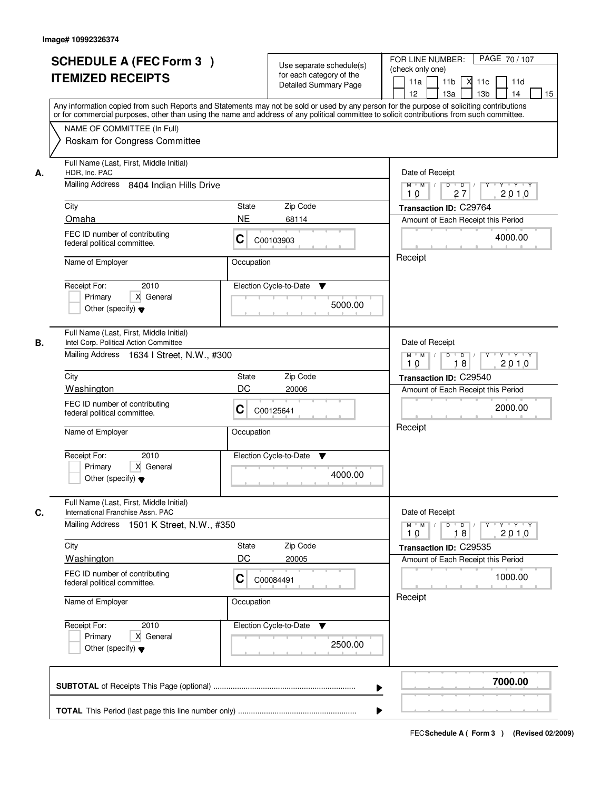|    | <b>SCHEDULE A (FEC Form 3)</b><br><b>ITEMIZED RECEIPTS</b><br>Any information copied from such Reports and Statements may not be sold or used by any person for the purpose of soliciting contributions    |             | Use separate schedule(s)<br>for each category of the<br><b>Detailed Summary Page</b> | PAGE 70 / 107<br>FOR LINE NUMBER:<br>(check only one)<br>11 <sub>b</sub><br>11a<br>м<br>11c<br>11d<br>13 <sub>b</sub><br>12 <sup>2</sup><br>13a<br>14<br>15 |
|----|------------------------------------------------------------------------------------------------------------------------------------------------------------------------------------------------------------|-------------|--------------------------------------------------------------------------------------|-------------------------------------------------------------------------------------------------------------------------------------------------------------|
|    | or for commercial purposes, other than using the name and address of any political committee to solicit contributions from such committee.<br>NAME OF COMMITTEE (In Full)<br>Roskam for Congress Committee |             |                                                                                      |                                                                                                                                                             |
| А. | Full Name (Last, First, Middle Initial)<br>HDR, Inc. PAC<br>Mailing Address 8404 Indian Hills Drive                                                                                                        |             |                                                                                      | Date of Receipt<br>$D$ $D$ $l$<br>$Y + Y + Y$<br>$M$ $M$ /<br>$\overline{Y}$<br>27<br>2010<br>10                                                            |
|    | City                                                                                                                                                                                                       | State       | Zip Code                                                                             | Transaction ID: C29764                                                                                                                                      |
|    | Omaha                                                                                                                                                                                                      | <b>NE</b>   | 68114                                                                                | Amount of Each Receipt this Period                                                                                                                          |
|    | FEC ID number of contributing<br>federal political committee.                                                                                                                                              | C           | C00103903                                                                            | 4000.00                                                                                                                                                     |
|    | Name of Employer                                                                                                                                                                                           | Occupation  |                                                                                      | Receipt                                                                                                                                                     |
|    | 2010<br>Receipt For:<br>X General<br>Primary<br>Other (specify) $\blacktriangledown$                                                                                                                       |             | Election Cycle-to-Date<br>▼<br>5000.00                                               |                                                                                                                                                             |
| В. | Full Name (Last, First, Middle Initial)<br>Intel Corp. Political Action Committee<br>Mailing Address 1634   Street, N.W., #300                                                                             |             |                                                                                      | Date of Receipt<br>$Y - Y - Y$<br>$M$ $M$ /<br>D<br>$\Box$ D $\Box$ /<br>18<br>2010<br>10                                                                   |
|    | City                                                                                                                                                                                                       | State       | Zip Code                                                                             | Transaction ID: C29540                                                                                                                                      |
|    | Washington                                                                                                                                                                                                 | DC          | 20006                                                                                | Amount of Each Receipt this Period                                                                                                                          |
|    | FEC ID number of contributing<br>federal political committee.                                                                                                                                              | C           | C00125641                                                                            | 2000.00                                                                                                                                                     |
|    | Name of Employer                                                                                                                                                                                           | Occupation  |                                                                                      | Receipt                                                                                                                                                     |
|    | Receipt For:<br>2010<br>Primary<br>X General<br>Other (specify) $\blacktriangledown$                                                                                                                       |             | Election Cycle-to-Date<br>v<br>4000.00                                               |                                                                                                                                                             |
| C. | Full Name (Last, First, Middle Initial)<br>International Franchise Assn. PAC                                                                                                                               |             |                                                                                      | Date of Receipt                                                                                                                                             |
|    | Mailing Address 1501 K Street, N.W., #350                                                                                                                                                                  |             |                                                                                      | $M$ $M$<br>$D$ $D$ $I$<br>$Y^+$<br>$Y + Y + Y$<br>2010<br>18<br>10                                                                                          |
|    | City<br>Washington                                                                                                                                                                                         | State<br>DC | Zip Code                                                                             | Transaction ID: C29535                                                                                                                                      |
|    | FEC ID number of contributing<br>federal political committee.                                                                                                                                              | C           | 20005<br>C00084491                                                                   | Amount of Each Receipt this Period<br>1000.00                                                                                                               |
|    | Name of Employer                                                                                                                                                                                           | Occupation  |                                                                                      | Receipt                                                                                                                                                     |
|    | Receipt For:<br>2010<br>Primary<br>X General<br>Other (specify) $\blacktriangledown$                                                                                                                       |             | Election Cycle-to-Date<br>v<br>2500.00                                               |                                                                                                                                                             |
|    |                                                                                                                                                                                                            |             | ▶                                                                                    | 7000.00                                                                                                                                                     |
|    |                                                                                                                                                                                                            |             |                                                                                      |                                                                                                                                                             |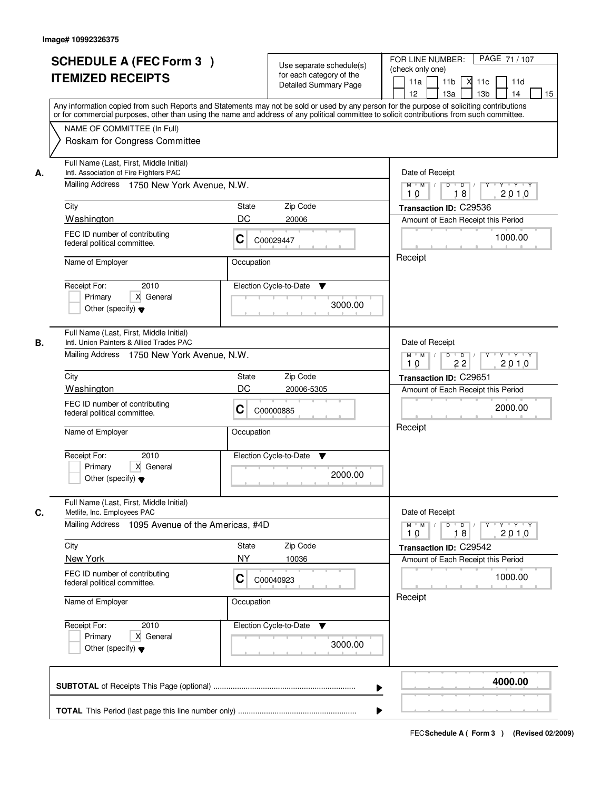|    | <b>SCHEDULE A (FEC Form 3)</b><br><b>ITEMIZED RECEIPTS</b><br>Any information copied from such Reports and Statements may not be sold or used by any person for the purpose of soliciting contributions<br>or for commercial purposes, other than using the name and address of any political committee to solicit contributions from such committee. | Use separate schedule(s)<br>for each category of the<br>Detailed Summary Page | PAGE 71/107<br>FOR LINE NUMBER:<br>(check only one)<br>11 <sub>b</sub><br>11a<br>м<br>11c<br>11d<br>13 <sub>b</sub><br>14<br>12 <sup>2</sup><br>13a<br>15 |
|----|-------------------------------------------------------------------------------------------------------------------------------------------------------------------------------------------------------------------------------------------------------------------------------------------------------------------------------------------------------|-------------------------------------------------------------------------------|-----------------------------------------------------------------------------------------------------------------------------------------------------------|
|    | NAME OF COMMITTEE (In Full)<br>Roskam for Congress Committee                                                                                                                                                                                                                                                                                          |                                                                               |                                                                                                                                                           |
| А. | Full Name (Last, First, Middle Initial)<br>Intl. Association of Fire Fighters PAC<br>Mailing Address 1750 New York Avenue, N.W.                                                                                                                                                                                                                       |                                                                               | Date of Receipt<br>$D$ $D$ $/$<br>$Y + Y + Y$<br>$M$ $M$ /<br>Y                                                                                           |
|    |                                                                                                                                                                                                                                                                                                                                                       |                                                                               | 18<br>2010<br>10                                                                                                                                          |
|    | City                                                                                                                                                                                                                                                                                                                                                  | Zip Code<br>State                                                             | Transaction ID: C29536                                                                                                                                    |
|    | Washington                                                                                                                                                                                                                                                                                                                                            | DC<br>20006                                                                   | Amount of Each Receipt this Period                                                                                                                        |
|    | FEC ID number of contributing<br>federal political committee.                                                                                                                                                                                                                                                                                         | C<br>C00029447                                                                | 1000.00                                                                                                                                                   |
|    | Name of Employer                                                                                                                                                                                                                                                                                                                                      | Occupation                                                                    | Receipt                                                                                                                                                   |
|    | 2010<br>Receipt For:<br>X General<br>Primary<br>Other (specify) $\blacktriangledown$                                                                                                                                                                                                                                                                  | Election Cycle-to-Date<br>▼<br>3000.00                                        |                                                                                                                                                           |
| В. | Full Name (Last, First, Middle Initial)<br>Intl. Union Painters & Allied Trades PAC<br>Mailing Address 1750 New York Avenue, N.W.                                                                                                                                                                                                                     |                                                                               | Date of Receipt<br>$M$ $M$ /<br>D<br>$\overline{D}$ /<br>$Y + Y + Y$<br>22<br>2010<br>10                                                                  |
|    | City                                                                                                                                                                                                                                                                                                                                                  | Zip Code<br>State                                                             | Transaction ID: C29651                                                                                                                                    |
|    | Washington                                                                                                                                                                                                                                                                                                                                            | DC<br>20006-5305                                                              | Amount of Each Receipt this Period                                                                                                                        |
|    | FEC ID number of contributing<br>federal political committee.                                                                                                                                                                                                                                                                                         | C<br>C00000885                                                                | 2000.00                                                                                                                                                   |
|    | Name of Employer                                                                                                                                                                                                                                                                                                                                      | Occupation                                                                    | Receipt                                                                                                                                                   |
|    | Receipt For:<br>2010<br>Primary<br>X General<br>Other (specify) $\blacktriangledown$                                                                                                                                                                                                                                                                  | Election Cycle-to-Date<br>Y<br>2000.00                                        |                                                                                                                                                           |
|    | Full Name (Last, First, Middle Initial)<br>Metlife, Inc. Employees PAC                                                                                                                                                                                                                                                                                |                                                                               | Date of Receipt                                                                                                                                           |
| C. | Mailing Address 1095 Avenue of the Americas, #4D                                                                                                                                                                                                                                                                                                      |                                                                               | $D$ $D$ $/$<br>$M$ $M$<br>2010<br>10<br>18                                                                                                                |
|    | City                                                                                                                                                                                                                                                                                                                                                  | Zip Code<br><b>State</b>                                                      | Transaction ID: C29542                                                                                                                                    |
|    | New York                                                                                                                                                                                                                                                                                                                                              | <b>NY</b><br>10036                                                            | Amount of Each Receipt this Period                                                                                                                        |
|    | FEC ID number of contributing<br>federal political committee.                                                                                                                                                                                                                                                                                         | C<br>C00040923                                                                | 1000.00                                                                                                                                                   |
|    | Name of Employer                                                                                                                                                                                                                                                                                                                                      | Occupation                                                                    | Receipt                                                                                                                                                   |
|    | Receipt For:<br>2010<br>Primary<br>X General<br>Other (specify) $\blacktriangledown$                                                                                                                                                                                                                                                                  | Election Cycle-to-Date ▼<br>3000.00                                           |                                                                                                                                                           |
|    |                                                                                                                                                                                                                                                                                                                                                       |                                                                               | 4000.00<br>▶                                                                                                                                              |
|    |                                                                                                                                                                                                                                                                                                                                                       |                                                                               |                                                                                                                                                           |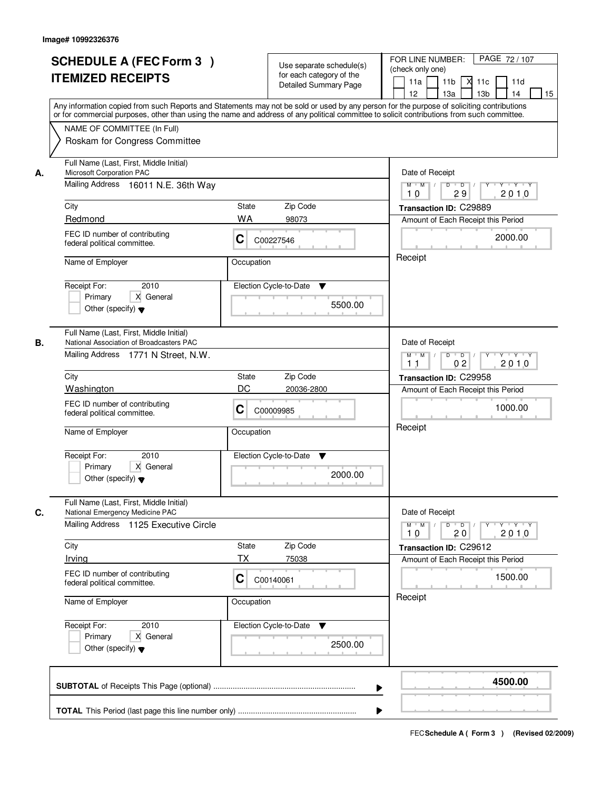|    | <b>SCHEDULE A (FEC Form 3)</b><br><b>ITEMIZED RECEIPTS</b><br>Any information copied from such Reports and Statements may not be sold or used by any person for the purpose of soliciting contributions    | Use separate schedule(s)<br>for each category of the<br><b>Detailed Summary Page</b> | PAGE 72 / 107<br>FOR LINE NUMBER:<br>(check only one)<br>11 <sub>b</sub><br>11a<br><b>X</b><br>11c<br>11d<br>13 <sub>b</sub><br>14<br>12<br>13a<br>15 |
|----|------------------------------------------------------------------------------------------------------------------------------------------------------------------------------------------------------------|--------------------------------------------------------------------------------------|-------------------------------------------------------------------------------------------------------------------------------------------------------|
|    | or for commercial purposes, other than using the name and address of any political committee to solicit contributions from such committee.<br>NAME OF COMMITTEE (In Full)<br>Roskam for Congress Committee |                                                                                      |                                                                                                                                                       |
| А. | Full Name (Last, First, Middle Initial)<br>Microsoft Corporation PAC<br>Mailing Address 16011 N.E. 36th Way                                                                                                |                                                                                      | Date of Receipt<br>$D$ $D$<br>$Y + Y + Y$<br>$M$ $M$ /<br>Y<br>2010<br>29<br>10                                                                       |
|    | City                                                                                                                                                                                                       | <b>State</b><br>Zip Code                                                             | Transaction ID: C29889                                                                                                                                |
|    | Redmond                                                                                                                                                                                                    | <b>WA</b><br>98073                                                                   | Amount of Each Receipt this Period                                                                                                                    |
|    | FEC ID number of contributing<br>federal political committee.                                                                                                                                              | C<br>C00227546                                                                       | 2000.00                                                                                                                                               |
|    | Name of Employer                                                                                                                                                                                           | Occupation                                                                           | Receipt                                                                                                                                               |
|    | 2010<br>Receipt For:<br>X General<br>Primary<br>Other (specify) $\blacktriangledown$                                                                                                                       | Election Cycle-to-Date<br>▼<br>5500.00                                               |                                                                                                                                                       |
| В. | Full Name (Last, First, Middle Initial)<br>National Association of Broadcasters PAC<br>Mailing Address 1771 N Street, N.W.                                                                                 |                                                                                      | Date of Receipt<br>$M$ $M$ /<br>D<br>$\overline{D}$<br>Y<br>$Y + Y + Y$<br>0 <sub>2</sub><br>2010<br>11                                               |
|    | City                                                                                                                                                                                                       | Zip Code<br>State                                                                    | Transaction ID: C29958                                                                                                                                |
|    | Washington                                                                                                                                                                                                 | DC<br>20036-2800                                                                     | Amount of Each Receipt this Period                                                                                                                    |
|    | FEC ID number of contributing<br>federal political committee.                                                                                                                                              | С<br>C00009985                                                                       | 1000.00                                                                                                                                               |
|    | Name of Employer                                                                                                                                                                                           | Occupation                                                                           | Receipt                                                                                                                                               |
|    | Receipt For:<br>2010<br>Primary<br>X General<br>Other (specify) $\blacktriangledown$                                                                                                                       | Election Cycle-to-Date<br>v<br>2000.00                                               |                                                                                                                                                       |
| C. | Full Name (Last, First, Middle Initial)<br>National Emergency Medicine PAC                                                                                                                                 |                                                                                      | Date of Receipt                                                                                                                                       |
|    | Mailing Address 1125 Executive Circle                                                                                                                                                                      |                                                                                      | $M$ $M$<br>$D$ $D$ $I$<br><u> Y FY FY FY </u><br>2010<br>10<br>20                                                                                     |
|    | City                                                                                                                                                                                                       | Zip Code<br>State                                                                    | Transaction ID: C29612                                                                                                                                |
|    | Irving                                                                                                                                                                                                     | ТX<br>75038                                                                          | Amount of Each Receipt this Period                                                                                                                    |
|    | FEC ID number of contributing<br>federal political committee.                                                                                                                                              | C<br>C00140061                                                                       | 1500.00                                                                                                                                               |
|    | Name of Employer                                                                                                                                                                                           | Occupation                                                                           | Receipt                                                                                                                                               |
|    | Receipt For:<br>2010<br>Primary<br>X General<br>Other (specify) $\blacktriangledown$                                                                                                                       | Election Cycle-to-Date ▼<br>2500.00                                                  |                                                                                                                                                       |
|    |                                                                                                                                                                                                            |                                                                                      | 4500.00                                                                                                                                               |
|    |                                                                                                                                                                                                            |                                                                                      |                                                                                                                                                       |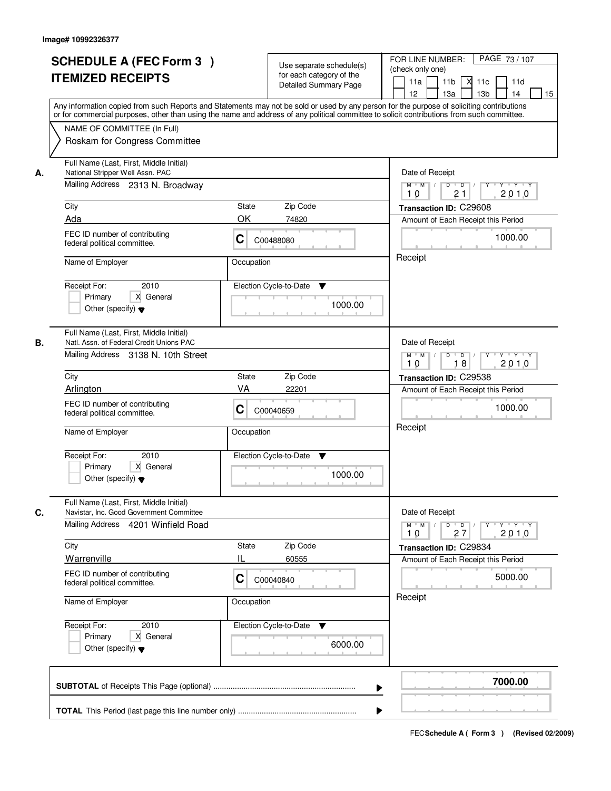|    | <b>SCHEDULE A (FEC Form 3)</b><br><b>ITEMIZED RECEIPTS</b><br>Any information copied from such Reports and Statements may not be sold or used by any person for the purpose of soliciting contributions    |              | Use separate schedule(s)<br>for each category of the<br><b>Detailed Summary Page</b> | PAGE 73 / 107<br>FOR LINE NUMBER:<br>(check only one)<br>11 <sub>b</sub><br>11a<br>м<br>11c<br>11d<br>13 <sub>b</sub><br>12 <sup>2</sup><br>13a<br>14<br>15 |
|----|------------------------------------------------------------------------------------------------------------------------------------------------------------------------------------------------------------|--------------|--------------------------------------------------------------------------------------|-------------------------------------------------------------------------------------------------------------------------------------------------------------|
|    | or for commercial purposes, other than using the name and address of any political committee to solicit contributions from such committee.<br>NAME OF COMMITTEE (In Full)<br>Roskam for Congress Committee |              |                                                                                      |                                                                                                                                                             |
| А. | Full Name (Last, First, Middle Initial)<br>National Stripper Well Assn. PAC<br>Mailing Address 2313 N. Broadway                                                                                            |              |                                                                                      | Date of Receipt<br>$D$ $D$ $/$<br>$Y$ $Y$ $Y$ $Y$<br>$M$ $M$ /<br>$\overline{Y}$<br>21<br>2010<br>10                                                        |
|    | City                                                                                                                                                                                                       | State        | Zip Code                                                                             | Transaction ID: C29608                                                                                                                                      |
|    | Ada                                                                                                                                                                                                        | OK           | 74820                                                                                | Amount of Each Receipt this Period                                                                                                                          |
|    | FEC ID number of contributing<br>federal political committee.                                                                                                                                              | C            | C00488080                                                                            | 1000.00                                                                                                                                                     |
|    | Name of Employer                                                                                                                                                                                           | Occupation   |                                                                                      | Receipt                                                                                                                                                     |
|    | 2010<br>Receipt For:<br>X General<br>Primary<br>Other (specify) $\blacktriangledown$                                                                                                                       |              | Election Cycle-to-Date<br>▼<br>1000.00                                               |                                                                                                                                                             |
| В. | Full Name (Last, First, Middle Initial)<br>Natl. Assn. of Federal Credit Unions PAC<br>Mailing Address 3138 N. 10th Street                                                                                 |              |                                                                                      | Date of Receipt<br>D<br>$Y - Y - Y$<br>$M$ $M$ /<br>$\overline{D}$ /                                                                                        |
|    |                                                                                                                                                                                                            |              |                                                                                      | 18<br>2010<br>10                                                                                                                                            |
|    | City                                                                                                                                                                                                       | <b>State</b> | Zip Code                                                                             | Transaction ID: C29538                                                                                                                                      |
|    | Arlington                                                                                                                                                                                                  | VA           | 22201                                                                                | Amount of Each Receipt this Period                                                                                                                          |
|    | FEC ID number of contributing<br>federal political committee.                                                                                                                                              | C            | C00040659                                                                            | 1000.00                                                                                                                                                     |
|    | Name of Employer                                                                                                                                                                                           | Occupation   |                                                                                      | Receipt                                                                                                                                                     |
|    | Receipt For:<br>2010<br>Primary<br>X General<br>Other (specify) $\blacktriangledown$                                                                                                                       |              | Election Cycle-to-Date<br>v<br>1000.00                                               |                                                                                                                                                             |
| C. | Full Name (Last, First, Middle Initial)<br>Navistar, Inc. Good Government Committee<br>Mailing Address 4201 Winfield Road                                                                                  |              |                                                                                      | Date of Receipt<br>$M = M$<br>D<br>$\overline{D}$<br>$Y + Y + Y$<br>Y                                                                                       |
|    |                                                                                                                                                                                                            |              |                                                                                      | 2010<br>10<br>27                                                                                                                                            |
|    | City                                                                                                                                                                                                       | <b>State</b> | Zip Code                                                                             | Transaction ID: C29834                                                                                                                                      |
|    | Warrenville                                                                                                                                                                                                | IL           | 60555                                                                                | Amount of Each Receipt this Period                                                                                                                          |
|    | FEC ID number of contributing<br>federal political committee.                                                                                                                                              | C            | C00040840                                                                            | 5000.00                                                                                                                                                     |
|    | Name of Employer                                                                                                                                                                                           | Occupation   |                                                                                      | Receipt                                                                                                                                                     |
|    | Receipt For:<br>2010<br>Primary<br>X General<br>Other (specify) $\blacktriangledown$                                                                                                                       |              | Election Cycle-to-Date<br>v<br>6000.00                                               |                                                                                                                                                             |
|    |                                                                                                                                                                                                            |              | ▶                                                                                    | 7000.00                                                                                                                                                     |
|    |                                                                                                                                                                                                            |              |                                                                                      |                                                                                                                                                             |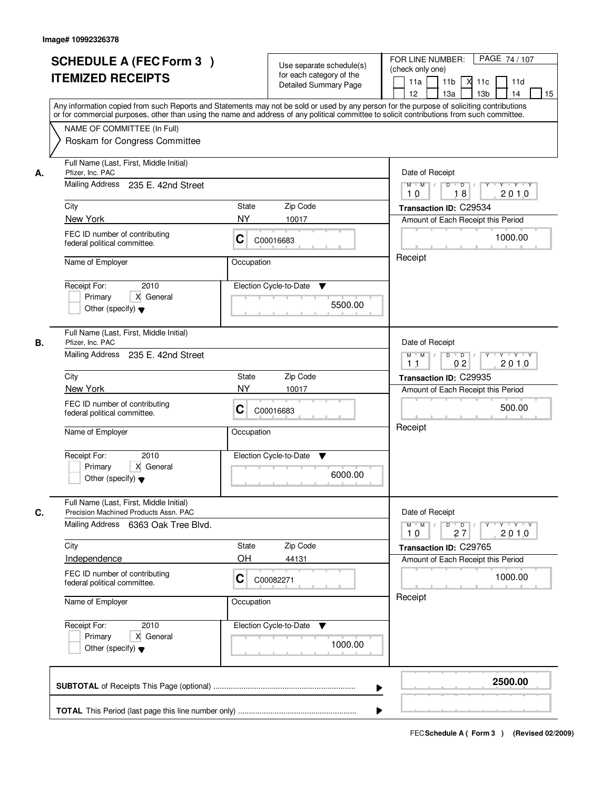| <b>SCHEDULE A (FEC Form 3)</b><br><b>ITEMIZED RECEIPTS</b>                                                                                                                                                                                                                                                                         | Use separate schedule(s)<br>for each category of the<br>Detailed Summary Page                                                                                                                                                                                                           | PAGE 74/107<br>FOR LINE NUMBER:<br>(check only one)<br>11a<br>11 <sub>b</sub><br>11c<br>11d<br>13 <sub>b</sub><br>15<br>12 <sup>2</sup><br>13a<br>14                                                                                          |
|------------------------------------------------------------------------------------------------------------------------------------------------------------------------------------------------------------------------------------------------------------------------------------------------------------------------------------|-----------------------------------------------------------------------------------------------------------------------------------------------------------------------------------------------------------------------------------------------------------------------------------------|-----------------------------------------------------------------------------------------------------------------------------------------------------------------------------------------------------------------------------------------------|
| NAME OF COMMITTEE (In Full)<br>Roskam for Congress Committee                                                                                                                                                                                                                                                                       | Any information copied from such Reports and Statements may not be sold or used by any person for the purpose of soliciting contributions<br>or for commercial purposes, other than using the name and address of any political committee to solicit contributions from such committee. |                                                                                                                                                                                                                                               |
| Full Name (Last, First, Middle Initial)<br>Pfizer, Inc. PAC<br>А.<br>Mailing Address<br>235 E. 42nd Street<br>City<br>New York<br>FEC ID number of contributing<br>federal political committee.<br>Name of Employer<br>Receipt For:<br>2010<br>X General<br>Primary<br>Other (specify) $\blacktriangledown$                        | Zip Code<br>State<br><b>NY</b><br>10017<br>C<br>C00016683<br>Occupation<br>Election Cycle-to-Date<br>v<br>5500.00                                                                                                                                                                       | Date of Receipt<br>$M$ $M$ /<br>$D$ $D$ $/$<br>$Y - Y - Y - Y$<br>Y<br>2010<br>10<br>18<br>Transaction ID: C29534<br>Amount of Each Receipt this Period<br>1000.00<br>Receipt                                                                 |
| Full Name (Last, First, Middle Initial)<br>В.<br>Pfizer, Inc. PAC<br>Mailing Address 235 E. 42nd Street<br>City<br>New York<br>FEC ID number of contributing<br>federal political committee.<br>Name of Employer<br>Receipt For:<br>2010<br>X General<br>Primary<br>Other (specify) $\blacktriangledown$                           | <b>State</b><br>Zip Code<br><b>NY</b><br>10017<br>C<br>C00016683<br>Occupation<br>Election Cycle-to-Date<br>$\blacktriangledown$<br>6000.00                                                                                                                                             | Date of Receipt<br>$D$ $D$ $/$<br>$\mathsf{Y} \dashv \mathsf{Y} \dashv \mathsf{Y} \dashv \mathsf{Y}$<br>$M$ $M$ /<br>0 <sub>2</sub><br>2010<br>11<br>Transaction ID: C29935<br>Amount of Each Receipt this Period<br>500.00<br>Receipt        |
| Full Name (Last, First, Middle Initial)<br>C.<br>Precision Machined Products Assn. PAC<br>Mailing Address 6363 Oak Tree Blvd.<br>City<br>Independence<br>FEC ID number of contributing<br>federal political committee.<br>Name of Employer<br>Receipt For:<br>2010<br>Primary<br>X General<br>Other (specify) $\blacktriangledown$ | Zip Code<br>State<br>OH<br>44131<br>C<br>C00082271<br>Occupation<br>Election Cycle-to-Date<br>v<br>1000.00                                                                                                                                                                              | Date of Receipt<br>$M^{\prime}$ M $\rightarrow$ /<br>$D$ $D$ $/$<br>$\mathsf{Y} \dashv \neg \mathsf{Y} \dashv \neg \mathsf{Y}$<br>Y<br>2010<br>27<br>10<br>Transaction ID: C29765<br>Amount of Each Receipt this Period<br>1000.00<br>Receipt |
|                                                                                                                                                                                                                                                                                                                                    | ▶                                                                                                                                                                                                                                                                                       | 2500.00                                                                                                                                                                                                                                       |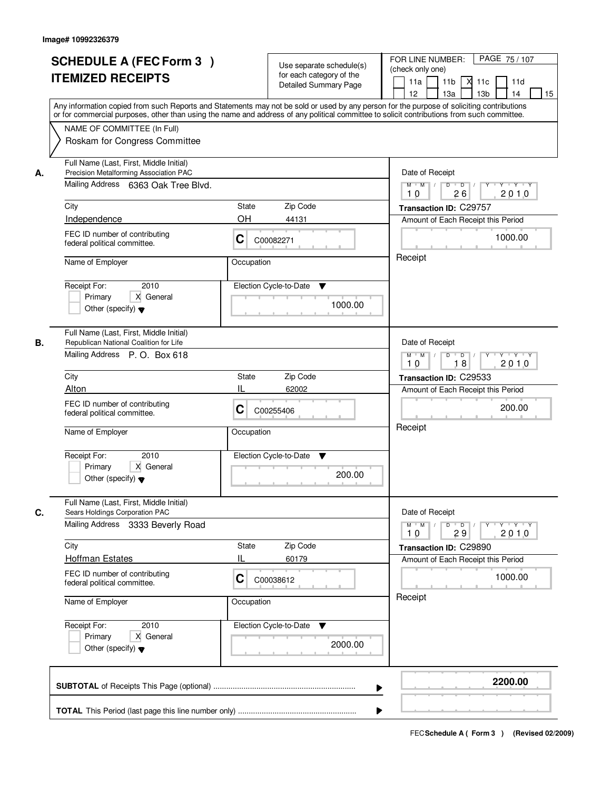|    | <b>SCHEDULE A (FEC Form 3)</b><br><b>ITEMIZED RECEIPTS</b>                                                               | Use separate schedule(s)<br>for each category of the<br><b>Detailed Summary Page</b><br>Any information copied from such Reports and Statements may not be sold or used by any person for the purpose of soliciting contributions<br>or for commercial purposes, other than using the name and address of any political committee to solicit contributions from such committee. | PAGE 75 / 107<br>FOR LINE NUMBER:<br>(check only one)<br>11 <sub>b</sub><br>11a<br><b>X</b><br>11c<br>11d<br>13 <sub>b</sub><br>14<br>12<br>13a<br>15 |
|----|--------------------------------------------------------------------------------------------------------------------------|---------------------------------------------------------------------------------------------------------------------------------------------------------------------------------------------------------------------------------------------------------------------------------------------------------------------------------------------------------------------------------|-------------------------------------------------------------------------------------------------------------------------------------------------------|
|    | NAME OF COMMITTEE (In Full)<br>Roskam for Congress Committee                                                             |                                                                                                                                                                                                                                                                                                                                                                                 |                                                                                                                                                       |
| А. | Full Name (Last, First, Middle Initial)<br>Precision Metalforming Association PAC<br>Mailing Address 6363 Oak Tree Blvd. |                                                                                                                                                                                                                                                                                                                                                                                 | Date of Receipt<br>$D$ $D$<br>Y<br>$Y + Y + Y$<br>$M$ $M$ /<br>26<br>2010<br>10                                                                       |
|    | City                                                                                                                     | <b>State</b><br>Zip Code                                                                                                                                                                                                                                                                                                                                                        | Transaction ID: C29757                                                                                                                                |
|    | Independence                                                                                                             | <b>OH</b><br>44131                                                                                                                                                                                                                                                                                                                                                              | Amount of Each Receipt this Period                                                                                                                    |
|    | FEC ID number of contributing<br>federal political committee.                                                            | C<br>C00082271                                                                                                                                                                                                                                                                                                                                                                  | 1000.00                                                                                                                                               |
|    | Name of Employer                                                                                                         | Occupation                                                                                                                                                                                                                                                                                                                                                                      | Receipt                                                                                                                                               |
|    | 2010<br>Receipt For:<br>X General<br>Primary<br>Other (specify) $\blacktriangledown$                                     | Election Cycle-to-Date<br>▼<br>1000.00                                                                                                                                                                                                                                                                                                                                          |                                                                                                                                                       |
| В. | Full Name (Last, First, Middle Initial)<br>Republican National Coalition for Life                                        |                                                                                                                                                                                                                                                                                                                                                                                 | Date of Receipt                                                                                                                                       |
|    | Mailing Address P. O. Box 618                                                                                            |                                                                                                                                                                                                                                                                                                                                                                                 | $M$ $M$ /<br>D<br>$\overline{D}$<br>Y<br>$Y + Y + Y$<br>18<br>2010<br>10                                                                              |
|    | City                                                                                                                     | Zip Code<br>State                                                                                                                                                                                                                                                                                                                                                               | Transaction ID: C29533                                                                                                                                |
|    | Alton                                                                                                                    | Ш<br>62002                                                                                                                                                                                                                                                                                                                                                                      | Amount of Each Receipt this Period                                                                                                                    |
|    | FEC ID number of contributing<br>federal political committee.                                                            | С<br>C00255406                                                                                                                                                                                                                                                                                                                                                                  | 200.00                                                                                                                                                |
|    | Name of Employer                                                                                                         | Occupation                                                                                                                                                                                                                                                                                                                                                                      | Receipt                                                                                                                                               |
|    | Receipt For:<br>2010<br>Primary<br>X General<br>Other (specify) $\blacktriangledown$                                     | Election Cycle-to-Date<br>v<br>200.00                                                                                                                                                                                                                                                                                                                                           |                                                                                                                                                       |
| C. | Full Name (Last, First, Middle Initial)<br>Sears Holdings Corporation PAC                                                |                                                                                                                                                                                                                                                                                                                                                                                 | Date of Receipt                                                                                                                                       |
|    | Mailing Address 3333 Beverly Road                                                                                        |                                                                                                                                                                                                                                                                                                                                                                                 | $M$ $M$<br>$D$ $D$ $I$<br>$\mathsf{Y} \dashv \neg \mathsf{Y} \dashv \neg \mathsf{Y}$<br>$Y^+$<br>2010<br>10<br>29                                     |
|    | City                                                                                                                     | Zip Code<br>State                                                                                                                                                                                                                                                                                                                                                               | Transaction ID: C29890                                                                                                                                |
|    | <b>Hoffman Estates</b>                                                                                                   | Ш<br>60179                                                                                                                                                                                                                                                                                                                                                                      | Amount of Each Receipt this Period                                                                                                                    |
|    | FEC ID number of contributing<br>federal political committee.                                                            | C<br>C00038612                                                                                                                                                                                                                                                                                                                                                                  | 1000.00                                                                                                                                               |
|    | Name of Employer                                                                                                         | Occupation                                                                                                                                                                                                                                                                                                                                                                      | Receipt                                                                                                                                               |
|    | Receipt For:<br>2010<br>Primary<br>X General<br>Other (specify) $\blacktriangledown$                                     | Election Cycle-to-Date ▼<br>2000.00                                                                                                                                                                                                                                                                                                                                             |                                                                                                                                                       |
|    |                                                                                                                          |                                                                                                                                                                                                                                                                                                                                                                                 | 2200.00                                                                                                                                               |
|    |                                                                                                                          |                                                                                                                                                                                                                                                                                                                                                                                 |                                                                                                                                                       |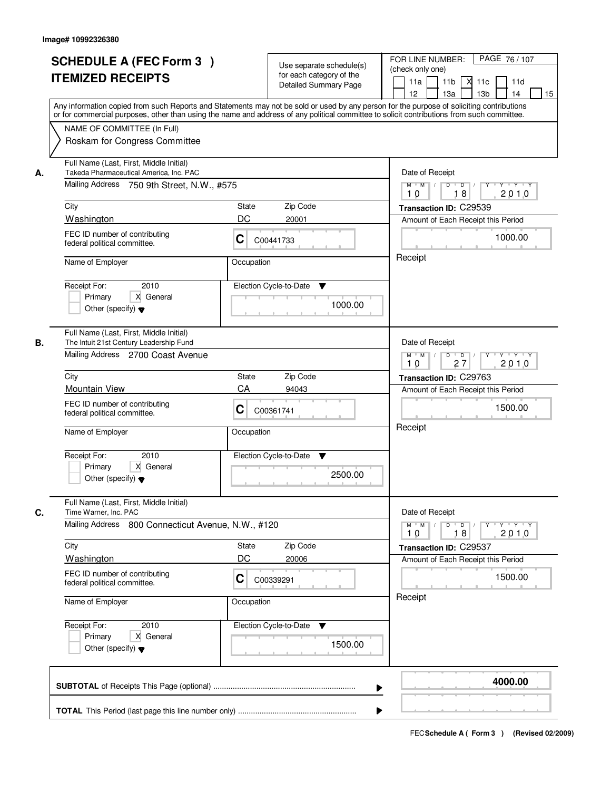|    | <b>SCHEDULE A (FEC Form 3)</b><br><b>ITEMIZED RECEIPTS</b><br>Any information copied from such Reports and Statements may not be sold or used by any person for the purpose of soliciting contributions    | Use separate schedule(s)<br>for each category of the<br><b>Detailed Summary Page</b> | PAGE 76 / 107<br>FOR LINE NUMBER:<br>(check only one)<br>11 <sub>b</sub><br>11a<br><b>X</b><br>11c<br>11d<br>13 <sub>b</sub><br>14<br>12<br>13a<br>15 |  |  |  |
|----|------------------------------------------------------------------------------------------------------------------------------------------------------------------------------------------------------------|--------------------------------------------------------------------------------------|-------------------------------------------------------------------------------------------------------------------------------------------------------|--|--|--|
|    | or for commercial purposes, other than using the name and address of any political committee to solicit contributions from such committee.<br>NAME OF COMMITTEE (In Full)<br>Roskam for Congress Committee |                                                                                      |                                                                                                                                                       |  |  |  |
| А. | Full Name (Last, First, Middle Initial)<br>Takeda Pharmaceutical America, Inc. PAC<br>Mailing Address 750 9th Street, N.W., #575                                                                           |                                                                                      | Date of Receipt<br>$M$ $M$<br>$D$ $D$ $1$<br>Y<br>$Y + Y + Y$<br>2010<br>18<br>10                                                                     |  |  |  |
|    | City                                                                                                                                                                                                       | State<br>Zip Code                                                                    | Transaction ID: C29539                                                                                                                                |  |  |  |
|    | Washington                                                                                                                                                                                                 | DC<br>20001                                                                          | Amount of Each Receipt this Period                                                                                                                    |  |  |  |
|    | FEC ID number of contributing<br>federal political committee.                                                                                                                                              | C<br>C00441733                                                                       | 1000.00<br>Receipt                                                                                                                                    |  |  |  |
|    | Name of Employer                                                                                                                                                                                           | Occupation                                                                           |                                                                                                                                                       |  |  |  |
|    | 2010<br>Receipt For:<br>X General<br>Primary<br>Other (specify) $\blacktriangledown$                                                                                                                       | Election Cycle-to-Date<br>▼<br>1000.00                                               |                                                                                                                                                       |  |  |  |
| В. | Full Name (Last, First, Middle Initial)<br>The Intuit 21st Century Leadership Fund<br>Mailing Address 2700 Coast Avenue                                                                                    |                                                                                      | Date of Receipt<br>$M$ $M$ /<br>D<br>$\overline{\phantom{0}}$ D<br>$Y + Y + Y$<br>27<br>2010<br>10                                                    |  |  |  |
|    | City                                                                                                                                                                                                       | Zip Code<br>State                                                                    | Transaction ID: C29763                                                                                                                                |  |  |  |
|    | <b>Mountain View</b>                                                                                                                                                                                       | CA<br>94043                                                                          | Amount of Each Receipt this Period                                                                                                                    |  |  |  |
|    | FEC ID number of contributing<br>federal political committee.                                                                                                                                              | С<br>C00361741                                                                       | 1500.00                                                                                                                                               |  |  |  |
|    | Name of Employer                                                                                                                                                                                           | Occupation                                                                           | Receipt                                                                                                                                               |  |  |  |
|    | Receipt For:<br>2010<br>Primary<br>X General<br>Other (specify) $\blacktriangledown$                                                                                                                       | Election Cycle-to-Date<br>v<br>2500.00                                               |                                                                                                                                                       |  |  |  |
| C. | Full Name (Last, First, Middle Initial)<br>Time Warner, Inc. PAC                                                                                                                                           |                                                                                      | Date of Receipt                                                                                                                                       |  |  |  |
|    | Mailing Address 800 Connecticut Avenue, N.W., #120                                                                                                                                                         | $M$ $M$<br>$D$ $D$ $l$<br><u> EYELYELYEK</u><br>2010<br>10<br>18                     |                                                                                                                                                       |  |  |  |
|    | City                                                                                                                                                                                                       | Zip Code<br>State                                                                    | Transaction ID: C29537                                                                                                                                |  |  |  |
|    | Washington                                                                                                                                                                                                 | DC<br>20006                                                                          | Amount of Each Receipt this Period                                                                                                                    |  |  |  |
|    | FEC ID number of contributing<br>federal political committee.                                                                                                                                              | C<br>C00339291                                                                       | 1500.00                                                                                                                                               |  |  |  |
|    | Name of Employer                                                                                                                                                                                           | Occupation                                                                           | Receipt                                                                                                                                               |  |  |  |
|    | Receipt For:<br>2010<br>Primary<br>X General<br>Other (specify) $\blacktriangledown$                                                                                                                       | Election Cycle-to-Date ▼<br>1500.00                                                  |                                                                                                                                                       |  |  |  |
|    |                                                                                                                                                                                                            |                                                                                      | 4000.00                                                                                                                                               |  |  |  |
|    |                                                                                                                                                                                                            |                                                                                      |                                                                                                                                                       |  |  |  |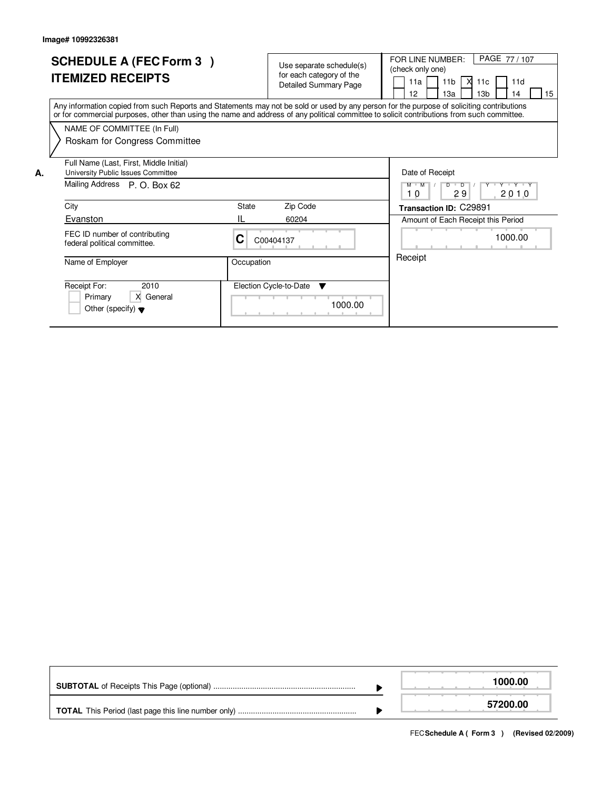|    | <b>SCHEDULE A (FEC Form 3)</b><br><b>ITEMIZED RECEIPTS</b>                                                                                                                                                                                                                              |            | Use separate schedule(s)<br>for each category of the<br><b>Detailed Summary Page</b> | PAGE 77/107<br>FOR LINE NUMBER:<br>(check only one)<br>11 <sub>b</sub><br><b>X</b><br>11d<br>11a<br>11c<br>12<br>13 <sub>b</sub><br>15<br>13a<br>14 |
|----|-----------------------------------------------------------------------------------------------------------------------------------------------------------------------------------------------------------------------------------------------------------------------------------------|------------|--------------------------------------------------------------------------------------|-----------------------------------------------------------------------------------------------------------------------------------------------------|
|    | Any information copied from such Reports and Statements may not be sold or used by any person for the purpose of soliciting contributions<br>or for commercial purposes, other than using the name and address of any political committee to solicit contributions from such committee. |            |                                                                                      |                                                                                                                                                     |
|    | NAME OF COMMITTEE (In Full)                                                                                                                                                                                                                                                             |            |                                                                                      |                                                                                                                                                     |
|    | Roskam for Congress Committee                                                                                                                                                                                                                                                           |            |                                                                                      |                                                                                                                                                     |
| Α. | Full Name (Last, First, Middle Initial)<br>University Public Issues Committee                                                                                                                                                                                                           |            |                                                                                      | Date of Receipt                                                                                                                                     |
|    | Mailing Address P. O. Box 62                                                                                                                                                                                                                                                            |            |                                                                                      | Y Y Y Y Y<br>$M$ $M$<br>$D$ $D$<br>29<br>2010<br>10                                                                                                 |
|    | City                                                                                                                                                                                                                                                                                    | State      | Zip Code                                                                             | Transaction ID: C29891                                                                                                                              |
|    | Evanston                                                                                                                                                                                                                                                                                |            | 60204                                                                                | Amount of Each Receipt this Period                                                                                                                  |
|    | FEC ID number of contributing<br>federal political committee.                                                                                                                                                                                                                           | С          | C00404137                                                                            | 1000.00                                                                                                                                             |
|    | Name of Employer                                                                                                                                                                                                                                                                        | Occupation |                                                                                      | Receipt                                                                                                                                             |
|    | Receipt For:<br>2010<br>X General<br>Primary<br>Other (specify) $\blacktriangledown$                                                                                                                                                                                                    |            | Election Cycle-to-Date<br>▼<br>1000.00                                               |                                                                                                                                                     |

|  | 1000.00  |
|--|----------|
|  | 57200.00 |

FECSchedule A (Form 3) (Revised 02/2009)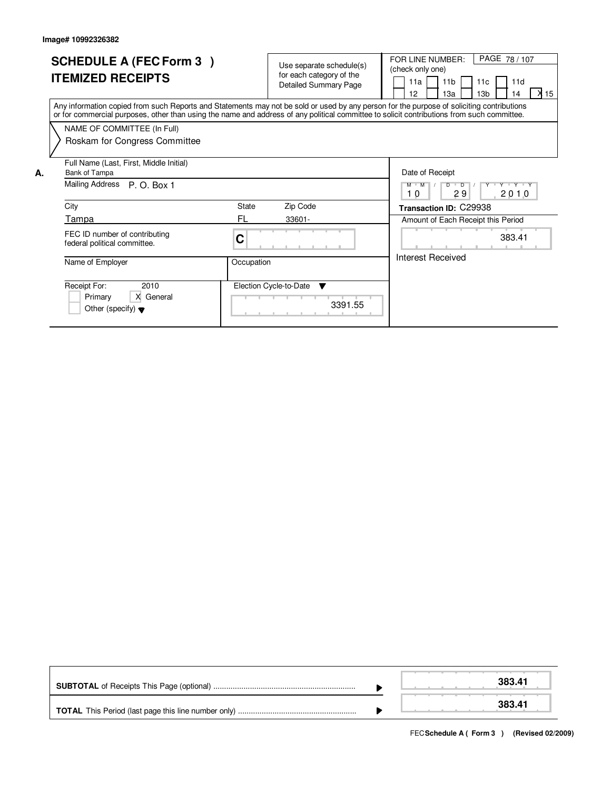|    | <b>SCHEDULE A (FEC Form 3)</b><br><b>ITEMIZED RECEIPTS</b>                                                                                                                                                                                                                              |            | Use separate schedule(s)<br>for each category of the<br><b>Detailed Summary Page</b> |         | PAGE 78 / 107<br>FOR LINE NUMBER:<br>(check only one)<br>11 <sub>b</sub><br>11d<br>11a<br>11c<br>X 15<br>12<br>13 <sub>b</sub><br>13a<br>14 |
|----|-----------------------------------------------------------------------------------------------------------------------------------------------------------------------------------------------------------------------------------------------------------------------------------------|------------|--------------------------------------------------------------------------------------|---------|---------------------------------------------------------------------------------------------------------------------------------------------|
|    | Any information copied from such Reports and Statements may not be sold or used by any person for the purpose of soliciting contributions<br>or for commercial purposes, other than using the name and address of any political committee to solicit contributions from such committee. |            |                                                                                      |         |                                                                                                                                             |
|    | NAME OF COMMITTEE (In Full)                                                                                                                                                                                                                                                             |            |                                                                                      |         |                                                                                                                                             |
|    | Roskam for Congress Committee                                                                                                                                                                                                                                                           |            |                                                                                      |         |                                                                                                                                             |
| Α. | Full Name (Last, First, Middle Initial)<br>Bank of Tampa                                                                                                                                                                                                                                |            |                                                                                      |         | Date of Receipt                                                                                                                             |
|    | Mailing Address P. O. Box 1                                                                                                                                                                                                                                                             |            |                                                                                      |         | Y Y Y Y Y<br>$D$ $D$ $1$<br>$M$ $M$<br>29<br>2010<br>10                                                                                     |
|    | City                                                                                                                                                                                                                                                                                    | State      | Zip Code                                                                             |         | Transaction ID: C29938                                                                                                                      |
|    | Tampa                                                                                                                                                                                                                                                                                   | FL         | 33601-                                                                               |         | Amount of Each Receipt this Period                                                                                                          |
|    | FEC ID number of contributing<br>federal political committee.                                                                                                                                                                                                                           | C          |                                                                                      |         | 383.41                                                                                                                                      |
|    | Name of Employer                                                                                                                                                                                                                                                                        | Occupation |                                                                                      |         | Interest Received                                                                                                                           |
|    | Receipt For:<br>2010<br>X General<br>Primary<br>Other (specify) $\blacktriangledown$                                                                                                                                                                                                    |            | Election Cycle-to-Date<br>▼                                                          | 3391.55 |                                                                                                                                             |

|  | 383.41 |
|--|--------|
|  | 383.41 |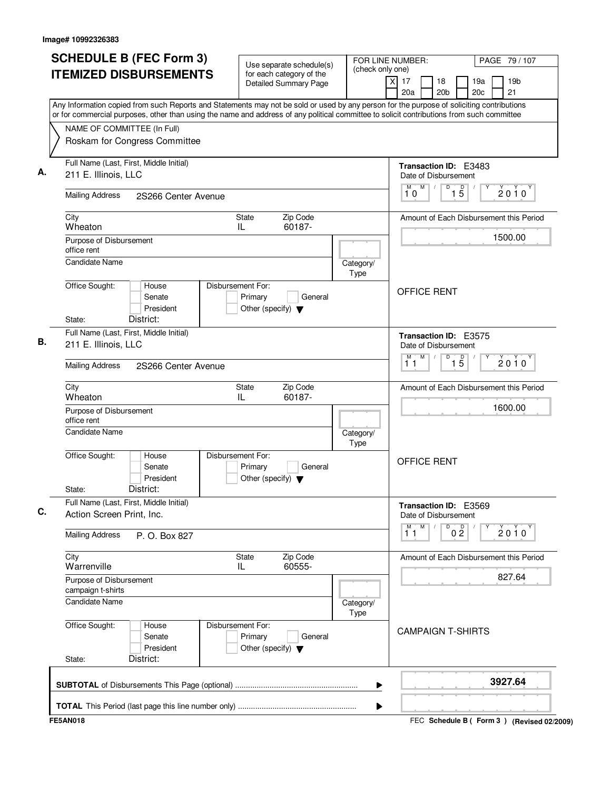| <b>SCHEDULE B (FEC Form 3)</b>                                                                                                                                                                                                                                                         | Use separate schedule(s)                                                        | FOR LINE NUMBER:<br>(check only one) |                                                      |                      | PAGE 79 / 107 |                                           |
|----------------------------------------------------------------------------------------------------------------------------------------------------------------------------------------------------------------------------------------------------------------------------------------|---------------------------------------------------------------------------------|--------------------------------------|------------------------------------------------------|----------------------|---------------|-------------------------------------------|
| <b>ITEMIZED DISBURSEMENTS</b>                                                                                                                                                                                                                                                          | for each category of the<br><b>Detailed Summary Page</b>                        |                                      | $\overline{x}$<br>17<br>18<br>20a<br>20 <sub>b</sub> |                      | 19a<br>20c    | 19 <sub>b</sub><br>21                     |
| Any Information copied from such Reports and Statements may not be sold or used by any person for the purpose of soliciting contributions<br>or for commercial purposes, other than using the name and address of any political committee to solicit contributions from such committee |                                                                                 |                                      |                                                      |                      |               |                                           |
| NAME OF COMMITTEE (In Full)                                                                                                                                                                                                                                                            |                                                                                 |                                      |                                                      |                      |               |                                           |
| Roskam for Congress Committee                                                                                                                                                                                                                                                          |                                                                                 |                                      |                                                      |                      |               |                                           |
| Full Name (Last, First, Middle Initial)<br>211 E. Illinois, LLC                                                                                                                                                                                                                        |                                                                                 |                                      | Transaction ID: E3483<br>Date of Disbursement        |                      |               |                                           |
| <b>Mailing Address</b><br>2S266 Center Avenue                                                                                                                                                                                                                                          |                                                                                 |                                      | M<br>M<br>10                                         | $1\overline{5}$<br>D |               | $2010^y$                                  |
| City<br>Wheaton                                                                                                                                                                                                                                                                        | Zip Code<br>State<br>60187-<br>IL                                               |                                      |                                                      |                      |               | Amount of Each Disbursement this Period   |
| Purpose of Disbursement<br>office rent                                                                                                                                                                                                                                                 |                                                                                 |                                      |                                                      |                      |               | 1500.00                                   |
| <b>Candidate Name</b>                                                                                                                                                                                                                                                                  |                                                                                 | Category/<br>Type                    |                                                      |                      |               |                                           |
| Office Sought:<br>House<br>Senate<br>President<br>District:<br>State:                                                                                                                                                                                                                  | Disbursement For:<br>Primary<br>General<br>Other (specify) $\blacktriangledown$ |                                      | <b>OFFICE RENT</b>                                   |                      |               |                                           |
| Full Name (Last, First, Middle Initial)<br>211 E. Illinois, LLC                                                                                                                                                                                                                        |                                                                                 |                                      | <b>Transaction ID: E3575</b><br>Date of Disbursement |                      |               |                                           |
| <b>Mailing Address</b><br>2S266 Center Avenue                                                                                                                                                                                                                                          |                                                                                 |                                      | M<br>М<br>11                                         | D<br>$\overline{15}$ |               | $2010^y$                                  |
| City<br>Wheaton                                                                                                                                                                                                                                                                        | Zip Code<br>State<br>60187-<br>IL                                               |                                      |                                                      |                      |               | Amount of Each Disbursement this Period   |
| Purpose of Disbursement<br>office rent                                                                                                                                                                                                                                                 |                                                                                 |                                      |                                                      |                      | 1600.00       |                                           |
| <b>Candidate Name</b>                                                                                                                                                                                                                                                                  |                                                                                 | Category/<br>Type                    |                                                      |                      |               |                                           |
| Office Sought:<br>House<br>Senate<br>President<br>District:<br>State:                                                                                                                                                                                                                  | Disbursement For:<br>Primary<br>General<br>Other (specify) $\blacktriangledown$ |                                      | <b>OFFICE RENT</b>                                   |                      |               |                                           |
| Full Name (Last, First, Middle Initial)<br>Action Screen Print, Inc.                                                                                                                                                                                                                   |                                                                                 |                                      | Transaction ID: E3569<br>Date of Disbursement        |                      |               |                                           |
| <b>Mailing Address</b><br>P. O. Box 827                                                                                                                                                                                                                                                |                                                                                 |                                      | $\overline{1}^M$<br>M                                | 0 <sup>D</sup><br>D  |               | 2010                                      |
| City<br>Warrenville                                                                                                                                                                                                                                                                    | State<br>Zip Code<br>60555-<br>IL.                                              |                                      |                                                      |                      |               | Amount of Each Disbursement this Period   |
| Purpose of Disbursement<br>campaign t-shirts                                                                                                                                                                                                                                           |                                                                                 |                                      |                                                      |                      |               | 827.64                                    |
| Candidate Name                                                                                                                                                                                                                                                                         |                                                                                 | Category/<br>Type                    |                                                      |                      |               |                                           |
| Office Sought:<br>House<br>Senate<br>President<br>District:<br>State:                                                                                                                                                                                                                  | Disbursement For:<br>Primary<br>General<br>Other (specify) $\blacktriangledown$ |                                      | <b>CAMPAIGN T-SHIRTS</b>                             |                      |               |                                           |
|                                                                                                                                                                                                                                                                                        |                                                                                 | ▶                                    |                                                      |                      |               | 3927.64                                   |
|                                                                                                                                                                                                                                                                                        |                                                                                 | ▶                                    |                                                      |                      |               |                                           |
| <b>FE5AN018</b>                                                                                                                                                                                                                                                                        |                                                                                 |                                      |                                                      |                      |               | FEC Schedule B (Form 3) (Revised 02/2009) |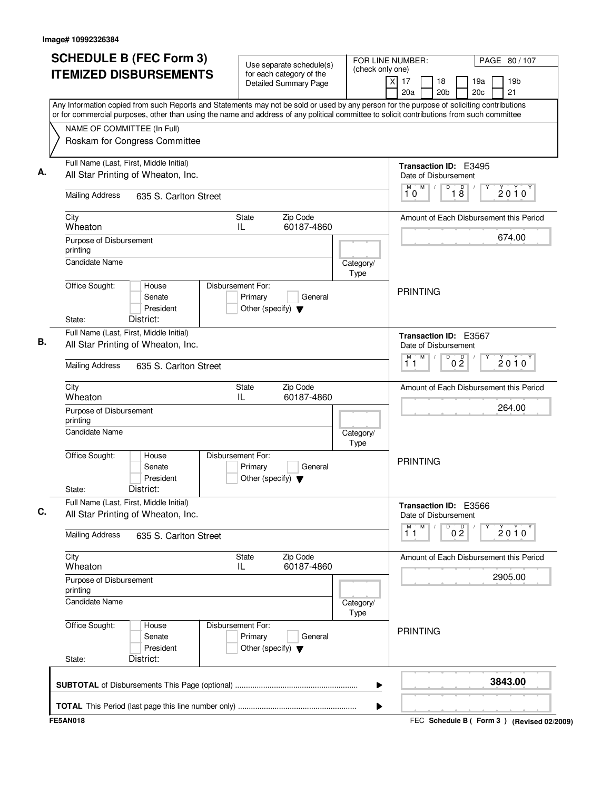| <b>SCHEDULE B (FEC Form 3)</b>                                                                                                                                                                                                                                                         | Use separate schedule(s)                                                        | (check only one)                          | FOR LINE NUMBER:                               | PAGE 80 / 107                               |  |  |
|----------------------------------------------------------------------------------------------------------------------------------------------------------------------------------------------------------------------------------------------------------------------------------------|---------------------------------------------------------------------------------|-------------------------------------------|------------------------------------------------|---------------------------------------------|--|--|
| <b>ITEMIZED DISBURSEMENTS</b>                                                                                                                                                                                                                                                          | for each category of the<br><b>Detailed Summary Page</b>                        |                                           | $\times$<br>17<br>18<br>20a<br>20 <sub>b</sub> | 19 <sub>b</sub><br>19a<br>21<br>20c         |  |  |
| Any Information copied from such Reports and Statements may not be sold or used by any person for the purpose of soliciting contributions<br>or for commercial purposes, other than using the name and address of any political committee to solicit contributions from such committee |                                                                                 |                                           |                                                |                                             |  |  |
| NAME OF COMMITTEE (In Full)                                                                                                                                                                                                                                                            |                                                                                 |                                           |                                                |                                             |  |  |
| Roskam for Congress Committee                                                                                                                                                                                                                                                          |                                                                                 |                                           |                                                |                                             |  |  |
| Full Name (Last, First, Middle Initial)                                                                                                                                                                                                                                                |                                                                                 |                                           | <b>Transaction ID: E3495</b>                   |                                             |  |  |
| All Star Printing of Wheaton, Inc.                                                                                                                                                                                                                                                     | Date of Disbursement                                                            |                                           |                                                |                                             |  |  |
| <b>Mailing Address</b><br>635 S. Carlton Street                                                                                                                                                                                                                                        |                                                                                 | M<br>$\overline{D}$<br>D<br>M<br>18<br>10 | $2010^y$                                       |                                             |  |  |
| City<br>Wheaton                                                                                                                                                                                                                                                                        | Zip Code<br><b>State</b><br>60187-4860<br>IL                                    |                                           | Amount of Each Disbursement this Period        |                                             |  |  |
| Purpose of Disbursement                                                                                                                                                                                                                                                                |                                                                                 |                                           |                                                | 674.00                                      |  |  |
| printing<br><b>Candidate Name</b>                                                                                                                                                                                                                                                      |                                                                                 |                                           |                                                |                                             |  |  |
|                                                                                                                                                                                                                                                                                        |                                                                                 | Category/<br>Type                         |                                                |                                             |  |  |
| Office Sought:<br>House                                                                                                                                                                                                                                                                | Disbursement For:                                                               |                                           |                                                |                                             |  |  |
| Senate                                                                                                                                                                                                                                                                                 | Primary<br>General                                                              |                                           | <b>PRINTING</b>                                |                                             |  |  |
| President                                                                                                                                                                                                                                                                              | Other (specify) $\blacktriangledown$                                            |                                           |                                                |                                             |  |  |
| District:<br>State:                                                                                                                                                                                                                                                                    |                                                                                 |                                           |                                                |                                             |  |  |
| Full Name (Last, First, Middle Initial)<br>All Star Printing of Wheaton, Inc.                                                                                                                                                                                                          |                                                                                 |                                           | Transaction ID: E3567<br>Date of Disbursement  |                                             |  |  |
|                                                                                                                                                                                                                                                                                        |                                                                                 |                                           | M<br>$\overline{D}$<br>М                       |                                             |  |  |
| <b>Mailing Address</b><br>635 S. Carlton Street                                                                                                                                                                                                                                        | 0 <sup>0</sup><br>11                                                            | $2010^y$                                  |                                                |                                             |  |  |
| City<br>Wheaton                                                                                                                                                                                                                                                                        | Zip Code<br><b>State</b><br>IL<br>60187-4860                                    |                                           |                                                | Amount of Each Disbursement this Period     |  |  |
| Purpose of Disbursement<br>printing                                                                                                                                                                                                                                                    |                                                                                 | 264.00                                    |                                                |                                             |  |  |
| Candidate Name<br>Category/<br>Type                                                                                                                                                                                                                                                    |                                                                                 |                                           |                                                |                                             |  |  |
| Office Sought:<br>House<br>Senate<br>President<br>District:<br>State:                                                                                                                                                                                                                  | Disbursement For:<br>Primary<br>General<br>Other (specify) $\blacktriangledown$ |                                           | <b>PRINTING</b>                                |                                             |  |  |
| Full Name (Last, First, Middle Initial)                                                                                                                                                                                                                                                |                                                                                 |                                           | Transaction ID: E3566                          |                                             |  |  |
| All Star Printing of Wheaton, Inc.                                                                                                                                                                                                                                                     |                                                                                 |                                           | Date of Disbursement                           |                                             |  |  |
| <b>Mailing Address</b><br>635 S. Carlton Street                                                                                                                                                                                                                                        |                                                                                 |                                           | M<br>M<br>$\overline{0}$ $\overline{2}$<br>11  | 2010                                        |  |  |
| City                                                                                                                                                                                                                                                                                   | State<br>Zip Code                                                               |                                           |                                                | Amount of Each Disbursement this Period     |  |  |
| Wheaton                                                                                                                                                                                                                                                                                | 60187-4860<br>IL                                                                |                                           |                                                |                                             |  |  |
| Purpose of Disbursement<br>printing                                                                                                                                                                                                                                                    |                                                                                 |                                           |                                                | 2905.00                                     |  |  |
| <b>Candidate Name</b>                                                                                                                                                                                                                                                                  | Category/<br><b>Type</b>                                                        |                                           |                                                |                                             |  |  |
| Office Sought:<br>House<br>Senate<br>President                                                                                                                                                                                                                                         | Disbursement For:<br>Primary<br>General<br>Other (specify) $\blacktriangledown$ |                                           | <b>PRINTING</b>                                |                                             |  |  |
| District:<br>State:                                                                                                                                                                                                                                                                    |                                                                                 |                                           |                                                |                                             |  |  |
|                                                                                                                                                                                                                                                                                        |                                                                                 | ▶                                         |                                                | 3843.00                                     |  |  |
|                                                                                                                                                                                                                                                                                        |                                                                                 | ▶                                         |                                                |                                             |  |  |
| <b>FE5AN018</b>                                                                                                                                                                                                                                                                        |                                                                                 |                                           |                                                | FEC Schedule B ( Form 3 ) (Revised 02/2009) |  |  |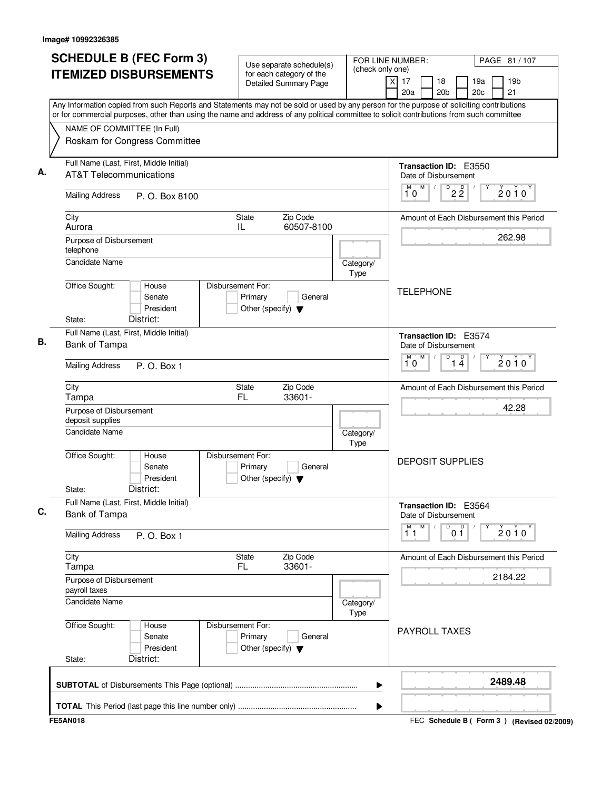| <b>SCHEDULE B (FEC Form 3)</b><br><b>ITEMIZED DISBURSEMENTS</b>                                                                                                                                                                                                                        | Use separate schedule(s)<br>for each category of the                            | FOR LINE NUMBER:<br>(check only one) |                                                      | PAGE 81 / 107                               |
|----------------------------------------------------------------------------------------------------------------------------------------------------------------------------------------------------------------------------------------------------------------------------------------|---------------------------------------------------------------------------------|--------------------------------------|------------------------------------------------------|---------------------------------------------|
|                                                                                                                                                                                                                                                                                        | Detailed Summary Page                                                           |                                      | $\overline{X}$<br>17<br>18<br>20a<br>20 <sub>b</sub> | 19 <sub>b</sub><br>19a<br>20c<br>21         |
| Any Information copied from such Reports and Statements may not be sold or used by any person for the purpose of soliciting contributions<br>or for commercial purposes, other than using the name and address of any political committee to solicit contributions from such committee |                                                                                 |                                      |                                                      |                                             |
| NAME OF COMMITTEE (In Full)<br>Roskam for Congress Committee                                                                                                                                                                                                                           |                                                                                 |                                      |                                                      |                                             |
| Full Name (Last, First, Middle Initial)                                                                                                                                                                                                                                                |                                                                                 |                                      |                                                      |                                             |
| <b>AT&amp;T Telecommunications</b>                                                                                                                                                                                                                                                     |                                                                                 |                                      | Transaction ID: E3550<br>Date of Disbursement        |                                             |
| <b>Mailing Address</b><br>P. O. Box 8100                                                                                                                                                                                                                                               |                                                                                 |                                      | M<br>D<br>$2\overline{2}$<br>10                      | $2010^y$                                    |
| City<br>Aurora                                                                                                                                                                                                                                                                         | Zip Code<br>State<br>60507-8100<br>IL                                           |                                      |                                                      | Amount of Each Disbursement this Period     |
| Purpose of Disbursement<br>telephone                                                                                                                                                                                                                                                   |                                                                                 |                                      |                                                      | 262.98                                      |
| <b>Candidate Name</b>                                                                                                                                                                                                                                                                  |                                                                                 | Category/<br>Type                    |                                                      |                                             |
| Office Sought:<br>House<br>Senate<br>President<br>District:<br>State:                                                                                                                                                                                                                  | Disbursement For:<br>Primary<br>General<br>Other (specify) $\blacktriangledown$ |                                      | <b>TELEPHONE</b>                                     |                                             |
| Full Name (Last, First, Middle Initial)                                                                                                                                                                                                                                                |                                                                                 |                                      | Transaction ID: E3574                                |                                             |
| Bank of Tampa                                                                                                                                                                                                                                                                          |                                                                                 |                                      | Date of Disbursement                                 |                                             |
| <b>Mailing Address</b><br>P. O. Box 1                                                                                                                                                                                                                                                  |                                                                                 |                                      | M<br>D<br>M<br>$\overline{1\,4}$<br>10               | $2010^y$                                    |
| City<br>Tampa                                                                                                                                                                                                                                                                          | Zip Code<br>State<br>FL.<br>33601-                                              |                                      |                                                      | Amount of Each Disbursement this Period     |
| Purpose of Disbursement<br>deposit supplies                                                                                                                                                                                                                                            |                                                                                 |                                      |                                                      | 42.28                                       |
| <b>Candidate Name</b>                                                                                                                                                                                                                                                                  |                                                                                 | Category/<br>Type                    |                                                      |                                             |
| Office Sought:<br>House<br>Senate<br>President<br>District:<br>State:                                                                                                                                                                                                                  | Disbursement For:<br>Primary<br>General<br>Other (specify) $\blacktriangledown$ |                                      | <b>DEPOSIT SUPPLIES</b>                              |                                             |
| Full Name (Last, First, Middle Initial)<br>Bank of Tampa                                                                                                                                                                                                                               |                                                                                 |                                      | Transaction ID: E3564<br>Date of Disbursement        |                                             |
| <b>Mailing Address</b><br>P. O. Box 1                                                                                                                                                                                                                                                  |                                                                                 |                                      | M<br>M<br>D<br>0 <sup>0</sup><br>11                  | 2010                                        |
| City<br>Tampa                                                                                                                                                                                                                                                                          | Zip Code<br>State<br>33601-<br>FL.                                              |                                      |                                                      | Amount of Each Disbursement this Period     |
| Purpose of Disbursement<br>payroll taxes                                                                                                                                                                                                                                               |                                                                                 |                                      |                                                      | 2184.22                                     |
| Candidate Name                                                                                                                                                                                                                                                                         |                                                                                 | Category/<br>Type                    |                                                      |                                             |
| Office Sought:<br>House<br>Senate<br>President<br>District:<br>State:                                                                                                                                                                                                                  | Disbursement For:<br>Primary<br>General<br>Other (specify) $\blacktriangledown$ |                                      | <b>PAYROLL TAXES</b>                                 |                                             |
|                                                                                                                                                                                                                                                                                        |                                                                                 | ▶                                    |                                                      | 2489.48                                     |
|                                                                                                                                                                                                                                                                                        |                                                                                 | ▶                                    |                                                      |                                             |
| <b>FE5AN018</b>                                                                                                                                                                                                                                                                        |                                                                                 |                                      |                                                      | FEC Schedule B ( Form 3 ) (Revised 02/2009) |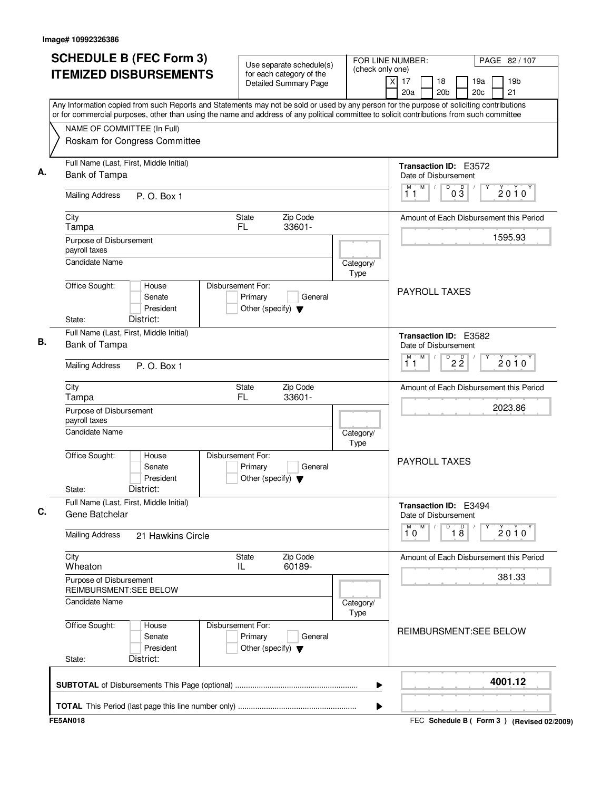| <b>SCHEDULE B (FEC Form 3)</b>                                                                                                                                                                                                                                                         | Use separate schedule(s)                                                        | FOR LINE NUMBER:<br>(check only one) |                                                      | PAGE 82/107                               |  |  |
|----------------------------------------------------------------------------------------------------------------------------------------------------------------------------------------------------------------------------------------------------------------------------------------|---------------------------------------------------------------------------------|--------------------------------------|------------------------------------------------------|-------------------------------------------|--|--|
| <b>ITEMIZED DISBURSEMENTS</b>                                                                                                                                                                                                                                                          | for each category of the<br><b>Detailed Summary Page</b>                        |                                      | $\overline{x}$<br>17<br>18<br>20a<br>20 <sub>b</sub> | 19a<br>19 <sub>b</sub><br>21<br>20c       |  |  |
| Any Information copied from such Reports and Statements may not be sold or used by any person for the purpose of soliciting contributions<br>or for commercial purposes, other than using the name and address of any political committee to solicit contributions from such committee |                                                                                 |                                      |                                                      |                                           |  |  |
| NAME OF COMMITTEE (In Full)                                                                                                                                                                                                                                                            |                                                                                 |                                      |                                                      |                                           |  |  |
| Roskam for Congress Committee                                                                                                                                                                                                                                                          |                                                                                 |                                      |                                                      |                                           |  |  |
| Full Name (Last, First, Middle Initial)<br>Bank of Tampa                                                                                                                                                                                                                               |                                                                                 |                                      | Transaction ID: E3572<br>Date of Disbursement        |                                           |  |  |
| <b>Mailing Address</b><br>P. O. Box 1                                                                                                                                                                                                                                                  |                                                                                 |                                      | M<br>D<br>$0\sqrt{3}$<br>М<br>$\sqrt{ }$<br>11       | $2010^y$                                  |  |  |
| City<br>Tampa                                                                                                                                                                                                                                                                          | Zip Code<br>State<br>FL.<br>33601-                                              |                                      |                                                      | Amount of Each Disbursement this Period   |  |  |
| Purpose of Disbursement<br>payroll taxes                                                                                                                                                                                                                                               |                                                                                 |                                      |                                                      | 1595.93                                   |  |  |
| <b>Candidate Name</b>                                                                                                                                                                                                                                                                  |                                                                                 | Category/<br>Type                    |                                                      |                                           |  |  |
| Office Sought:<br>House<br>Senate<br>President<br>District:<br>State:                                                                                                                                                                                                                  | Disbursement For:<br>Primary<br>General<br>Other (specify) $\blacktriangledown$ |                                      | <b>PAYROLL TAXES</b>                                 |                                           |  |  |
| Full Name (Last, First, Middle Initial)<br>Bank of Tampa                                                                                                                                                                                                                               |                                                                                 |                                      | Transaction ID: E3582<br>Date of Disbursement        |                                           |  |  |
| <b>Mailing Address</b><br>P. O. Box 1                                                                                                                                                                                                                                                  |                                                                                 |                                      | M<br>М<br>$D^D$ 2 $\overline{2}$<br>11               | $2010^y$                                  |  |  |
| City<br>Tampa                                                                                                                                                                                                                                                                          | Zip Code<br>State<br>FL<br>33601-                                               |                                      |                                                      | Amount of Each Disbursement this Period   |  |  |
| Purpose of Disbursement<br>payroll taxes                                                                                                                                                                                                                                               |                                                                                 | 2023.86                              |                                                      |                                           |  |  |
| <b>Candidate Name</b>                                                                                                                                                                                                                                                                  |                                                                                 | Category/<br>Type                    |                                                      |                                           |  |  |
| Office Sought:<br>House<br>Senate<br>President<br>District:<br>State:                                                                                                                                                                                                                  | Disbursement For:<br>Primary<br>General<br>Other (specify) $\blacktriangledown$ |                                      | <b>PAYROLL TAXES</b>                                 |                                           |  |  |
| Full Name (Last, First, Middle Initial)<br>Gene Batchelar                                                                                                                                                                                                                              |                                                                                 |                                      | Transaction ID: E3494<br>Date of Disbursement        |                                           |  |  |
| <b>Mailing Address</b><br>21 Hawkins Circle                                                                                                                                                                                                                                            |                                                                                 |                                      | $\overline{1}^M$ 0<br>M<br>$\overline{18}$<br>D      | 2010                                      |  |  |
| City<br>Wheaton                                                                                                                                                                                                                                                                        | Zip Code<br>State<br>60189-<br>IL.                                              |                                      |                                                      | Amount of Each Disbursement this Period   |  |  |
| Purpose of Disbursement<br>REIMBURSMENT:SEE BELOW                                                                                                                                                                                                                                      |                                                                                 |                                      |                                                      | 381.33                                    |  |  |
| <b>Candidate Name</b>                                                                                                                                                                                                                                                                  |                                                                                 | Category/<br>Type                    |                                                      |                                           |  |  |
| Office Sought:<br>House<br>Senate<br>President<br>District:<br>State:                                                                                                                                                                                                                  | Disbursement For:<br>Primary<br>General<br>Other (specify) $\blacktriangledown$ |                                      | REIMBURSMENT:SEE BELOW                               |                                           |  |  |
|                                                                                                                                                                                                                                                                                        |                                                                                 | ▶                                    |                                                      | 4001.12                                   |  |  |
|                                                                                                                                                                                                                                                                                        |                                                                                 | ▶                                    |                                                      |                                           |  |  |
| <b>FE5AN018</b>                                                                                                                                                                                                                                                                        |                                                                                 |                                      |                                                      | FEC Schedule B (Form 3) (Revised 02/2009) |  |  |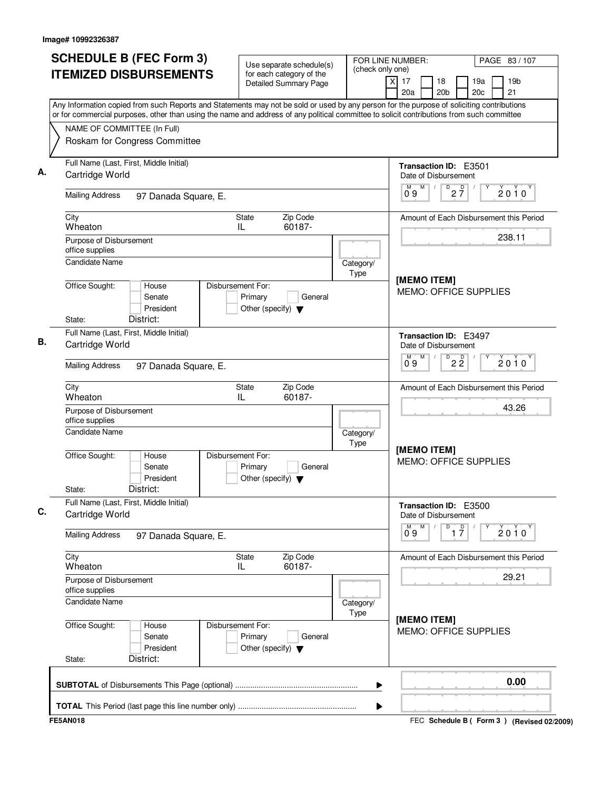| <b>SCHEDULE B (FEC Form 3)</b>                                                                                                                                                                                                                                                         | Use separate schedule(s)                                                        | FOR LINE NUMBER:  | PAGE 83 / 107                                                                   |  |
|----------------------------------------------------------------------------------------------------------------------------------------------------------------------------------------------------------------------------------------------------------------------------------------|---------------------------------------------------------------------------------|-------------------|---------------------------------------------------------------------------------|--|
| <b>ITEMIZED DISBURSEMENTS</b>                                                                                                                                                                                                                                                          | for each category of the<br>Detailed Summary Page                               | (check only one)  | 19 <sub>b</sub><br>x<br>17<br>18<br>19a<br>20a<br>20 <sub>b</sub><br>20c<br>21  |  |
| Any Information copied from such Reports and Statements may not be sold or used by any person for the purpose of soliciting contributions<br>or for commercial purposes, other than using the name and address of any political committee to solicit contributions from such committee |                                                                                 |                   |                                                                                 |  |
| NAME OF COMMITTEE (In Full)<br>Roskam for Congress Committee                                                                                                                                                                                                                           |                                                                                 |                   |                                                                                 |  |
| Full Name (Last, First, Middle Initial)<br>Cartridge World                                                                                                                                                                                                                             |                                                                                 |                   | Transaction ID: E3501<br>Date of Disbursement                                   |  |
| <b>Mailing Address</b><br>97 Danada Square, E.                                                                                                                                                                                                                                         |                                                                                 |                   | M<br>D<br>$2\overline{7}$<br>$2010^y$<br>09                                     |  |
| City<br>Wheaton                                                                                                                                                                                                                                                                        | Zip Code<br>State<br>60187-<br>IL                                               |                   | Amount of Each Disbursement this Period                                         |  |
| Purpose of Disbursement<br>office supplies                                                                                                                                                                                                                                             |                                                                                 |                   | 238.11                                                                          |  |
| <b>Candidate Name</b>                                                                                                                                                                                                                                                                  |                                                                                 | Category/<br>Type | [MEMO ITEM]                                                                     |  |
| Office Sought:<br>House<br>Senate<br>President<br>District:<br>State:                                                                                                                                                                                                                  | Disbursement For:<br>Primary<br>General<br>Other (specify) $\blacktriangledown$ |                   | <b>MEMO: OFFICE SUPPLIES</b>                                                    |  |
| Full Name (Last, First, Middle Initial)<br>Cartridge World                                                                                                                                                                                                                             |                                                                                 |                   | Transaction ID: E3497<br>Date of Disbursement                                   |  |
| <b>Mailing Address</b><br>97 Danada Square, E.                                                                                                                                                                                                                                         |                                                                                 |                   | M<br>D<br>$2\overline{2}$<br>$2010^y$<br>09                                     |  |
| City<br>Wheaton                                                                                                                                                                                                                                                                        | Zip Code<br>State<br>IL<br>60187-                                               |                   | Amount of Each Disbursement this Period                                         |  |
| Purpose of Disbursement<br>office supplies                                                                                                                                                                                                                                             |                                                                                 |                   | 43.26                                                                           |  |
| <b>Candidate Name</b>                                                                                                                                                                                                                                                                  |                                                                                 | Category/<br>Type | [MEMO ITEM]                                                                     |  |
| Office Sought:<br>House<br>Senate<br>President<br>District:<br>State:                                                                                                                                                                                                                  | Disbursement For:<br>Primary<br>General<br>Other (specify) $\blacktriangledown$ |                   | <b>MEMO: OFFICE SUPPLIES</b>                                                    |  |
| Full Name (Last, First, Middle Initial)<br>Cartridge World                                                                                                                                                                                                                             |                                                                                 |                   | Transaction ID: E3500<br>Date of Disbursement                                   |  |
| <b>Mailing Address</b><br>97 Danada Square, E.                                                                                                                                                                                                                                         |                                                                                 |                   | $\overline{0}^M$ 9<br>M<br>D<br>$\overline{1}$ $\overline{7}$<br>$2010^{\circ}$ |  |
| City<br>Wheaton                                                                                                                                                                                                                                                                        | Zip Code<br>State<br>60187-<br>IL                                               |                   | Amount of Each Disbursement this Period                                         |  |
| Purpose of Disbursement<br>office supplies                                                                                                                                                                                                                                             |                                                                                 |                   | 29.21                                                                           |  |
| <b>Candidate Name</b><br>Category/<br>Type                                                                                                                                                                                                                                             |                                                                                 |                   | [MEMO ITEM]                                                                     |  |
| Office Sought:<br>House<br>Senate<br>President<br>District:<br>State:                                                                                                                                                                                                                  | Disbursement For:<br>Primary<br>General<br>Other (specify) $\blacktriangledown$ |                   | MEMO: OFFICE SUPPLIES                                                           |  |
|                                                                                                                                                                                                                                                                                        |                                                                                 | ▶                 | 0.00                                                                            |  |
|                                                                                                                                                                                                                                                                                        |                                                                                 | ▶                 |                                                                                 |  |
| <b>FE5AN018</b>                                                                                                                                                                                                                                                                        |                                                                                 |                   | FEC Schedule B ( Form 3 ) (Revised 02/2009)                                     |  |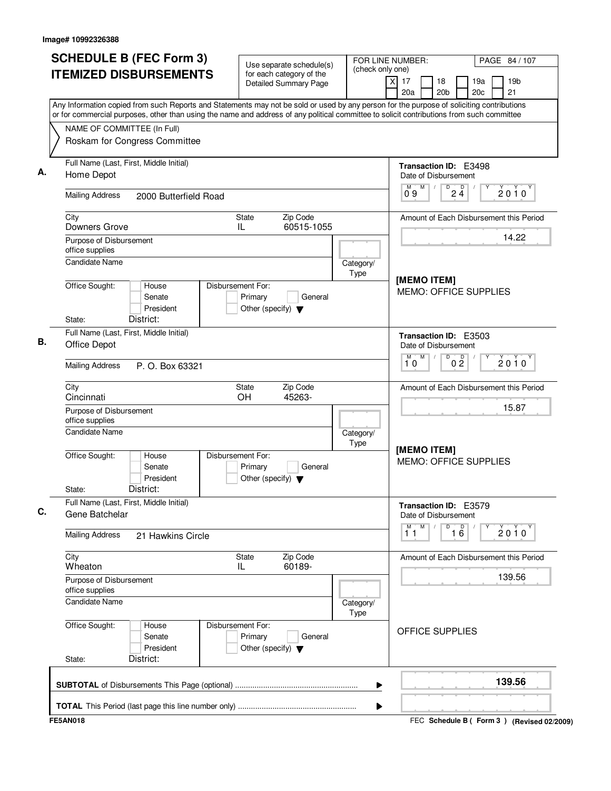| <b>SCHEDULE B (FEC Form 3)</b>                                                                                                                                                                                                                                                         | Use separate schedule(s)                                                        | (check only one)  | FOR LINE NUMBER:                                     | PAGE 84 / 107                             |  |
|----------------------------------------------------------------------------------------------------------------------------------------------------------------------------------------------------------------------------------------------------------------------------------------|---------------------------------------------------------------------------------|-------------------|------------------------------------------------------|-------------------------------------------|--|
| <b>ITEMIZED DISBURSEMENTS</b>                                                                                                                                                                                                                                                          | for each category of the<br><b>Detailed Summary Page</b>                        |                   | $\overline{x}$<br>17<br>18<br>20a<br>20 <sub>b</sub> | 19a<br>19 <sub>b</sub><br>21<br>20c       |  |
| Any Information copied from such Reports and Statements may not be sold or used by any person for the purpose of soliciting contributions<br>or for commercial purposes, other than using the name and address of any political committee to solicit contributions from such committee |                                                                                 |                   |                                                      |                                           |  |
| NAME OF COMMITTEE (In Full)                                                                                                                                                                                                                                                            |                                                                                 |                   |                                                      |                                           |  |
| Roskam for Congress Committee                                                                                                                                                                                                                                                          |                                                                                 |                   |                                                      |                                           |  |
| Full Name (Last, First, Middle Initial)<br>Home Depot                                                                                                                                                                                                                                  |                                                                                 |                   | Transaction ID: E3498<br>Date of Disbursement        |                                           |  |
| <b>Mailing Address</b><br>2000 Butterfield Road                                                                                                                                                                                                                                        |                                                                                 |                   | M<br>M<br>D<br>$2\frac{D}{4}$<br>09                  | $2010^Y$                                  |  |
| City<br>Downers Grove                                                                                                                                                                                                                                                                  | Zip Code<br>State<br>60515-1055<br>IL                                           |                   |                                                      | Amount of Each Disbursement this Period   |  |
| Purpose of Disbursement<br>office supplies                                                                                                                                                                                                                                             |                                                                                 |                   |                                                      | 14.22                                     |  |
| <b>Candidate Name</b>                                                                                                                                                                                                                                                                  |                                                                                 | Category/<br>Type |                                                      |                                           |  |
| Office Sought:<br>House<br>Senate<br>President<br>District:<br>State:                                                                                                                                                                                                                  | Disbursement For:<br>Primary<br>General<br>Other (specify) $\blacktriangledown$ |                   | [MEMO ITEM]<br><b>MEMO: OFFICE SUPPLIES</b>          |                                           |  |
| Full Name (Last, First, Middle Initial)<br>Office Depot                                                                                                                                                                                                                                |                                                                                 |                   | <b>Transaction ID: E3503</b><br>Date of Disbursement |                                           |  |
| <b>Mailing Address</b><br>P. O. Box 63321                                                                                                                                                                                                                                              |                                                                                 |                   | M<br>D<br>М<br>0 <sup>0</sup><br>10                  | $2010^y$                                  |  |
| City<br>Cincinnati                                                                                                                                                                                                                                                                     | Zip Code<br>State<br>OH<br>45263-                                               |                   |                                                      | Amount of Each Disbursement this Period   |  |
| Purpose of Disbursement<br>office supplies                                                                                                                                                                                                                                             |                                                                                 |                   | 15.87                                                |                                           |  |
| Candidate Name                                                                                                                                                                                                                                                                         |                                                                                 | Category/<br>Type | [MEMO ITEM]                                          |                                           |  |
| Office Sought:<br>House<br>Senate<br>President<br>District:<br>State:                                                                                                                                                                                                                  | Disbursement For:<br>Primary<br>General<br>Other (specify) $\blacktriangledown$ |                   | <b>MEMO: OFFICE SUPPLIES</b>                         |                                           |  |
| Full Name (Last, First, Middle Initial)<br>Gene Batchelar                                                                                                                                                                                                                              |                                                                                 |                   | Transaction ID: E3579<br>Date of Disbursement        |                                           |  |
| <b>Mailing Address</b><br>21 Hawkins Circle                                                                                                                                                                                                                                            |                                                                                 |                   | $M$ .<br>M<br>16<br>D<br>11                          | 2010                                      |  |
| City<br>Wheaton                                                                                                                                                                                                                                                                        | Zip Code<br>State<br>60189-<br>IL.                                              |                   |                                                      | Amount of Each Disbursement this Period   |  |
| Purpose of Disbursement<br>office supplies                                                                                                                                                                                                                                             |                                                                                 |                   |                                                      | 139.56                                    |  |
| Candidate Name                                                                                                                                                                                                                                                                         |                                                                                 | Category/<br>Type |                                                      |                                           |  |
| Office Sought:<br>House<br>Senate<br>President<br>District:<br>State:                                                                                                                                                                                                                  | Disbursement For:<br>Primary<br>General<br>Other (specify) $\blacktriangledown$ |                   | OFFICE SUPPLIES                                      |                                           |  |
|                                                                                                                                                                                                                                                                                        |                                                                                 | ▶                 |                                                      | 139.56                                    |  |
|                                                                                                                                                                                                                                                                                        |                                                                                 | ▶                 |                                                      |                                           |  |
| <b>FE5AN018</b>                                                                                                                                                                                                                                                                        |                                                                                 |                   |                                                      | FEC Schedule B (Form 3) (Revised 02/2009) |  |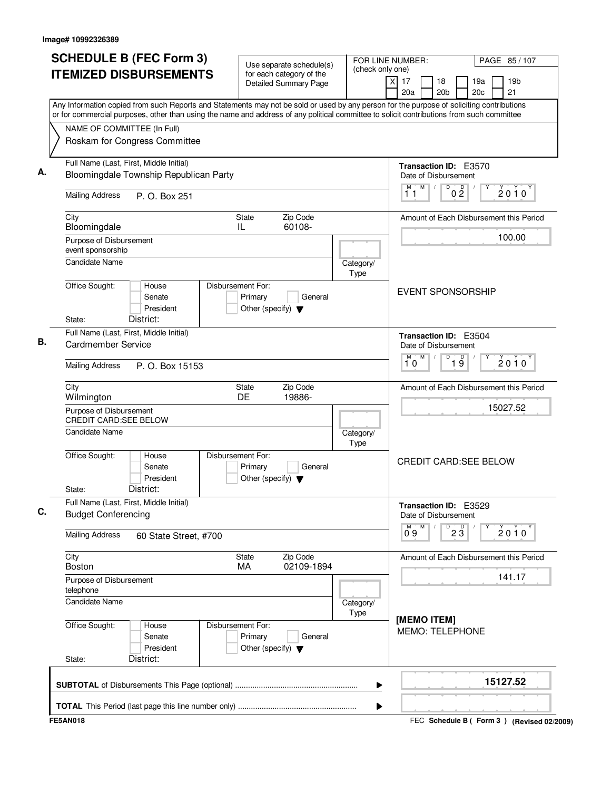| <b>SCHEDULE B (FEC Form 3)</b><br><b>ITEMIZED DISBURSEMENTS</b>                                                                           | Use separate schedule(s)<br>for each category of the<br>Detailed Summary Page   | FOR LINE NUMBER:<br>(check only one) | PAGE 85 / 107<br>$\times$<br>17<br>19a<br>19 <sub>b</sub><br>18          |
|-------------------------------------------------------------------------------------------------------------------------------------------|---------------------------------------------------------------------------------|--------------------------------------|--------------------------------------------------------------------------|
| Any Information copied from such Reports and Statements may not be sold or used by any person for the purpose of soliciting contributions |                                                                                 |                                      | 20a<br>20 <sub>b</sub><br>20 <sub>c</sub><br>21                          |
| or for commercial purposes, other than using the name and address of any political committee to solicit contributions from such committee |                                                                                 |                                      |                                                                          |
| NAME OF COMMITTEE (In Full)                                                                                                               |                                                                                 |                                      |                                                                          |
| Roskam for Congress Committee                                                                                                             |                                                                                 |                                      |                                                                          |
| Full Name (Last, First, Middle Initial)<br>Bloomingdale Township Republican Party                                                         |                                                                                 |                                      | Transaction ID: E3570<br>Date of Disbursement                            |
| <b>Mailing Address</b><br>P. O. Box 251                                                                                                   |                                                                                 |                                      | M<br>$\overline{D}$<br>M<br>0 <sup>0</sup><br>$\prime$<br>$2010^y$<br>11 |
| City<br>Bloomingdale                                                                                                                      | Zip Code<br>State<br>60108-<br>IL                                               |                                      | Amount of Each Disbursement this Period                                  |
| Purpose of Disbursement<br>event sponsorship                                                                                              |                                                                                 |                                      | 100.00                                                                   |
| <b>Candidate Name</b>                                                                                                                     |                                                                                 | Category/<br>Type                    |                                                                          |
| Office Sought:<br>House<br>Senate<br>President<br>District:<br>State:                                                                     | Disbursement For:<br>Primary<br>General<br>Other (specify) $\blacktriangledown$ |                                      | <b>EVENT SPONSORSHIP</b>                                                 |
| Full Name (Last, First, Middle Initial)                                                                                                   |                                                                                 |                                      | Transaction ID: E3504                                                    |
| <b>Cardmember Service</b>                                                                                                                 |                                                                                 |                                      | Date of Disbursement                                                     |
| <b>Mailing Address</b><br>P. O. Box 15153                                                                                                 |                                                                                 |                                      | M<br>D<br>$\overline{19}$<br>$2010^y$<br>10                              |
| City<br>Wilmington                                                                                                                        | Zip Code<br>State<br>DE<br>19886-                                               |                                      | Amount of Each Disbursement this Period                                  |
| Purpose of Disbursement<br><b>CREDIT CARD:SEE BELOW</b>                                                                                   |                                                                                 |                                      | 15027.52                                                                 |
| <b>Candidate Name</b>                                                                                                                     |                                                                                 | Category/<br>Type                    |                                                                          |
| Office Sought:<br>House<br>Senate<br>President<br>District:<br>State:                                                                     | Disbursement For:<br>Primary<br>General<br>Other (specify) $\blacktriangledown$ |                                      | <b>CREDIT CARD:SEE BELOW</b>                                             |
| Full Name (Last, First, Middle Initial)                                                                                                   |                                                                                 |                                      | Transaction ID: E3529                                                    |
| <b>Budget Conferencing</b>                                                                                                                |                                                                                 |                                      | Date of Disbursement                                                     |
| <b>Mailing Address</b><br>60 State Street, #700                                                                                           |                                                                                 |                                      | M<br>$D^D$ 2 $\overline{3}$<br>$2010^y$<br>09                            |
| City<br>Boston                                                                                                                            | State<br>Zip Code<br>02109-1894<br>MA.                                          |                                      | Amount of Each Disbursement this Period                                  |
| Purpose of Disbursement<br>telephone                                                                                                      |                                                                                 |                                      | 141.17                                                                   |
| Candidate Name                                                                                                                            |                                                                                 | Category/<br>Type                    |                                                                          |
| Office Sought:<br>House<br>Senate<br>President<br>District:<br>State:                                                                     | Disbursement For:<br>Primary<br>General<br>Other (specify) $\blacktriangledown$ |                                      | [MEMO ITEM]<br><b>MEMO: TELEPHONE</b>                                    |
|                                                                                                                                           |                                                                                 | ▶                                    | 15127.52                                                                 |
|                                                                                                                                           |                                                                                 |                                      |                                                                          |
| <b>FE5AN018</b>                                                                                                                           |                                                                                 | ▶                                    | FEC Schedule B ( Form 3 ) (Revised 02/2009)                              |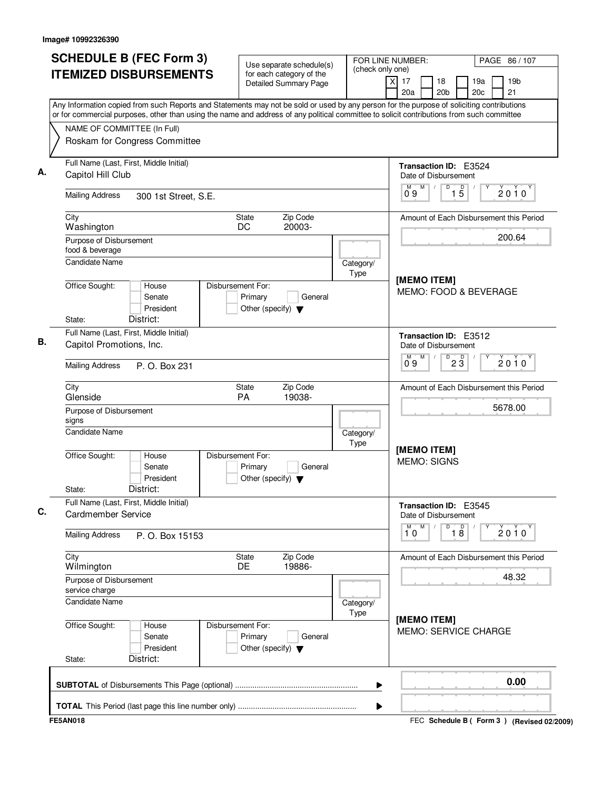| <b>SCHEDULE B (FEC Form 3)</b><br><b>ITEMIZED DISBURSEMENTS</b>                                                                                                                                                                                                                        | Use separate schedule(s)<br>for each category of the                            | FOR LINE NUMBER:<br>(check only one) | PAGE 86 / 107                                                                                        |  |
|----------------------------------------------------------------------------------------------------------------------------------------------------------------------------------------------------------------------------------------------------------------------------------------|---------------------------------------------------------------------------------|--------------------------------------|------------------------------------------------------------------------------------------------------|--|
|                                                                                                                                                                                                                                                                                        | <b>Detailed Summary Page</b>                                                    |                                      | $\overline{\mathsf{x}}$<br>17<br>18<br>19a<br>19 <sub>b</sub><br>21<br>20a<br>20 <sub>b</sub><br>20c |  |
| Any Information copied from such Reports and Statements may not be sold or used by any person for the purpose of soliciting contributions<br>or for commercial purposes, other than using the name and address of any political committee to solicit contributions from such committee |                                                                                 |                                      |                                                                                                      |  |
| NAME OF COMMITTEE (In Full)                                                                                                                                                                                                                                                            |                                                                                 |                                      |                                                                                                      |  |
| Roskam for Congress Committee                                                                                                                                                                                                                                                          |                                                                                 |                                      |                                                                                                      |  |
| Full Name (Last, First, Middle Initial)<br>Capitol Hill Club                                                                                                                                                                                                                           |                                                                                 |                                      | Transaction ID: E3524<br>Date of Disbursement                                                        |  |
| <b>Mailing Address</b><br>300 1st Street, S.E.                                                                                                                                                                                                                                         |                                                                                 |                                      | M<br>$\overline{1\phantom{1}5}$<br>M<br>D<br>$2010^y$<br>09                                          |  |
| City<br>Washington                                                                                                                                                                                                                                                                     | Zip Code<br>State<br>DC<br>20003-                                               |                                      | Amount of Each Disbursement this Period                                                              |  |
| Purpose of Disbursement<br>food & beverage                                                                                                                                                                                                                                             |                                                                                 |                                      | 200.64                                                                                               |  |
| Candidate Name                                                                                                                                                                                                                                                                         |                                                                                 | Category/<br>Type                    |                                                                                                      |  |
| Office Sought:<br>House<br>Senate<br>President<br>District:<br>State:                                                                                                                                                                                                                  | Disbursement For:<br>Primary<br>General<br>Other (specify) $\blacktriangledown$ |                                      | [MEMO ITEM]<br>MEMO: FOOD & BEVERAGE                                                                 |  |
| Full Name (Last, First, Middle Initial)                                                                                                                                                                                                                                                |                                                                                 |                                      | Transaction ID: E3512                                                                                |  |
| Capitol Promotions, Inc.                                                                                                                                                                                                                                                               |                                                                                 |                                      | Date of Disbursement                                                                                 |  |
| <b>Mailing Address</b><br>P. O. Box 231                                                                                                                                                                                                                                                |                                                                                 |                                      | M<br>м<br>D<br>$2\overline{3}$<br>$2010^y$<br>09                                                     |  |
| City<br>Glenside                                                                                                                                                                                                                                                                       | Zip Code<br>State<br><b>PA</b><br>19038-                                        |                                      | Amount of Each Disbursement this Period                                                              |  |
| Purpose of Disbursement<br>signs                                                                                                                                                                                                                                                       |                                                                                 |                                      | 5678.00                                                                                              |  |
| <b>Candidate Name</b>                                                                                                                                                                                                                                                                  |                                                                                 | Category/<br>Type                    |                                                                                                      |  |
| Office Sought:<br>House<br>Senate<br>President<br>District:<br>State:                                                                                                                                                                                                                  | Disbursement For:<br>Primary<br>General<br>Other (specify) $\blacktriangledown$ |                                      | [MEMO ITEM]<br><b>MEMO: SIGNS</b>                                                                    |  |
| Full Name (Last, First, Middle Initial)<br>Cardmember Service                                                                                                                                                                                                                          |                                                                                 |                                      | Transaction ID: E3545<br>Date of Disbursement                                                        |  |
| <b>Mailing Address</b><br>P. O. Box 15153                                                                                                                                                                                                                                              |                                                                                 |                                      | $\overline{1}^M$ 0<br>M<br>D<br>18<br>$2010^{\circ}$                                                 |  |
| City<br>Wilmington                                                                                                                                                                                                                                                                     | Zip Code<br><b>State</b><br>19886-<br><b>DE</b>                                 |                                      | Amount of Each Disbursement this Period                                                              |  |
| Purpose of Disbursement<br>service charge                                                                                                                                                                                                                                              |                                                                                 |                                      | 48.32                                                                                                |  |
| Candidate Name                                                                                                                                                                                                                                                                         |                                                                                 | Category/<br>Type                    |                                                                                                      |  |
| Office Sought:<br>House<br>Senate<br>President<br>District:<br>State:                                                                                                                                                                                                                  | Disbursement For:<br>Primary<br>General<br>Other (specify) $\blacktriangledown$ |                                      | [MEMO ITEM]<br><b>MEMO: SERVICE CHARGE</b>                                                           |  |
|                                                                                                                                                                                                                                                                                        |                                                                                 | ▶                                    | 0.00                                                                                                 |  |
|                                                                                                                                                                                                                                                                                        |                                                                                 | ▶                                    |                                                                                                      |  |
| <b>FE5AN018</b>                                                                                                                                                                                                                                                                        |                                                                                 |                                      | FEC Schedule B ( Form 3 ) (Revised 02/2009)                                                          |  |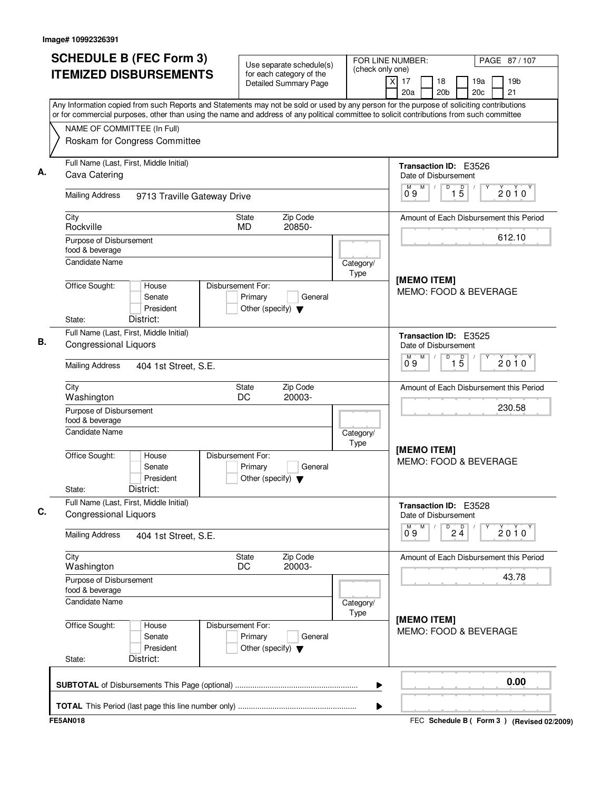| <b>SCHEDULE B (FEC Form 3)</b>                                                                                                                                                                                                                                                         | Use separate schedule(s)                                                        | (check only one)         | FOR LINE NUMBER:                                                                        | PAGE 87/107           |  |
|----------------------------------------------------------------------------------------------------------------------------------------------------------------------------------------------------------------------------------------------------------------------------------------|---------------------------------------------------------------------------------|--------------------------|-----------------------------------------------------------------------------------------|-----------------------|--|
| <b>ITEMIZED DISBURSEMENTS</b>                                                                                                                                                                                                                                                          | for each category of the<br><b>Detailed Summary Page</b>                        |                          | $\overline{\mathsf{x}}$<br>17<br>18<br>19a<br>20a<br>20 <sub>b</sub><br>20 <sub>c</sub> | 19 <sub>b</sub><br>21 |  |
| Any Information copied from such Reports and Statements may not be sold or used by any person for the purpose of soliciting contributions<br>or for commercial purposes, other than using the name and address of any political committee to solicit contributions from such committee |                                                                                 |                          |                                                                                         |                       |  |
| NAME OF COMMITTEE (In Full)                                                                                                                                                                                                                                                            |                                                                                 |                          |                                                                                         |                       |  |
| Roskam for Congress Committee                                                                                                                                                                                                                                                          |                                                                                 |                          |                                                                                         |                       |  |
| Full Name (Last, First, Middle Initial)<br>Cava Catering                                                                                                                                                                                                                               |                                                                                 |                          | Transaction ID: E3526<br>Date of Disbursement                                           |                       |  |
| <b>Mailing Address</b><br>9713 Traville Gateway Drive                                                                                                                                                                                                                                  |                                                                                 |                          | $1\overline{5}$<br>М<br>M<br>D<br>09                                                    | $2010^Y$              |  |
| City<br>Rockville                                                                                                                                                                                                                                                                      | Zip Code<br><b>State</b><br>20850-<br>MD.                                       |                          | Amount of Each Disbursement this Period                                                 |                       |  |
| Purpose of Disbursement<br>food & beverage                                                                                                                                                                                                                                             |                                                                                 |                          |                                                                                         | 612.10                |  |
| Candidate Name                                                                                                                                                                                                                                                                         |                                                                                 | Category/<br><b>Type</b> |                                                                                         |                       |  |
| Office Sought:<br>House<br>Senate<br>President<br>District:<br>State:                                                                                                                                                                                                                  | Disbursement For:<br>Primary<br>General<br>Other (specify) $\blacktriangledown$ |                          | [MEMO ITEM]<br>MEMO: FOOD & BEVERAGE                                                    |                       |  |
| Full Name (Last, First, Middle Initial)                                                                                                                                                                                                                                                |                                                                                 |                          |                                                                                         |                       |  |
| <b>Congressional Liquors</b>                                                                                                                                                                                                                                                           |                                                                                 |                          | <b>Transaction ID: E3525</b><br>Date of Disbursement<br>D<br>M<br>М                     |                       |  |
| <b>Mailing Address</b><br>404 1st Street, S.E.                                                                                                                                                                                                                                         |                                                                                 |                          | $\overline{1\,5}$<br>09                                                                 | $2010^y$              |  |
| City<br>Washington                                                                                                                                                                                                                                                                     | Zip Code<br><b>State</b><br>DC<br>20003-                                        |                          | Amount of Each Disbursement this Period                                                 |                       |  |
| Purpose of Disbursement<br>food & beverage                                                                                                                                                                                                                                             |                                                                                 |                          |                                                                                         | 230.58                |  |
| <b>Candidate Name</b>                                                                                                                                                                                                                                                                  |                                                                                 | Category/<br>Type        | [MEMO ITEM]                                                                             |                       |  |
| Office Sought:<br>House<br>Senate<br>President<br>District:<br>State:                                                                                                                                                                                                                  | Disbursement For:<br>Primary<br>General<br>Other (specify) $\blacktriangledown$ |                          | MEMO: FOOD & BEVERAGE                                                                   |                       |  |
| Full Name (Last, First, Middle Initial)<br><b>Congressional Liquors</b>                                                                                                                                                                                                                |                                                                                 |                          | Transaction ID: E3528<br>Date of Disbursement                                           |                       |  |
| <b>Mailing Address</b><br>404 1st Street, S.E.                                                                                                                                                                                                                                         |                                                                                 |                          | M<br>$\overline{P}$ 2 $\overline{4}$<br>М<br>0.9                                        | 2010                  |  |
| City<br>Washington                                                                                                                                                                                                                                                                     | Zip Code<br>State<br>DC<br>20003-                                               |                          | Amount of Each Disbursement this Period                                                 |                       |  |
| Purpose of Disbursement<br>food & beverage                                                                                                                                                                                                                                             |                                                                                 |                          |                                                                                         | 43.78                 |  |
| <b>Candidate Name</b>                                                                                                                                                                                                                                                                  |                                                                                 | Category/<br>Type        |                                                                                         |                       |  |
| Office Sought:<br>House<br>Senate<br>President<br>District:<br>State:                                                                                                                                                                                                                  | Disbursement For:<br>Primary<br>General<br>Other (specify) $\blacktriangledown$ |                          | [MEMO ITEM]<br>MEMO: FOOD & BEVERAGE                                                    |                       |  |
|                                                                                                                                                                                                                                                                                        |                                                                                 | ▶                        |                                                                                         | 0.00                  |  |
|                                                                                                                                                                                                                                                                                        |                                                                                 | ▶                        |                                                                                         |                       |  |
| <b>FE5AN018</b>                                                                                                                                                                                                                                                                        |                                                                                 |                          | FEC Schedule B ( Form 3 ) (Revised 02/2009)                                             |                       |  |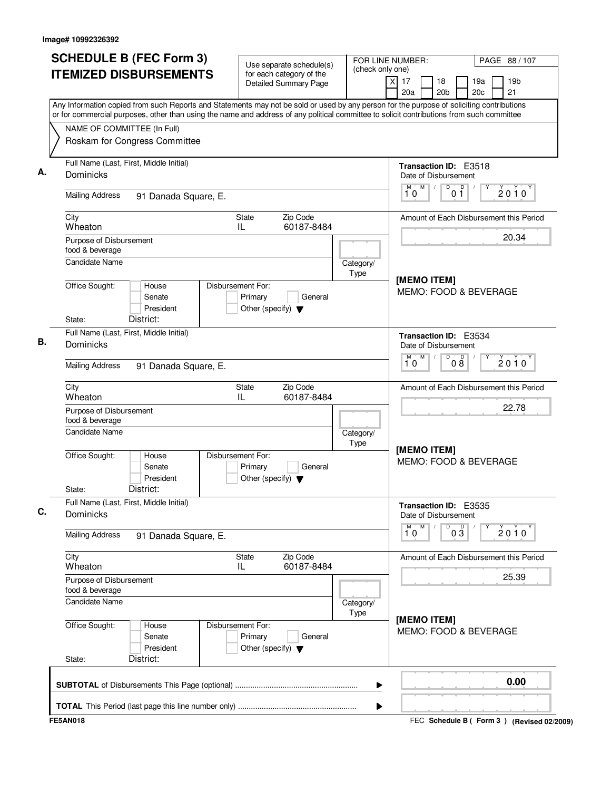| <b>SCHEDULE B (FEC Form 3)</b>                                                                                                                                                                                                                                                         | Use separate schedule(s)                                                        |                   | FOR LINE NUMBER:<br>(check only one)                 |                                        |            | PAGE 88 / 107                             |  |
|----------------------------------------------------------------------------------------------------------------------------------------------------------------------------------------------------------------------------------------------------------------------------------------|---------------------------------------------------------------------------------|-------------------|------------------------------------------------------|----------------------------------------|------------|-------------------------------------------|--|
| <b>ITEMIZED DISBURSEMENTS</b>                                                                                                                                                                                                                                                          | for each category of the<br><b>Detailed Summary Page</b>                        |                   | $\overline{x}$<br>17<br>18<br>20a<br>20 <sub>b</sub> |                                        | 19a<br>20c | 19 <sub>b</sub><br>21                     |  |
| Any Information copied from such Reports and Statements may not be sold or used by any person for the purpose of soliciting contributions<br>or for commercial purposes, other than using the name and address of any political committee to solicit contributions from such committee |                                                                                 |                   |                                                      |                                        |            |                                           |  |
| NAME OF COMMITTEE (In Full)<br>Roskam for Congress Committee                                                                                                                                                                                                                           |                                                                                 |                   |                                                      |                                        |            |                                           |  |
| Full Name (Last, First, Middle Initial)<br>Dominicks                                                                                                                                                                                                                                   |                                                                                 |                   | Transaction ID: E3518<br>Date of Disbursement        |                                        |            |                                           |  |
| <b>Mailing Address</b><br>91 Danada Square, E.                                                                                                                                                                                                                                         |                                                                                 |                   | M<br>M<br>10                                         | $\overline{D}$<br>$\overline{D}$<br>01 |            | $2010^Y$                                  |  |
| City<br>Wheaton                                                                                                                                                                                                                                                                        | Zip Code<br>State<br>IL<br>60187-8484                                           |                   | Amount of Each Disbursement this Period              |                                        |            |                                           |  |
| Purpose of Disbursement<br>food & beverage                                                                                                                                                                                                                                             |                                                                                 |                   |                                                      |                                        |            | 20.34                                     |  |
| <b>Candidate Name</b><br>Office Sought:<br>House                                                                                                                                                                                                                                       | Disbursement For:                                                               | Category/<br>Type | [MEMO ITEM]                                          |                                        |            |                                           |  |
| Senate<br>President<br>District:<br>State:                                                                                                                                                                                                                                             | Primary<br>General<br>Other (specify) $\blacktriangledown$                      |                   | MEMO: FOOD & BEVERAGE                                |                                        |            |                                           |  |
| Full Name (Last, First, Middle Initial)<br>Dominicks                                                                                                                                                                                                                                   |                                                                                 |                   | Transaction ID: E3534<br>Date of Disbursement        |                                        |            |                                           |  |
| <b>Mailing Address</b><br>91 Danada Square, E.                                                                                                                                                                                                                                         |                                                                                 |                   | M<br>М<br>10                                         | D<br>08                                |            | $2010^y$                                  |  |
| City<br>Wheaton                                                                                                                                                                                                                                                                        | Zip Code<br>State<br>60187-8484<br>IL                                           |                   | Amount of Each Disbursement this Period              |                                        |            |                                           |  |
| Purpose of Disbursement<br>food & beverage                                                                                                                                                                                                                                             |                                                                                 |                   |                                                      |                                        | 22.78      |                                           |  |
| Candidate Name<br>Office Sought:<br>House<br>Senate                                                                                                                                                                                                                                    | Disbursement For:<br>Primary<br>General                                         | Category/<br>Type | [MEMO ITEM]<br>MEMO: FOOD & BEVERAGE                 |                                        |            |                                           |  |
| President<br>District:<br>State:                                                                                                                                                                                                                                                       | Other (specify) $\blacktriangledown$                                            |                   |                                                      |                                        |            |                                           |  |
| Full Name (Last, First, Middle Initial)<br>Dominicks                                                                                                                                                                                                                                   |                                                                                 |                   | Transaction ID: E3535<br>Date of Disbursement        |                                        |            |                                           |  |
| <b>Mailing Address</b><br>91 Danada Square, E.                                                                                                                                                                                                                                         |                                                                                 |                   | $\overline{1}^M$ 0<br>M                              | D<br>$0\overline{3}$                   |            | 2010                                      |  |
| City<br>Wheaton                                                                                                                                                                                                                                                                        | State<br>Zip Code<br>60187-8484<br>IL.                                          |                   | Amount of Each Disbursement this Period              |                                        |            |                                           |  |
| Purpose of Disbursement<br>food & beverage                                                                                                                                                                                                                                             |                                                                                 |                   |                                                      |                                        |            | 25.39                                     |  |
| <b>Candidate Name</b><br>Office Sought:<br>House<br>Senate<br>President<br>District:<br>State:                                                                                                                                                                                         | Disbursement For:<br>Primary<br>General<br>Other (specify) $\blacktriangledown$ | Category/<br>Type | [MEMO ITEM]<br>MEMO: FOOD & BEVERAGE                 |                                        |            |                                           |  |
|                                                                                                                                                                                                                                                                                        |                                                                                 | ▶                 |                                                      |                                        |            | 0.00                                      |  |
|                                                                                                                                                                                                                                                                                        |                                                                                 | ▶                 |                                                      |                                        |            |                                           |  |
| <b>FE5AN018</b>                                                                                                                                                                                                                                                                        |                                                                                 |                   |                                                      |                                        |            | FEC Schedule B (Form 3) (Revised 02/2009) |  |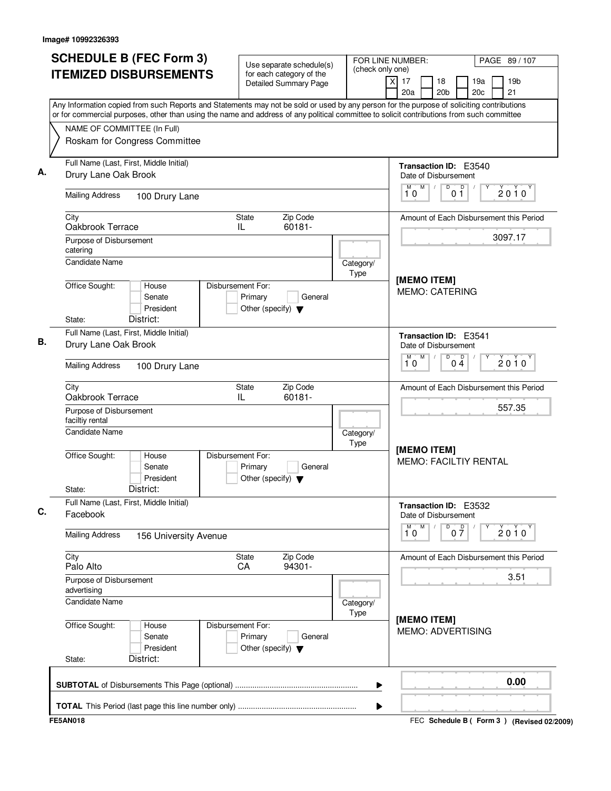| <b>SCHEDULE B (FEC Form 3)</b>                                                                                                                                                                                                                                                         | Use separate schedule(s)<br>(check only one)                                    |                   | FOR LINE NUMBER:                                       | PAGE 89 / 107                             |  |
|----------------------------------------------------------------------------------------------------------------------------------------------------------------------------------------------------------------------------------------------------------------------------------------|---------------------------------------------------------------------------------|-------------------|--------------------------------------------------------|-------------------------------------------|--|
| <b>ITEMIZED DISBURSEMENTS</b>                                                                                                                                                                                                                                                          | for each category of the<br><b>Detailed Summary Page</b>                        |                   | $\overline{x}$<br>17<br>18<br>20a<br>20 <sub>b</sub>   | 19a<br>19 <sub>b</sub><br>21<br>20c       |  |
| Any Information copied from such Reports and Statements may not be sold or used by any person for the purpose of soliciting contributions<br>or for commercial purposes, other than using the name and address of any political committee to solicit contributions from such committee |                                                                                 |                   |                                                        |                                           |  |
| NAME OF COMMITTEE (In Full)                                                                                                                                                                                                                                                            |                                                                                 |                   |                                                        |                                           |  |
| Roskam for Congress Committee                                                                                                                                                                                                                                                          |                                                                                 |                   |                                                        |                                           |  |
| Full Name (Last, First, Middle Initial)<br>Drury Lane Oak Brook                                                                                                                                                                                                                        |                                                                                 |                   | Transaction ID: E3540<br>Date of Disbursement          |                                           |  |
| <b>Mailing Address</b><br>100 Drury Lane                                                                                                                                                                                                                                               |                                                                                 |                   | M<br>$\overline{D}$<br>$\overline{D}$<br>M<br>10<br>01 | $2010^Y$                                  |  |
| City                                                                                                                                                                                                                                                                                   | Zip Code<br>State                                                               |                   |                                                        | Amount of Each Disbursement this Period   |  |
| Oakbrook Terrace                                                                                                                                                                                                                                                                       | IL<br>60181-                                                                    |                   |                                                        |                                           |  |
| Purpose of Disbursement<br>catering                                                                                                                                                                                                                                                    |                                                                                 |                   |                                                        | 3097.17                                   |  |
| <b>Candidate Name</b>                                                                                                                                                                                                                                                                  |                                                                                 | Category/<br>Type |                                                        |                                           |  |
| Office Sought:<br>House<br>Senate<br>President<br>District:<br>State:                                                                                                                                                                                                                  | Disbursement For:<br>Primary<br>General<br>Other (specify) $\blacktriangledown$ |                   | [MEMO ITEM]<br><b>MEMO: CATERING</b>                   |                                           |  |
| Full Name (Last, First, Middle Initial)                                                                                                                                                                                                                                                |                                                                                 |                   | <b>Transaction ID: E3541</b>                           |                                           |  |
| Drury Lane Oak Brook                                                                                                                                                                                                                                                                   |                                                                                 |                   | Date of Disbursement<br>M<br>D<br>М                    |                                           |  |
| <b>Mailing Address</b><br>100 Drury Lane                                                                                                                                                                                                                                               |                                                                                 |                   | $0\frac{D}{4}$<br>10                                   | $2010^y$                                  |  |
| City<br>Oakbrook Terrace                                                                                                                                                                                                                                                               | Zip Code<br>State<br>60181-<br>IL                                               |                   |                                                        | Amount of Each Disbursement this Period   |  |
| Purpose of Disbursement<br>faciltiy rental                                                                                                                                                                                                                                             |                                                                                 |                   | 557.35                                                 |                                           |  |
| <b>Candidate Name</b>                                                                                                                                                                                                                                                                  |                                                                                 | Category/<br>Type |                                                        |                                           |  |
| Office Sought:<br>House<br>Senate<br>President<br>District:<br>State:                                                                                                                                                                                                                  | Disbursement For:<br>Primary<br>General<br>Other (specify) $\blacktriangledown$ |                   | [MEMO ITEM]<br><b>MEMO: FACILTIY RENTAL</b>            |                                           |  |
| Full Name (Last, First, Middle Initial)<br>Facebook                                                                                                                                                                                                                                    |                                                                                 |                   | Transaction ID: E3532<br>Date of Disbursement          |                                           |  |
| <b>Mailing Address</b><br>156 University Avenue                                                                                                                                                                                                                                        |                                                                                 |                   | $\overline{1}^M$ 0<br>M<br>D<br>$0\frac{D}{7}$         | 2010                                      |  |
| City<br>Palo Alto                                                                                                                                                                                                                                                                      | State<br>Zip Code<br>94301-<br>CA                                               |                   |                                                        | Amount of Each Disbursement this Period   |  |
| Purpose of Disbursement<br>advertising                                                                                                                                                                                                                                                 |                                                                                 |                   |                                                        | 3.51                                      |  |
| Candidate Name                                                                                                                                                                                                                                                                         |                                                                                 | Category/<br>Type |                                                        |                                           |  |
| Office Sought:<br>House<br>Senate<br>President<br>District:<br>State:                                                                                                                                                                                                                  | Disbursement For:<br>Primary<br>General<br>Other (specify) $\blacktriangledown$ |                   | [MEMO ITEM]<br><b>MEMO: ADVERTISING</b>                |                                           |  |
|                                                                                                                                                                                                                                                                                        |                                                                                 | ▶                 |                                                        | 0.00                                      |  |
|                                                                                                                                                                                                                                                                                        |                                                                                 | ▶                 |                                                        |                                           |  |
| <b>FE5AN018</b>                                                                                                                                                                                                                                                                        |                                                                                 |                   |                                                        | FEC Schedule B (Form 3) (Revised 02/2009) |  |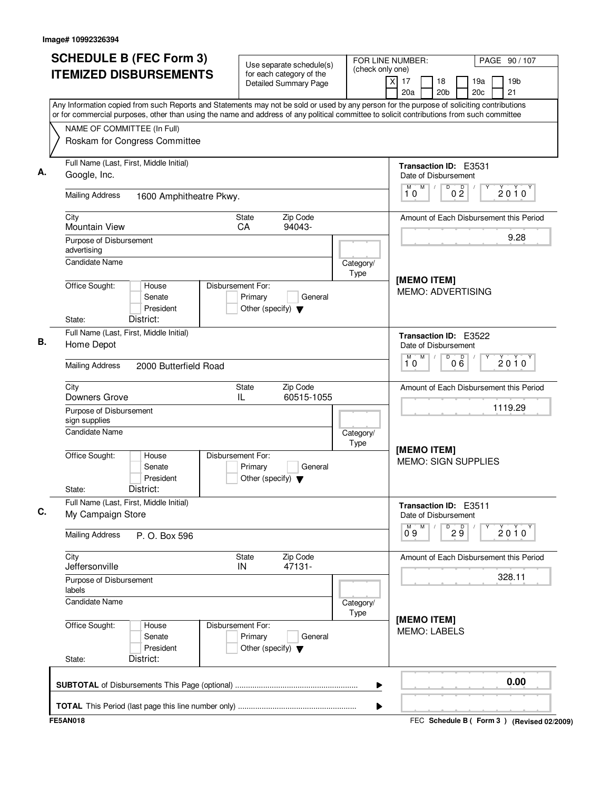| <b>SCHEDULE B (FEC Form 3)</b>                                                                                                                                                                                                                                                         | Use separate schedule(s)                                                        |                   | FOR LINE NUMBER:<br>PAGE 90 / 107<br>(check only one)         |                                           |
|----------------------------------------------------------------------------------------------------------------------------------------------------------------------------------------------------------------------------------------------------------------------------------------|---------------------------------------------------------------------------------|-------------------|---------------------------------------------------------------|-------------------------------------------|
| <b>ITEMIZED DISBURSEMENTS</b>                                                                                                                                                                                                                                                          | for each category of the<br><b>Detailed Summary Page</b>                        |                   | $\overline{\mathsf{x}}$<br>17<br>18<br>20a<br>20 <sub>b</sub> | 19a<br>19 <sub>b</sub><br>21<br>20c       |
| Any Information copied from such Reports and Statements may not be sold or used by any person for the purpose of soliciting contributions<br>or for commercial purposes, other than using the name and address of any political committee to solicit contributions from such committee |                                                                                 |                   |                                                               |                                           |
| NAME OF COMMITTEE (In Full)                                                                                                                                                                                                                                                            |                                                                                 |                   |                                                               |                                           |
| Roskam for Congress Committee                                                                                                                                                                                                                                                          |                                                                                 |                   |                                                               |                                           |
|                                                                                                                                                                                                                                                                                        |                                                                                 |                   |                                                               |                                           |
| Full Name (Last, First, Middle Initial)                                                                                                                                                                                                                                                |                                                                                 |                   | Transaction ID: E3531                                         |                                           |
| Google, Inc.                                                                                                                                                                                                                                                                           |                                                                                 |                   | Date of Disbursement                                          |                                           |
| <b>Mailing Address</b><br>1600 Amphitheatre Pkwy.                                                                                                                                                                                                                                      |                                                                                 |                   | M<br>D<br>M<br>0 <sup>0</sup><br>10                           | $2010^y$                                  |
| City                                                                                                                                                                                                                                                                                   | Zip Code<br>State                                                               |                   |                                                               | Amount of Each Disbursement this Period   |
| <b>Mountain View</b>                                                                                                                                                                                                                                                                   | CA<br>94043-                                                                    |                   |                                                               |                                           |
| Purpose of Disbursement                                                                                                                                                                                                                                                                |                                                                                 |                   |                                                               | 9.28                                      |
| advertising<br><b>Candidate Name</b>                                                                                                                                                                                                                                                   |                                                                                 |                   |                                                               |                                           |
|                                                                                                                                                                                                                                                                                        |                                                                                 | Category/<br>Type |                                                               |                                           |
| Office Sought:<br>House                                                                                                                                                                                                                                                                | Disbursement For:                                                               |                   | [MEMO ITEM]                                                   |                                           |
| Senate                                                                                                                                                                                                                                                                                 | Primary<br>General                                                              |                   | <b>MEMO: ADVERTISING</b>                                      |                                           |
| President                                                                                                                                                                                                                                                                              | Other (specify) $\blacktriangledown$                                            |                   |                                                               |                                           |
| District:<br>State:                                                                                                                                                                                                                                                                    |                                                                                 |                   |                                                               |                                           |
| Full Name (Last, First, Middle Initial)                                                                                                                                                                                                                                                |                                                                                 |                   | Transaction ID: E3522                                         |                                           |
| Home Depot                                                                                                                                                                                                                                                                             |                                                                                 |                   | Date of Disbursement                                          |                                           |
| <b>Mailing Address</b><br>2000 Butterfield Road                                                                                                                                                                                                                                        |                                                                                 |                   | M<br>D<br>м<br>000<br>10                                      | $2010^y$                                  |
| City                                                                                                                                                                                                                                                                                   | Zip Code<br>State                                                               |                   |                                                               | Amount of Each Disbursement this Period   |
| Downers Grove                                                                                                                                                                                                                                                                          | 60515-1055<br>IL                                                                |                   |                                                               |                                           |
| Purpose of Disbursement                                                                                                                                                                                                                                                                |                                                                                 |                   |                                                               | 1119.29                                   |
| sign supplies<br>Candidate Name                                                                                                                                                                                                                                                        |                                                                                 |                   |                                                               |                                           |
|                                                                                                                                                                                                                                                                                        |                                                                                 | Category/<br>Type |                                                               |                                           |
| Office Sought:<br>House<br>Senate<br>President                                                                                                                                                                                                                                         | Disbursement For:<br>Primary<br>General<br>Other (specify) $\blacktriangledown$ |                   | [MEMO ITEM]<br><b>MEMO: SIGN SUPPLIES</b>                     |                                           |
| District:<br>State:                                                                                                                                                                                                                                                                    |                                                                                 |                   |                                                               |                                           |
| Full Name (Last, First, Middle Initial)<br>My Campaign Store                                                                                                                                                                                                                           |                                                                                 |                   | Transaction ID: E3511<br>Date of Disbursement                 |                                           |
| <b>Mailing Address</b><br>P. O. Box 596                                                                                                                                                                                                                                                |                                                                                 |                   | M<br>$\overline{9}$ $\overline{9}$<br>$0^{M}$ 9               | Υ<br>$2010^y$                             |
| City                                                                                                                                                                                                                                                                                   | Zip Code<br>State                                                               |                   |                                                               | Amount of Each Disbursement this Period   |
| Jeffersonville                                                                                                                                                                                                                                                                         | IN<br>47131-                                                                    |                   |                                                               | 328.11                                    |
| Purpose of Disbursement<br>labels                                                                                                                                                                                                                                                      |                                                                                 |                   |                                                               |                                           |
| <b>Candidate Name</b>                                                                                                                                                                                                                                                                  |                                                                                 | Category/<br>Type |                                                               |                                           |
| Office Sought:<br>House<br>Senate<br>President<br>District:<br>State:                                                                                                                                                                                                                  | Disbursement For:<br>Primary<br>General<br>Other (specify) $\blacktriangledown$ |                   | [MEMO ITEM]<br><b>MEMO: LABELS</b>                            |                                           |
|                                                                                                                                                                                                                                                                                        |                                                                                 |                   |                                                               |                                           |
|                                                                                                                                                                                                                                                                                        |                                                                                 | ▶                 |                                                               | 0.00                                      |
|                                                                                                                                                                                                                                                                                        |                                                                                 | ▶                 |                                                               |                                           |
| <b>FE5AN018</b>                                                                                                                                                                                                                                                                        |                                                                                 |                   |                                                               | FEC Schedule B (Form 3) (Revised 02/2009) |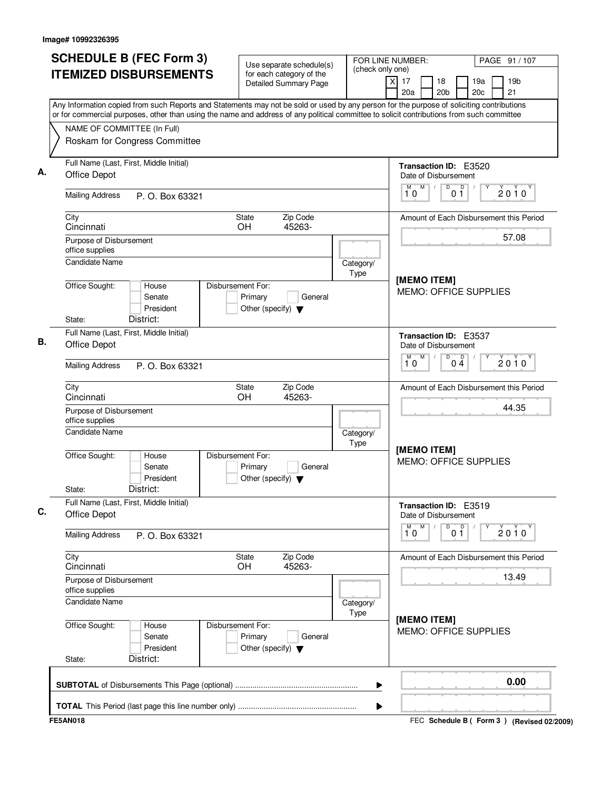| <b>SCHEDULE B (FEC Form 3)</b><br><b>ITEMIZED DISBURSEMENTS</b>                                                                                                                                                                                                                        | Use separate schedule(s)<br>for each category of the                            | FOR LINE NUMBER:<br>(check only one) |                                                                    | PAGE 91 / 107         |
|----------------------------------------------------------------------------------------------------------------------------------------------------------------------------------------------------------------------------------------------------------------------------------------|---------------------------------------------------------------------------------|--------------------------------------|--------------------------------------------------------------------|-----------------------|
|                                                                                                                                                                                                                                                                                        | Detailed Summary Page                                                           |                                      | $\overline{X}$<br>17<br>18<br>19a<br>20c<br>20a<br>20 <sub>b</sub> | 19 <sub>b</sub><br>21 |
| Any Information copied from such Reports and Statements may not be sold or used by any person for the purpose of soliciting contributions<br>or for commercial purposes, other than using the name and address of any political committee to solicit contributions from such committee |                                                                                 |                                      |                                                                    |                       |
| NAME OF COMMITTEE (In Full)<br>Roskam for Congress Committee                                                                                                                                                                                                                           |                                                                                 |                                      |                                                                    |                       |
| Full Name (Last, First, Middle Initial)<br>Office Depot                                                                                                                                                                                                                                |                                                                                 |                                      | Transaction ID: E3520<br>Date of Disbursement                      |                       |
| <b>Mailing Address</b><br>P. O. Box 63321                                                                                                                                                                                                                                              |                                                                                 |                                      | M<br>D<br>D<br>10<br>0 <sub>1</sub>                                | $2010^y$              |
| City<br>Cincinnati                                                                                                                                                                                                                                                                     | Zip Code<br><b>State</b><br>OH<br>45263-                                        |                                      | Amount of Each Disbursement this Period                            |                       |
| Purpose of Disbursement<br>office supplies                                                                                                                                                                                                                                             |                                                                                 |                                      |                                                                    | 57.08                 |
| <b>Candidate Name</b><br>House                                                                                                                                                                                                                                                         |                                                                                 | Category/<br>Type                    | [MEMO ITEM]                                                        |                       |
| Office Sought:<br>Senate<br>President<br>District:<br>State:                                                                                                                                                                                                                           | Disbursement For:<br>Primary<br>General<br>Other (specify) $\blacktriangledown$ |                                      | <b>MEMO: OFFICE SUPPLIES</b>                                       |                       |
| Full Name (Last, First, Middle Initial)<br>Office Depot                                                                                                                                                                                                                                |                                                                                 |                                      | Transaction ID: E3537<br>Date of Disbursement                      |                       |
| <b>Mailing Address</b><br>P. O. Box 63321                                                                                                                                                                                                                                              |                                                                                 |                                      | M<br>D<br>M<br>$0\frac{D}{4}$<br>10                                | $2010^y$              |
| City<br>Cincinnati                                                                                                                                                                                                                                                                     | Zip Code<br>State<br>OH<br>45263-                                               |                                      | Amount of Each Disbursement this Period                            |                       |
| Purpose of Disbursement<br>office supplies                                                                                                                                                                                                                                             |                                                                                 |                                      | 44.35                                                              |                       |
| <b>Candidate Name</b><br>Office Sought:<br>House<br>Senate<br>President<br>District:<br>State:                                                                                                                                                                                         | Disbursement For:<br>Primary<br>General<br>Other (specify) $\blacktriangledown$ | Category/<br>Type                    | [MEMO ITEM]<br><b>MEMO: OFFICE SUPPLIES</b>                        |                       |
| Full Name (Last, First, Middle Initial)<br><b>Office Depot</b>                                                                                                                                                                                                                         |                                                                                 |                                      | Transaction ID: E3519<br>Date of Disbursement                      |                       |
| <b>Mailing Address</b><br>P. O. Box 63321                                                                                                                                                                                                                                              |                                                                                 |                                      | M<br>M<br>0 <sup>0</sup><br>D<br>10                                | 2010                  |
| City<br>Cincinnati                                                                                                                                                                                                                                                                     | Zip Code<br>State<br>45263-<br><b>OH</b>                                        |                                      | Amount of Each Disbursement this Period                            |                       |
| Purpose of Disbursement<br>office supplies<br><b>Candidate Name</b>                                                                                                                                                                                                                    |                                                                                 |                                      |                                                                    | 13.49                 |
| Office Sought:<br>House<br>Senate<br>President                                                                                                                                                                                                                                         | Disbursement For:<br>Primary<br>General<br>Other (specify) $\blacktriangledown$ | Category/<br>Type                    | [MEMO ITEM]<br><b>MEMO: OFFICE SUPPLIES</b>                        |                       |
| District:<br>State:                                                                                                                                                                                                                                                                    |                                                                                 | ▶                                    |                                                                    | 0.00                  |
|                                                                                                                                                                                                                                                                                        |                                                                                 | ▶                                    |                                                                    |                       |
| <b>FE5AN018</b>                                                                                                                                                                                                                                                                        |                                                                                 |                                      | FEC Schedule B ( Form 3 ) (Revised 02/2009)                        |                       |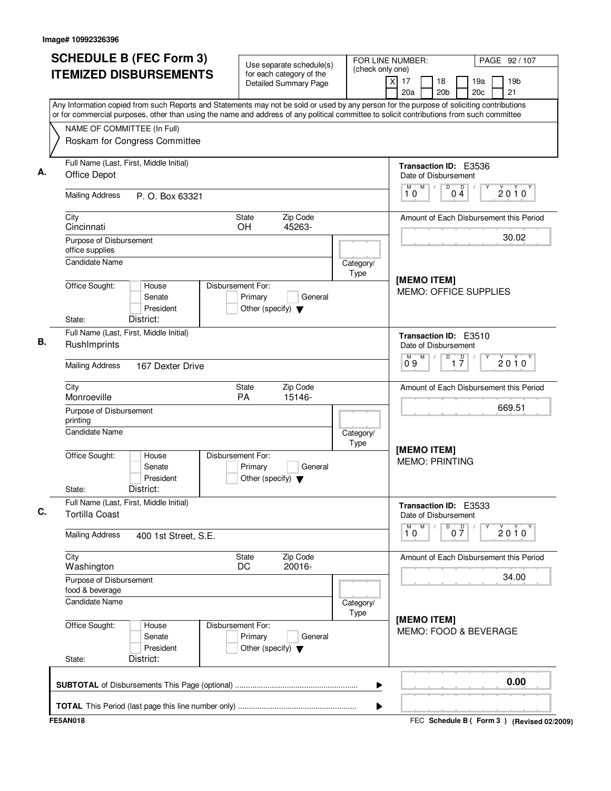| <b>SCHEDULE B (FEC Form 3)</b>                                                                                                                                                                                                                                                         | Use separate schedule(s)<br>(check only one)                                    |                   | FOR LINE NUMBER:                                     | PAGE 92 / 107                             |  |
|----------------------------------------------------------------------------------------------------------------------------------------------------------------------------------------------------------------------------------------------------------------------------------------|---------------------------------------------------------------------------------|-------------------|------------------------------------------------------|-------------------------------------------|--|
| <b>ITEMIZED DISBURSEMENTS</b>                                                                                                                                                                                                                                                          | for each category of the<br><b>Detailed Summary Page</b>                        |                   | $\overline{x}$<br>17<br>18<br>20a<br>20 <sub>b</sub> | 19a<br>19 <sub>b</sub><br>21<br>20c       |  |
| Any Information copied from such Reports and Statements may not be sold or used by any person for the purpose of soliciting contributions<br>or for commercial purposes, other than using the name and address of any political committee to solicit contributions from such committee |                                                                                 |                   |                                                      |                                           |  |
| NAME OF COMMITTEE (In Full)                                                                                                                                                                                                                                                            |                                                                                 |                   |                                                      |                                           |  |
| Roskam for Congress Committee                                                                                                                                                                                                                                                          |                                                                                 |                   |                                                      |                                           |  |
| Full Name (Last, First, Middle Initial)<br><b>Office Depot</b>                                                                                                                                                                                                                         |                                                                                 |                   | Transaction ID: E3536<br>Date of Disbursement        |                                           |  |
| <b>Mailing Address</b><br>P. O. Box 63321                                                                                                                                                                                                                                              |                                                                                 |                   | M<br>D<br>$\overline{p}$<br>M<br>10<br>04            | $2010^Y$                                  |  |
| City<br>Cincinnati                                                                                                                                                                                                                                                                     | Zip Code<br>State<br><b>OH</b><br>45263-                                        |                   |                                                      | Amount of Each Disbursement this Period   |  |
| Purpose of Disbursement<br>office supplies                                                                                                                                                                                                                                             |                                                                                 |                   |                                                      | 30.02                                     |  |
| <b>Candidate Name</b>                                                                                                                                                                                                                                                                  |                                                                                 | Category/<br>Type |                                                      |                                           |  |
| Office Sought:<br>House<br>Senate<br>President<br>District:<br>State:                                                                                                                                                                                                                  | Disbursement For:<br>Primary<br>General<br>Other (specify) $\blacktriangledown$ |                   | [MEMO ITEM]<br><b>MEMO: OFFICE SUPPLIES</b>          |                                           |  |
| Full Name (Last, First, Middle Initial)<br>RushImprints                                                                                                                                                                                                                                |                                                                                 |                   | <b>Transaction ID: E3510</b><br>Date of Disbursement |                                           |  |
| <b>Mailing Address</b><br>167 Dexter Drive                                                                                                                                                                                                                                             |                                                                                 |                   | D<br>M<br>$\overline{1}$ $\overline{7}$<br>09        | $2010^y$                                  |  |
| City<br>Monroeville                                                                                                                                                                                                                                                                    | Zip Code<br>State<br>PA<br>15146-                                               |                   |                                                      | Amount of Each Disbursement this Period   |  |
| Purpose of Disbursement<br>printing                                                                                                                                                                                                                                                    |                                                                                 |                   | 669.51                                               |                                           |  |
| <b>Candidate Name</b>                                                                                                                                                                                                                                                                  | Category/<br>Type                                                               |                   |                                                      |                                           |  |
| Office Sought:<br>House<br>Senate<br>President<br>District:<br>State:                                                                                                                                                                                                                  | Disbursement For:<br>Primary<br>General<br>Other (specify) $\blacktriangledown$ |                   | [MEMO ITEM]<br><b>MEMO: PRINTING</b>                 |                                           |  |
| Full Name (Last, First, Middle Initial)<br><b>Tortilla Coast</b>                                                                                                                                                                                                                       |                                                                                 |                   | Transaction ID: E3533<br>Date of Disbursement        |                                           |  |
| <b>Mailing Address</b><br>400 1st Street, S.E.                                                                                                                                                                                                                                         |                                                                                 |                   | $\overline{1}^M$ 0<br>M<br>D<br>$0\frac{D}{7}$       | 2010                                      |  |
| City<br>Washington                                                                                                                                                                                                                                                                     | Zip Code<br>State<br>20016-<br>DC                                               |                   |                                                      | Amount of Each Disbursement this Period   |  |
| Purpose of Disbursement<br>food & beverage                                                                                                                                                                                                                                             |                                                                                 |                   |                                                      | 34.00                                     |  |
| Candidate Name                                                                                                                                                                                                                                                                         |                                                                                 | Category/<br>Type | [MEMO ITEM]                                          |                                           |  |
| Office Sought:<br>House<br>Senate<br>President<br>District:<br>State:                                                                                                                                                                                                                  | Disbursement For:<br>Primary<br>General<br>Other (specify) $\blacktriangledown$ |                   | MEMO: FOOD & BEVERAGE                                |                                           |  |
|                                                                                                                                                                                                                                                                                        |                                                                                 | ▶                 |                                                      | 0.00                                      |  |
|                                                                                                                                                                                                                                                                                        |                                                                                 | ▶                 |                                                      |                                           |  |
| <b>FE5AN018</b>                                                                                                                                                                                                                                                                        |                                                                                 |                   |                                                      | FEC Schedule B (Form 3) (Revised 02/2009) |  |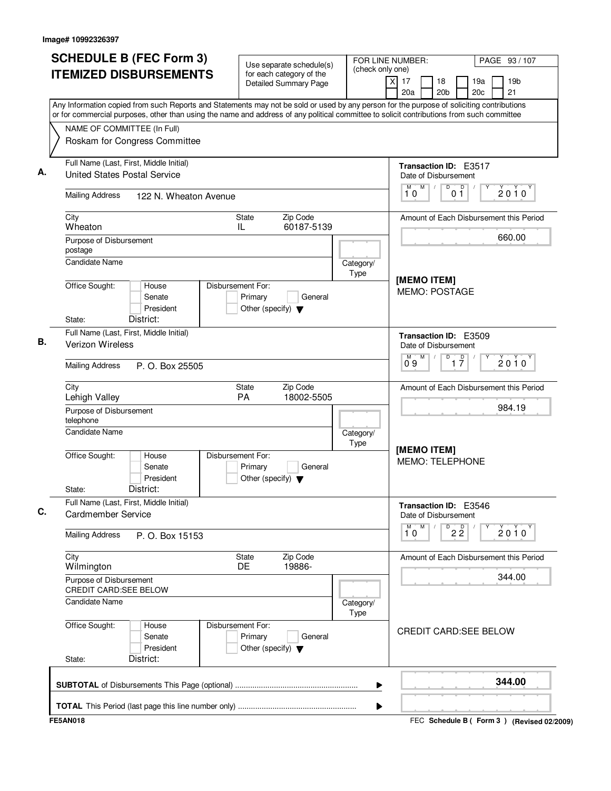| <b>SCHEDULE B (FEC Form 3)</b><br><b>ITEMIZED DISBURSEMENTS</b>                                                                                                                                                                                                                        | Use separate schedule(s)<br>for each category of the                            | FOR LINE NUMBER:<br>(check only one) |                                                                      | PAGE 93 / 107                             |
|----------------------------------------------------------------------------------------------------------------------------------------------------------------------------------------------------------------------------------------------------------------------------------------|---------------------------------------------------------------------------------|--------------------------------------|----------------------------------------------------------------------|-------------------------------------------|
|                                                                                                                                                                                                                                                                                        | <b>Detailed Summary Page</b>                                                    | $\overline{X}$                       | 17<br>18<br>20a<br>20 <sub>b</sub>                                   | 19a<br>19 <sub>b</sub><br>21<br>20c       |
| Any Information copied from such Reports and Statements may not be sold or used by any person for the purpose of soliciting contributions<br>or for commercial purposes, other than using the name and address of any political committee to solicit contributions from such committee |                                                                                 |                                      |                                                                      |                                           |
| NAME OF COMMITTEE (In Full)                                                                                                                                                                                                                                                            |                                                                                 |                                      |                                                                      |                                           |
| Roskam for Congress Committee                                                                                                                                                                                                                                                          |                                                                                 |                                      |                                                                      |                                           |
| Full Name (Last, First, Middle Initial)<br><b>United States Postal Service</b>                                                                                                                                                                                                         |                                                                                 |                                      | <b>Transaction ID: E3517</b><br>Date of Disbursement                 |                                           |
| <b>Mailing Address</b><br>122 N. Wheaton Avenue                                                                                                                                                                                                                                        |                                                                                 |                                      | M<br>D<br>D<br>M<br>$\sqrt{2}$<br>10<br>01                           | $2010^y$                                  |
| City<br>Wheaton                                                                                                                                                                                                                                                                        | Zip Code<br>State<br>60187-5139<br>IL                                           |                                      |                                                                      | Amount of Each Disbursement this Period   |
| Purpose of Disbursement<br>postage                                                                                                                                                                                                                                                     |                                                                                 |                                      |                                                                      | 660.00                                    |
| <b>Candidate Name</b>                                                                                                                                                                                                                                                                  |                                                                                 | Category/<br>Type                    | [MEMO ITEM]                                                          |                                           |
| Office Sought:<br>House<br>Senate<br>President<br>District:<br>State:                                                                                                                                                                                                                  | Disbursement For:<br>Primary<br>General<br>Other (specify) $\blacktriangledown$ |                                      | MEMO: POSTAGE                                                        |                                           |
| Full Name (Last, First, Middle Initial)                                                                                                                                                                                                                                                |                                                                                 |                                      | Transaction ID: E3509                                                |                                           |
| <b>Verizon Wireless</b>                                                                                                                                                                                                                                                                |                                                                                 |                                      | Date of Disbursement<br>M<br>D<br>$\overline{1}$ $\overline{7}$<br>M | 2010                                      |
| <b>Mailing Address</b><br>P. O. Box 25505                                                                                                                                                                                                                                              |                                                                                 |                                      | 09                                                                   |                                           |
| City<br>Lehigh Valley                                                                                                                                                                                                                                                                  | Zip Code<br>State<br><b>PA</b><br>18002-5505                                    |                                      |                                                                      | Amount of Each Disbursement this Period   |
| Purpose of Disbursement<br>telephone                                                                                                                                                                                                                                                   |                                                                                 |                                      |                                                                      | 984.19                                    |
| <b>Candidate Name</b>                                                                                                                                                                                                                                                                  |                                                                                 | Category/<br>Type                    | [MEMO ITEM]                                                          |                                           |
| Office Sought:<br>House<br>Senate<br>President<br>District:<br>State:                                                                                                                                                                                                                  | Disbursement For:<br>Primary<br>General<br>Other (specify) $\blacktriangledown$ |                                      | <b>MEMO: TELEPHONE</b>                                               |                                           |
| Full Name (Last, First, Middle Initial)                                                                                                                                                                                                                                                |                                                                                 |                                      | Transaction ID: E3546                                                |                                           |
| Cardmember Service                                                                                                                                                                                                                                                                     |                                                                                 |                                      | Date of Disbursement                                                 |                                           |
| <b>Mailing Address</b><br>P. O. Box 15153                                                                                                                                                                                                                                              |                                                                                 |                                      | M<br>$\overline{P}$ 2 $\overline{2}$<br>M<br>10                      | 2010                                      |
| City<br>Wilmington                                                                                                                                                                                                                                                                     | <b>State</b><br>Zip Code<br>19886-<br><b>DE</b>                                 |                                      |                                                                      | Amount of Each Disbursement this Period   |
| Purpose of Disbursement<br><b>CREDIT CARD:SEE BELOW</b>                                                                                                                                                                                                                                |                                                                                 |                                      |                                                                      | 344.00                                    |
| Candidate Name                                                                                                                                                                                                                                                                         |                                                                                 | Category/<br><b>Type</b>             |                                                                      |                                           |
| Office Sought:<br>House<br>Senate<br>President<br>District:<br>State:                                                                                                                                                                                                                  | Disbursement For:<br>Primary<br>General<br>Other (specify) $\blacktriangledown$ |                                      | <b>CREDIT CARD:SEE BELOW</b>                                         |                                           |
|                                                                                                                                                                                                                                                                                        |                                                                                 | ▶                                    |                                                                      | 344.00                                    |
|                                                                                                                                                                                                                                                                                        |                                                                                 | ▶                                    |                                                                      |                                           |
| <b>FE5AN018</b>                                                                                                                                                                                                                                                                        |                                                                                 |                                      |                                                                      | FEC Schedule B (Form 3) (Revised 02/2009) |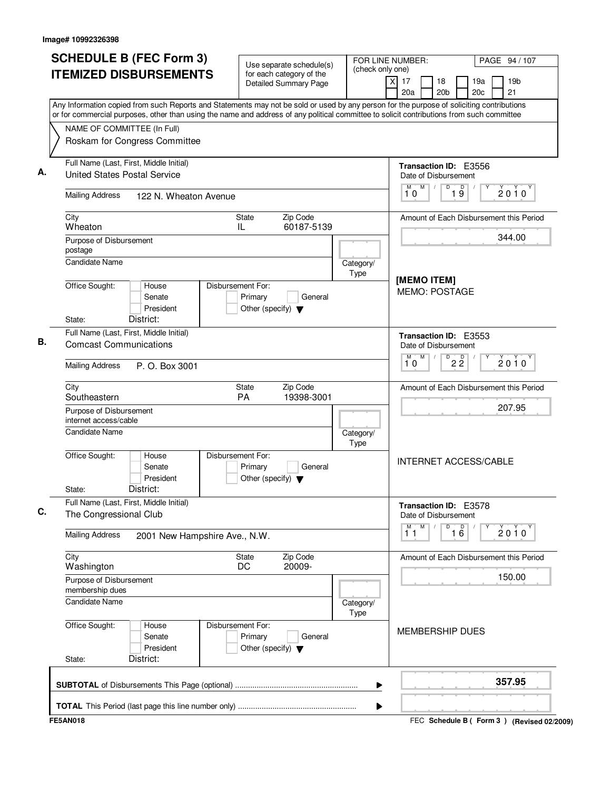| <b>SCHEDULE B (FEC Form 3)</b>                                                                                                                                                                                                                                                         | Use separate schedule(s)                                                        | FOR LINE NUMBER:<br>(check only one) | PAGE 94 / 107                                                                               |
|----------------------------------------------------------------------------------------------------------------------------------------------------------------------------------------------------------------------------------------------------------------------------------------|---------------------------------------------------------------------------------|--------------------------------------|---------------------------------------------------------------------------------------------|
| <b>ITEMIZED DISBURSEMENTS</b>                                                                                                                                                                                                                                                          | for each category of the<br><b>Detailed Summary Page</b>                        |                                      | $\overline{X}$<br>17<br>19 <sub>b</sub><br>18<br>19a<br>21<br>20a<br>20 <sub>b</sub><br>20c |
| Any Information copied from such Reports and Statements may not be sold or used by any person for the purpose of soliciting contributions<br>or for commercial purposes, other than using the name and address of any political committee to solicit contributions from such committee |                                                                                 |                                      |                                                                                             |
| NAME OF COMMITTEE (In Full)                                                                                                                                                                                                                                                            |                                                                                 |                                      |                                                                                             |
| Roskam for Congress Committee                                                                                                                                                                                                                                                          |                                                                                 |                                      |                                                                                             |
| Full Name (Last, First, Middle Initial)<br><b>United States Postal Service</b>                                                                                                                                                                                                         |                                                                                 |                                      | Transaction ID: E3556<br>Date of Disbursement                                               |
| <b>Mailing Address</b><br>122 N. Wheaton Avenue                                                                                                                                                                                                                                        |                                                                                 |                                      | M<br>$\mathsf D$<br>D<br>$2010^y$<br>10<br>19                                               |
| City<br>Wheaton                                                                                                                                                                                                                                                                        | Zip Code<br>State<br>60187-5139<br>IL                                           |                                      | Amount of Each Disbursement this Period                                                     |
| Purpose of Disbursement<br>postage                                                                                                                                                                                                                                                     |                                                                                 |                                      | 344.00                                                                                      |
| Candidate Name                                                                                                                                                                                                                                                                         |                                                                                 | Category/<br>Type                    |                                                                                             |
| Office Sought:<br>House<br>Senate<br>President<br>District:<br>State:                                                                                                                                                                                                                  | Disbursement For:<br>Primary<br>General<br>Other (specify) $\blacktriangledown$ |                                      | [MEMO ITEM]<br>MEMO: POSTAGE                                                                |
| Full Name (Last, First, Middle Initial)                                                                                                                                                                                                                                                |                                                                                 |                                      | Transaction ID: E3553                                                                       |
| <b>Comcast Communications</b>                                                                                                                                                                                                                                                          |                                                                                 |                                      | Date of Disbursement<br>M<br>D<br>M                                                         |
| <b>Mailing Address</b><br>P. O. Box 3001                                                                                                                                                                                                                                               |                                                                                 |                                      | $2\overline{2}$<br>$2010^{\circ}$<br>10                                                     |
| City<br>Southeastern                                                                                                                                                                                                                                                                   | Zip Code<br>State<br><b>PA</b><br>19398-3001                                    |                                      | Amount of Each Disbursement this Period                                                     |
| Purpose of Disbursement<br>internet access/cable                                                                                                                                                                                                                                       |                                                                                 |                                      | 207.95                                                                                      |
| <b>Candidate Name</b>                                                                                                                                                                                                                                                                  |                                                                                 | Category/<br>Type                    |                                                                                             |
| Office Sought:<br>House<br>Senate<br>President<br>District:<br>State:                                                                                                                                                                                                                  | Disbursement For:<br>Primary<br>General<br>Other (specify) $\blacktriangledown$ |                                      | <b>INTERNET ACCESS/CABLE</b>                                                                |
| Full Name (Last, First, Middle Initial)<br>The Congressional Club                                                                                                                                                                                                                      |                                                                                 |                                      | Transaction ID: E3578<br>Date of Disbursement                                               |
| <b>Mailing Address</b><br>2001 New Hampshire Ave., N.W.                                                                                                                                                                                                                                |                                                                                 |                                      | M<br>M<br>D<br>$\overline{16}$<br>2010<br>11                                                |
| City<br>Washington                                                                                                                                                                                                                                                                     | Zip Code<br><b>State</b><br>20009-<br>DC                                        |                                      | Amount of Each Disbursement this Period                                                     |
| Purpose of Disbursement<br>membership dues                                                                                                                                                                                                                                             |                                                                                 |                                      | 150.00                                                                                      |
| Candidate Name                                                                                                                                                                                                                                                                         |                                                                                 | Category/<br>Type                    |                                                                                             |
| Office Sought:<br>House<br>Senate<br>President<br>District:<br>State:                                                                                                                                                                                                                  | Disbursement For:<br>Primary<br>General<br>Other (specify) $\blacktriangledown$ |                                      | <b>MEMBERSHIP DUES</b>                                                                      |
|                                                                                                                                                                                                                                                                                        |                                                                                 | ▶                                    | 357.95                                                                                      |
|                                                                                                                                                                                                                                                                                        |                                                                                 | ▶                                    |                                                                                             |
| <b>FE5AN018</b>                                                                                                                                                                                                                                                                        |                                                                                 |                                      | FEC Schedule B (Form 3) (Revised 02/2009)                                                   |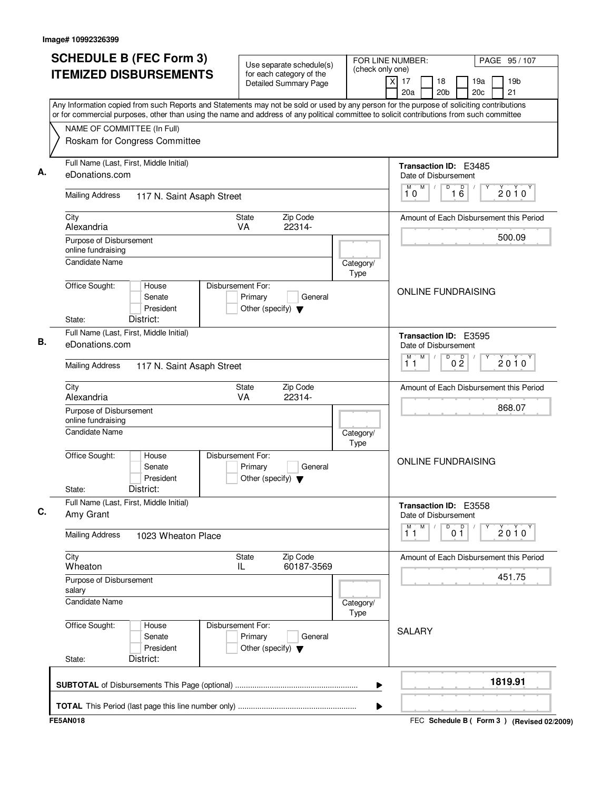| <b>SCHEDULE B (FEC Form 3)</b>                                                                                                                                                                                                                                                         | Use separate schedule(s)                                                        | FOR LINE NUMBER:<br>(check only one) |                                                              | PAGE 95 / 107                             |
|----------------------------------------------------------------------------------------------------------------------------------------------------------------------------------------------------------------------------------------------------------------------------------------|---------------------------------------------------------------------------------|--------------------------------------|--------------------------------------------------------------|-------------------------------------------|
| <b>ITEMIZED DISBURSEMENTS</b>                                                                                                                                                                                                                                                          | for each category of the<br><b>Detailed Summary Page</b>                        |                                      | $\overline{x}$<br>17<br>18<br>20a<br>20 <sub>b</sub>         | 19a<br>19 <sub>b</sub><br>20c<br>21       |
| Any Information copied from such Reports and Statements may not be sold or used by any person for the purpose of soliciting contributions<br>or for commercial purposes, other than using the name and address of any political committee to solicit contributions from such committee |                                                                                 |                                      |                                                              |                                           |
| NAME OF COMMITTEE (In Full)<br>Roskam for Congress Committee                                                                                                                                                                                                                           |                                                                                 |                                      |                                                              |                                           |
| Full Name (Last, First, Middle Initial)<br>eDonations.com                                                                                                                                                                                                                              |                                                                                 |                                      | Transaction ID: E3485<br>Date of Disbursement                |                                           |
| <b>Mailing Address</b><br>117 N. Saint Asaph Street                                                                                                                                                                                                                                    |                                                                                 |                                      | M<br>16<br>M<br>D<br>10                                      | $2010^y$                                  |
| City<br>Alexandria                                                                                                                                                                                                                                                                     | Zip Code<br>State<br>VA<br>22314-                                               |                                      |                                                              | Amount of Each Disbursement this Period   |
| Purpose of Disbursement<br>online fundraising<br><b>Candidate Name</b>                                                                                                                                                                                                                 |                                                                                 | Category/                            |                                                              | 500.09                                    |
| Office Sought:<br>House<br>Senate<br>President<br>District:<br>State:                                                                                                                                                                                                                  | Disbursement For:<br>Primary<br>General<br>Other (specify) $\blacktriangledown$ | Type                                 | <b>ONLINE FUNDRAISING</b>                                    |                                           |
| Full Name (Last, First, Middle Initial)<br>eDonations.com                                                                                                                                                                                                                              |                                                                                 |                                      | Transaction ID: E3595<br>Date of Disbursement<br>M<br>D<br>М |                                           |
| <b>Mailing Address</b><br>117 N. Saint Asaph Street                                                                                                                                                                                                                                    |                                                                                 |                                      | 0 <sup>0</sup><br>11                                         | $2010^y$                                  |
| City<br>Alexandria                                                                                                                                                                                                                                                                     | Zip Code<br>State<br>VA<br>22314-                                               |                                      |                                                              | Amount of Each Disbursement this Period   |
| Purpose of Disbursement<br>online fundraising<br><b>Candidate Name</b>                                                                                                                                                                                                                 |                                                                                 | Category/<br>Type                    |                                                              | 868.07                                    |
| Office Sought:<br>House<br>Senate<br>President<br>District:<br>State:                                                                                                                                                                                                                  | Disbursement For:<br>Primary<br>General<br>Other (specify) $\blacktriangledown$ |                                      | <b>ONLINE FUNDRAISING</b>                                    |                                           |
| Full Name (Last, First, Middle Initial)<br>Amy Grant                                                                                                                                                                                                                                   |                                                                                 |                                      | Transaction ID: E3558<br>Date of Disbursement                |                                           |
| <b>Mailing Address</b><br>1023 Wheaton Place                                                                                                                                                                                                                                           |                                                                                 |                                      | $\overline{1}^M$<br>M<br>0 <sup>D</sup><br>D                 | 2010                                      |
| City<br>Wheaton                                                                                                                                                                                                                                                                        | State<br>Zip Code<br>60187-3569<br>IL.                                          |                                      |                                                              | Amount of Each Disbursement this Period   |
| Purpose of Disbursement<br>salary                                                                                                                                                                                                                                                      |                                                                                 |                                      |                                                              | 451.75                                    |
| Candidate Name                                                                                                                                                                                                                                                                         |                                                                                 | Category/<br>Type                    |                                                              |                                           |
| Office Sought:<br>House<br>Senate<br>President<br>District:<br>State:                                                                                                                                                                                                                  | Disbursement For:<br>Primary<br>General<br>Other (specify) $\blacktriangledown$ |                                      | <b>SALARY</b>                                                |                                           |
|                                                                                                                                                                                                                                                                                        |                                                                                 | ▶                                    |                                                              | 1819.91                                   |
| <b>FE5AN018</b>                                                                                                                                                                                                                                                                        |                                                                                 | ▶                                    |                                                              | FEC Schedule B (Form 3) (Revised 02/2009) |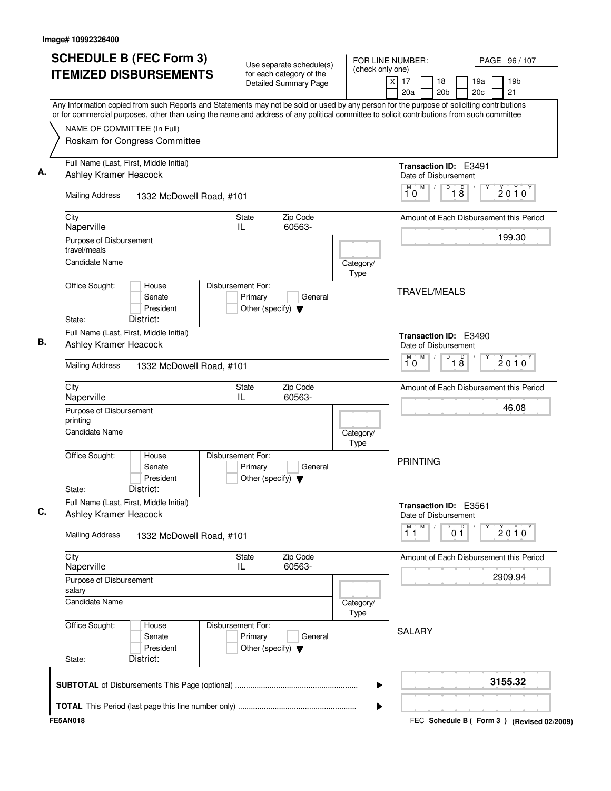| <b>SCHEDULE B (FEC Form 3)</b><br><b>ITEMIZED DISBURSEMENTS</b>                                                                                                                                                                                                                        | Use separate schedule(s)<br>for each category of the                            | FOR LINE NUMBER:<br>(check only one)         |                                                              | PAGE 96 / 107                                   |  |  |  |
|----------------------------------------------------------------------------------------------------------------------------------------------------------------------------------------------------------------------------------------------------------------------------------------|---------------------------------------------------------------------------------|----------------------------------------------|--------------------------------------------------------------|-------------------------------------------------|--|--|--|
|                                                                                                                                                                                                                                                                                        | <b>Detailed Summary Page</b>                                                    |                                              | $\times$<br>17<br>18<br>20a<br>20 <sub>b</sub>               | 19a<br>19 <sub>b</sub><br>21<br>20 <sub>c</sub> |  |  |  |
| Any Information copied from such Reports and Statements may not be sold or used by any person for the purpose of soliciting contributions<br>or for commercial purposes, other than using the name and address of any political committee to solicit contributions from such committee |                                                                                 |                                              |                                                              |                                                 |  |  |  |
| NAME OF COMMITTEE (In Full)<br>Roskam for Congress Committee                                                                                                                                                                                                                           |                                                                                 |                                              |                                                              |                                                 |  |  |  |
| Full Name (Last, First, Middle Initial)<br>Ashley Kramer Heacock                                                                                                                                                                                                                       |                                                                                 |                                              | Transaction ID: E3491<br>Date of Disbursement                |                                                 |  |  |  |
| <b>Mailing Address</b><br>1332 McDowell Road, #101                                                                                                                                                                                                                                     |                                                                                 |                                              | M<br>D<br>M<br>$\sqrt{2}$<br>18<br>10                        | D<br>$2010^y$                                   |  |  |  |
| City<br>Naperville                                                                                                                                                                                                                                                                     | Zip Code<br>State<br>60563-<br>IL                                               |                                              |                                                              | Amount of Each Disbursement this Period         |  |  |  |
| Purpose of Disbursement<br>travel/meals<br><b>Candidate Name</b>                                                                                                                                                                                                                       |                                                                                 | Category/                                    |                                                              | 199.30                                          |  |  |  |
| Office Sought:<br>House<br>Senate<br>President<br>District:<br>State:                                                                                                                                                                                                                  | Disbursement For:<br>Primary<br>General<br>Other (specify) $\blacktriangledown$ | Type                                         | <b>TRAVEL/MEALS</b>                                          |                                                 |  |  |  |
| Full Name (Last, First, Middle Initial)<br>Ashley Kramer Heacock                                                                                                                                                                                                                       |                                                                                 |                                              | Transaction ID: E3490<br>Date of Disbursement<br>M<br>D<br>M |                                                 |  |  |  |
| <b>Mailing Address</b><br>1332 McDowell Road, #101                                                                                                                                                                                                                                     |                                                                                 |                                              | $\overline{18}$<br>$2010^y$<br>10                            |                                                 |  |  |  |
| City<br>Naperville                                                                                                                                                                                                                                                                     | Zip Code<br>State<br>IL<br>60563-                                               |                                              |                                                              | Amount of Each Disbursement this Period         |  |  |  |
| Purpose of Disbursement<br>printing<br><b>Candidate Name</b>                                                                                                                                                                                                                           |                                                                                 | Category/                                    |                                                              | 46.08                                           |  |  |  |
| Office Sought:<br>House<br>Senate<br>President<br>District:<br>State:                                                                                                                                                                                                                  | Disbursement For:<br>Primary<br>General<br>Other (specify) $\blacktriangledown$ | Type                                         | <b>PRINTING</b>                                              |                                                 |  |  |  |
| Full Name (Last, First, Middle Initial)<br>Ashley Kramer Heacock                                                                                                                                                                                                                       |                                                                                 |                                              | Transaction ID: E3561<br>Date of Disbursement                |                                                 |  |  |  |
| <b>Mailing Address</b><br>1332 McDowell Road, #101                                                                                                                                                                                                                                     |                                                                                 | $\overline{1}^M$<br>M<br>D<br>0 <sup>D</sup> | $2010^y$                                                     |                                                 |  |  |  |
| City<br>Naperville                                                                                                                                                                                                                                                                     | <b>State</b><br>Zip Code<br>60563-<br>IL                                        |                                              |                                                              | Amount of Each Disbursement this Period         |  |  |  |
| Purpose of Disbursement<br>salary                                                                                                                                                                                                                                                      |                                                                                 |                                              |                                                              | 2909.94                                         |  |  |  |
| <b>Candidate Name</b>                                                                                                                                                                                                                                                                  |                                                                                 | Category/<br>Type                            |                                                              |                                                 |  |  |  |
| Office Sought:<br>House<br>Senate<br>President<br>District:<br>State:                                                                                                                                                                                                                  | Disbursement For:<br>Primary<br>General<br>Other (specify) $\blacktriangledown$ |                                              | <b>SALARY</b>                                                |                                                 |  |  |  |
|                                                                                                                                                                                                                                                                                        |                                                                                 | ▶                                            |                                                              | 3155.32                                         |  |  |  |
|                                                                                                                                                                                                                                                                                        |                                                                                 | ▶                                            |                                                              |                                                 |  |  |  |
| <b>FE5AN018</b>                                                                                                                                                                                                                                                                        |                                                                                 |                                              |                                                              | FEC Schedule B ( Form 3 ) (Revised 02/2009)     |  |  |  |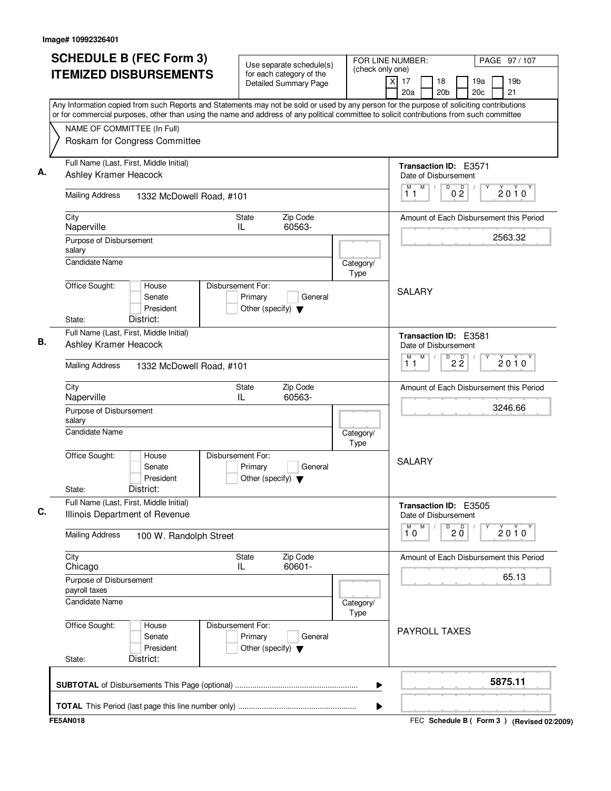| <b>SCHEDULE B (FEC Form 3)</b>                                                                                                                                                                                                                                                         | Use separate schedule(s)                                                        | FOR LINE NUMBER:<br>(check only one)            |                                                 | PAGE 97/107                                     |  |
|----------------------------------------------------------------------------------------------------------------------------------------------------------------------------------------------------------------------------------------------------------------------------------------|---------------------------------------------------------------------------------|-------------------------------------------------|-------------------------------------------------|-------------------------------------------------|--|
| <b>ITEMIZED DISBURSEMENTS</b>                                                                                                                                                                                                                                                          | for each category of the<br><b>Detailed Summary Page</b>                        | $\overline{X}$                                  | 17<br>18<br>20 <sub>b</sub><br>20a              | 19a<br>19 <sub>b</sub><br>21<br>20 <sub>c</sub> |  |
| Any Information copied from such Reports and Statements may not be sold or used by any person for the purpose of soliciting contributions<br>or for commercial purposes, other than using the name and address of any political committee to solicit contributions from such committee |                                                                                 |                                                 |                                                 |                                                 |  |
| NAME OF COMMITTEE (In Full)<br>Roskam for Congress Committee                                                                                                                                                                                                                           |                                                                                 |                                                 |                                                 |                                                 |  |
| Full Name (Last, First, Middle Initial)<br>Ashley Kramer Heacock                                                                                                                                                                                                                       |                                                                                 |                                                 | Transaction ID: E3571<br>Date of Disbursement   |                                                 |  |
| <b>Mailing Address</b><br>1332 McDowell Road, #101                                                                                                                                                                                                                                     |                                                                                 |                                                 | M<br>D<br>0 <sup>0</sup><br>$\sqrt{2}$<br>11    | $2010^y$                                        |  |
| City<br>Naperville                                                                                                                                                                                                                                                                     | Zip Code<br>State<br>60563-<br>IL                                               |                                                 |                                                 | Amount of Each Disbursement this Period         |  |
| Purpose of Disbursement<br>salary<br><b>Candidate Name</b>                                                                                                                                                                                                                             |                                                                                 | Category/                                       |                                                 | 2563.32                                         |  |
| Office Sought:<br>House<br>Senate<br>President<br>District:<br>State:                                                                                                                                                                                                                  | Disbursement For:<br>Primary<br>General<br>Other (specify) $\blacktriangledown$ | Type                                            | <b>SALARY</b>                                   |                                                 |  |
| Full Name (Last, First, Middle Initial)<br>Ashley Kramer Heacock                                                                                                                                                                                                                       |                                                                                 | Transaction ID: E3581<br>Date of Disbursement   |                                                 |                                                 |  |
| <b>Mailing Address</b><br>1332 McDowell Road, #101                                                                                                                                                                                                                                     |                                                                                 |                                                 | M<br>$\overline{P}$ 2 $\overline{2}$<br>М<br>11 | $2010^y$                                        |  |
| City<br>Naperville                                                                                                                                                                                                                                                                     | Zip Code<br>State<br>IL<br>60563-                                               |                                                 |                                                 | Amount of Each Disbursement this Period         |  |
| Purpose of Disbursement<br>salary<br><b>Candidate Name</b>                                                                                                                                                                                                                             |                                                                                 | Category/                                       |                                                 | 3246.66                                         |  |
| Office Sought:<br>House<br>Senate<br>President<br>District:<br>State:                                                                                                                                                                                                                  | Disbursement For:<br>Primary<br>General<br>Other (specify) $\blacktriangledown$ | <b>Type</b>                                     | <b>SALARY</b>                                   |                                                 |  |
| Full Name (Last, First, Middle Initial)<br>Illinois Department of Revenue                                                                                                                                                                                                              |                                                                                 | Transaction ID: E3505<br>Date of Disbursement   |                                                 |                                                 |  |
| <b>Mailing Address</b><br>100 W. Randolph Street                                                                                                                                                                                                                                       |                                                                                 | M<br>$\overline{0}$ 2 $\overline{0}$<br>М<br>10 | $2010^Y$                                        |                                                 |  |
| City<br>Chicago                                                                                                                                                                                                                                                                        |                                                                                 |                                                 | Amount of Each Disbursement this Period         |                                                 |  |
| Purpose of Disbursement<br>payroll taxes                                                                                                                                                                                                                                               |                                                                                 |                                                 |                                                 | 65.13                                           |  |
| <b>Candidate Name</b>                                                                                                                                                                                                                                                                  |                                                                                 | Category/<br><b>Type</b>                        |                                                 |                                                 |  |
| Office Sought:<br>House<br>Senate<br>President<br>District:<br>State:                                                                                                                                                                                                                  | Disbursement For:<br>Primary<br>General<br>Other (specify) $\blacktriangledown$ |                                                 | <b>PAYROLL TAXES</b>                            |                                                 |  |
|                                                                                                                                                                                                                                                                                        |                                                                                 | ▶                                               |                                                 | 5875.11                                         |  |
|                                                                                                                                                                                                                                                                                        |                                                                                 | ▶                                               |                                                 |                                                 |  |
| <b>FE5AN018</b>                                                                                                                                                                                                                                                                        |                                                                                 |                                                 |                                                 | FEC Schedule B ( Form 3 ) (Revised 02/2009)     |  |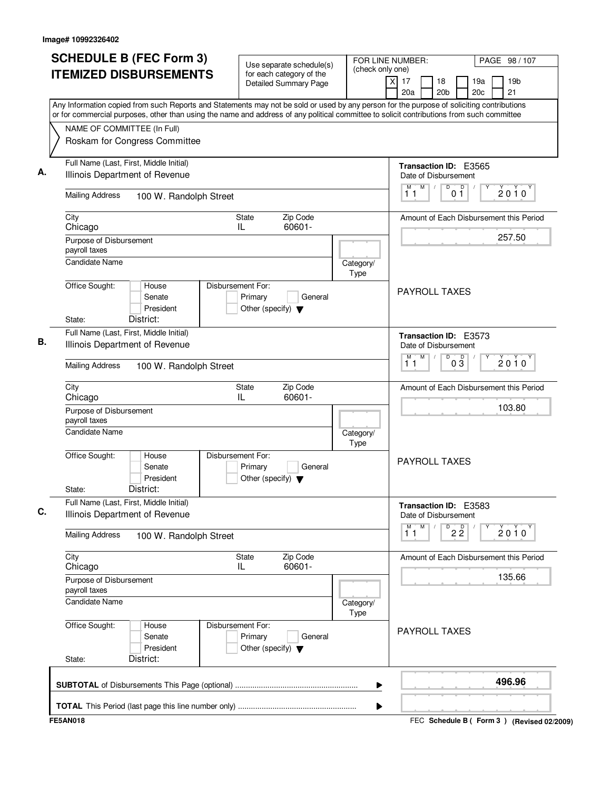| <b>SCHEDULE B (FEC Form 3)</b>                                                                                                                                                                                                                                                         | Use separate schedule(s)                                                        | (check only one)  | FOR LINE NUMBER:<br>PAGE 98 / 107                                                          |  |  |  |
|----------------------------------------------------------------------------------------------------------------------------------------------------------------------------------------------------------------------------------------------------------------------------------------|---------------------------------------------------------------------------------|-------------------|--------------------------------------------------------------------------------------------|--|--|--|
| <b>ITEMIZED DISBURSEMENTS</b>                                                                                                                                                                                                                                                          | for each category of the<br><b>Detailed Summary Page</b>                        |                   | X<br>17<br>19 <sub>b</sub><br>18<br>19a<br>20a<br>20 <sub>b</sub><br>20 <sub>c</sub><br>21 |  |  |  |
| Any Information copied from such Reports and Statements may not be sold or used by any person for the purpose of soliciting contributions<br>or for commercial purposes, other than using the name and address of any political committee to solicit contributions from such committee |                                                                                 |                   |                                                                                            |  |  |  |
| NAME OF COMMITTEE (In Full)                                                                                                                                                                                                                                                            |                                                                                 |                   |                                                                                            |  |  |  |
| Roskam for Congress Committee                                                                                                                                                                                                                                                          |                                                                                 |                   |                                                                                            |  |  |  |
| Full Name (Last, First, Middle Initial)                                                                                                                                                                                                                                                |                                                                                 |                   | Transaction ID: E3565                                                                      |  |  |  |
| Illinois Department of Revenue                                                                                                                                                                                                                                                         |                                                                                 |                   | Date of Disbursement<br>M<br>$\overline{D}$<br>D<br>М<br>$\sqrt{2}$                        |  |  |  |
| <b>Mailing Address</b><br>100 W. Randolph Street                                                                                                                                                                                                                                       |                                                                                 |                   | $2010^y$<br>0 <sub>1</sub><br>11                                                           |  |  |  |
| City<br>Chicago                                                                                                                                                                                                                                                                        | Zip Code<br><b>State</b><br>60601-<br>IL                                        |                   | Amount of Each Disbursement this Period                                                    |  |  |  |
| Purpose of Disbursement                                                                                                                                                                                                                                                                |                                                                                 |                   | 257.50                                                                                     |  |  |  |
| payroll taxes<br><b>Candidate Name</b>                                                                                                                                                                                                                                                 |                                                                                 | Category/         |                                                                                            |  |  |  |
|                                                                                                                                                                                                                                                                                        |                                                                                 | Type              |                                                                                            |  |  |  |
| Office Sought:<br>House<br>Senate<br>President                                                                                                                                                                                                                                         | Disbursement For:<br>Primary<br>General<br>Other (specify) $\blacktriangledown$ |                   | <b>PAYROLL TAXES</b>                                                                       |  |  |  |
| District:<br>State:                                                                                                                                                                                                                                                                    |                                                                                 |                   |                                                                                            |  |  |  |
| Full Name (Last, First, Middle Initial)<br>Illinois Department of Revenue                                                                                                                                                                                                              |                                                                                 |                   | Transaction ID: E3573<br>Date of Disbursement<br>M<br>D<br>$0\frac{D}{3}$                  |  |  |  |
| <b>Mailing Address</b>                                                                                                                                                                                                                                                                 | 100 W. Randolph Street                                                          |                   |                                                                                            |  |  |  |
| City<br>Chicago                                                                                                                                                                                                                                                                        | Zip Code<br><b>State</b><br>IL<br>60601-                                        |                   | Amount of Each Disbursement this Period                                                    |  |  |  |
| Purpose of Disbursement<br>payroll taxes                                                                                                                                                                                                                                               |                                                                                 |                   | 103.80                                                                                     |  |  |  |
| <b>Candidate Name</b>                                                                                                                                                                                                                                                                  |                                                                                 | Category/<br>Type |                                                                                            |  |  |  |
| Office Sought:<br>House<br>Senate<br>President<br>District:<br>State:                                                                                                                                                                                                                  | Disbursement For:<br>Primary<br>General<br>Other (specify) $\blacktriangledown$ |                   | <b>PAYROLL TAXES</b>                                                                       |  |  |  |
| Full Name (Last, First, Middle Initial)                                                                                                                                                                                                                                                | Transaction ID: E3583                                                           |                   |                                                                                            |  |  |  |
| Illinois Department of Revenue                                                                                                                                                                                                                                                         |                                                                                 |                   | Date of Disbursement<br>м<br>M                                                             |  |  |  |
| <b>Mailing Address</b><br>100 W. Randolph Street                                                                                                                                                                                                                                       |                                                                                 |                   | $D^D$ 2 $\overline{2}$<br>$2010^Y$<br>11                                                   |  |  |  |
| City<br>Chicago                                                                                                                                                                                                                                                                        | Zip Code<br><b>State</b><br>60601-<br>IL                                        |                   | Amount of Each Disbursement this Period                                                    |  |  |  |
| Purpose of Disbursement<br>payroll taxes                                                                                                                                                                                                                                               |                                                                                 |                   | 135.66                                                                                     |  |  |  |
| Candidate Name                                                                                                                                                                                                                                                                         |                                                                                 |                   |                                                                                            |  |  |  |
| Office Sought:<br>House<br>Senate<br>President<br>District:<br>State:                                                                                                                                                                                                                  | Disbursement For:<br>Primary<br>General<br>Other (specify) $\blacktriangledown$ | Type              | <b>PAYROLL TAXES</b>                                                                       |  |  |  |
|                                                                                                                                                                                                                                                                                        |                                                                                 |                   |                                                                                            |  |  |  |
|                                                                                                                                                                                                                                                                                        |                                                                                 | ▶                 | 496.96                                                                                     |  |  |  |
|                                                                                                                                                                                                                                                                                        |                                                                                 | ▶                 |                                                                                            |  |  |  |
| <b>FE5AN018</b>                                                                                                                                                                                                                                                                        |                                                                                 |                   | FEC Schedule B ( Form 3 ) (Revised 02/2009)                                                |  |  |  |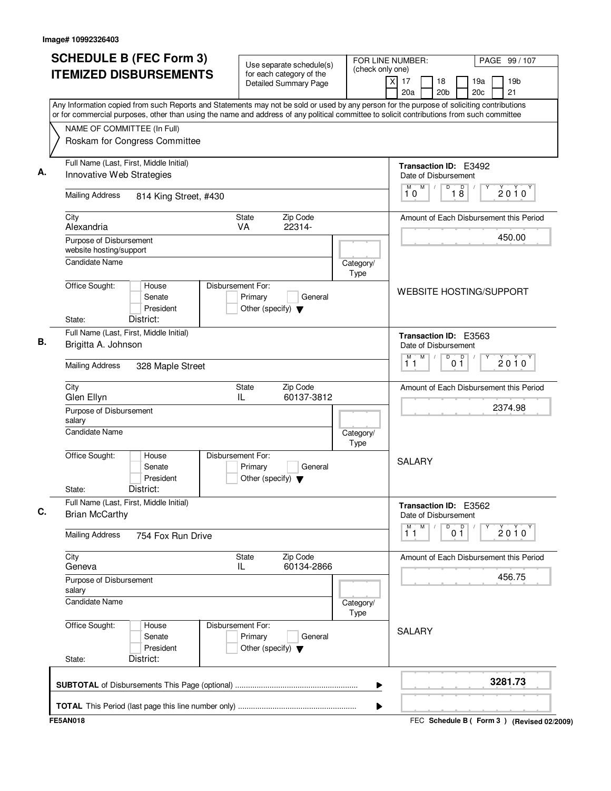| <b>ITEMIZED DISBURSEMENTS</b><br>for each category of the<br>19 <sub>b</sub><br>X<br>17<br>19a<br>18<br><b>Detailed Summary Page</b><br>20 <sub>c</sub><br>21<br>20a<br>20 <sub>b</sub><br>Any Information copied from such Reports and Statements may not be sold or used by any person for the purpose of soliciting contributions<br>or for commercial purposes, other than using the name and address of any political committee to solicit contributions from such committee<br>NAME OF COMMITTEE (In Full)<br>Roskam for Congress Committee<br>Full Name (Last, First, Middle Initial)<br>Transaction ID: E3492<br>Innovative Web Strategies<br>Date of Disbursement<br>M<br>D<br>18<br>М<br>$\sqrt{2}$<br>$2010^y$<br>10<br><b>Mailing Address</b><br>814 King Street, #430<br>Zip Code<br>City<br>State<br>VA<br>22314-<br>Alexandria<br>450.00<br>Purpose of Disbursement<br>website hosting/support<br><b>Candidate Name</b><br>Category/<br><b>Type</b><br>Office Sought:<br>House<br>Disbursement For:<br><b>WEBSITE HOSTING/SUPPORT</b><br>Senate<br>Primary<br>General<br>President<br>Other (specify) $\blacktriangledown$<br>District:<br>State:<br>Full Name (Last, First, Middle Initial)<br>Transaction ID: E3563<br>Brigitta A. Johnson<br>Date of Disbursement<br>M<br>0 <sup>0</sup><br>M)<br>D<br>$2010^y$<br>11<br><b>Mailing Address</b><br>328 Maple Street<br>City<br>Zip Code<br>State<br>IL<br>60137-3812<br>Glen Ellyn<br>2374.98<br>Purpose of Disbursement<br>salary<br><b>Candidate Name</b><br>Category/<br>Type<br>Office Sought:<br>Disbursement For:<br>House<br><b>SALARY</b><br>Primary<br>General<br>Senate<br>President<br>Other (specify) $\blacktriangledown$<br>District:<br>State:<br>Full Name (Last, First, Middle Initial)<br>Transaction ID: E3562<br><b>Brian McCarthy</b><br>Date of Disbursement<br>М<br>M<br>D<br>D<br>$2010^Y$<br>0 <sub>1</sub><br>11<br><b>Mailing Address</b><br>754 Fox Run Drive<br>City<br>Zip Code<br>State<br>IL<br>60134-2866<br>Geneva<br>456.75<br>Purpose of Disbursement<br>salary<br><b>Candidate Name</b><br>Category/<br>Type<br>Office Sought:<br>Disbursement For:<br>House<br><b>SALARY</b><br>Senate<br>Primary<br>General<br>President<br>Other (specify) $\blacktriangledown$<br>District:<br>State:<br>3281.73<br>▶ | <b>SCHEDULE B (FEC Form 3)</b> | Use separate schedule(s) | FOR LINE NUMBER:<br>(check only one) | PAGE 99 / 107                           |  |
|------------------------------------------------------------------------------------------------------------------------------------------------------------------------------------------------------------------------------------------------------------------------------------------------------------------------------------------------------------------------------------------------------------------------------------------------------------------------------------------------------------------------------------------------------------------------------------------------------------------------------------------------------------------------------------------------------------------------------------------------------------------------------------------------------------------------------------------------------------------------------------------------------------------------------------------------------------------------------------------------------------------------------------------------------------------------------------------------------------------------------------------------------------------------------------------------------------------------------------------------------------------------------------------------------------------------------------------------------------------------------------------------------------------------------------------------------------------------------------------------------------------------------------------------------------------------------------------------------------------------------------------------------------------------------------------------------------------------------------------------------------------------------------------------------------------------------------------------------------------------------------------------------------------------------------------------------------------------------------------------------------------------------------------------------------------------------------------------------------------------------------------------------------------------------------------------------------------------------------------------------------------------------------------------------------------|--------------------------------|--------------------------|--------------------------------------|-----------------------------------------|--|
|                                                                                                                                                                                                                                                                                                                                                                                                                                                                                                                                                                                                                                                                                                                                                                                                                                                                                                                                                                                                                                                                                                                                                                                                                                                                                                                                                                                                                                                                                                                                                                                                                                                                                                                                                                                                                                                                                                                                                                                                                                                                                                                                                                                                                                                                                                                  |                                |                          |                                      |                                         |  |
|                                                                                                                                                                                                                                                                                                                                                                                                                                                                                                                                                                                                                                                                                                                                                                                                                                                                                                                                                                                                                                                                                                                                                                                                                                                                                                                                                                                                                                                                                                                                                                                                                                                                                                                                                                                                                                                                                                                                                                                                                                                                                                                                                                                                                                                                                                                  |                                |                          |                                      |                                         |  |
|                                                                                                                                                                                                                                                                                                                                                                                                                                                                                                                                                                                                                                                                                                                                                                                                                                                                                                                                                                                                                                                                                                                                                                                                                                                                                                                                                                                                                                                                                                                                                                                                                                                                                                                                                                                                                                                                                                                                                                                                                                                                                                                                                                                                                                                                                                                  |                                |                          |                                      |                                         |  |
|                                                                                                                                                                                                                                                                                                                                                                                                                                                                                                                                                                                                                                                                                                                                                                                                                                                                                                                                                                                                                                                                                                                                                                                                                                                                                                                                                                                                                                                                                                                                                                                                                                                                                                                                                                                                                                                                                                                                                                                                                                                                                                                                                                                                                                                                                                                  |                                |                          |                                      |                                         |  |
|                                                                                                                                                                                                                                                                                                                                                                                                                                                                                                                                                                                                                                                                                                                                                                                                                                                                                                                                                                                                                                                                                                                                                                                                                                                                                                                                                                                                                                                                                                                                                                                                                                                                                                                                                                                                                                                                                                                                                                                                                                                                                                                                                                                                                                                                                                                  |                                |                          |                                      |                                         |  |
|                                                                                                                                                                                                                                                                                                                                                                                                                                                                                                                                                                                                                                                                                                                                                                                                                                                                                                                                                                                                                                                                                                                                                                                                                                                                                                                                                                                                                                                                                                                                                                                                                                                                                                                                                                                                                                                                                                                                                                                                                                                                                                                                                                                                                                                                                                                  |                                |                          |                                      | Amount of Each Disbursement this Period |  |
|                                                                                                                                                                                                                                                                                                                                                                                                                                                                                                                                                                                                                                                                                                                                                                                                                                                                                                                                                                                                                                                                                                                                                                                                                                                                                                                                                                                                                                                                                                                                                                                                                                                                                                                                                                                                                                                                                                                                                                                                                                                                                                                                                                                                                                                                                                                  |                                |                          |                                      |                                         |  |
|                                                                                                                                                                                                                                                                                                                                                                                                                                                                                                                                                                                                                                                                                                                                                                                                                                                                                                                                                                                                                                                                                                                                                                                                                                                                                                                                                                                                                                                                                                                                                                                                                                                                                                                                                                                                                                                                                                                                                                                                                                                                                                                                                                                                                                                                                                                  |                                |                          |                                      |                                         |  |
|                                                                                                                                                                                                                                                                                                                                                                                                                                                                                                                                                                                                                                                                                                                                                                                                                                                                                                                                                                                                                                                                                                                                                                                                                                                                                                                                                                                                                                                                                                                                                                                                                                                                                                                                                                                                                                                                                                                                                                                                                                                                                                                                                                                                                                                                                                                  |                                |                          |                                      |                                         |  |
|                                                                                                                                                                                                                                                                                                                                                                                                                                                                                                                                                                                                                                                                                                                                                                                                                                                                                                                                                                                                                                                                                                                                                                                                                                                                                                                                                                                                                                                                                                                                                                                                                                                                                                                                                                                                                                                                                                                                                                                                                                                                                                                                                                                                                                                                                                                  |                                |                          |                                      |                                         |  |
|                                                                                                                                                                                                                                                                                                                                                                                                                                                                                                                                                                                                                                                                                                                                                                                                                                                                                                                                                                                                                                                                                                                                                                                                                                                                                                                                                                                                                                                                                                                                                                                                                                                                                                                                                                                                                                                                                                                                                                                                                                                                                                                                                                                                                                                                                                                  |                                |                          |                                      |                                         |  |
|                                                                                                                                                                                                                                                                                                                                                                                                                                                                                                                                                                                                                                                                                                                                                                                                                                                                                                                                                                                                                                                                                                                                                                                                                                                                                                                                                                                                                                                                                                                                                                                                                                                                                                                                                                                                                                                                                                                                                                                                                                                                                                                                                                                                                                                                                                                  |                                |                          |                                      |                                         |  |
|                                                                                                                                                                                                                                                                                                                                                                                                                                                                                                                                                                                                                                                                                                                                                                                                                                                                                                                                                                                                                                                                                                                                                                                                                                                                                                                                                                                                                                                                                                                                                                                                                                                                                                                                                                                                                                                                                                                                                                                                                                                                                                                                                                                                                                                                                                                  |                                |                          |                                      | Amount of Each Disbursement this Period |  |
|                                                                                                                                                                                                                                                                                                                                                                                                                                                                                                                                                                                                                                                                                                                                                                                                                                                                                                                                                                                                                                                                                                                                                                                                                                                                                                                                                                                                                                                                                                                                                                                                                                                                                                                                                                                                                                                                                                                                                                                                                                                                                                                                                                                                                                                                                                                  |                                |                          |                                      |                                         |  |
|                                                                                                                                                                                                                                                                                                                                                                                                                                                                                                                                                                                                                                                                                                                                                                                                                                                                                                                                                                                                                                                                                                                                                                                                                                                                                                                                                                                                                                                                                                                                                                                                                                                                                                                                                                                                                                                                                                                                                                                                                                                                                                                                                                                                                                                                                                                  |                                |                          |                                      |                                         |  |
|                                                                                                                                                                                                                                                                                                                                                                                                                                                                                                                                                                                                                                                                                                                                                                                                                                                                                                                                                                                                                                                                                                                                                                                                                                                                                                                                                                                                                                                                                                                                                                                                                                                                                                                                                                                                                                                                                                                                                                                                                                                                                                                                                                                                                                                                                                                  |                                |                          |                                      |                                         |  |
|                                                                                                                                                                                                                                                                                                                                                                                                                                                                                                                                                                                                                                                                                                                                                                                                                                                                                                                                                                                                                                                                                                                                                                                                                                                                                                                                                                                                                                                                                                                                                                                                                                                                                                                                                                                                                                                                                                                                                                                                                                                                                                                                                                                                                                                                                                                  |                                |                          |                                      |                                         |  |
|                                                                                                                                                                                                                                                                                                                                                                                                                                                                                                                                                                                                                                                                                                                                                                                                                                                                                                                                                                                                                                                                                                                                                                                                                                                                                                                                                                                                                                                                                                                                                                                                                                                                                                                                                                                                                                                                                                                                                                                                                                                                                                                                                                                                                                                                                                                  |                                |                          |                                      |                                         |  |
|                                                                                                                                                                                                                                                                                                                                                                                                                                                                                                                                                                                                                                                                                                                                                                                                                                                                                                                                                                                                                                                                                                                                                                                                                                                                                                                                                                                                                                                                                                                                                                                                                                                                                                                                                                                                                                                                                                                                                                                                                                                                                                                                                                                                                                                                                                                  |                                |                          |                                      | Amount of Each Disbursement this Period |  |
|                                                                                                                                                                                                                                                                                                                                                                                                                                                                                                                                                                                                                                                                                                                                                                                                                                                                                                                                                                                                                                                                                                                                                                                                                                                                                                                                                                                                                                                                                                                                                                                                                                                                                                                                                                                                                                                                                                                                                                                                                                                                                                                                                                                                                                                                                                                  |                                |                          |                                      |                                         |  |
|                                                                                                                                                                                                                                                                                                                                                                                                                                                                                                                                                                                                                                                                                                                                                                                                                                                                                                                                                                                                                                                                                                                                                                                                                                                                                                                                                                                                                                                                                                                                                                                                                                                                                                                                                                                                                                                                                                                                                                                                                                                                                                                                                                                                                                                                                                                  |                                |                          |                                      |                                         |  |
|                                                                                                                                                                                                                                                                                                                                                                                                                                                                                                                                                                                                                                                                                                                                                                                                                                                                                                                                                                                                                                                                                                                                                                                                                                                                                                                                                                                                                                                                                                                                                                                                                                                                                                                                                                                                                                                                                                                                                                                                                                                                                                                                                                                                                                                                                                                  |                                |                          |                                      |                                         |  |
|                                                                                                                                                                                                                                                                                                                                                                                                                                                                                                                                                                                                                                                                                                                                                                                                                                                                                                                                                                                                                                                                                                                                                                                                                                                                                                                                                                                                                                                                                                                                                                                                                                                                                                                                                                                                                                                                                                                                                                                                                                                                                                                                                                                                                                                                                                                  |                                |                          |                                      |                                         |  |
|                                                                                                                                                                                                                                                                                                                                                                                                                                                                                                                                                                                                                                                                                                                                                                                                                                                                                                                                                                                                                                                                                                                                                                                                                                                                                                                                                                                                                                                                                                                                                                                                                                                                                                                                                                                                                                                                                                                                                                                                                                                                                                                                                                                                                                                                                                                  |                                |                          | Þ                                    |                                         |  |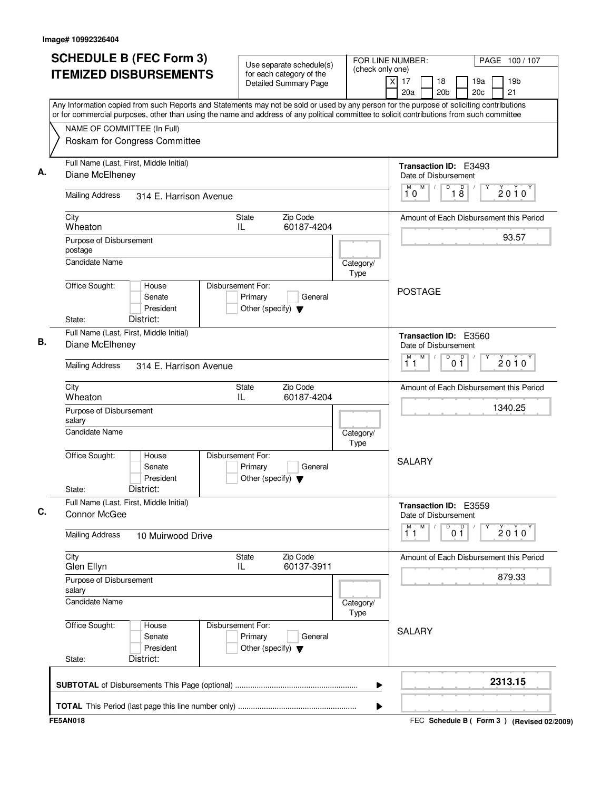| for each category of the<br>$\overline{x}$<br>17<br>18<br>19a<br>19 <sub>b</sub><br><b>Detailed Summary Page</b><br>21<br>20a<br>20 <sub>b</sub><br>20c<br>NAME OF COMMITTEE (In Full)<br>Roskam for Congress Committee<br>Full Name (Last, First, Middle Initial)<br>Transaction ID: E3493<br>Diane McElheney<br>Date of Disbursement<br>M<br>D<br>18<br>M<br>$2010^y$<br>10<br><b>Mailing Address</b><br>314 E. Harrison Avenue<br>City<br>Zip Code<br>State<br>Amount of Each Disbursement this Period<br>60187-4204<br>Wheaton<br>IL<br>93.57<br>Purpose of Disbursement<br>postage<br><b>Candidate Name</b><br>Category/<br>Type<br>Office Sought:<br>Disbursement For:<br>House<br><b>POSTAGE</b><br>Senate<br>Primary<br>General<br>President<br>Other (specify) $\blacktriangledown$<br>District:<br>State:<br>Full Name (Last, First, Middle Initial)<br><b>Transaction ID: E3560</b><br>Diane McElheney<br>Date of Disbursement<br>M<br>D<br>М<br>0 <sup>0</sup><br>$2010^y$<br>11<br><b>Mailing Address</b><br>314 E. Harrison Avenue<br>City<br>Zip Code<br>State<br>Amount of Each Disbursement this Period<br>IL<br>60187-4204<br>Wheaton<br>1340.25<br>Purpose of Disbursement<br>salary<br><b>Candidate Name</b><br>Category/<br>Type<br>Office Sought:<br>Disbursement For:<br>House<br><b>SALARY</b><br>Senate<br>Primary<br>General<br>President<br>Other (specify) $\blacktriangledown$<br>District:<br>State:<br>Full Name (Last, First, Middle Initial)<br>Transaction ID: E3559<br>Connor McGee<br>Date of Disbursement<br>$\overline{1}^M$<br>M<br>D<br>0 <sup>0</sup><br>2010<br><b>Mailing Address</b><br>10 Muirwood Drive<br>City<br>State<br>Zip Code<br>Amount of Each Disbursement this Period<br>60137-3911<br>Glen Ellyn<br>IL.<br>879.33<br>Purpose of Disbursement<br>salary<br>Candidate Name<br>Category/<br>Type<br>Office Sought:<br>Disbursement For:<br>House<br><b>SALARY</b><br>Senate<br>Primary<br>General<br>President<br>Other (specify) $\blacktriangledown$<br>District:<br>State:<br>2313.15<br>▶ | <b>ITEMIZED DISBURSEMENTS</b><br>Any Information copied from such Reports and Statements may not be sold or used by any person for the purpose of soliciting contributions<br>or for commercial purposes, other than using the name and address of any political committee to solicit contributions from such committee<br>▶ | <b>SCHEDULE B (FEC Form 3)</b> | Use separate schedule(s) | FOR LINE NUMBER:<br>(check only one) |  | PAGE 100/107 |  |  |
|-----------------------------------------------------------------------------------------------------------------------------------------------------------------------------------------------------------------------------------------------------------------------------------------------------------------------------------------------------------------------------------------------------------------------------------------------------------------------------------------------------------------------------------------------------------------------------------------------------------------------------------------------------------------------------------------------------------------------------------------------------------------------------------------------------------------------------------------------------------------------------------------------------------------------------------------------------------------------------------------------------------------------------------------------------------------------------------------------------------------------------------------------------------------------------------------------------------------------------------------------------------------------------------------------------------------------------------------------------------------------------------------------------------------------------------------------------------------------------------------------------------------------------------------------------------------------------------------------------------------------------------------------------------------------------------------------------------------------------------------------------------------------------------------------------------------------------------------------------------------------------------------------------------------------------------------------------------------------------------------------------------------------------------------------------|------------------------------------------------------------------------------------------------------------------------------------------------------------------------------------------------------------------------------------------------------------------------------------------------------------------------------|--------------------------------|--------------------------|--------------------------------------|--|--------------|--|--|
|                                                                                                                                                                                                                                                                                                                                                                                                                                                                                                                                                                                                                                                                                                                                                                                                                                                                                                                                                                                                                                                                                                                                                                                                                                                                                                                                                                                                                                                                                                                                                                                                                                                                                                                                                                                                                                                                                                                                                                                                                                                     |                                                                                                                                                                                                                                                                                                                              |                                |                          |                                      |  |              |  |  |
|                                                                                                                                                                                                                                                                                                                                                                                                                                                                                                                                                                                                                                                                                                                                                                                                                                                                                                                                                                                                                                                                                                                                                                                                                                                                                                                                                                                                                                                                                                                                                                                                                                                                                                                                                                                                                                                                                                                                                                                                                                                     |                                                                                                                                                                                                                                                                                                                              |                                |                          |                                      |  |              |  |  |
|                                                                                                                                                                                                                                                                                                                                                                                                                                                                                                                                                                                                                                                                                                                                                                                                                                                                                                                                                                                                                                                                                                                                                                                                                                                                                                                                                                                                                                                                                                                                                                                                                                                                                                                                                                                                                                                                                                                                                                                                                                                     |                                                                                                                                                                                                                                                                                                                              |                                |                          |                                      |  |              |  |  |
|                                                                                                                                                                                                                                                                                                                                                                                                                                                                                                                                                                                                                                                                                                                                                                                                                                                                                                                                                                                                                                                                                                                                                                                                                                                                                                                                                                                                                                                                                                                                                                                                                                                                                                                                                                                                                                                                                                                                                                                                                                                     |                                                                                                                                                                                                                                                                                                                              |                                |                          |                                      |  |              |  |  |
|                                                                                                                                                                                                                                                                                                                                                                                                                                                                                                                                                                                                                                                                                                                                                                                                                                                                                                                                                                                                                                                                                                                                                                                                                                                                                                                                                                                                                                                                                                                                                                                                                                                                                                                                                                                                                                                                                                                                                                                                                                                     |                                                                                                                                                                                                                                                                                                                              |                                |                          |                                      |  |              |  |  |
|                                                                                                                                                                                                                                                                                                                                                                                                                                                                                                                                                                                                                                                                                                                                                                                                                                                                                                                                                                                                                                                                                                                                                                                                                                                                                                                                                                                                                                                                                                                                                                                                                                                                                                                                                                                                                                                                                                                                                                                                                                                     |                                                                                                                                                                                                                                                                                                                              |                                |                          |                                      |  |              |  |  |
|                                                                                                                                                                                                                                                                                                                                                                                                                                                                                                                                                                                                                                                                                                                                                                                                                                                                                                                                                                                                                                                                                                                                                                                                                                                                                                                                                                                                                                                                                                                                                                                                                                                                                                                                                                                                                                                                                                                                                                                                                                                     |                                                                                                                                                                                                                                                                                                                              |                                |                          |                                      |  |              |  |  |
|                                                                                                                                                                                                                                                                                                                                                                                                                                                                                                                                                                                                                                                                                                                                                                                                                                                                                                                                                                                                                                                                                                                                                                                                                                                                                                                                                                                                                                                                                                                                                                                                                                                                                                                                                                                                                                                                                                                                                                                                                                                     |                                                                                                                                                                                                                                                                                                                              |                                |                          |                                      |  |              |  |  |
|                                                                                                                                                                                                                                                                                                                                                                                                                                                                                                                                                                                                                                                                                                                                                                                                                                                                                                                                                                                                                                                                                                                                                                                                                                                                                                                                                                                                                                                                                                                                                                                                                                                                                                                                                                                                                                                                                                                                                                                                                                                     |                                                                                                                                                                                                                                                                                                                              |                                |                          |                                      |  |              |  |  |
|                                                                                                                                                                                                                                                                                                                                                                                                                                                                                                                                                                                                                                                                                                                                                                                                                                                                                                                                                                                                                                                                                                                                                                                                                                                                                                                                                                                                                                                                                                                                                                                                                                                                                                                                                                                                                                                                                                                                                                                                                                                     |                                                                                                                                                                                                                                                                                                                              |                                |                          |                                      |  |              |  |  |
|                                                                                                                                                                                                                                                                                                                                                                                                                                                                                                                                                                                                                                                                                                                                                                                                                                                                                                                                                                                                                                                                                                                                                                                                                                                                                                                                                                                                                                                                                                                                                                                                                                                                                                                                                                                                                                                                                                                                                                                                                                                     |                                                                                                                                                                                                                                                                                                                              |                                |                          |                                      |  |              |  |  |
|                                                                                                                                                                                                                                                                                                                                                                                                                                                                                                                                                                                                                                                                                                                                                                                                                                                                                                                                                                                                                                                                                                                                                                                                                                                                                                                                                                                                                                                                                                                                                                                                                                                                                                                                                                                                                                                                                                                                                                                                                                                     |                                                                                                                                                                                                                                                                                                                              |                                |                          |                                      |  |              |  |  |
|                                                                                                                                                                                                                                                                                                                                                                                                                                                                                                                                                                                                                                                                                                                                                                                                                                                                                                                                                                                                                                                                                                                                                                                                                                                                                                                                                                                                                                                                                                                                                                                                                                                                                                                                                                                                                                                                                                                                                                                                                                                     |                                                                                                                                                                                                                                                                                                                              |                                |                          |                                      |  |              |  |  |
|                                                                                                                                                                                                                                                                                                                                                                                                                                                                                                                                                                                                                                                                                                                                                                                                                                                                                                                                                                                                                                                                                                                                                                                                                                                                                                                                                                                                                                                                                                                                                                                                                                                                                                                                                                                                                                                                                                                                                                                                                                                     |                                                                                                                                                                                                                                                                                                                              |                                |                          |                                      |  |              |  |  |
|                                                                                                                                                                                                                                                                                                                                                                                                                                                                                                                                                                                                                                                                                                                                                                                                                                                                                                                                                                                                                                                                                                                                                                                                                                                                                                                                                                                                                                                                                                                                                                                                                                                                                                                                                                                                                                                                                                                                                                                                                                                     |                                                                                                                                                                                                                                                                                                                              |                                |                          |                                      |  |              |  |  |
|                                                                                                                                                                                                                                                                                                                                                                                                                                                                                                                                                                                                                                                                                                                                                                                                                                                                                                                                                                                                                                                                                                                                                                                                                                                                                                                                                                                                                                                                                                                                                                                                                                                                                                                                                                                                                                                                                                                                                                                                                                                     |                                                                                                                                                                                                                                                                                                                              |                                |                          |                                      |  |              |  |  |
|                                                                                                                                                                                                                                                                                                                                                                                                                                                                                                                                                                                                                                                                                                                                                                                                                                                                                                                                                                                                                                                                                                                                                                                                                                                                                                                                                                                                                                                                                                                                                                                                                                                                                                                                                                                                                                                                                                                                                                                                                                                     |                                                                                                                                                                                                                                                                                                                              |                                |                          |                                      |  |              |  |  |
|                                                                                                                                                                                                                                                                                                                                                                                                                                                                                                                                                                                                                                                                                                                                                                                                                                                                                                                                                                                                                                                                                                                                                                                                                                                                                                                                                                                                                                                                                                                                                                                                                                                                                                                                                                                                                                                                                                                                                                                                                                                     |                                                                                                                                                                                                                                                                                                                              |                                |                          |                                      |  |              |  |  |
|                                                                                                                                                                                                                                                                                                                                                                                                                                                                                                                                                                                                                                                                                                                                                                                                                                                                                                                                                                                                                                                                                                                                                                                                                                                                                                                                                                                                                                                                                                                                                                                                                                                                                                                                                                                                                                                                                                                                                                                                                                                     |                                                                                                                                                                                                                                                                                                                              |                                |                          |                                      |  |              |  |  |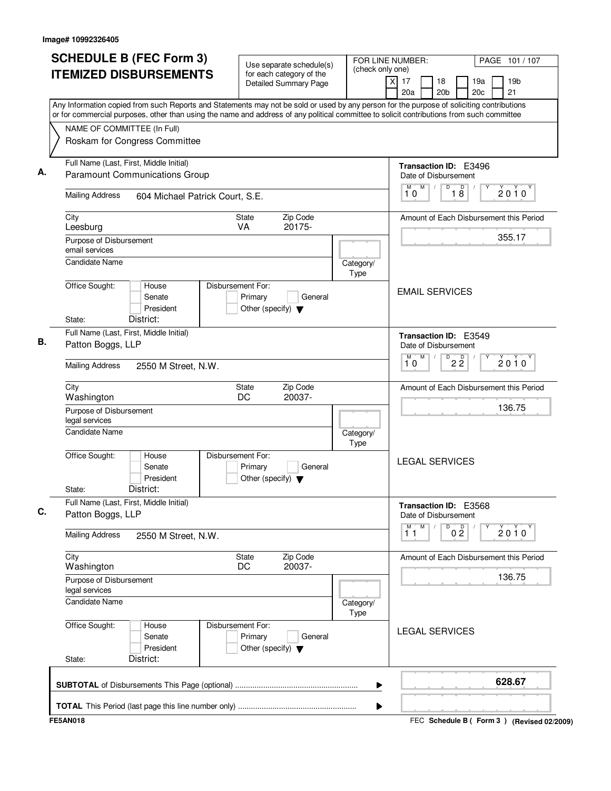| <b>SCHEDULE B (FEC Form 3)</b><br><b>ITEMIZED DISBURSEMENTS</b>                                                                                                                                                                                                                        | Use separate schedule(s)<br>for each category of the<br><b>Detailed Summary Page</b> | FOR LINE NUMBER:<br>(check only one) | PAGE 101 / 107<br>$\times$<br>19 <sub>b</sub><br>17<br>19a<br>18<br>20b<br>20 <sub>c</sub><br>21<br>20a |  |  |  |
|----------------------------------------------------------------------------------------------------------------------------------------------------------------------------------------------------------------------------------------------------------------------------------------|--------------------------------------------------------------------------------------|--------------------------------------|---------------------------------------------------------------------------------------------------------|--|--|--|
| Any Information copied from such Reports and Statements may not be sold or used by any person for the purpose of soliciting contributions<br>or for commercial purposes, other than using the name and address of any political committee to solicit contributions from such committee |                                                                                      |                                      |                                                                                                         |  |  |  |
| NAME OF COMMITTEE (In Full)<br>Roskam for Congress Committee                                                                                                                                                                                                                           |                                                                                      |                                      |                                                                                                         |  |  |  |
| Full Name (Last, First, Middle Initial)<br><b>Paramount Communications Group</b>                                                                                                                                                                                                       |                                                                                      |                                      | <b>Transaction ID: E3496</b><br>Date of Disbursement                                                    |  |  |  |
| <b>Mailing Address</b><br>604 Michael Patrick Court, S.E.                                                                                                                                                                                                                              |                                                                                      |                                      | M<br>D<br>18<br>М<br>$\sqrt{2}$<br>$2010^y$<br>10                                                       |  |  |  |
| City<br>Leesburg                                                                                                                                                                                                                                                                       | Zip Code<br>State<br>VA<br>20175-                                                    |                                      | Amount of Each Disbursement this Period                                                                 |  |  |  |
| Purpose of Disbursement<br>email services                                                                                                                                                                                                                                              |                                                                                      |                                      | 355.17                                                                                                  |  |  |  |
| <b>Candidate Name</b><br>Office Sought:<br>House                                                                                                                                                                                                                                       | Disbursement For:                                                                    | Category/<br>Type                    |                                                                                                         |  |  |  |
| Senate<br>President<br>District:<br>State:                                                                                                                                                                                                                                             | Primary<br>General<br>Other (specify) $\blacktriangledown$                           |                                      | <b>EMAIL SERVICES</b>                                                                                   |  |  |  |
| Full Name (Last, First, Middle Initial)                                                                                                                                                                                                                                                |                                                                                      | Transaction ID: E3549                |                                                                                                         |  |  |  |
| Patton Boggs, LLP                                                                                                                                                                                                                                                                      |                                                                                      |                                      | Date of Disbursement                                                                                    |  |  |  |
| <b>Mailing Address</b><br>2550 M Street, N.W.                                                                                                                                                                                                                                          |                                                                                      |                                      | M<br>$\overline{P}$ 2 $\overline{2}$<br>M<br>$2010^y$<br>10                                             |  |  |  |
| City<br>Washington                                                                                                                                                                                                                                                                     | Zip Code<br>State<br>DC<br>20037-                                                    |                                      | Amount of Each Disbursement this Period                                                                 |  |  |  |
| Purpose of Disbursement<br>legal services                                                                                                                                                                                                                                              |                                                                                      | 136.75                               |                                                                                                         |  |  |  |
| <b>Candidate Name</b>                                                                                                                                                                                                                                                                  |                                                                                      | Category/<br>Type                    |                                                                                                         |  |  |  |
| Office Sought:<br>House<br>Senate<br>President<br>District:<br>State:                                                                                                                                                                                                                  | Disbursement For:<br>Primary<br>General<br>Other (specify) $\blacktriangledown$      |                                      | <b>LEGAL SERVICES</b>                                                                                   |  |  |  |
| Full Name (Last, First, Middle Initial)<br>Patton Boggs, LLP                                                                                                                                                                                                                           |                                                                                      |                                      | <b>Transaction ID: E3568</b><br>Date of Disbursement                                                    |  |  |  |
| <b>Mailing Address</b><br>2550 M Street, N.W.                                                                                                                                                                                                                                          |                                                                                      |                                      | M<br>D<br>M<br>0 <sup>0</sup><br>2010<br>11                                                             |  |  |  |
| City<br>Washington                                                                                                                                                                                                                                                                     | Zip Code<br>State<br>20037-<br>DC                                                    |                                      | Amount of Each Disbursement this Period                                                                 |  |  |  |
| Purpose of Disbursement<br>legal services                                                                                                                                                                                                                                              |                                                                                      | 136.75                               |                                                                                                         |  |  |  |
| <b>Candidate Name</b>                                                                                                                                                                                                                                                                  | Category/<br>Type                                                                    |                                      |                                                                                                         |  |  |  |
| Office Sought:<br>House<br>Senate<br>President<br>District:<br>State:                                                                                                                                                                                                                  | Disbursement For:<br>Primary<br>General<br>Other (specify) $\blacktriangledown$      |                                      | <b>LEGAL SERVICES</b>                                                                                   |  |  |  |
|                                                                                                                                                                                                                                                                                        |                                                                                      | ▶                                    | 628.67                                                                                                  |  |  |  |
|                                                                                                                                                                                                                                                                                        |                                                                                      |                                      |                                                                                                         |  |  |  |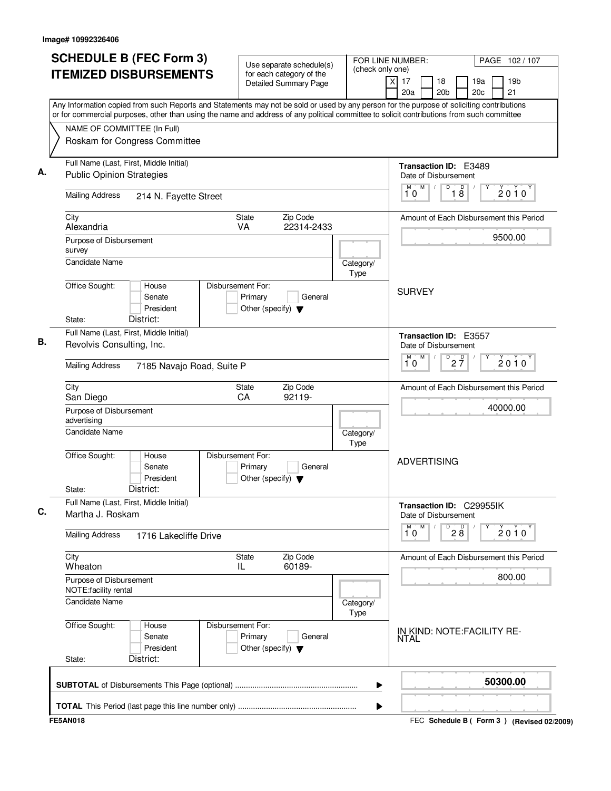| <b>SCHEDULE B (FEC Form 3)</b>                                                                                                                                                                                                                                                         | Use separate schedule(s)                                                        | FOR LINE NUMBER:  |                                                         | PAGE 102/107                                |
|----------------------------------------------------------------------------------------------------------------------------------------------------------------------------------------------------------------------------------------------------------------------------------------|---------------------------------------------------------------------------------|-------------------|---------------------------------------------------------|---------------------------------------------|
| <b>ITEMIZED DISBURSEMENTS</b>                                                                                                                                                                                                                                                          | for each category of the<br>Detailed Summary Page                               | (check only one)  | x<br>17<br>18<br>20a<br>20 <sub>b</sub>                 | 19 <sub>b</sub><br>19a<br>20c<br>21         |
| Any Information copied from such Reports and Statements may not be sold or used by any person for the purpose of soliciting contributions<br>or for commercial purposes, other than using the name and address of any political committee to solicit contributions from such committee |                                                                                 |                   |                                                         |                                             |
| NAME OF COMMITTEE (In Full)                                                                                                                                                                                                                                                            |                                                                                 |                   |                                                         |                                             |
| Roskam for Congress Committee                                                                                                                                                                                                                                                          |                                                                                 |                   |                                                         |                                             |
| Full Name (Last, First, Middle Initial)<br><b>Public Opinion Strategies</b>                                                                                                                                                                                                            |                                                                                 |                   | Transaction ID: E3489<br>Date of Disbursement           |                                             |
| <b>Mailing Address</b><br>214 N. Fayette Street                                                                                                                                                                                                                                        |                                                                                 |                   | M<br>D<br>M<br>D<br>18<br>10                            | 2010                                        |
| City                                                                                                                                                                                                                                                                                   | Zip Code<br>State                                                               |                   |                                                         | Amount of Each Disbursement this Period     |
| Alexandria                                                                                                                                                                                                                                                                             | VA<br>22314-2433                                                                |                   |                                                         | 9500.00                                     |
| Purpose of Disbursement<br>survey                                                                                                                                                                                                                                                      |                                                                                 |                   |                                                         |                                             |
| <b>Candidate Name</b>                                                                                                                                                                                                                                                                  |                                                                                 | Category/<br>Type |                                                         |                                             |
| Office Sought:<br>House<br>Senate<br>President<br>District:<br>State:                                                                                                                                                                                                                  | Disbursement For:<br>Primary<br>General<br>Other (specify) $\blacktriangledown$ |                   | <b>SURVEY</b>                                           |                                             |
| Full Name (Last, First, Middle Initial)                                                                                                                                                                                                                                                |                                                                                 |                   |                                                         |                                             |
| Revolvis Consulting, Inc.                                                                                                                                                                                                                                                              |                                                                                 |                   | Transaction ID: E3557<br>Date of Disbursement<br>M<br>М |                                             |
| <b>Mailing Address</b><br>7185 Navajo Road, Suite P                                                                                                                                                                                                                                    |                                                                                 |                   | $D$ <sub>2</sub> $\frac{D}{7}$<br>10                    | $2010^y$                                    |
| City<br>San Diego                                                                                                                                                                                                                                                                      | Zip Code<br>State<br>CA<br>92119-                                               |                   |                                                         | Amount of Each Disbursement this Period     |
| Purpose of Disbursement<br>advertising                                                                                                                                                                                                                                                 |                                                                                 |                   |                                                         | 40000.00                                    |
| <b>Candidate Name</b>                                                                                                                                                                                                                                                                  |                                                                                 | Category/<br>Type |                                                         |                                             |
| Office Sought:<br>House<br>Senate<br>President<br>District:<br>State:                                                                                                                                                                                                                  | Disbursement For:<br>Primary<br>General<br>Other (specify) $\blacktriangledown$ |                   | <b>ADVERTISING</b>                                      |                                             |
| Full Name (Last, First, Middle Initial)<br>Martha J. Roskam                                                                                                                                                                                                                            |                                                                                 |                   | Transaction ID: C29955IK<br>Date of Disbursement        |                                             |
| <b>Mailing Address</b><br>1716 Lakecliffe Drive                                                                                                                                                                                                                                        |                                                                                 |                   | M<br>M<br>$D^D$ <sub>2</sub> $B$<br>10                  | $2010^y$                                    |
| City<br>Wheaton                                                                                                                                                                                                                                                                        | Zip Code<br>State<br>60189-<br>IL                                               |                   |                                                         | Amount of Each Disbursement this Period     |
| Purpose of Disbursement<br>NOTE: facility rental                                                                                                                                                                                                                                       |                                                                                 |                   |                                                         | 800.00                                      |
| Candidate Name                                                                                                                                                                                                                                                                         |                                                                                 | Category/<br>Type |                                                         |                                             |
| Office Sought:<br>House<br>Senate<br>President<br>District:<br>State:                                                                                                                                                                                                                  | Disbursement For:<br>Primary<br>General<br>Other (specify) $\blacktriangledown$ |                   | IN KIND: NOTE: FACILITY RE-<br>NTAL                     |                                             |
|                                                                                                                                                                                                                                                                                        |                                                                                 | ▶                 |                                                         | 50300.00                                    |
|                                                                                                                                                                                                                                                                                        |                                                                                 | ▶                 |                                                         |                                             |
| <b>FE5AN018</b>                                                                                                                                                                                                                                                                        |                                                                                 |                   |                                                         | FEC Schedule B ( Form 3 ) (Revised 02/2009) |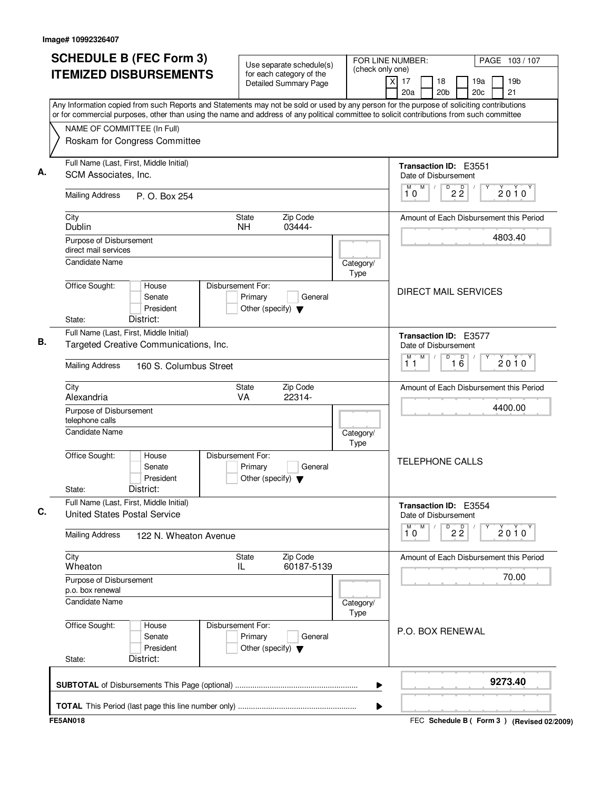| <b>SCHEDULE B (FEC Form 3)</b>                                                                                                                                                                                                                                                         | Use separate schedule(s)                                 |                   | (check only one)                                                                 | FOR LINE NUMBER:            |                                 |            |  | PAGE 103/107                            |  |
|----------------------------------------------------------------------------------------------------------------------------------------------------------------------------------------------------------------------------------------------------------------------------------------|----------------------------------------------------------|-------------------|----------------------------------------------------------------------------------|-----------------------------|---------------------------------|------------|--|-----------------------------------------|--|
| <b>ITEMIZED DISBURSEMENTS</b>                                                                                                                                                                                                                                                          | for each category of the<br><b>Detailed Summary Page</b> |                   | $\overline{X}$<br>17<br>20a                                                      | 18<br>20 <sub>b</sub>       |                                 | 19a<br>20c |  | 19 <sub>b</sub><br>21                   |  |
| Any Information copied from such Reports and Statements may not be sold or used by any person for the purpose of soliciting contributions<br>or for commercial purposes, other than using the name and address of any political committee to solicit contributions from such committee |                                                          |                   |                                                                                  |                             |                                 |            |  |                                         |  |
| NAME OF COMMITTEE (In Full)                                                                                                                                                                                                                                                            |                                                          |                   |                                                                                  |                             |                                 |            |  |                                         |  |
| Roskam for Congress Committee                                                                                                                                                                                                                                                          |                                                          |                   |                                                                                  |                             |                                 |            |  |                                         |  |
|                                                                                                                                                                                                                                                                                        |                                                          |                   |                                                                                  |                             |                                 |            |  |                                         |  |
| Full Name (Last, First, Middle Initial)                                                                                                                                                                                                                                                |                                                          |                   |                                                                                  | Transaction ID: E3551       |                                 |            |  |                                         |  |
| SCM Associates, Inc.                                                                                                                                                                                                                                                                   |                                                          |                   |                                                                                  | Date of Disbursement        |                                 |            |  |                                         |  |
| <b>Mailing Address</b><br>P. O. Box 254                                                                                                                                                                                                                                                |                                                          |                   | M<br>10                                                                          | M                           | $D$ <sub>2</sub> $\overline{2}$ |            |  | $2010^y$                                |  |
| City                                                                                                                                                                                                                                                                                   | Zip Code<br><b>State</b>                                 |                   |                                                                                  |                             |                                 |            |  | Amount of Each Disbursement this Period |  |
| Dublin                                                                                                                                                                                                                                                                                 | 03444-<br><b>NH</b>                                      |                   |                                                                                  |                             |                                 |            |  |                                         |  |
| Purpose of Disbursement                                                                                                                                                                                                                                                                |                                                          |                   |                                                                                  |                             |                                 |            |  | 4803.40                                 |  |
| direct mail services                                                                                                                                                                                                                                                                   |                                                          |                   |                                                                                  |                             |                                 |            |  |                                         |  |
| <b>Candidate Name</b>                                                                                                                                                                                                                                                                  |                                                          | Category/<br>Type |                                                                                  |                             |                                 |            |  |                                         |  |
| Office Sought:<br>House                                                                                                                                                                                                                                                                | Disbursement For:                                        |                   |                                                                                  |                             |                                 |            |  |                                         |  |
| Senate                                                                                                                                                                                                                                                                                 | Primary<br>General                                       |                   |                                                                                  | <b>DIRECT MAIL SERVICES</b> |                                 |            |  |                                         |  |
| President                                                                                                                                                                                                                                                                              | Other (specify) $\blacktriangledown$                     |                   |                                                                                  |                             |                                 |            |  |                                         |  |
| District:<br>State:                                                                                                                                                                                                                                                                    |                                                          |                   |                                                                                  |                             |                                 |            |  |                                         |  |
| Full Name (Last, First, Middle Initial)                                                                                                                                                                                                                                                |                                                          |                   |                                                                                  | Transaction ID: E3577       |                                 |            |  |                                         |  |
| Targeted Creative Communications, Inc.                                                                                                                                                                                                                                                 |                                                          |                   |                                                                                  | Date of Disbursement        |                                 |            |  |                                         |  |
| <b>Mailing Address</b><br>160 S. Columbus Street                                                                                                                                                                                                                                       |                                                          | м<br>11           | M<br>D<br>$\overline{16}$<br>$2010^y$<br>Amount of Each Disbursement this Period |                             |                                 |            |  |                                         |  |
| City                                                                                                                                                                                                                                                                                   | Zip Code<br>State                                        |                   |                                                                                  |                             |                                 |            |  |                                         |  |
| Alexandria                                                                                                                                                                                                                                                                             | 22314-<br>VA                                             |                   |                                                                                  |                             |                                 |            |  | 4400.00                                 |  |
| Purpose of Disbursement<br>telephone calls                                                                                                                                                                                                                                             |                                                          |                   |                                                                                  |                             |                                 |            |  |                                         |  |
| Candidate Name                                                                                                                                                                                                                                                                         |                                                          | Category/         |                                                                                  |                             |                                 |            |  |                                         |  |
|                                                                                                                                                                                                                                                                                        |                                                          | Type              |                                                                                  |                             |                                 |            |  |                                         |  |
| Office Sought:<br>House                                                                                                                                                                                                                                                                | Disbursement For:                                        |                   |                                                                                  | <b>TELEPHONE CALLS</b>      |                                 |            |  |                                         |  |
| Senate<br>President                                                                                                                                                                                                                                                                    | Primary<br>General                                       |                   |                                                                                  |                             |                                 |            |  |                                         |  |
| District:<br>State:                                                                                                                                                                                                                                                                    | Other (specify) $\blacktriangledown$                     |                   |                                                                                  |                             |                                 |            |  |                                         |  |
| Full Name (Last, First, Middle Initial)                                                                                                                                                                                                                                                |                                                          |                   |                                                                                  | Transaction ID: E3554       |                                 |            |  |                                         |  |
| <b>United States Postal Service</b>                                                                                                                                                                                                                                                    |                                                          |                   |                                                                                  | Date of Disbursement        |                                 |            |  |                                         |  |
|                                                                                                                                                                                                                                                                                        |                                                          |                   | M                                                                                | M                           | $\overline{22}$                 |            |  | $2010^y$                                |  |
| <b>Mailing Address</b><br>122 N. Wheaton Avenue                                                                                                                                                                                                                                        |                                                          |                   | 10                                                                               |                             |                                 |            |  |                                         |  |
| City                                                                                                                                                                                                                                                                                   | Zip Code<br>State                                        |                   |                                                                                  |                             |                                 |            |  | Amount of Each Disbursement this Period |  |
| Wheaton                                                                                                                                                                                                                                                                                | 60187-5139<br>IL                                         |                   |                                                                                  |                             |                                 |            |  |                                         |  |
| Purpose of Disbursement                                                                                                                                                                                                                                                                |                                                          |                   |                                                                                  |                             |                                 |            |  | 70.00                                   |  |
| p.o. box renewal                                                                                                                                                                                                                                                                       |                                                          |                   |                                                                                  |                             |                                 |            |  |                                         |  |
| <b>Candidate Name</b>                                                                                                                                                                                                                                                                  |                                                          | Category/<br>Type |                                                                                  |                             |                                 |            |  |                                         |  |
| Office Sought:<br>House                                                                                                                                                                                                                                                                | Disbursement For:                                        |                   |                                                                                  |                             |                                 |            |  |                                         |  |
| Senate                                                                                                                                                                                                                                                                                 | Primary<br>General                                       |                   |                                                                                  | P.O. BOX RENEWAL            |                                 |            |  |                                         |  |
| President                                                                                                                                                                                                                                                                              | Other (specify) $\blacktriangledown$                     |                   |                                                                                  |                             |                                 |            |  |                                         |  |
| District:<br>State:                                                                                                                                                                                                                                                                    |                                                          |                   |                                                                                  |                             |                                 |            |  |                                         |  |
|                                                                                                                                                                                                                                                                                        |                                                          |                   |                                                                                  |                             |                                 |            |  | 9273.40                                 |  |
|                                                                                                                                                                                                                                                                                        |                                                          | ▶                 |                                                                                  |                             |                                 |            |  |                                         |  |
|                                                                                                                                                                                                                                                                                        |                                                          |                   |                                                                                  |                             |                                 |            |  |                                         |  |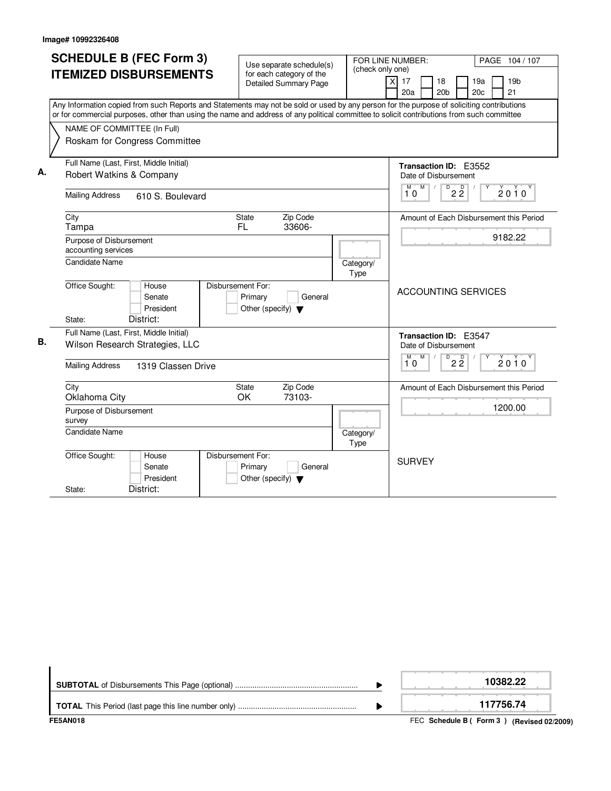|    | <b>SCHEDULE B (FEC Form 3)</b><br><b>ITEMIZED DISBURSEMENTS</b>                                                                                                                                                                                                                                                                                        | Use separate schedule(s)<br>for each category of the<br><b>Detailed Summary Page</b> | FOR LINE NUMBER:<br>(check only one)<br>$\overline{x}$                                        | PAGE 104 / 107<br>19 <sub>b</sub><br>17<br>18<br>19a<br>21<br>20a<br>20 <sub>b</sub><br>20c          |
|----|--------------------------------------------------------------------------------------------------------------------------------------------------------------------------------------------------------------------------------------------------------------------------------------------------------------------------------------------------------|--------------------------------------------------------------------------------------|-----------------------------------------------------------------------------------------------|------------------------------------------------------------------------------------------------------|
|    | Any Information copied from such Reports and Statements may not be sold or used by any person for the purpose of soliciting contributions<br>or for commercial purposes, other than using the name and address of any political committee to solicit contributions from such committee<br>NAME OF COMMITTEE (In Full)<br>Roskam for Congress Committee |                                                                                      |                                                                                               |                                                                                                      |
| А. | Full Name (Last, First, Middle Initial)<br>Robert Watkins & Company<br><b>Mailing Address</b><br>610 S. Boulevard                                                                                                                                                                                                                                      |                                                                                      |                                                                                               | Transaction ID: E3552<br>Date of Disbursement<br>$M$ $M$ /<br>D<br>$2\overline{2}$<br>$2010^y$<br>10 |
|    | City<br>Tampa<br>Purpose of Disbursement<br>accounting services<br>Candidate Name                                                                                                                                                                                                                                                                      | Zip Code<br><b>State</b><br><b>FL</b><br>33606-                                      | Category/                                                                                     | Amount of Each Disbursement this Period<br>9182.22                                                   |
|    | Office Sought:<br>House<br>Senate<br>President<br>District:<br>State:                                                                                                                                                                                                                                                                                  | Disbursement For:<br>Primary<br>General<br>Other (specify) $\blacktriangledown$      | Type                                                                                          | <b>ACCOUNTING SERVICES</b>                                                                           |
| В. | Full Name (Last, First, Middle Initial)<br>Wilson Research Strategies, LLC<br><b>Mailing Address</b><br>1319 Classen Drive                                                                                                                                                                                                                             |                                                                                      | Transaction ID: E3547<br>Date of Disbursement<br>D<br>M<br>M<br>$2\overline{2}$<br>2010<br>10 |                                                                                                      |
|    | City<br>Oklahoma City<br>Purpose of Disbursement<br>survey<br><b>Candidate Name</b>                                                                                                                                                                                                                                                                    | Zip Code<br><b>State</b><br>73103-<br>OK                                             | Category/<br>Type                                                                             | Amount of Each Disbursement this Period<br>1200.00                                                   |
|    | Office Sought:<br>House<br>Senate<br>President<br>District:<br>State:                                                                                                                                                                                                                                                                                  | Disbursement For:<br>Primary<br>General<br>Other (specify) $\blacktriangledown$      |                                                                                               | <b>SURVEY</b>                                                                                        |

| FE5AN018 | FEC Schedule B (Form 3) (Revised 02/2009) |
|----------|-------------------------------------------|
|          | 117756.74                                 |
|          | 10382.22                                  |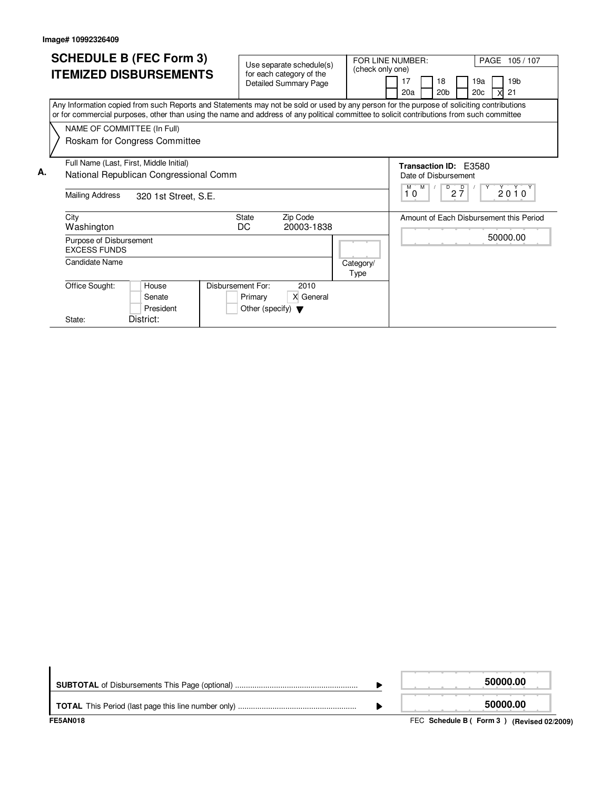|    | <b>SCHEDULE B (FEC Form 3)</b>                                                                                                                                                                                                                                                         |                   | Use separate schedule(s)             |                  | FOR LINE NUMBER:<br>PAGE 105/107                   |  |
|----|----------------------------------------------------------------------------------------------------------------------------------------------------------------------------------------------------------------------------------------------------------------------------------------|-------------------|--------------------------------------|------------------|----------------------------------------------------|--|
|    | <b>ITEMIZED DISBURSEMENTS</b>                                                                                                                                                                                                                                                          |                   | for each category of the             | (check only one) |                                                    |  |
|    |                                                                                                                                                                                                                                                                                        |                   | <b>Detailed Summary Page</b>         |                  | 19 <sub>b</sub><br>17<br>18<br>19a                 |  |
|    |                                                                                                                                                                                                                                                                                        |                   |                                      |                  | 20 <sub>b</sub><br>20 <sub>c</sub><br>20a<br>21    |  |
|    | Any Information copied from such Reports and Statements may not be sold or used by any person for the purpose of soliciting contributions<br>or for commercial purposes, other than using the name and address of any political committee to solicit contributions from such committee |                   |                                      |                  |                                                    |  |
|    | NAME OF COMMITTEE (In Full)                                                                                                                                                                                                                                                            |                   |                                      |                  |                                                    |  |
|    | Roskam for Congress Committee                                                                                                                                                                                                                                                          |                   |                                      |                  |                                                    |  |
|    |                                                                                                                                                                                                                                                                                        |                   |                                      |                  |                                                    |  |
|    | Full Name (Last, First, Middle Initial)                                                                                                                                                                                                                                                |                   |                                      |                  | Transaction ID: F3580                              |  |
| А. | National Republican Congressional Comm                                                                                                                                                                                                                                                 |                   |                                      |                  | Date of Disbursement                               |  |
|    |                                                                                                                                                                                                                                                                                        |                   |                                      |                  | M<br>$\overline{D}$<br>M<br>$2\frac{D}{7}$<br>2010 |  |
|    | <b>Mailing Address</b><br>320 1st Street, S.E.                                                                                                                                                                                                                                         |                   |                                      |                  | 10                                                 |  |
|    | City                                                                                                                                                                                                                                                                                   | <b>State</b>      | Zip Code                             |                  | Amount of Each Disbursement this Period            |  |
|    | Washington                                                                                                                                                                                                                                                                             | DC                | 20003-1838                           |                  |                                                    |  |
|    | Purpose of Disbursement                                                                                                                                                                                                                                                                |                   |                                      |                  | 50000.00                                           |  |
|    | <b>EXCESS FUNDS</b>                                                                                                                                                                                                                                                                    |                   |                                      |                  |                                                    |  |
|    | <b>Candidate Name</b>                                                                                                                                                                                                                                                                  |                   |                                      | Category/        |                                                    |  |
|    |                                                                                                                                                                                                                                                                                        |                   |                                      | Type             |                                                    |  |
|    | Office Sought:<br>House                                                                                                                                                                                                                                                                | Disbursement For: | 2010                                 |                  |                                                    |  |
|    | Senate                                                                                                                                                                                                                                                                                 | Primary           | X General                            |                  |                                                    |  |
|    | President                                                                                                                                                                                                                                                                              |                   | Other (specify) $\blacktriangledown$ |                  |                                                    |  |
|    | District:<br>State:                                                                                                                                                                                                                                                                    |                   |                                      |                  |                                                    |  |

| <b>FE5AN018</b> | FEC Schedule B (Form 3) (Revised 02/2009) |
|-----------------|-------------------------------------------|
|                 | 50000.00                                  |
|                 | 50000.00                                  |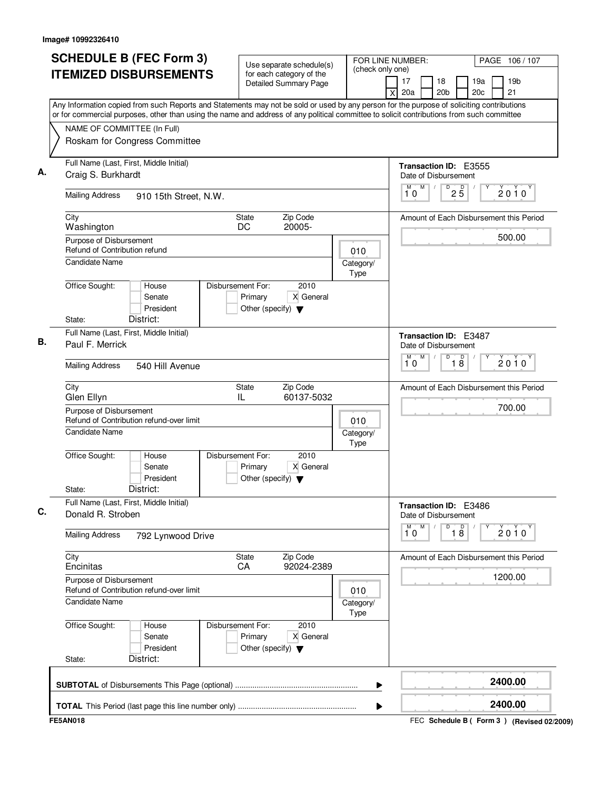|    | <b>SCHEDULE B (FEC Form 3)</b>                                                                                                            | Use separate schedule(s)                                                                  |  |                                               | FOR LINE NUMBER:<br>PAGE 106/107                                               |
|----|-------------------------------------------------------------------------------------------------------------------------------------------|-------------------------------------------------------------------------------------------|--|-----------------------------------------------|--------------------------------------------------------------------------------|
|    | <b>ITEMIZED DISBURSEMENTS</b>                                                                                                             | for each category of the<br>Detailed Summary Page                                         |  | (check only one)                              | 19 <sub>b</sub><br>18<br>19a<br>17<br>20a<br>20 <sub>b</sub><br>20c<br>21<br>x |
|    | Any Information copied from such Reports and Statements may not be sold or used by any person for the purpose of soliciting contributions |                                                                                           |  |                                               |                                                                                |
|    | or for commercial purposes, other than using the name and address of any political committee to solicit contributions from such committee |                                                                                           |  |                                               |                                                                                |
|    | NAME OF COMMITTEE (In Full)                                                                                                               |                                                                                           |  |                                               |                                                                                |
|    | Roskam for Congress Committee                                                                                                             |                                                                                           |  |                                               |                                                                                |
| А. | Full Name (Last, First, Middle Initial)<br>Craig S. Burkhardt                                                                             |                                                                                           |  |                                               | <b>Transaction ID: E3555</b><br>Date of Disbursement                           |
|    | <b>Mailing Address</b><br>910 15th Street, N.W.                                                                                           |                                                                                           |  |                                               | M<br>25<br>D<br>M<br>$2010^y$<br>10                                            |
|    | City<br>Washington                                                                                                                        | Zip Code<br>State<br>20005-<br>DC                                                         |  |                                               | Amount of Each Disbursement this Period                                        |
|    | Purpose of Disbursement<br>Refund of Contribution refund                                                                                  |                                                                                           |  | 010                                           | 500.00                                                                         |
|    | Candidate Name                                                                                                                            |                                                                                           |  | Category/<br>Type                             |                                                                                |
|    | Office Sought:<br>House<br>Senate<br>President                                                                                            | Disbursement For:<br>2010<br>Primary<br>X General<br>Other (specify) $\blacktriangledown$ |  |                                               |                                                                                |
|    | District:<br>State:                                                                                                                       |                                                                                           |  |                                               |                                                                                |
| В. | Full Name (Last, First, Middle Initial)<br>Paul F. Merrick                                                                                |                                                                                           |  | Transaction ID: E3487<br>Date of Disbursement |                                                                                |
|    | <b>Mailing Address</b><br>540 Hill Avenue                                                                                                 |                                                                                           |  |                                               | M<br>D<br>$\overline{18}$<br>M<br>$2010^y$<br>10                               |
|    | City<br>Glen Ellyn                                                                                                                        | Zip Code<br>State<br>IL<br>60137-5032                                                     |  |                                               | Amount of Each Disbursement this Period                                        |
|    | Purpose of Disbursement<br>Refund of Contribution refund-over limit<br>010                                                                |                                                                                           |  |                                               | 700.00                                                                         |
|    | <b>Candidate Name</b>                                                                                                                     |                                                                                           |  | Category/<br>Type                             |                                                                                |
|    | Office Sought:<br>House<br>Senate<br>President<br>District:<br>State:                                                                     | Disbursement For:<br>2010<br>X General<br>Primary<br>Other (specify) $\blacktriangledown$ |  |                                               |                                                                                |
|    | Full Name (Last, First, Middle Initial)                                                                                                   |                                                                                           |  |                                               |                                                                                |
|    | Donald R. Stroben                                                                                                                         |                                                                                           |  |                                               | Transaction ID: E3486<br>Date of Disbursement                                  |
|    | <b>Mailing Address</b><br>792 Lynwood Drive                                                                                               |                                                                                           |  |                                               | M<br>D<br>$\overline{18}$<br>M<br>$2010^{\circ}$<br>10                         |
|    | City<br>Encinitas                                                                                                                         | Zip Code<br>State<br>CA<br>92024-2389                                                     |  |                                               | Amount of Each Disbursement this Period                                        |
|    | Purpose of Disbursement<br>Refund of Contribution refund-over limit<br>010                                                                |                                                                                           |  | 1200.00                                       |                                                                                |
|    | Candidate Name                                                                                                                            |                                                                                           |  | Category/<br>Type                             |                                                                                |
|    | Office Sought:<br>House<br>Senate<br>President                                                                                            | Disbursement For:<br>2010<br>X General<br>Primary<br>Other (specify) $\blacktriangledown$ |  |                                               |                                                                                |
|    | District:<br>State:                                                                                                                       |                                                                                           |  |                                               |                                                                                |
|    |                                                                                                                                           |                                                                                           |  | ▶                                             | 2400.00                                                                        |
|    |                                                                                                                                           |                                                                                           |  |                                               | 2400.00                                                                        |
|    |                                                                                                                                           |                                                                                           |  |                                               |                                                                                |

FEC **Schedule B ( ) Form 3 FE5AN018 (Revised 02/2009)**